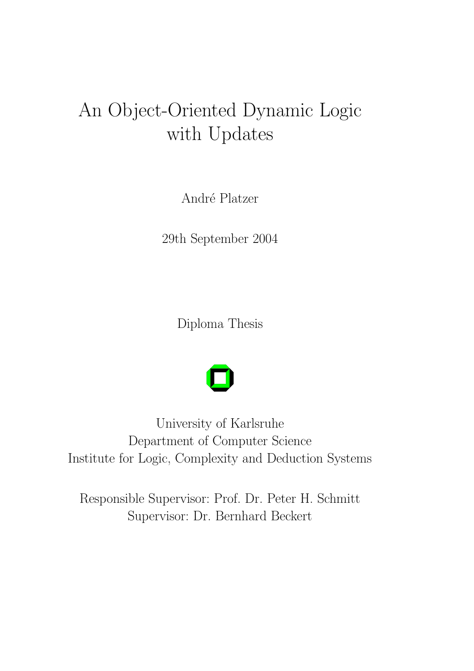# An Object-Oriented Dynamic Logic with Updates

André Platzer

29th September 2004

Diploma Thesis



University of Karlsruhe Department of Computer Science Institute for Logic, Complexity and Deduction Systems

Responsible Supervisor: Prof. Dr. Peter H. Schmitt Supervisor: Dr. Bernhard Beckert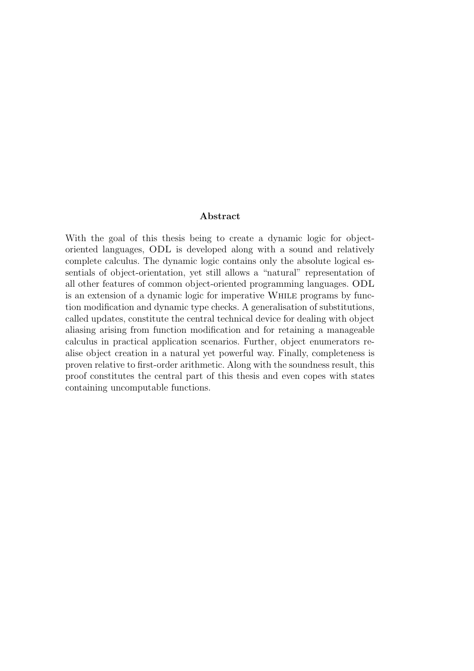#### Abstract

With the goal of this thesis being to create a dynamic logic for objectoriented languages, ODL is developed along with a sound and relatively complete calculus. The dynamic logic contains only the absolute logical essentials of object-orientation, yet still allows a "natural" representation of all other features of common object-oriented programming languages. ODL is an extension of a dynamic logic for imperative While programs by function modification and dynamic type checks. A generalisation of substitutions, called updates, constitute the central technical device for dealing with object aliasing arising from function modification and for retaining a manageable calculus in practical application scenarios. Further, object enumerators realise object creation in a natural yet powerful way. Finally, completeness is proven relative to first-order arithmetic. Along with the soundness result, this proof constitutes the central part of this thesis and even copes with states containing uncomputable functions.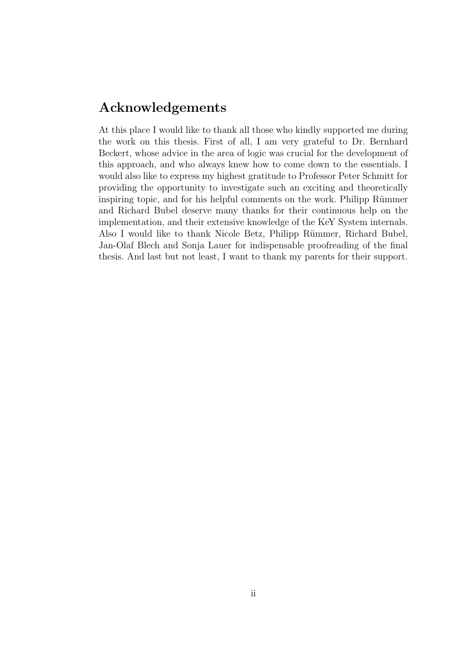## Acknowledgements

At this place I would like to thank all those who kindly supported me during the work on this thesis. First of all, I am very grateful to Dr. Bernhard Beckert, whose advice in the area of logic was crucial for the development of this approach, and who always knew how to come down to the essentials. I would also like to express my highest gratitude to Professor Peter Schmitt for providing the opportunity to investigate such an exciting and theoretically inspiring topic, and for his helpful comments on the work. Philipp Rümmer and Richard Bubel deserve many thanks for their continuous help on the implementation, and their extensive knowledge of the KeY System internals. Also I would like to thank Nicole Betz, Philipp Rümmer, Richard Bubel, Jan-Olaf Blech and Sonja Lauer for indispensable proofreading of the final thesis. And last but not least, I want to thank my parents for their support.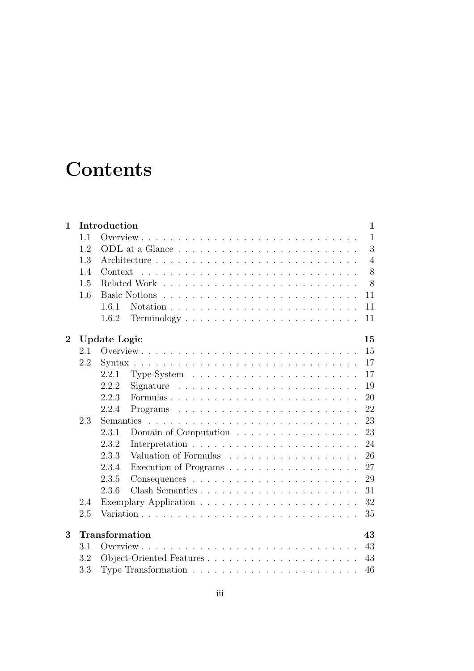# **Contents**

| 1        | Introduction<br>$\mathbf 1$ |                                                                                      |  |  |
|----------|-----------------------------|--------------------------------------------------------------------------------------|--|--|
|          | 1.1                         | $\mathbf{1}$                                                                         |  |  |
|          | 1.2                         | 3<br>ODL at a Glance                                                                 |  |  |
|          | 1.3                         | $\overline{4}$                                                                       |  |  |
|          | 1.4                         | 8<br>Context                                                                         |  |  |
|          | 1.5                         | 8                                                                                    |  |  |
|          | 1.6                         | 11                                                                                   |  |  |
|          |                             | 1.6.1<br>11                                                                          |  |  |
|          |                             | 1.6.2<br>11<br>$Terminology \ldots \ldots \ldots \ldots \ldots \ldots \ldots \ldots$ |  |  |
| $\bf{2}$ | <b>Update Logic</b>         |                                                                                      |  |  |
|          | 2.1                         | 15                                                                                   |  |  |
|          | 2.2                         | 17                                                                                   |  |  |
|          |                             | 17<br>Type-System $\ldots \ldots \ldots \ldots \ldots \ldots \ldots \ldots$<br>2.2.1 |  |  |
|          |                             | 2.2.2<br>19<br>Signature $\ldots \ldots \ldots \ldots \ldots \ldots \ldots \ldots$   |  |  |
|          |                             | 2.2.3<br>20                                                                          |  |  |
|          |                             | 22<br>2.2.4                                                                          |  |  |
|          | 2.3                         | 23<br>Semantics                                                                      |  |  |
|          |                             | 23<br>2.3.1<br>Domain of Computation                                                 |  |  |
|          |                             | 2.3.2<br>24                                                                          |  |  |
|          |                             | 2.3.3<br>26                                                                          |  |  |
|          |                             | 27<br>2.3.4                                                                          |  |  |
|          |                             | 2.3.5<br>29                                                                          |  |  |
|          |                             | 2.3.6<br>31                                                                          |  |  |
|          | 2.4                         | 32                                                                                   |  |  |
|          | 2.5                         | 35                                                                                   |  |  |
| 3        |                             | Transformation<br>43                                                                 |  |  |
|          | 3.1                         | 43                                                                                   |  |  |
|          | 3.2                         | Object-Oriented Features<br>43                                                       |  |  |
|          | 3.3                         | 46                                                                                   |  |  |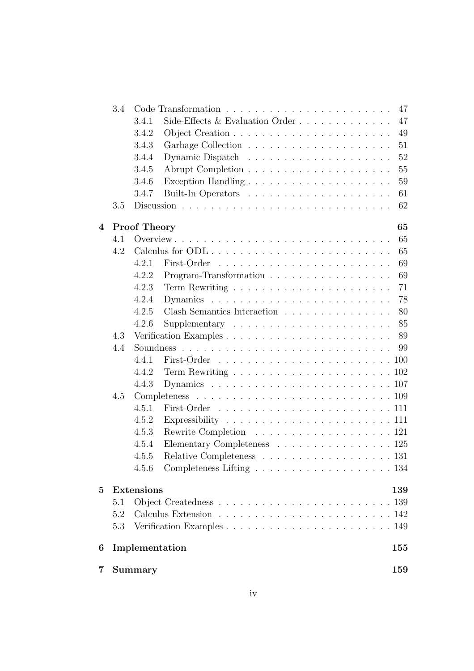|                 | 3.4 |                     |                             | 47 |
|-----------------|-----|---------------------|-----------------------------|----|
|                 |     | 3.4.1               |                             | 47 |
|                 |     | 3.4.2               |                             | 49 |
|                 |     | 3.4.3               |                             | 51 |
|                 |     | 3.4.4               |                             | 52 |
|                 |     | 3.4.5               |                             | 55 |
|                 |     | 3.4.6               |                             | 59 |
|                 |     | 3.4.7               |                             | 61 |
|                 | 3.5 |                     |                             | 62 |
| 4               |     | <b>Proof Theory</b> |                             | 65 |
|                 | 4.1 |                     |                             | 65 |
|                 | 4.2 |                     | Calculus for ODL            | 65 |
|                 |     | 4.2.1               |                             | 69 |
|                 |     | 4.2.2               | Program-Transformation      | 69 |
|                 |     | 4.2.3               |                             | 71 |
|                 |     | 4.2.4               |                             | 78 |
|                 |     | 4.2.5               | Clash Semantics Interaction | 80 |
|                 |     | 4.2.6               |                             | 85 |
|                 | 4.3 |                     |                             | 89 |
|                 | 4.4 |                     |                             |    |
|                 |     | 4.4.1               |                             |    |
|                 |     | 4.4.2               |                             |    |
|                 |     | 4.4.3               |                             |    |
|                 | 4.5 |                     |                             |    |
|                 |     | 4.5.1               |                             |    |
|                 |     | 4.5.2               |                             |    |
|                 |     | 4.5.3               |                             |    |
|                 |     | 4.5.4               | Elementary Completeness 125 |    |
|                 |     | 4.5.5               |                             |    |
|                 |     | 4.5.6               |                             |    |
| $5\overline{)}$ |     | Extensions          | 139                         |    |
|                 | 5.1 |                     |                             |    |
|                 | 5.2 |                     |                             |    |
|                 | 5.3 |                     |                             |    |
| 6               |     | Implementation      | 155                         |    |
| 7               |     | Summary             | 159                         |    |
|                 |     |                     |                             |    |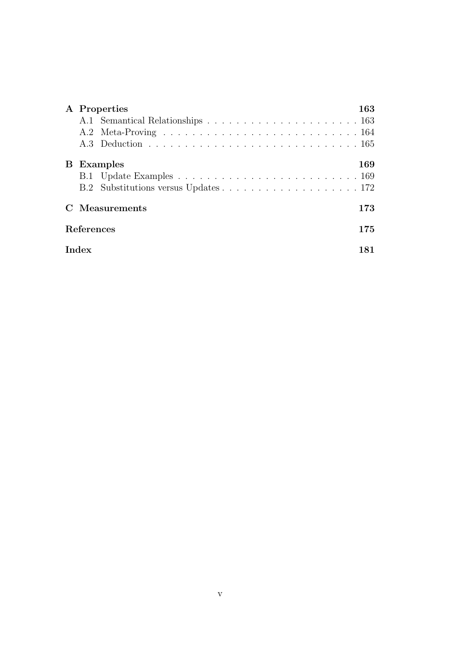|                   |                     | A Properties      | 163 |  |
|-------------------|---------------------|-------------------|-----|--|
|                   |                     | <b>B</b> Examples | 169 |  |
|                   | Measurements<br>173 |                   |     |  |
| References<br>175 |                     |                   |     |  |
|                   | Index               |                   |     |  |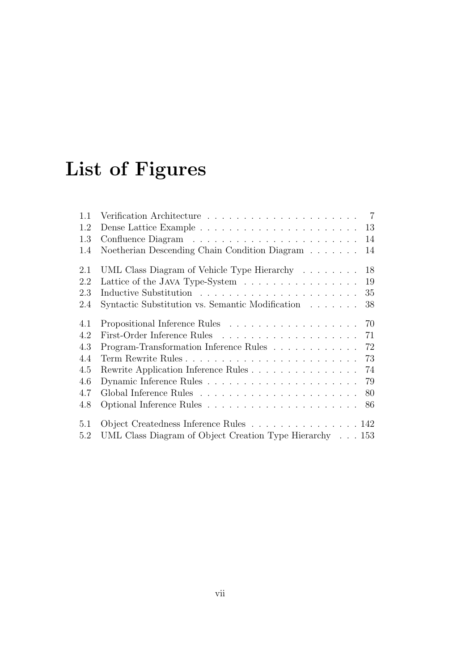# List of Figures

| 1.1 |                                                         |    |
|-----|---------------------------------------------------------|----|
| 1.2 |                                                         | 13 |
| 1.3 |                                                         | 14 |
| 1.4 | Noetherian Descending Chain Condition Diagram           | 14 |
| 2.1 | UML Class Diagram of Vehicle Type Hierarchy             | 18 |
| 2.2 | Lattice of the JAVA Type-System                         | 19 |
| 2.3 |                                                         |    |
| 2.4 | Syntactic Substitution vs. Semantic Modification        | 38 |
| 4.1 |                                                         |    |
| 4.2 |                                                         | 71 |
| 4.3 | Program-Transformation Inference Rules                  | 72 |
| 4.4 | Term Rewrite Rules                                      | 73 |
| 4.5 | Rewrite Application Inference Rules                     | 74 |
| 4.6 |                                                         | 79 |
| 4.7 |                                                         | 80 |
| 4.8 |                                                         | 86 |
| 5.1 | Object Createdness Inference Rules 142                  |    |
| 5.2 | UML Class Diagram of Object Creation Type Hierarchy 153 |    |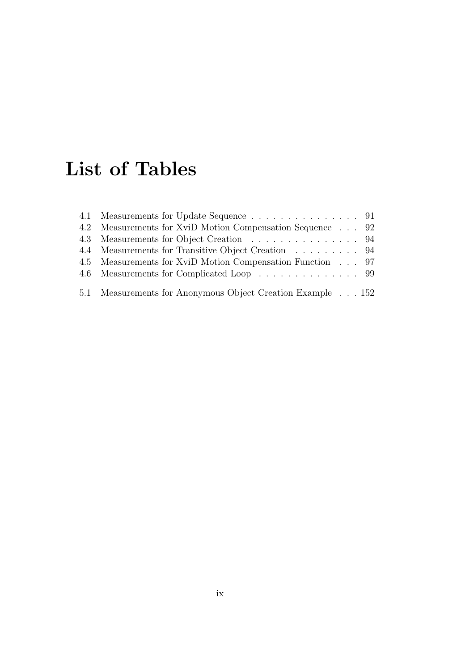# List of Tables

| 4.1 Measurements for Update Sequence 91                    |  |
|------------------------------------------------------------|--|
| 4.2 Measurements for XviD Motion Compensation Sequence 92  |  |
| 4.3 Measurements for Object Creation 94                    |  |
| 4.4 Measurements for Transitive Object Creation 94         |  |
| 4.5 Measurements for XviD Motion Compensation Function 97  |  |
| 4.6 Measurements for Complicated Loop 99                   |  |
| 5.1 Measurements for Anonymous Object Creation Example 152 |  |
|                                                            |  |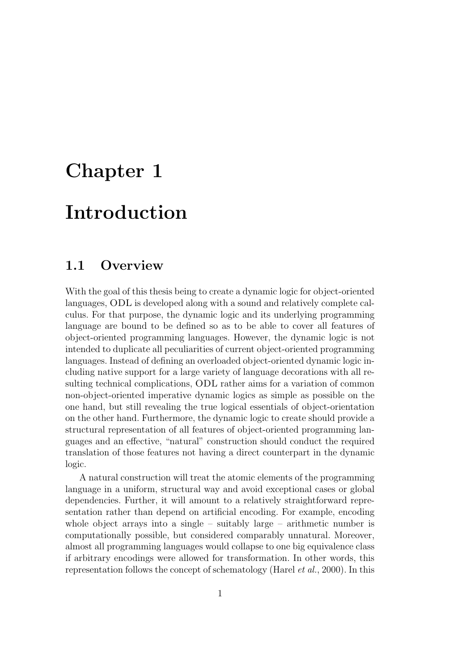## Chapter 1

## Introduction

### 1.1 Overview

With the goal of this thesis being to create a dynamic logic for object-oriented languages, ODL is developed along with a sound and relatively complete calculus. For that purpose, the dynamic logic and its underlying programming language are bound to be defined so as to be able to cover all features of object-oriented programming languages. However, the dynamic logic is not intended to duplicate all peculiarities of current object-oriented programming languages. Instead of defining an overloaded object-oriented dynamic logic including native support for a large variety of language decorations with all resulting technical complications, ODL rather aims for a variation of common non-object-oriented imperative dynamic logics as simple as possible on the one hand, but still revealing the true logical essentials of object-orientation on the other hand. Furthermore, the dynamic logic to create should provide a structural representation of all features of object-oriented programming languages and an effective, "natural" construction should conduct the required translation of those features not having a direct counterpart in the dynamic logic.

A natural construction will treat the atomic elements of the programming language in a uniform, structural way and avoid exceptional cases or global dependencies. Further, it will amount to a relatively straightforward representation rather than depend on artificial encoding. For example, encoding whole object arrays into a single – suitably large – arithmetic number is computationally possible, but considered comparably unnatural. Moreover, almost all programming languages would collapse to one big equivalence class if arbitrary encodings were allowed for transformation. In other words, this representation follows the concept of schematology (Harel et al., 2000). In this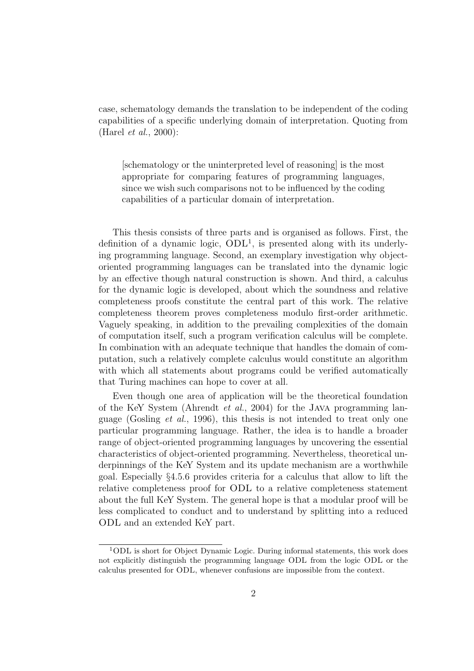case, schematology demands the translation to be independent of the coding capabilities of a specific underlying domain of interpretation. Quoting from (Harel et al., 2000):

[schematology or the uninterpreted level of reasoning] is the most appropriate for comparing features of programming languages, since we wish such comparisons not to be influenced by the coding capabilities of a particular domain of interpretation.

This thesis consists of three parts and is organised as follows. First, the definition of a dynamic logic,  $ODL<sup>1</sup>$ , is presented along with its underlying programming language. Second, an exemplary investigation why objectoriented programming languages can be translated into the dynamic logic by an effective though natural construction is shown. And third, a calculus for the dynamic logic is developed, about which the soundness and relative completeness proofs constitute the central part of this work. The relative completeness theorem proves completeness modulo first-order arithmetic. Vaguely speaking, in addition to the prevailing complexities of the domain of computation itself, such a program verification calculus will be complete. In combination with an adequate technique that handles the domain of computation, such a relatively complete calculus would constitute an algorithm with which all statements about programs could be verified automatically that Turing machines can hope to cover at all.

Even though one area of application will be the theoretical foundation of the KeY System (Ahrendt *et al.*, 2004) for the JAVA programming language (Gosling et al., 1996), this thesis is not intended to treat only one particular programming language. Rather, the idea is to handle a broader range of object-oriented programming languages by uncovering the essential characteristics of object-oriented programming. Nevertheless, theoretical underpinnings of the KeY System and its update mechanism are a worthwhile goal. Especially §4.5.6 provides criteria for a calculus that allow to lift the relative completeness proof for ODL to a relative completeness statement about the full KeY System. The general hope is that a modular proof will be less complicated to conduct and to understand by splitting into a reduced ODL and an extended KeY part.

<sup>1</sup>ODL is short for Object Dynamic Logic. During informal statements, this work does not explicitly distinguish the programming language ODL from the logic ODL or the calculus presented for ODL, whenever confusions are impossible from the context.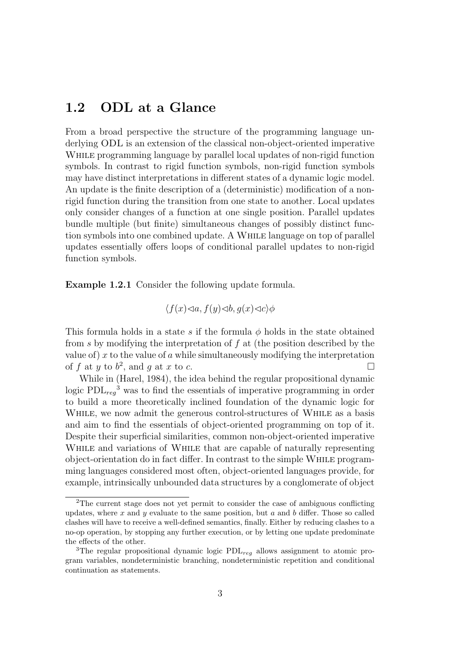## 1.2 ODL at a Glance

From a broad perspective the structure of the programming language underlying ODL is an extension of the classical non-object-oriented imperative While programming language by parallel local updates of non-rigid function symbols. In contrast to rigid function symbols, non-rigid function symbols may have distinct interpretations in different states of a dynamic logic model. An update is the finite description of a (deterministic) modification of a nonrigid function during the transition from one state to another. Local updates only consider changes of a function at one single position. Parallel updates bundle multiple (but finite) simultaneous changes of possibly distinct function symbols into one combined update. A While language on top of parallel updates essentially offers loops of conditional parallel updates to non-rigid function symbols.

Example 1.2.1 Consider the following update formula.

 $\langle f(x)\triangleleft a, f(y)\triangleleft b, q(x)\triangleleft c\rangle \phi$ 

This formula holds in a state s if the formula  $\phi$  holds in the state obtained from s by modifying the interpretation of f at (the position described by the value of) x to the value of a while simultaneously modifying the interpretation of f at y to  $b^2$ , and g at x to c.

While in (Harel, 1984), the idea behind the regular propositional dynamic logic  $PDL_{reg}^3$  was to find the essentials of imperative programming in order to build a more theoretically inclined foundation of the dynamic logic for While, we now admit the generous control-structures of While as a basis and aim to find the essentials of object-oriented programming on top of it. Despite their superficial similarities, common non-object-oriented imperative While and variations of While that are capable of naturally representing object-orientation do in fact differ. In contrast to the simple While programming languages considered most often, object-oriented languages provide, for example, intrinsically unbounded data structures by a conglomerate of object

<sup>2</sup>The current stage does not yet permit to consider the case of ambiguous conflicting updates, where  $x$  and  $y$  evaluate to the same position, but  $a$  and  $b$  differ. Those so called clashes will have to receive a well-defined semantics, finally. Either by reducing clashes to a no-op operation, by stopping any further execution, or by letting one update predominate the effects of the other.

<sup>&</sup>lt;sup>3</sup>The regular propositional dynamic logic  $PDL_{reg}$  allows assignment to atomic program variables, nondeterministic branching, nondeterministic repetition and conditional continuation as statements.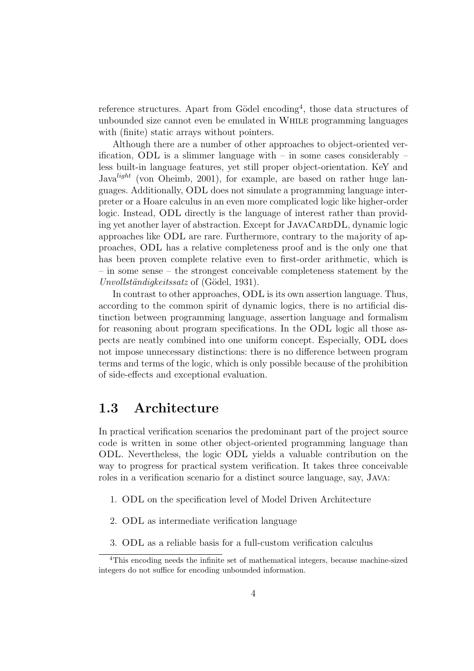reference structures. Apart from Gödel encoding<sup>4</sup>, those data structures of unbounded size cannot even be emulated in While programming languages with (finite) static arrays without pointers.

Although there are a number of other approaches to object-oriented verification, ODL is a slimmer language with – in some cases considerably – less built-in language features, yet still proper object-orientation. KeY and Java<sup>light</sup> (von Oheimb, 2001), for example, are based on rather huge languages. Additionally, ODL does not simulate a programming language interpreter or a Hoare calculus in an even more complicated logic like higher-order logic. Instead, ODL directly is the language of interest rather than providing yet another layer of abstraction. Except for JAVACARDDL, dynamic logic approaches like ODL are rare. Furthermore, contrary to the majority of approaches, ODL has a relative completeness proof and is the only one that has been proven complete relative even to first-order arithmetic, which is – in some sense – the strongest conceivable completeness statement by the Unvollständigkeitssatz of  $(Gödel, 1931)$ .

In contrast to other approaches, ODL is its own assertion language. Thus, according to the common spirit of dynamic logics, there is no artificial distinction between programming language, assertion language and formalism for reasoning about program specifications. In the ODL logic all those aspects are neatly combined into one uniform concept. Especially, ODL does not impose unnecessary distinctions: there is no difference between program terms and terms of the logic, which is only possible because of the prohibition of side-effects and exceptional evaluation.

## 1.3 Architecture

In practical verification scenarios the predominant part of the project source code is written in some other object-oriented programming language than ODL. Nevertheless, the logic ODL yields a valuable contribution on the way to progress for practical system verification. It takes three conceivable roles in a verification scenario for a distinct source language, say, Java:

- 1. ODL on the specification level of Model Driven Architecture
- 2. ODL as intermediate verification language
- 3. ODL as a reliable basis for a full-custom verification calculus

<sup>4</sup>This encoding needs the infinite set of mathematical integers, because machine-sized integers do not suffice for encoding unbounded information.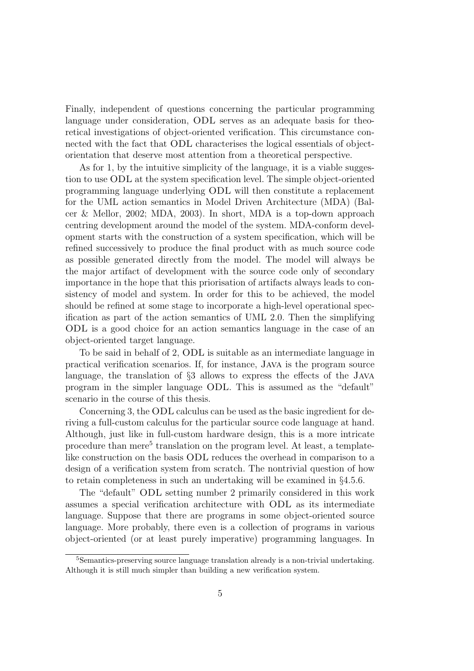Finally, independent of questions concerning the particular programming language under consideration, ODL serves as an adequate basis for theoretical investigations of object-oriented verification. This circumstance connected with the fact that ODL characterises the logical essentials of objectorientation that deserve most attention from a theoretical perspective.

As for 1, by the intuitive simplicity of the language, it is a viable suggestion to use ODL at the system specification level. The simple object-oriented programming language underlying ODL will then constitute a replacement for the UML action semantics in Model Driven Architecture (MDA) (Balcer & Mellor, 2002; MDA, 2003). In short, MDA is a top-down approach centring development around the model of the system. MDA-conform development starts with the construction of a system specification, which will be refined successively to produce the final product with as much source code as possible generated directly from the model. The model will always be the major artifact of development with the source code only of secondary importance in the hope that this priorisation of artifacts always leads to consistency of model and system. In order for this to be achieved, the model should be refined at some stage to incorporate a high-level operational specification as part of the action semantics of UML 2.0. Then the simplifying ODL is a good choice for an action semantics language in the case of an object-oriented target language.

To be said in behalf of 2, ODL is suitable as an intermediate language in practical verification scenarios. If, for instance, Java is the program source language, the translation of §3 allows to express the effects of the Java program in the simpler language ODL. This is assumed as the "default" scenario in the course of this thesis.

Concerning 3, the ODL calculus can be used as the basic ingredient for deriving a full-custom calculus for the particular source code language at hand. Although, just like in full-custom hardware design, this is a more intricate procedure than mere<sup>5</sup> translation on the program level. At least, a templatelike construction on the basis ODL reduces the overhead in comparison to a design of a verification system from scratch. The nontrivial question of how to retain completeness in such an undertaking will be examined in §4.5.6.

The "default" ODL setting number 2 primarily considered in this work assumes a special verification architecture with ODL as its intermediate language. Suppose that there are programs in some object-oriented source language. More probably, there even is a collection of programs in various object-oriented (or at least purely imperative) programming languages. In

<sup>5</sup>Semantics-preserving source language translation already is a non-trivial undertaking. Although it is still much simpler than building a new verification system.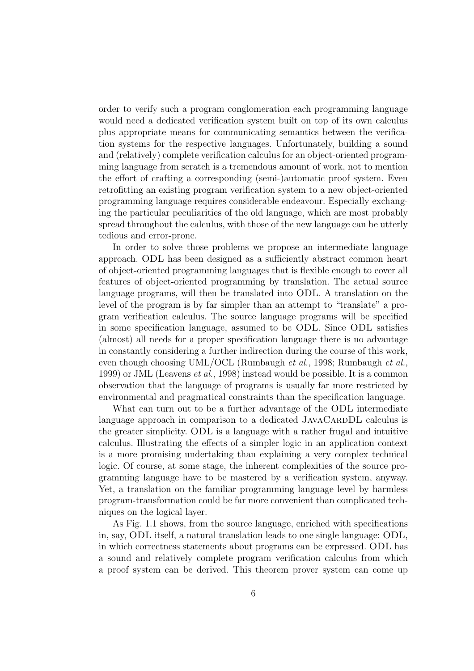order to verify such a program conglomeration each programming language would need a dedicated verification system built on top of its own calculus plus appropriate means for communicating semantics between the verification systems for the respective languages. Unfortunately, building a sound and (relatively) complete verification calculus for an object-oriented programming language from scratch is a tremendous amount of work, not to mention the effort of crafting a corresponding (semi-)automatic proof system. Even retrofitting an existing program verification system to a new object-oriented programming language requires considerable endeavour. Especially exchanging the particular peculiarities of the old language, which are most probably spread throughout the calculus, with those of the new language can be utterly tedious and error-prone.

In order to solve those problems we propose an intermediate language approach. ODL has been designed as a sufficiently abstract common heart of object-oriented programming languages that is flexible enough to cover all features of object-oriented programming by translation. The actual source language programs, will then be translated into ODL. A translation on the level of the program is by far simpler than an attempt to "translate" a program verification calculus. The source language programs will be specified in some specification language, assumed to be ODL. Since ODL satisfies (almost) all needs for a proper specification language there is no advantage in constantly considering a further indirection during the course of this work, even though choosing UML/OCL (Rumbaugh et al., 1998; Rumbaugh et al., 1999) or JML (Leavens et al., 1998) instead would be possible. It is a common observation that the language of programs is usually far more restricted by environmental and pragmatical constraints than the specification language.

What can turn out to be a further advantage of the ODL intermediate language approach in comparison to a dedicated JAVACARDDL calculus is the greater simplicity. ODL is a language with a rather frugal and intuitive calculus. Illustrating the effects of a simpler logic in an application context is a more promising undertaking than explaining a very complex technical logic. Of course, at some stage, the inherent complexities of the source programming language have to be mastered by a verification system, anyway. Yet, a translation on the familiar programming language level by harmless program-transformation could be far more convenient than complicated techniques on the logical layer.

As Fig. 1.1 shows, from the source language, enriched with specifications in, say, ODL itself, a natural translation leads to one single language: ODL, in which correctness statements about programs can be expressed. ODL has a sound and relatively complete program verification calculus from which a proof system can be derived. This theorem prover system can come up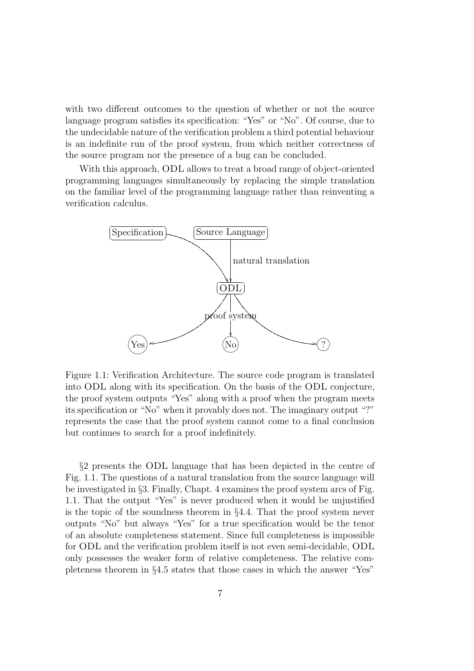with two different outcomes to the question of whether or not the source language program satisfies its specification: "Yes" or "No". Of course, due to the undecidable nature of the verification problem a third potential behaviour is an indefinite run of the proof system, from which neither correctness of the source program nor the presence of a bug can be concluded.

With this approach, ODL allows to treat a broad range of object-oriented programming languages simultaneously by replacing the simple translation on the familiar level of the programming language rather than reinventing a verification calculus.



Figure 1.1: Verification Architecture. The source code program is translated into ODL along with its specification. On the basis of the ODL conjecture, the proof system outputs "Yes" along with a proof when the program meets its specification or "No" when it provably does not. The imaginary output "?" represents the case that the proof system cannot come to a final conclusion but continues to search for a proof indefinitely.

§2 presents the ODL language that has been depicted in the centre of Fig. 1.1. The questions of a natural translation from the source language will be investigated in §3. Finally, Chapt. 4 examines the proof system arcs of Fig. 1.1. That the output "Yes" is never produced when it would be unjustified is the topic of the soundness theorem in  $\S 4.4$ . That the proof system never outputs "No" but always "Yes" for a true specification would be the tenor of an absolute completeness statement. Since full completeness is impossible for ODL and the verification problem itself is not even semi-decidable, ODL only possesses the weaker form of relative completeness. The relative completeness theorem in §4.5 states that those cases in which the answer "Yes"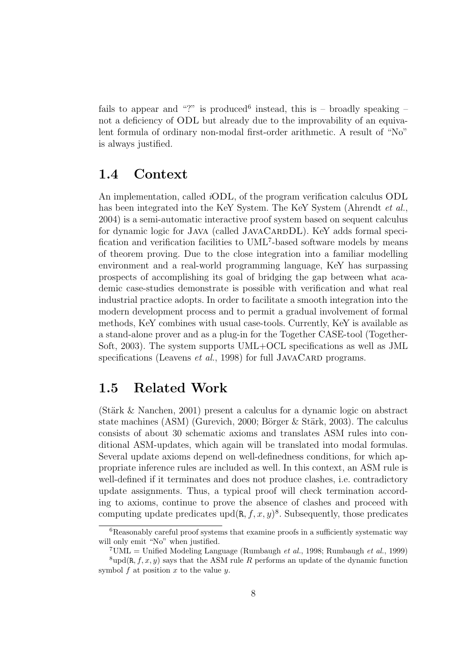fails to appear and "?" is produced<sup>6</sup> instead, this is  $-$  broadly speaking  $$ not a deficiency of ODL but already due to the improvability of an equivalent formula of ordinary non-modal first-order arithmetic. A result of "No" is always justified.

## 1.4 Context

An implementation, called iODL, of the program verification calculus ODL has been integrated into the KeY System. The KeY System (Ahrendt *et al.*, 2004) is a semi-automatic interactive proof system based on sequent calculus for dynamic logic for JAVA (called JAVACARDDL). KeY adds formal specification and verification facilities to UML<sup>7</sup>-based software models by means of theorem proving. Due to the close integration into a familiar modelling environment and a real-world programming language, KeY has surpassing prospects of accomplishing its goal of bridging the gap between what academic case-studies demonstrate is possible with verification and what real industrial practice adopts. In order to facilitate a smooth integration into the modern development process and to permit a gradual involvement of formal methods, KeY combines with usual case-tools. Currently, KeY is available as a stand-alone prover and as a plug-in for the Together CASE-tool (Together-Soft, 2003). The system supports UML+OCL specifications as well as JML specifications (Leavens *et al.*, 1998) for full JAVACARD programs.

## 1.5 Related Work

(Stärk  $\&$  Nanchen, 2001) present a calculus for a dynamic logic on abstract state machines (ASM) (Gurevich, 2000; Börger  $&$  Stärk, 2003). The calculus consists of about 30 schematic axioms and translates ASM rules into conditional ASM-updates, which again will be translated into modal formulas. Several update axioms depend on well-definedness conditions, for which appropriate inference rules are included as well. In this context, an ASM rule is well-defined if it terminates and does not produce clashes, i.e. contradictory update assignments. Thus, a typical proof will check termination according to axioms, continue to prove the absence of clashes and proceed with computing update predicates upd $(R, f, x, y)$ <sup>8</sup>. Subsequently, those predicates

<sup>6</sup>Reasonably careful proof systems that examine proofs in a sufficiently systematic way will only emit "No" when justified.

<sup>&</sup>lt;sup>7</sup>UML = Unified Modeling Language (Rumbaugh *et al.*, 1998; Rumbaugh *et al.*, 1999)

 $\sup^8$ upd(R, f, x, y) says that the ASM rule R performs an update of the dynamic function symbol  $f$  at position  $x$  to the value  $y$ .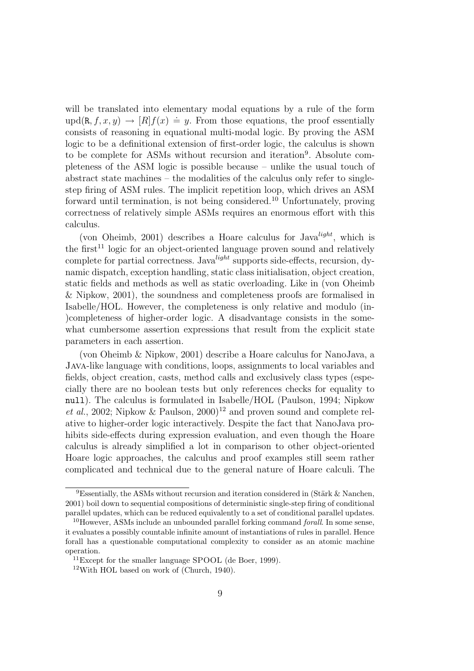will be translated into elementary modal equations by a rule of the form upd(R,  $f, x, y$ )  $\rightarrow$  [R] $f(x) \doteq y$ . From those equations, the proof essentially consists of reasoning in equational multi-modal logic. By proving the ASM logic to be a definitional extension of first-order logic, the calculus is shown to be complete for ASMs without recursion and iteration<sup>9</sup>. Absolute completeness of the ASM logic is possible because – unlike the usual touch of abstract state machines – the modalities of the calculus only refer to singlestep firing of ASM rules. The implicit repetition loop, which drives an ASM forward until termination, is not being considered.<sup>10</sup> Unfortunately, proving correctness of relatively simple ASMs requires an enormous effort with this calculus.

(von Oheimb, 2001) describes a Hoare calculus for  $Jawa^{light}$ , which is the first<sup>11</sup> logic for an object-oriented language proven sound and relatively complete for partial correctness. Java<sup>light</sup> supports side-effects, recursion, dynamic dispatch, exception handling, static class initialisation, object creation, static fields and methods as well as static overloading. Like in (von Oheimb & Nipkow, 2001), the soundness and completeness proofs are formalised in Isabelle/HOL. However, the completeness is only relative and modulo (in- )completeness of higher-order logic. A disadvantage consists in the somewhat cumbersome assertion expressions that result from the explicit state parameters in each assertion.

(von Oheimb & Nipkow, 2001) describe a Hoare calculus for NanoJava, a Java-like language with conditions, loops, assignments to local variables and fields, object creation, casts, method calls and exclusively class types (especially there are no boolean tests but only references checks for equality to null). The calculus is formulated in Isabelle/HOL (Paulson, 1994; Nipkow et al., 2002; Nipkow & Paulson, 2000)<sup>12</sup> and proven sound and complete relative to higher-order logic interactively. Despite the fact that NanoJava prohibits side-effects during expression evaluation, and even though the Hoare calculus is already simplified a lot in comparison to other object-oriented Hoare logic approaches, the calculus and proof examples still seem rather complicated and technical due to the general nature of Hoare calculi. The

 $9E$ ssentially, the ASMs without recursion and iteration considered in (Stärk & Nanchen, 2001) boil down to sequential compositions of deterministic single-step firing of conditional parallel updates, which can be reduced equivalently to a set of conditional parallel updates.

 $10$ However, ASMs include an unbounded parallel forking command *forall*. In some sense, it evaluates a possibly countable infinite amount of instantiations of rules in parallel. Hence forall has a questionable computational complexity to consider as an atomic machine operation.

 $11$ Except for the smaller language SPOOL (de Boer, 1999).

<sup>12</sup>With HOL based on work of (Church, 1940).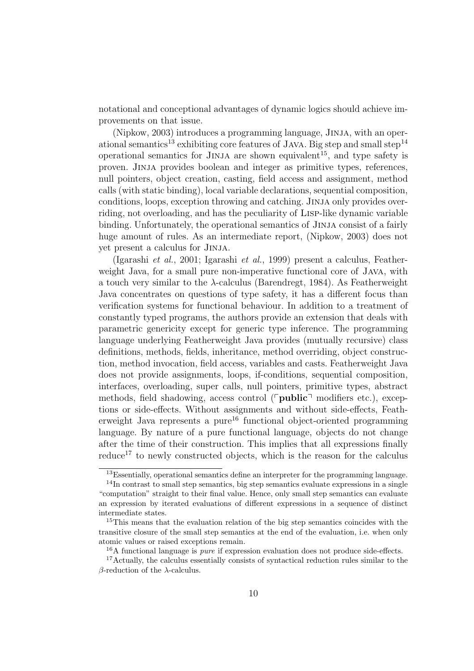notational and conceptional advantages of dynamic logics should achieve improvements on that issue.

(Nipkow, 2003) introduces a programming language, Jinja, with an operational semantics<sup>13</sup> exhibiting core features of JAVA. Big step and small step<sup>14</sup> operational semantics for Jinja are shown equivalent 15 , and type safety is proven. Jinja provides boolean and integer as primitive types, references, null pointers, object creation, casting, field access and assignment, method calls (with static binding), local variable declarations, sequential composition, conditions, loops, exception throwing and catching. Jinja only provides overriding, not overloading, and has the peculiarity of Lisp-like dynamic variable binding. Unfortunately, the operational semantics of Jinja consist of a fairly huge amount of rules. As an intermediate report, (Nipkow, 2003) does not yet present a calculus for Jinja.

(Igarashi et al., 2001; Igarashi et al., 1999) present a calculus, Featherweight Java, for a small pure non-imperative functional core of Java, with a touch very similar to the  $\lambda$ -calculus (Barendregt, 1984). As Featherweight Java concentrates on questions of type safety, it has a different focus than verification systems for functional behaviour. In addition to a treatment of constantly typed programs, the authors provide an extension that deals with parametric genericity except for generic type inference. The programming language underlying Featherweight Java provides (mutually recursive) class definitions, methods, fields, inheritance, method overriding, object construction, method invocation, field access, variables and casts. Featherweight Java does not provide assignments, loops, if-conditions, sequential composition, interfaces, overloading, super calls, null pointers, primitive types, abstract methods, field shadowing, access control  $(\ulcorner \text{public} \urcorner \text{ modifies etc.})$ , exceptions or side-effects. Without assignments and without side-effects, Featherweight Java represents a pure<sup>16</sup> functional object-oriented programming language. By nature of a pure functional language, objects do not change after the time of their construction. This implies that all expressions finally reduce<sup>17</sup> to newly constructed objects, which is the reason for the calculus

<sup>&</sup>lt;sup>13</sup>Essentially, operational semantics define an interpreter for the programming language.

<sup>14</sup>In contrast to small step semantics, big step semantics evaluate expressions in a single "computation" straight to their final value. Hence, only small step semantics can evaluate an expression by iterated evaluations of different expressions in a sequence of distinct intermediate states.

<sup>15</sup>This means that the evaluation relation of the big step semantics coincides with the transitive closure of the small step semantics at the end of the evaluation, i.e. when only atomic values or raised exceptions remain.

 $16A$  functional language is *pure* if expression evaluation does not produce side-effects.

<sup>&</sup>lt;sup>17</sup>Actually, the calculus essentially consists of syntactical reduction rules similar to the β-reduction of the λ-calculus.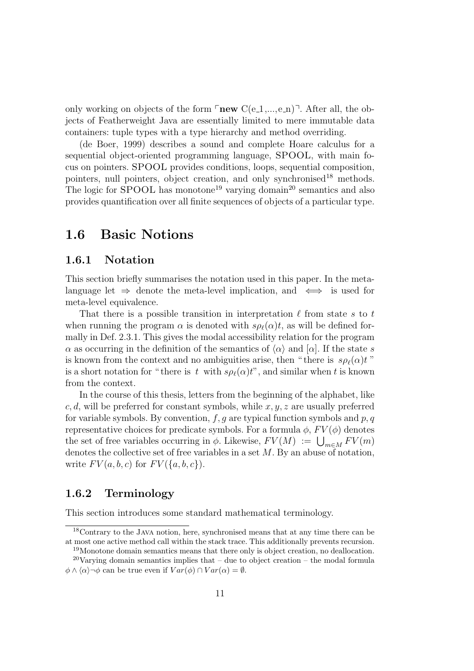only working on objects of the form  $\lceil \text{new } C(e_1, \ldots, e_n) \rceil$ . After all, the objects of Featherweight Java are essentially limited to mere immutable data containers: tuple types with a type hierarchy and method overriding.

(de Boer, 1999) describes a sound and complete Hoare calculus for a sequential object-oriented programming language, SPOOL, with main focus on pointers. SPOOL provides conditions, loops, sequential composition, pointers, null pointers, object creation, and only synchronised<sup>18</sup> methods. The logic for SPOOL has monotone<sup>19</sup> varying domain<sup>20</sup> semantics and also provides quantification over all finite sequences of objects of a particular type.

## 1.6 Basic Notions

#### 1.6.1 Notation

This section briefly summarises the notation used in this paper. In the metalanguage let  $\Rightarrow$  denote the meta-level implication, and  $\iff$  is used for meta-level equivalence.

That there is a possible transition in interpretation  $\ell$  from state s to t when running the program  $\alpha$  is denoted with  $s\rho(\alpha)t$ , as will be defined formally in Def. 2.3.1. This gives the modal accessibility relation for the program  $\alpha$  as occurring in the definition of the semantics of  $\langle \alpha \rangle$  and  $\langle \alpha |$ . If the state s is known from the context and no ambiguities arise, then "there is  $s\rho_{\ell}(\alpha)t$ " is a short notation for "there is t with  $s\rho_{\ell}(\alpha)t$ ", and similar when t is known from the context.

In the course of this thesis, letters from the beginning of the alphabet, like  $c, d$ , will be preferred for constant symbols, while  $x, y, z$  are usually preferred for variable symbols. By convention,  $f, q$  are typical function symbols and  $p, q$ representative choices for predicate symbols. For a formula  $\phi$ ,  $FV(\phi)$  denotes the set of free variables occurring in  $\phi$ . Likewise,  $FV(M) := \bigcup_{m \in M} FV(m)$ denotes the collective set of free variables in a set M. By an abuse of notation, write  $FV(a, b, c)$  for  $FV({a, b, c})$ .

#### 1.6.2 Terminology

This section introduces some standard mathematical terminology.

<sup>18</sup>Contrary to the Java notion, here, synchronised means that at any time there can be at most one active method call within the stack trace. This additionally prevents recursion.

<sup>19</sup>Monotone domain semantics means that there only is object creation, no deallocation.  $20\text{Varying domain semantics implies that } -$  due to object creation – the modal formula

 $\phi \wedge \langle \alpha \rangle \neg \phi$  can be true even if  $Var(\phi) \cap Var(\alpha) = \emptyset$ .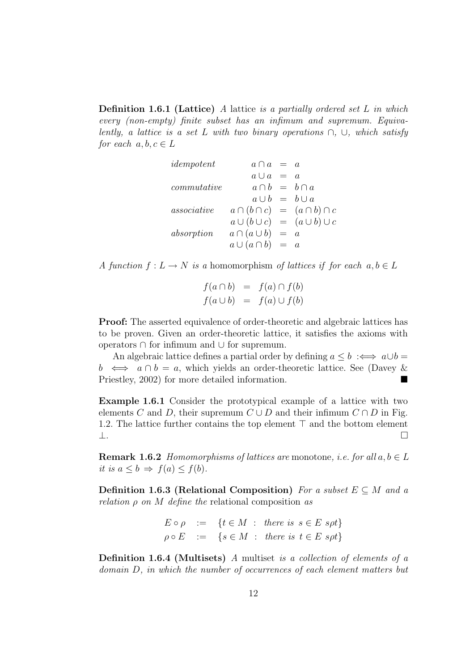**Definition 1.6.1 (Lattice)** A lattice is a partially ordered set  $L$  in which every (non-empty) finite subset has an infimum and supremum. Equivalently, a lattice is a set L with two binary operations  $\cap$ ,  $\cup$ , which satisfy for each  $a, b, c \in L$ 

| idempotent  | $a \cap a = a$                          |  |
|-------------|-----------------------------------------|--|
|             | $a \cup a = a$                          |  |
| commutative | $a \cap b = b \cap a$                   |  |
|             | $a \cup b = b \cup a$                   |  |
| associative | $a \cap (b \cap c) = (a \cap b) \cap c$ |  |
|             | $a \cup (b \cup c) = (a \cup b) \cup c$ |  |
| absorption  | $a \cap (a \cup b) = a$                 |  |
|             | $a \cup (a \cap b) = a$                 |  |

A function  $f: L \to N$  is a homomorphism of lattices if for each  $a, b \in L$ 

$$
f(a \cap b) = f(a) \cap f(b)
$$
  

$$
f(a \cup b) = f(a) \cup f(b)
$$

Proof: The asserted equivalence of order-theoretic and algebraic lattices has to be proven. Given an order-theoretic lattice, it satisfies the axioms with operators ∩ for infimum and ∪ for supremum.

An algebraic lattice defines a partial order by defining  $a \leq b \implies a \cup b =$  $b \iff a \cap b = a$ , which yields an order-theoretic lattice. See (Davey & Priestley, 2002) for more detailed information.

Example 1.6.1 Consider the prototypical example of a lattice with two elements C and D, their supremum  $C \cup D$  and their infimum  $C \cap D$  in Fig. 1.2. The lattice further contains the top element  $\top$  and the bottom element ⊥.

**Remark 1.6.2** Homomorphisms of lattices are monotone, i.e. for all  $a, b \in L$ it is  $a \leq b \Rightarrow f(a) \leq f(b)$ .

Definition 1.6.3 (Relational Composition) For a subset  $E \subseteq M$  and a *relation*  $\rho$  *on*  $M$  define the relational composition as

$$
E \circ \rho := \{ t \in M : \text{ there is } s \in E \text{ spt} \}
$$
  

$$
\rho \circ E := \{ s \in M : \text{ there is } t \in E \text{ spt} \}
$$

Definition 1.6.4 (Multisets) A multiset is a collection of elements of a domain D, in which the number of occurrences of each element matters but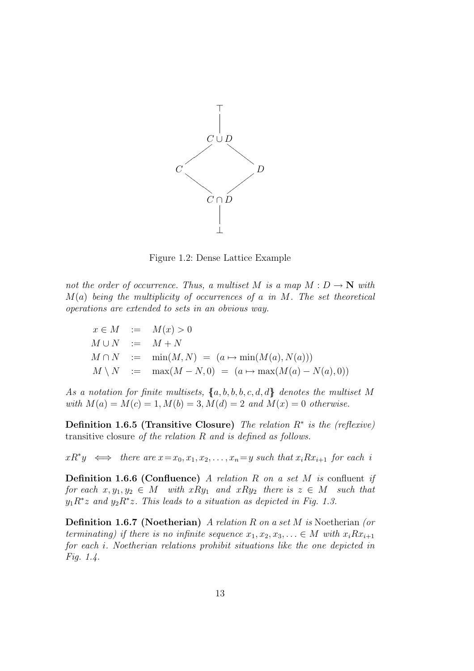

Figure 1.2: Dense Lattice Example

not the order of occurrence. Thus, a multiset M is a map  $M : D \to \mathbb{N}$  with  $M(a)$  being the multiplicity of occurrences of a in M. The set theoretical operations are extended to sets in an obvious way.

$$
x \in M \quad := \quad M(x) > 0
$$
\n
$$
M \cup N \quad := \quad M + N
$$
\n
$$
M \cap N \quad := \quad \min(M, N) \quad = \quad (a \mapsto \min(M(a), N(a)))
$$
\n
$$
M \setminus N \quad := \quad \max(M - N, 0) \quad = \quad (a \mapsto \max(M(a) - N(a), 0))
$$

As a notation for finite multisets,  ${a, b, b, b, c, d, d}$  denotes the multiset M with  $M(a) = M(c) = 1, M(b) = 3, M(d) = 2$  and  $M(x) = 0$  otherwise.

Definition 1.6.5 (Transitive Closure) The relation  $R^*$  is the (reflexive) transitive closure of the relation R and is defined as follows.

 $xR^*y \iff \text{there are } x = x_0, x_1, x_2, \ldots, x_n = y \text{ such that } x_iRx_{i+1} \text{ for each } i$ 

**Definition 1.6.6 (Confluence)** A relation R on a set M is confluent if for each  $x, y_1, y_2 \in M$  with  $xRy_1$  and  $xRy_2$  there is  $z \in M$  such that  $y_1R^*z$  and  $y_2R^*z$ . This leads to a situation as depicted in Fig. 1.3.

**Definition 1.6.7 (Noetherian)** A relation R on a set M is Noetherian (or terminating) if there is no infinite sequence  $x_1, x_2, x_3, \ldots \in M$  with  $x_iRx_{i+1}$ for each i. Noetherian relations prohibit situations like the one depicted in Fig. 1.4.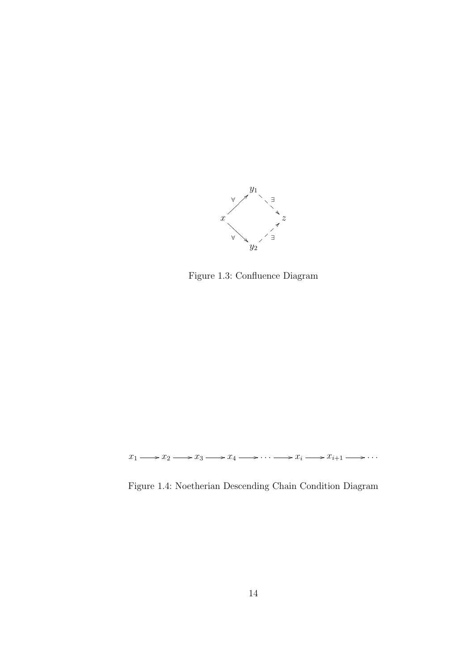

Figure 1.3: Confluence Diagram

 $x_1 \longrightarrow x_2 \longrightarrow x_3 \longrightarrow x_4 \longrightarrow \cdots \longrightarrow x_i \longrightarrow x_{i+1} \longrightarrow \cdots$ 

Figure 1.4: Noetherian Descending Chain Condition Diagram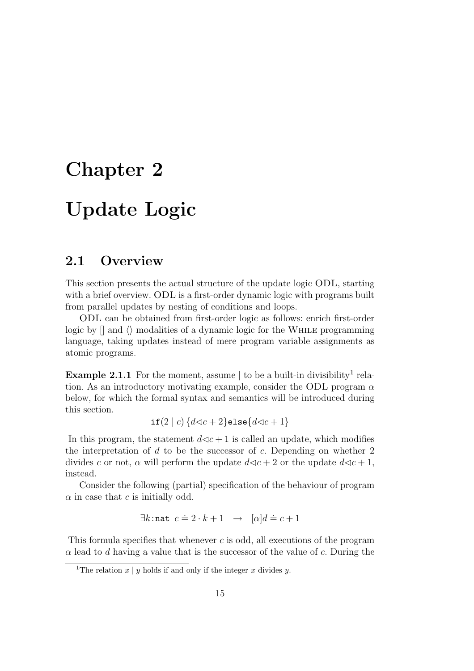## Chapter 2

## Update Logic

### 2.1 Overview

This section presents the actual structure of the update logic ODL, starting with a brief overview. ODL is a first-order dynamic logic with programs built from parallel updates by nesting of conditions and loops.

ODL can be obtained from first-order logic as follows: enrich first-order logic by  $\parallel$  and  $\langle \rangle$  modalities of a dynamic logic for the WHILE programming language, taking updates instead of mere program variable assignments as atomic programs.

**Example 2.1.1** For the moment, assume  $\vert$  to be a built-in divisibility<sup>1</sup> relation. As an introductory motivating example, consider the ODL program  $\alpha$ below, for which the formal syntax and semantics will be introduced during this section.

$$
\texttt{if}(2 \mid c) \{d \lhd c + 2\} \texttt{else} \{d \lhd c + 1\}
$$

In this program, the statement  $d \lhd c + 1$  is called an update, which modifies the interpretation of  $d$  to be the successor of  $c$ . Depending on whether 2 divides c or not,  $\alpha$  will perform the update  $d \lhd c + 2$  or the update  $d \lhd c + 1$ , instead.

Consider the following (partial) specification of the behaviour of program  $\alpha$  in case that c is initially odd.

$$
\exists k : \mathtt{nat} \ c \doteq 2 \cdot k + 1 \rightarrow [\alpha]d \doteq c + 1
$$

This formula specifies that whenever  $c$  is odd, all executions of the program  $\alpha$  lead to d having a value that is the successor of the value of c. During the

<sup>&</sup>lt;sup>1</sup>The relation  $x \mid y$  holds if and only if the integer x divides y.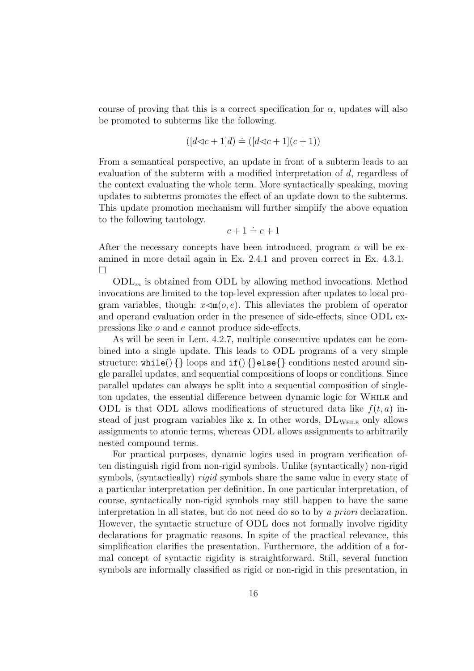course of proving that this is a correct specification for  $\alpha$ , updates will also be promoted to subterms like the following.

$$
([d \triangleleft c + 1]d) \doteq ([d \triangleleft c + 1](c + 1))
$$

From a semantical perspective, an update in front of a subterm leads to an evaluation of the subterm with a modified interpretation of d, regardless of the context evaluating the whole term. More syntactically speaking, moving updates to subterms promotes the effect of an update down to the subterms. This update promotion mechanism will further simplify the above equation to the following tautology.

$$
c+1 \doteq c+1
$$

After the necessary concepts have been introduced, program  $\alpha$  will be examined in more detail again in Ex. 2.4.1 and proven correct in Ex. 4.3.1.  $\Box$ 

 $\text{ODL}_{m}$  is obtained from ODL by allowing method invocations. Method invocations are limited to the top-level expression after updates to local program variables, though:  $x \le m(o, e)$ . This alleviates the problem of operator and operand evaluation order in the presence of side-effects, since ODL expressions like o and e cannot produce side-effects.

As will be seen in Lem. 4.2.7, multiple consecutive updates can be combined into a single update. This leads to ODL programs of a very simple structure: while()  $\{\}$  loops and if()  $\{\}$ else $\{\}$  conditions nested around single parallel updates, and sequential compositions of loops or conditions. Since parallel updates can always be split into a sequential composition of singleton updates, the essential difference between dynamic logic for While and ODL is that ODL allows modifications of structured data like  $f(t, a)$  instead of just program variables like x. In other words,  $DL<sub>WHLE</sub>$  only allows assignments to atomic terms, whereas ODL allows assignments to arbitrarily nested compound terms.

For practical purposes, dynamic logics used in program verification often distinguish rigid from non-rigid symbols. Unlike (syntactically) non-rigid symbols, (syntactically) *rigid* symbols share the same value in every state of a particular interpretation per definition. In one particular interpretation, of course, syntactically non-rigid symbols may still happen to have the same interpretation in all states, but do not need do so to by a priori declaration. However, the syntactic structure of ODL does not formally involve rigidity declarations for pragmatic reasons. In spite of the practical relevance, this simplification clarifies the presentation. Furthermore, the addition of a formal concept of syntactic rigidity is straightforward. Still, several function symbols are informally classified as rigid or non-rigid in this presentation, in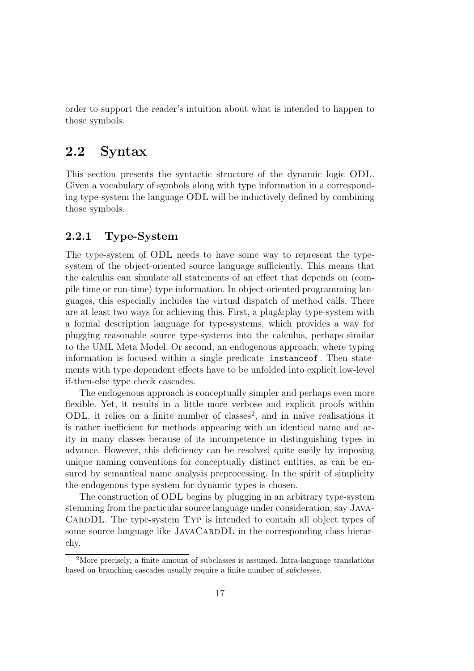order to support the reader's intuition about what is intended to happen to those symbols.

## 2.2 Syntax

This section presents the syntactic structure of the dynamic logic ODL. Given a vocabulary of symbols along with type information in a corresponding type-system the language ODL will be inductively defined by combining those symbols.

#### 2.2.1 Type-System

The type-system of ODL needs to have some way to represent the typesystem of the object-oriented source language sufficiently. This means that the calculus can simulate all statements of an effect that depends on (compile time or run-time) type information. In object-oriented programming languages, this especially includes the virtual dispatch of method calls. There are at least two ways for achieving this. First, a plug&play type-system with a formal description language for type-systems, which provides a way for plugging reasonable source type-systems into the calculus, perhaps similar to the UML Meta Model. Or second, an endogenous approach, where typing information is focused within a single predicate instanceof . Then statements with type dependent effects have to be unfolded into explicit low-level if-then-else type check cascades.

The endogenous approach is conceptually simpler and perhaps even more flexible. Yet, it results in a little more verbose and explicit proofs within ODL, it relies on a finite number of classes<sup>2</sup>, and in naïve realisations it is rather inefficient for methods appearing with an identical name and arity in many classes because of its incompetence in distinguishing types in advance. However, this deficiency can be resolved quite easily by imposing unique naming conventions for conceptually distinct entities, as can be ensured by semantical name analysis preprocessing. In the spirit of simplicity the endogenous type system for dynamic types is chosen.

The construction of ODL begins by plugging in an arbitrary type-system stemming from the particular source language under consideration, say Java-CARDDL. The type-system TYP is intended to contain all object types of some source language like JAVACARDDL in the corresponding class hierarchy.

<sup>2</sup>More precisely, a finite amount of subclasses is assumed. Intra-language translations based on branching cascades usually require a finite number of subclasses.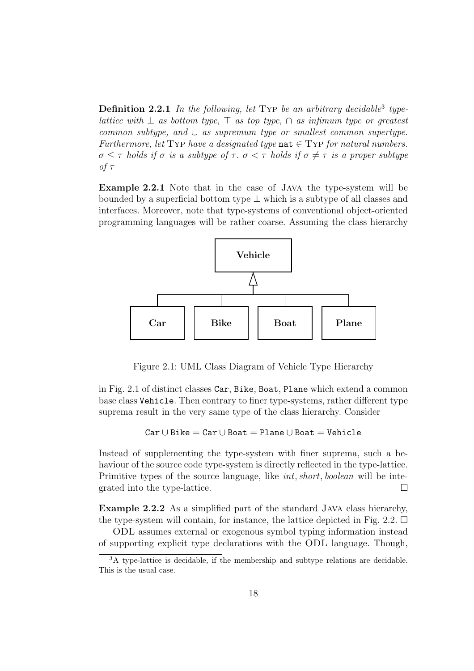**Definition 2.2.1** In the following, let TYP be an arbitrary decidable<sup>3</sup> typelattice with  $\bot$  as bottom type,  $\top$  as top type,  $\cap$  as infimum type or greatest common subtype, and  $\cup$  as supremum type or smallest common supertype. Furthermore, let Typ have a designated type nate  $\in$  Typ for natural numbers.  $\sigma \leq \tau$  holds if  $\sigma$  is a subtype of  $\tau$ .  $\sigma < \tau$  holds if  $\sigma \neq \tau$  is a proper subtype of τ

Example 2.2.1 Note that in the case of Java the type-system will be bounded by a superficial bottom type  $\perp$  which is a subtype of all classes and interfaces. Moreover, note that type-systems of conventional object-oriented programming languages will be rather coarse. Assuming the class hierarchy



Figure 2.1: UML Class Diagram of Vehicle Type Hierarchy

in Fig. 2.1 of distinct classes Car, Bike, Boat, Plane which extend a common base class Vehicle. Then contrary to finer type-systems, rather different type suprema result in the very same type of the class hierarchy. Consider

```
Car \cup Bike = Car \cup Boat = Plane \cup Boat = Vehicle
```
Instead of supplementing the type-system with finer suprema, such a behaviour of the source code type-system is directly reflected in the type-lattice. Primitive types of the source language, like *int*, *short*, *boolean* will be integrated into the type-lattice.

Example 2.2.2 As a simplified part of the standard Java class hierarchy, the type-system will contain, for instance, the lattice depicted in Fig. 2.2.  $\Box$ 

ODL assumes external or exogenous symbol typing information instead of supporting explicit type declarations with the ODL language. Though,

<sup>3</sup>A type-lattice is decidable, if the membership and subtype relations are decidable. This is the usual case.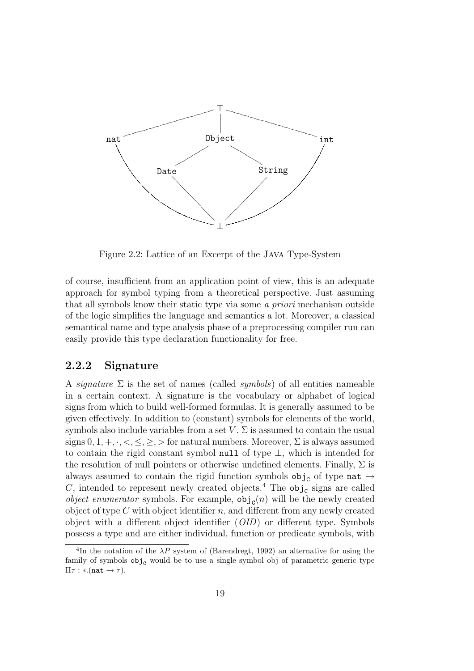

Figure 2.2: Lattice of an Excerpt of the Java Type-System

of course, insufficient from an application point of view, this is an adequate approach for symbol typing from a theoretical perspective. Just assuming that all symbols know their static type via some a priori mechanism outside of the logic simplifies the language and semantics a lot. Moreover, a classical semantical name and type analysis phase of a preprocessing compiler run can easily provide this type declaration functionality for free.

#### 2.2.2 Signature

A signature  $\Sigma$  is the set of names (called *symbols*) of all entities nameable in a certain context. A signature is the vocabulary or alphabet of logical signs from which to build well-formed formulas. It is generally assumed to be given effectively. In addition to (constant) symbols for elements of the world, symbols also include variables from a set  $V \nvert \Sigma$  is assumed to contain the usual signs  $0, 1, +, \cdot, <, \leq, \geq, >$  for natural numbers. Moreover,  $\Sigma$  is always assumed to contain the rigid constant symbol null of type ⊥, which is intended for the resolution of null pointers or otherwise undefined elements. Finally,  $\Sigma$  is always assumed to contain the rigid function symbols  $obj_C$  of type  $nat \rightarrow$ C, intended to represent newly created objects.<sup>4</sup> The  $obj<sub>c</sub>$  signs are called *object enumerator* symbols. For example,  $obj_c(n)$  will be the newly created object of type  $C$  with object identifier  $n$ , and different from any newly created object with a different object identifier (OID) or different type. Symbols possess a type and are either individual, function or predicate symbols, with

<sup>&</sup>lt;sup>4</sup>In the notation of the  $\lambda P$  system of (Barendregt, 1992) an alternative for using the family of symbols  $obj<sub>C</sub>$  would be to use a single symbol obj of parametric generic type  $\Pi \tau : * .(\texttt{nat} \rightarrow \tau).$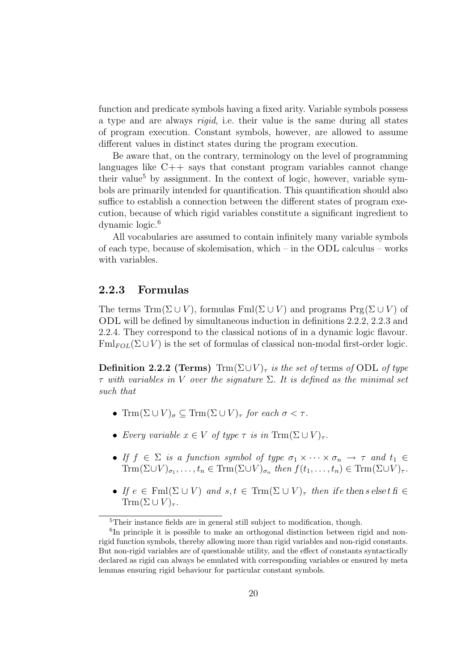function and predicate symbols having a fixed arity. Variable symbols possess a type and are always rigid, i.e. their value is the same during all states of program execution. Constant symbols, however, are allowed to assume different values in distinct states during the program execution.

Be aware that, on the contrary, terminology on the level of programming languages like  $C++$  says that constant program variables cannot change their value<sup>5</sup> by assignment. In the context of logic, however, variable symbols are primarily intended for quantification. This quantification should also suffice to establish a connection between the different states of program execution, because of which rigid variables constitute a significant ingredient to dynamic logic.<sup>6</sup>

All vocabularies are assumed to contain infinitely many variable symbols of each type, because of skolemisation, which – in the ODL calculus – works with variables.

#### 2.2.3 Formulas

The terms  $\text{Trm}(\Sigma \cup V)$ , formulas  $\text{Fml}(\Sigma \cup V)$  and programs  $\text{Prg}(\Sigma \cup V)$  of ODL will be defined by simultaneous induction in definitions 2.2.2, 2.2.3 and 2.2.4. They correspond to the classical notions of in a dynamic logic flavour.  $\text{Fml}_{FOL}(\Sigma \cup V)$  is the set of formulas of classical non-modal first-order logic.

**Definition 2.2.2 (Terms)**  $\text{Trm}(\Sigma \cup V)_\tau$  is the set of terms of ODL of type τ with variables in V over the signature Σ. It is defined as the minimal set such that

- Trm $(\Sigma \cup V)_{\sigma} \subseteq \text{Trm}(\Sigma \cup V)_{\tau}$  for each  $\sigma < \tau$ .
- Every variable  $x \in V$  of type  $\tau$  is in  $\text{Trm}(\Sigma \cup V)_{\tau}$ .
- If  $f \in \Sigma$  is a function symbol of type  $\sigma_1 \times \cdots \times \sigma_n \to \tau$  and  $t_1 \in$  $\text{Trm}(\Sigma \cup V)_{\sigma_1}, \ldots, t_n \in \text{Trm}(\Sigma \cup V)_{\sigma_n}$  then  $f(t_1, \ldots, t_n) \in \text{Trm}(\Sigma \cup V)_{\tau}$ .
- If  $e \in \text{Fml}(\Sigma \cup V)$  and  $s, t \in \text{Trm}(\Sigma \cup V)_{\tau}$  then if e then s elset  $f \in$  $\text{Trm}(\Sigma \cup V)_{\tau}$ .

<sup>&</sup>lt;sup>5</sup>Their instance fields are in general still subject to modification, though.

<sup>&</sup>lt;sup>6</sup>In principle it is possible to make an orthogonal distinction between rigid and nonrigid function symbols, thereby allowing more than rigid variables and non-rigid constants. But non-rigid variables are of questionable utility, and the effect of constants syntactically declared as rigid can always be emulated with corresponding variables or ensured by meta lemmas ensuring rigid behaviour for particular constant symbols.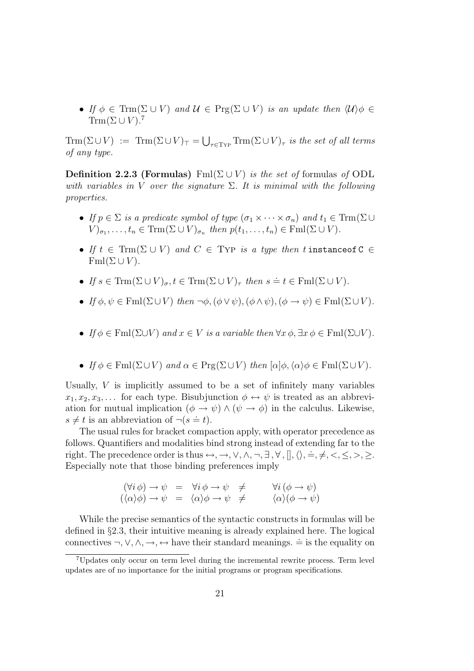• If  $\phi \in \text{Trm}(\Sigma \cup V)$  and  $\mathcal{U} \in \text{Prg}(\Sigma \cup V)$  is an update then  $\langle \mathcal{U} \rangle \phi \in$  $\text{Trm}(\Sigma \cup V).$ <sup>7</sup>

 $\mathrm{Trm}(\Sigma \cup V) := \mathrm{Trm}(\Sigma \cup V)_{\top} = \bigcup_{\tau \in \mathrm{Typ}} \mathrm{Trm}(\Sigma \cup V)_{\tau}$  is the set of all terms of any type.

**Definition 2.2.3 (Formulas)** Fml( $\Sigma \cup V$ ) is the set of formulas of ODL with variables in V over the signature  $\Sigma$ . It is minimal with the following properties.

- If  $p \in \Sigma$  is a predicate symbol of type  $(\sigma_1 \times \cdots \times \sigma_n)$  and  $t_1 \in \text{Trm}(\Sigma \cup$  $V)_{\sigma_1}, \ldots, \tau_n \in \text{Trm}(\Sigma \cup V)_{\sigma_n}$  then  $p(t_1, \ldots, t_n) \in \text{Fml}(\Sigma \cup V)$ .
- If  $t \in \text{Trm}(\Sigma \cup V)$  and  $C \in \text{Trp }$  is a type then t instance of  $C \in$  $Fml(\Sigma \cup V)$ .
- If  $s \in \text{Trm}(\Sigma \cup V)_{\sigma}, t \in \text{Trm}(\Sigma \cup V)_{\tau}$  then  $s \doteq t \in \text{Fml}(\Sigma \cup V)$ .
- If  $\phi, \psi \in \text{Fml}(\Sigma \cup V)$  then  $\neg \phi, (\phi \vee \psi), (\phi \wedge \psi), (\phi \rightarrow \psi) \in \text{Fml}(\Sigma \cup V)$ .
- If  $\phi \in \text{Fml}(\Sigma \cup V)$  and  $x \in V$  is a variable then  $\forall x \, \phi, \exists x \, \phi \in \text{Fml}(\Sigma \cup V)$ .
- If  $\phi \in \text{Fml}(\Sigma \cup V)$  and  $\alpha \in \text{Prg}(\Sigma \cup V)$  then  $[\alpha] \phi, \langle \alpha \rangle \phi \in \text{Fml}(\Sigma \cup V)$ .

Usually,  $V$  is implicitly assumed to be a set of infinitely many variables  $x_1, x_2, x_3, \ldots$  for each type. Bisubjunction  $\phi \leftrightarrow \psi$  is treated as an abbreviation for mutual implication  $(\phi \to \psi) \land (\psi \to \phi)$  in the calculus. Likewise,  $s \neq t$  is an abbreviation of  $\neg(s = t)$ .

The usual rules for bracket compaction apply, with operator precedence as follows. Quantifiers and modalities bind strong instead of extending far to the right. The precedence order is thus  $\leftrightarrow, \rightarrow, \vee, \wedge, \neg, \exists, \forall, []$ ,  $\langle \rangle, \doteq, \neq, \leq, \leq, \geq, \geq$ . Especially note that those binding preferences imply

$$
(\forall i \phi) \rightarrow \psi = \forall i \phi \rightarrow \psi \neq \forall i (\phi \rightarrow \psi)
$$
  

$$
(\langle \alpha \rangle \phi) \rightarrow \psi = \langle \alpha \rangle \phi \rightarrow \psi \neq \langle \alpha \rangle (\phi \rightarrow \psi)
$$

While the precise semantics of the syntactic constructs in formulas will be defined in §2.3, their intuitive meaning is already explained here. The logical connectives  $\neg, \vee, \wedge, \rightarrow, \leftrightarrow$  have their standard meanings.  $\doteq$  is the equality on

<sup>7</sup>Updates only occur on term level during the incremental rewrite process. Term level updates are of no importance for the initial programs or program specifications.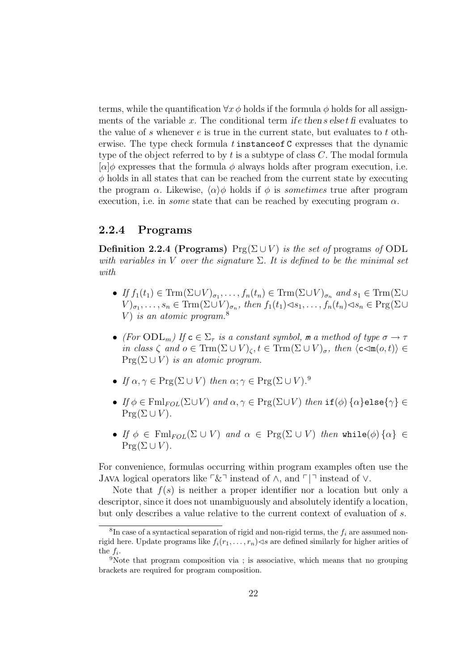terms, while the quantification  $\forall x \phi$  holds if the formula  $\phi$  holds for all assignments of the variable x. The conditional term if e then s else t fi evaluates to the value of s whenever  $e$  is true in the current state, but evaluates to t otherwise. The type check formula  $t$  instance of C expresses that the dynamic type of the object referred to by  $t$  is a subtype of class  $C$ . The modal formula  $[\alpha]\phi$  expresses that the formula  $\phi$  always holds after program execution, i.e.  $\phi$  holds in all states that can be reached from the current state by executing the program  $\alpha$ . Likewise,  $\langle \alpha \rangle \phi$  holds if  $\phi$  is *sometimes* true after program execution, i.e. in *some* state that can be reached by executing program  $\alpha$ .

#### 2.2.4 Programs

Definition 2.2.4 (Programs)  $\Pr(g(\Sigma \cup V))$  is the set of programs of ODL with variables in V over the signature  $\Sigma$ . It is defined to be the minimal set with

- If  $f_1(t_1) \in \text{Trm}(\Sigma \cup V)_{\sigma_1}, \ldots, f_n(t_n) \in \text{Trm}(\Sigma \cup V)_{\sigma_n}$  and  $s_1 \in \text{Trm}(\Sigma \cup V)$  $V)_{\sigma_1}, \ldots, s_n \in \text{Trm}(\Sigma \cup V)_{\sigma_n}, \text{ then } f_1(t_1) \triangleleft s_1, \ldots, f_n(t_n) \triangleleft s_n \in \text{Prg}(\Sigma \cup V)_{\sigma_n}, \text{ then } f_1(t_1) \triangleleft s_1, \ldots, s_n \in \text{Prg}(\Sigma \cup V)_{\sigma_n}, \text{ then } f_1(t_1) \triangleleft s_1, \ldots, s_n \in \text{Prg}(\Sigma \cup V)_{\sigma_n}$ V) is an atomic program.<sup>8</sup>
- (For  $ODL_m$ ) If  $c \in \Sigma_\tau$  is a constant symbol, m a method of type  $\sigma \to \tau$ in class  $\zeta$  and  $o \in \text{Trm}(\Sigma \cup V)_c, t \in \text{Trm}(\Sigma \cup V)_\sigma$ , then  $\langle c \triangleleft m(o, t) \rangle \in$  $\Pr(g(\Sigma \cup V))$  is an atomic program.
- If  $\alpha, \gamma \in \text{Prg}(\Sigma \cup V)$  then  $\alpha, \gamma \in \text{Prg}(\Sigma \cup V)$ .
- If  $\phi \in \text{Fml}_{FOL}(\Sigma \cup V)$  and  $\alpha, \gamma \in \text{Prg}(\Sigma \cup V)$  then  $\text{if}(\phi)$  { $\alpha$ }else{ $\gamma$ }  $\in$  $\Pr g(\Sigma \cup V)$ .
- If  $\phi \in \text{Fml}_{FOL}(\Sigma \cup V)$  and  $\alpha \in \text{Prg}(\Sigma \cup V)$  then while( $\phi$ )  $\{\alpha\} \in$  $\Pr(g(\Sigma \cup V)).$

For convenience, formulas occurring within program examples often use the JAVA logical operators like  $\ulcorner \& \urcorner$  instead of ∧, and  $\ulcorner \urcorner \urcorner$  instead of  $\vee$ .

Note that  $f(s)$  is neither a proper identifier nor a location but only a descriptor, since it does not unambiguously and absolutely identify a location, but only describes a value relative to the current context of evaluation of s.

 ${}^{8}$ In case of a syntactical separation of rigid and non-rigid terms, the  $f_i$  are assumed nonrigid here. Update programs like  $f_i(r_1, \ldots, r_n) \triangleleft s$  are defined similarly for higher arities of the  $f_i$ .

<sup>9</sup>Note that program composition via ; is associative, which means that no grouping brackets are required for program composition.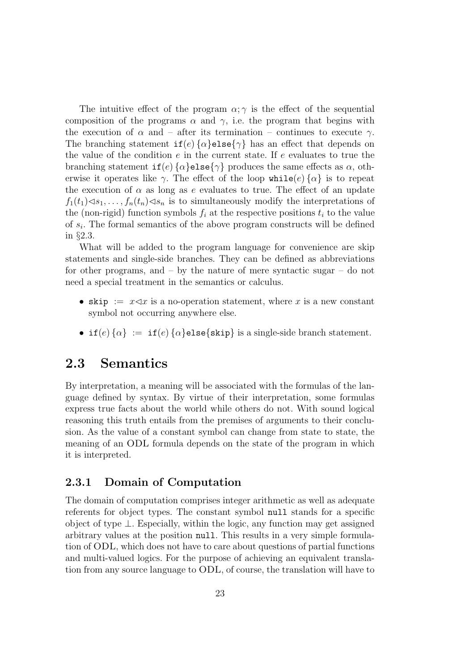The intuitive effect of the program  $\alpha$ ;  $\gamma$  is the effect of the sequential composition of the programs  $\alpha$  and  $\gamma$ , i.e. the program that begins with the execution of  $\alpha$  and – after its termination – continues to execute  $\gamma$ . The branching statement  $if(e)$  { $\alpha$ }else{ $\gamma$ } has an effect that depends on the value of the condition  $e$  in the current state. If  $e$  evaluates to true the branching statement  $if(e)$  { $\alpha$ }else{ $\gamma$ } produces the same effects as  $\alpha$ , otherwise it operates like  $\gamma$ . The effect of the loop while(e)  $\{\alpha\}$  is to repeat the execution of  $\alpha$  as long as e evaluates to true. The effect of an update  $f_1(t_1) \triangleleft s_1, \ldots, f_n(t_n) \triangleleft s_n$  is to simultaneously modify the interpretations of the (non-rigid) function symbols  $f_i$  at the respective positions  $t_i$  to the value of  $s_i$ . The formal semantics of the above program constructs will be defined in §2.3.

What will be added to the program language for convenience are skip statements and single-side branches. They can be defined as abbreviations for other programs, and – by the nature of mere syntactic sugar – do not need a special treatment in the semantics or calculus.

- skip :=  $x \triangleleft x$  is a no-operation statement, where x is a new constant symbol not occurring anywhere else.
- if(e)  $\{\alpha\}$  := if(e)  $\{\alpha\}$ else $\{\text{skip}\}\$ is a single-side branch statement.

### 2.3 Semantics

By interpretation, a meaning will be associated with the formulas of the language defined by syntax. By virtue of their interpretation, some formulas express true facts about the world while others do not. With sound logical reasoning this truth entails from the premises of arguments to their conclusion. As the value of a constant symbol can change from state to state, the meaning of an ODL formula depends on the state of the program in which it is interpreted.

#### 2.3.1 Domain of Computation

The domain of computation comprises integer arithmetic as well as adequate referents for object types. The constant symbol null stands for a specific object of type ⊥. Especially, within the logic, any function may get assigned arbitrary values at the position null. This results in a very simple formulation of ODL, which does not have to care about questions of partial functions and multi-valued logics. For the purpose of achieving an equivalent translation from any source language to ODL, of course, the translation will have to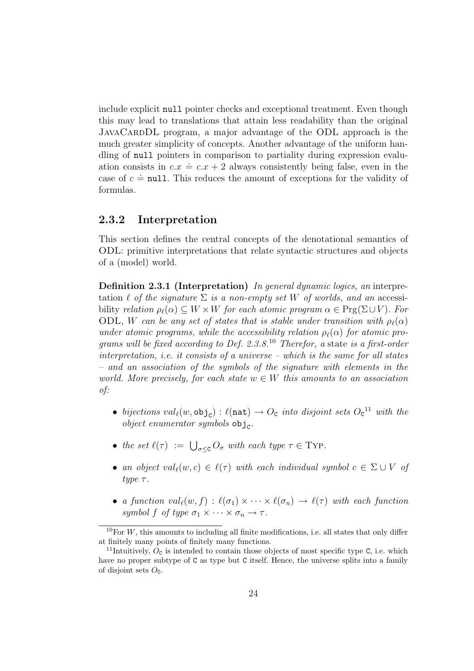include explicit null pointer checks and exceptional treatment. Even though this may lead to translations that attain less readability than the original JAVACARDDL program, a major advantage of the ODL approach is the much greater simplicity of concepts. Another advantage of the uniform handling of null pointers in comparison to partiality during expression evaluation consists in  $c.x \doteq c.x + 2$  always consistently being false, even in the case of  $c \doteq \text{null}$ . This reduces the amount of exceptions for the validity of formulas.

#### 2.3.2 Interpretation

This section defines the central concepts of the denotational semantics of ODL: primitive interpretations that relate syntactic structures and objects of a (model) world.

Definition 2.3.1 (Interpretation) In general dynamic logics, an interpretation  $\ell$  of the signature  $\Sigma$  is a non-empty set W of worlds, and an accessibility relation  $\rho_{\ell}(\alpha) \subseteq W \times W$  for each atomic program  $\alpha \in \text{Prg}(\Sigma \cup V)$ . For ODL, W can be any set of states that is stable under transition with  $\rho_{\ell}(\alpha)$ under atomic programs, while the accessibility relation  $\rho_{\ell}(\alpha)$  for atomic programs will be fixed according to Def. 2.3.8.<sup>10</sup> Therefor, a state is a first-order interpretation, i.e. it consists of a universe – which is the same for all states – and an association of the symbols of the signature with elements in the world. More precisely, for each state  $w \in W$  this amounts to an association of:

- bijections  $val_{\ell}(w, \texttt{obj}_{c}) : \ell(\texttt{nat}) \to O_{c}$  into disjoint sets  $O_{c}^{11}$  with the  $object$  enumerator symbols  $obj_c$ .
- the set  $\ell(\tau) := \bigcup_{\sigma \leq \mathbb{C}} O_{\sigma}$  with each type  $\tau \in \mathrm{Type}$ .
- an object val<sub> $\ell(w, c) \in \ell(\tau)$  with each individual symbol  $c \in \Sigma \cup V$  of</sub> type  $\tau$ .
- a function  $val_{\ell}(w, f) : \ell(\sigma_1) \times \cdots \times \ell(\sigma_n) \to \ell(\tau)$  with each function symbol f of type  $\sigma_1 \times \cdots \times \sigma_n \to \tau$ .

 $10$ For W, this amounts to including all finite modifications, i.e. all states that only differ at finitely many points of finitely many functions.

<sup>&</sup>lt;sup>11</sup>Intuitively,  $O_c$  is intended to contain those objects of most specific type C, i.e. which have no proper subtype of  $C$  as type but  $C$  itself. Hence, the universe splits into a family of disjoint sets  $O_c$ .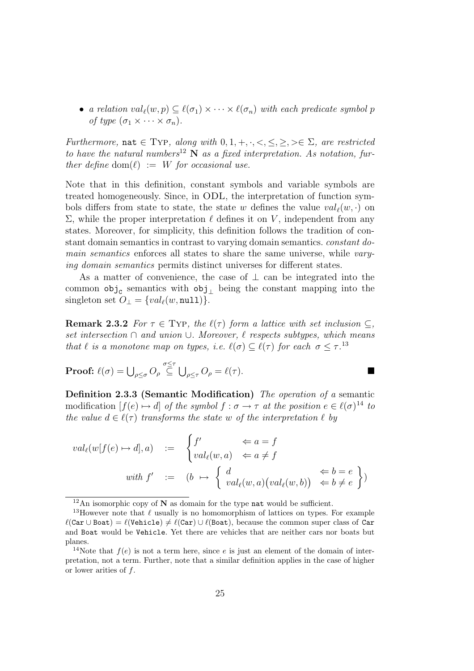• a relation  $val_{\ell}(w, p) \subseteq \ell(\sigma_1) \times \cdots \times \ell(\sigma_n)$  with each predicate symbol p of type  $(\sigma_1 \times \cdots \times \sigma_n)$ .

Furthermore, nat  $\in$  Typ, along with  $0, 1, +, \cdot, <, <, >, > \in \Sigma$ , are restricted to have the natural numbers<sup>12</sup> N as a fixed interpretation. As notation, further define dom $(\ell) := W$  for occasional use.

Note that in this definition, constant symbols and variable symbols are treated homogeneously. Since, in ODL, the interpretation of function symbols differs from state to state, the state w defines the value  $val_{\ell}(w, \cdot)$  on  $\Sigma$ , while the proper interpretation  $\ell$  defines it on V, independent from any states. Moreover, for simplicity, this definition follows the tradition of constant domain semantics in contrast to varying domain semantics. constant domain semantics enforces all states to share the same universe, while varying domain semantics permits distinct universes for different states.

As a matter of convenience, the case of  $\perp$  can be integrated into the common  $obj_c$  semantics with  $obj_{\perp}$  being the constant mapping into the singleton set  $O_1 = \{val_\ell(w, \text{null})\}.$ 

**Remark 2.3.2** For  $\tau \in \text{Typ},$  the  $\ell(\tau)$  form a lattice with set inclusion  $\subseteq$ , set intersection ∩ and union ∪. Moreover,  $\ell$  respects subtypes, which means that  $\ell$  is a monotone map on types, i.e.  $\ell(\sigma) \subseteq \ell(\tau)$  for each  $\sigma \leq \tau$ .<sup>13</sup>

**Proof:** 
$$
\ell(\sigma) = \bigcup_{\rho \leq \sigma} O_{\rho} \stackrel{\sigma \leq \tau}{\subseteq} \bigcup_{\rho \leq \tau} O_{\rho} = \ell(\tau).
$$

Definition 2.3.3 (Semantic Modification) The operation of a semantic modification  $[f(e) \mapsto d]$  of the symbol  $f : \sigma \to \tau$  at the position  $e \in \ell(\sigma)^{14}$  to the value  $d \in \ell(\tau)$  transforms the state w of the interpretation  $\ell$  by

$$
val_{\ell}(w[f(e) \mapsto d], a) := \begin{cases} f' & \Leftarrow a = f \\ val_{\ell}(w, a) & \Leftarrow a \neq f \end{cases}
$$
  

$$
with f' := (b \mapsto \begin{cases} d \\ val_{\ell}(w, a) (val_{\ell}(w, b)) & \Leftarrow b \neq e \end{cases})
$$

<sup>&</sup>lt;sup>12</sup>An isomorphic copy of  $N$  as domain for the type nat would be sufficient.

<sup>&</sup>lt;sup>13</sup>However note that  $\ell$  usually is no homomorphism of lattices on types. For example  $\ell(Car \cup$  Boat) =  $\ell(Vehicle) \neq \ell(Car) \cup \ell(Boat)$ , because the common super class of Car and Boat would be Vehicle. Yet there are vehicles that are neither cars nor boats but planes.

<sup>&</sup>lt;sup>14</sup>Note that  $f(e)$  is not a term here, since e is just an element of the domain of interpretation, not a term. Further, note that a similar definition applies in the case of higher or lower arities of  $f$ .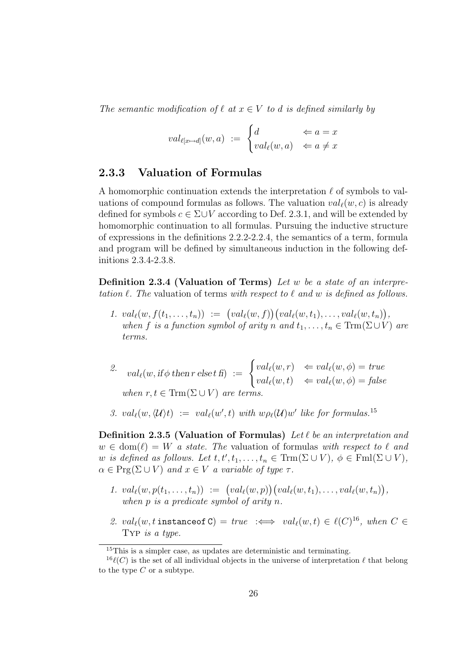The semantic modification of  $\ell$  at  $x \in V$  to d is defined similarly by

$$
\operatorname{val}_{\ell[x \mapsto d]}(w, a) \ := \ \begin{cases} d & \Leftarrow a = x \\ \operatorname{val}_{\ell}(w, a) & \Leftarrow a \neq x \end{cases}
$$

#### 2.3.3 Valuation of Formulas

A homomorphic continuation extends the interpretation  $\ell$  of symbols to valuations of compound formulas as follows. The valuation  $val_\ell(w, c)$  is already defined for symbols  $c \in \Sigma \cup V$  according to Def. 2.3.1, and will be extended by homomorphic continuation to all formulas. Pursuing the inductive structure of expressions in the definitions 2.2.2-2.2.4, the semantics of a term, formula and program will be defined by simultaneous induction in the following definitions 2.3.4-2.3.8.

**Definition 2.3.4 (Valuation of Terms)** Let w be a state of an interpretation  $\ell$ . The valuation of terms with respect to  $\ell$  and w is defined as follows.

1.  $val_{\ell}(w, f(t_1, \ldots, t_n)) := (val_{\ell}(w, f))(val_{\ell}(w, t_1), \ldots, val_{\ell}(w, t_n)),$ when f is a function symbol of arity n and  $t_1, \ldots, t_n \in \text{Trm}(\Sigma \cup V)$  are terms.

2. 
$$
val_{\ell}(w, \text{if } \phi \text{ then } r \text{ else } t \text{ f}) := \begin{cases} val_{\ell}(w, r) & \Leftarrow val_{\ell}(w, \phi) = true \\ val_{\ell}(w, t) & \Leftarrow val_{\ell}(w, \phi) = false \end{cases}
$$

3.  $val_{\ell}(w, \langle \mathcal{U} \rangle t) := val_{\ell}(w', t)$  with  $w \rho_{\ell}(\mathcal{U})w'$  like for formulas.<sup>15</sup>

Definition 2.3.5 (Valuation of Formulas) Let  $\ell$  be an interpretation and  $w \in \text{dom}(\ell) = W$  a state. The valuation of formulas with respect to  $\ell$  and w is defined as follows. Let  $t, t', t_1, \ldots, t_n \in \text{Trm}(\Sigma \cup V), \ \phi \in \text{Fml}(\Sigma \cup V),$  $\alpha \in \text{Prg}(\Sigma \cup V)$  and  $x \in V$  a variable of type  $\tau$ .

- 1.  $val_\ell(w, p(t_1, \ldots, t_n)) := (val_\ell(w, p))(val_\ell(w, t_1), \ldots, val_\ell(w, t_n)),$ when p is a predicate symbol of arity n.
- 2.  $val_{\ell}(w, t \text{ instance of } C) = \text{ true } :\iff \text{ } val_{\ell}(w, t) \in \ell(C)^{16}, \text{ when } C \in$ Typ is a type.

<sup>&</sup>lt;sup>15</sup>This is a simpler case, as updates are deterministic and terminating.

 $^{16}\ell(C)$  is the set of all individual objects in the universe of interpretation  $\ell$  that belong to the type  $C$  or a subtype.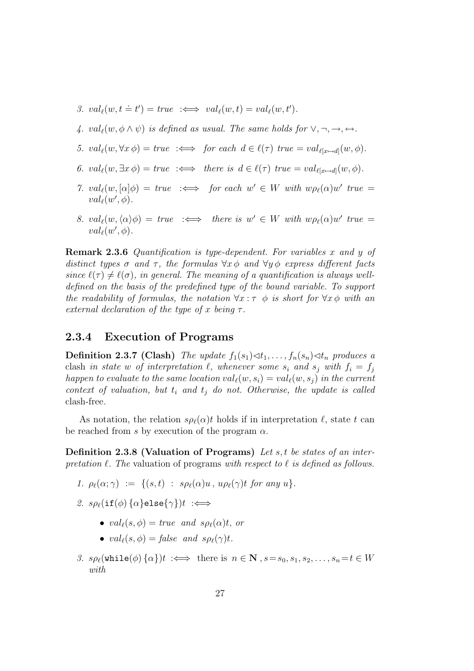- 3.  $val_{\ell}(w, t \doteq t') = true \implies val_{\ell}(w, t) = val_{\ell}(w, t').$
- 4.  $val_{\ell}(w, \phi \wedge \psi)$  is defined as usual. The same holds for  $\vee, \neg, \rightarrow, \leftrightarrow$ .
- 5.  $val_{\ell}(w, \forall x \phi) = true \implies$  for each  $d \in \ell(\tau)$  true  $= val_{\ell[x \mapsto d]}(w, \phi)$ .
- 6.  $val_{\ell}(w, \exists x \phi) = true \implies there \text{ is } d \in \ell(\tau) \text{ true } = val_{\ell[x \mapsto d]}(w, \phi).$
- 7.  $val_{\ell}(w,[\alpha]\phi) = true \implies$  for each  $w' \in W$  with  $w\rho_{\ell}(\alpha)w'$  true =  $val_{\ell}(w', \phi)$ .
- 8.  $val_{\ell}(w, \langle \alpha \rangle \phi) = true \implies there \text{ is } w' \in W \text{ with } w\rho_{\ell}(\alpha)w' \text{ true } =$  $val_{\ell}(w', \phi)$ .

Remark 2.3.6 Quantification is type-dependent. For variables x and y of distinct types  $\sigma$  and  $\tau$ , the formulas  $\forall x \phi$  and  $\forall y \phi$  express different facts since  $\ell(\tau) \neq \ell(\sigma)$ , in general. The meaning of a quantification is always welldefined on the basis of the predefined type of the bound variable. To support the readability of formulas, the notation  $\forall x : \tau \phi$  is short for  $\forall x \phi$  with an external declaration of the type of x being  $\tau$ .

#### 2.3.4 Execution of Programs

**Definition 2.3.7 (Clash)** The update  $f_1(s_1) \triangleleft t_1, \ldots, f_n(s_n) \triangleleft t_n$  produces a clash in state w of interpretation  $\ell$ , whenever some  $s_i$  and  $s_j$  with  $f_i = f_j$ happen to evaluate to the same location  $val_{\ell}(w, s_i) = val_{\ell}(w, s_j)$  in the current context of valuation, but  $t_i$  and  $t_j$  do not. Otherwise, the update is called clash-free.

As notation, the relation  $s\rho_{\ell}(\alpha)t$  holds if in interpretation  $\ell$ , state t can be reached from s by execution of the program  $\alpha$ .

Definition 2.3.8 (Valuation of Programs) Let  $s, t$  be states of an interpretation  $\ell$ . The valuation of programs with respect to  $\ell$  is defined as follows.

- 1.  $\rho_{\ell}(\alpha; \gamma) := \{(s, t) : s\rho_{\ell}(\alpha)u, u\rho_{\ell}(\gamma)t \text{ for any } u\}.$
- 2.  $s\rho_{\ell}(\text{if}(\phi)\{\alpha\}\text{else}\{\gamma\})t$  : $\Longleftrightarrow$ 
	- $val_{\ell}(s, \phi) = true$  and  $s\rho_{\ell}(\alpha)t$ , or
	- $val_{\ell}(s, \phi) = false$  and  $s\rho_{\ell}(\gamma)t$ .
- 3.  $s\rho_{\ell}(\text{while}(\phi) \{\alpha\})t \iff \text{there is } n \in \mathbb{N}, s = s_0, s_1, s_2, \ldots, s_n = t \in W$ with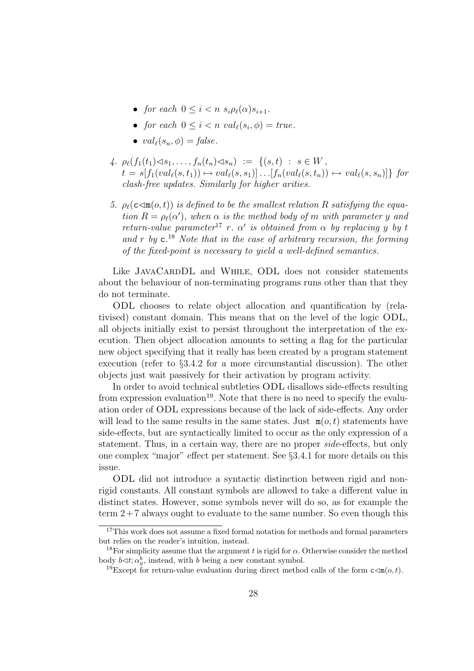- for each  $0 \leq i \leq n \, s_i \rho_\ell(\alpha) s_{i+1}$ .
- for each  $0 \leq i < n$   $val_{\ell}(s_i, \phi) = true$ .
- $val_{\ell}(s_n, \phi) = false.$
- 4.  $\rho_{\ell}(f_1(t_1)\triangleleft s_1, \ldots, f_n(t_n)\triangleleft s_n) := \{(s,t) : s \in W,$  $t = s[f_1(val_\ell(s, t_1)) \mapsto val_\ell(s, s_1)] \dots [f_n(val_\ell(s, t_n)) \mapsto val_\ell(s, s_n)]$  for clash-free updates. Similarly for higher arities.
- 5.  $\rho_{\ell}(\mathbf{c}\llcorner\mathbf{m}(o,t))$  is defined to be the smallest relation R satisfying the equation  $R = \rho_{\ell}(\alpha')$ , when  $\alpha$  is the method body of m with parameter y and return-value parameter<sup>17</sup> r.  $\alpha'$  is obtained from  $\alpha$  by replacing y by t and  $r$  by  $c^{18}$  Note that in the case of arbitrary recursion, the forming of the fixed-point is necessary to yield a well-defined semantics.

Like JAVACARDDL and WHILE, ODL does not consider statements about the behaviour of non-terminating programs runs other than that they do not terminate.

ODL chooses to relate object allocation and quantification by (relativised) constant domain. This means that on the level of the logic ODL, all objects initially exist to persist throughout the interpretation of the execution. Then object allocation amounts to setting a flag for the particular new object specifying that it really has been created by a program statement execution (refer to §3.4.2 for a more circumstantial discussion). The other objects just wait passively for their activation by program activity.

In order to avoid technical subtleties ODL disallows side-effects resulting from expression evaluation<sup>19</sup>. Note that there is no need to specify the evaluation order of ODL expressions because of the lack of side-effects. Any order will lead to the same results in the same states. Just  $m(o, t)$  statements have side-effects, but are syntactically limited to occur as the only expression of a statement. Thus, in a certain way, there are no proper side-effects, but only one complex "major" effect per statement. See §3.4.1 for more details on this issue.

ODL did not introduce a syntactic distinction between rigid and nonrigid constants. All constant symbols are allowed to take a different value in distinct states. However, some symbols never will do so, as for example the term 2+7 always ought to evaluate to the same number. So even though this

<sup>&</sup>lt;sup>17</sup>This work does not assume a fixed formal notation for methods and formal parameters but relies on the reader's intuition, instead.

<sup>&</sup>lt;sup>18</sup>For simplicity assume that the argument t is rigid for  $\alpha$ . Otherwise consider the method body  $b \triangleleft t; \alpha_y^b$ , instead, with b being a new constant symbol.

<sup>&</sup>lt;sup>19</sup>Except for return-value evaluation during direct method calls of the form  $c \ll m(o, t)$ .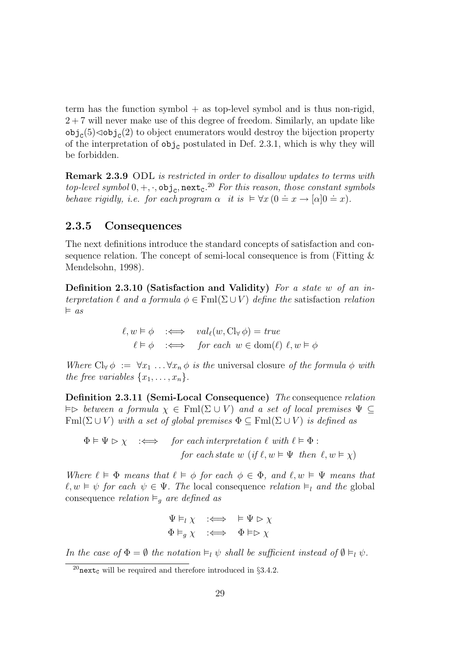term has the function symbol  $+$  as top-level symbol and is thus non-rigid,  $2 + 7$  will never make use of this degree of freedom. Similarly, an update like  $\text{obj}_c(5) \triangleleft \text{obj}_c(2)$  to object enumerators would destroy the bijection property of the interpretation of  $obj<sub>c</sub>$  postulated in Def. 2.3.1, which is why they will be forbidden.

Remark 2.3.9 ODL is restricted in order to disallow updates to terms with top-level symbol  $0, +, \cdot$ ,  $\circ$ b $j_c$ ,  $next_c$ .<sup>20</sup> For this reason, those constant symbols behave rigidly, i.e. for each program  $\alpha$  it is  $\models \forall x (0 \doteq x \rightarrow [\alpha]0 \doteq x)$ .

#### 2.3.5 Consequences

The next definitions introduce the standard concepts of satisfaction and consequence relation. The concept of semi-local consequence is from (Fitting & Mendelsohn, 1998).

Definition 2.3.10 (Satisfaction and Validity) For a state w of an interpretation  $\ell$  and a formula  $\phi \in \text{Fml}(\Sigma \cup V)$  define the satisfaction relation  $\models$  as

$$
\ell, w \vDash \phi \quad :\Longleftrightarrow \quad val_{\ell}(w, \text{Cl}_{\forall} \phi) = true
$$
  

$$
\ell \vDash \phi \quad :\Longleftrightarrow \quad \text{for each } w \in \text{dom}(\ell) \ \ell, w \vDash \phi
$$

Where  $\mathbb{C}^1 \phi := \forall x_1 \dots \forall x_n \phi$  is the universal closure of the formula  $\phi$  with the free variables  $\{x_1, \ldots, x_n\}$ .

Definition 2.3.11 (Semi-Local Consequence) The consequence relation  $\forall \forall \phi$  between a formula  $\chi \in \text{Fml}(\Sigma \cup V)$  and a set of local premises  $\Psi \subseteq$  $\text{Fml}(\Sigma \cup V)$  with a set of global premises  $\Phi \subseteq \text{Fml}(\Sigma \cup V)$  is defined as

 $\Phi \models \Psi \triangleright \chi \quad \Longleftrightarrow \quad \text{for each interpretation } \ell \text{ with } \ell \models \Phi :$ for each state w (if  $\ell, w \models \Psi$  then  $\ell, w \models \chi$ )

Where  $\ell \vdash \Phi$  means that  $\ell \vdash \phi$  for each  $\phi \in \Phi$ , and  $\ell, w \models \Psi$  means that  $\ell, w \models \psi$  for each  $\psi \in \Psi$ . The local consequence relation  $\models_l$  and the global consequence relation  $\vDash_q$  are defined as

$$
\begin{array}{ccc}\n\Psi \vDash_l \chi & \vcentcolon\Longleftrightarrow & \vDash \Psi \triangleright \chi \\
\Phi \vDash_g \chi & \vcentcolon\Longleftrightarrow & \Phi \vDash \vDash \Sigma \chi\n\end{array}
$$

In the case of  $\Phi = \emptyset$  the notation  $\models_l \psi$  shall be sufficient instead of  $\emptyset \models_l \psi$ .

 $^{20}$ next<sub>c</sub> will be required and therefore introduced in §3.4.2.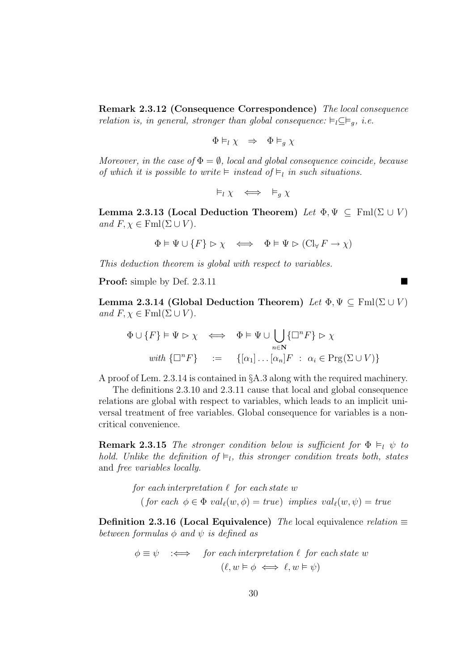Remark 2.3.12 (Consequence Correspondence) The local consequence relation is, in general, stronger than global consequence:  $\vDash_l \subseteq \vDash_a$ , i.e.

$$
\Phi \vDash_l \chi \quad \Rightarrow \quad \Phi \vDash_g \chi
$$

Moreover, in the case of  $\Phi = \emptyset$ , local and global consequence coincide, because of which it is possible to write  $\models$  instead of  $\models$ <sub>l</sub> in such situations.

$$
\models_l \chi \iff \models_g \chi
$$

Lemma 2.3.13 (Local Deduction Theorem) Let  $\Phi, \Psi \subseteq \text{Fml}(\Sigma \cup V)$ and  $F, \chi \in \text{Fml}(\Sigma \cup V)$ .

$$
\Phi \vDash \Psi \cup \{F\} \vartriangleright \chi \quad \Longleftrightarrow \quad \Phi \vDash \Psi \vartriangleright (\mathsf{Cl}_{\forall} F \to \chi)
$$

This deduction theorem is global with respect to variables.

Proof: simple by Def. 2.3.11

Lemma 2.3.14 (Global Deduction Theorem) Let  $\Phi, \Psi \subseteq \text{Fml}(\Sigma \cup V)$ and  $F, \chi \in \text{Fml}(\Sigma \cup V)$ .

$$
\Phi \cup \{F\} \vDash \Psi \vartriangleright \chi \iff \Phi \vDash \Psi \cup \bigcup_{n \in \mathbb{N}} \{\Box^n F\} \vartriangleright \chi
$$
  
with  $\{\Box^n F\} \vcentcolon = \{[\alpha_1] \dots [\alpha_n]F \; : \; \alpha_i \in \text{Prg}(\Sigma \cup V)\}\$ 

A proof of Lem. 2.3.14 is contained in §A.3 along with the required machinery.

The definitions 2.3.10 and 2.3.11 cause that local and global consequence relations are global with respect to variables, which leads to an implicit universal treatment of free variables. Global consequence for variables is a noncritical convenience.

**Remark 2.3.15** The stronger condition below is sufficient for  $\Phi \vDash_{l} \psi$  to hold. Unlike the definition of  $\vDash_l$ , this stronger condition treats both, states and free variables locally.

for each interpretation  $\ell$  for each state w

(for each  $\phi \in \Phi$  val $_{\ell}(w, \phi) = true$ ) implies val $_{\ell}(w, \psi) = true$ 

Definition 2.3.16 (Local Equivalence) The local equivalence relation  $\equiv$ between formulas  $\phi$  and  $\psi$  is defined as

$$
\phi \equiv \psi \quad :\Longleftrightarrow \quad \text{for each interpretation } \ell \text{ for each state } w
$$
\n
$$
(\ell, w \models \phi \iff \ell, w \models \psi)
$$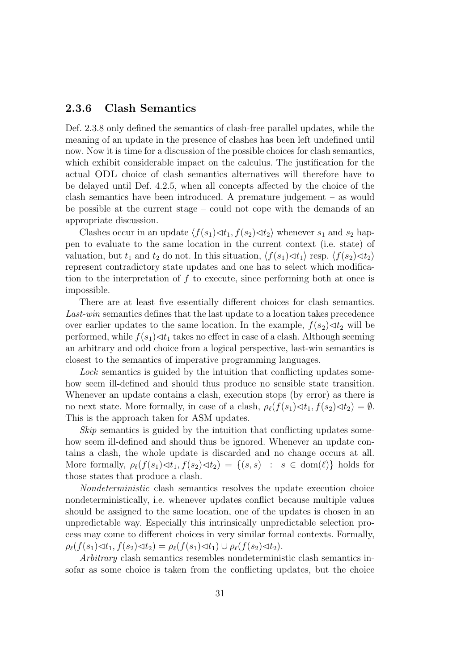### 2.3.6 Clash Semantics

Def. 2.3.8 only defined the semantics of clash-free parallel updates, while the meaning of an update in the presence of clashes has been left undefined until now. Now it is time for a discussion of the possible choices for clash semantics, which exhibit considerable impact on the calculus. The justification for the actual ODL choice of clash semantics alternatives will therefore have to be delayed until Def. 4.2.5, when all concepts affected by the choice of the clash semantics have been introduced. A premature judgement – as would be possible at the current stage – could not cope with the demands of an appropriate discussion.

Clashes occur in an update  $\langle f(s_1) \triangleleft t_1, f(s_2) \triangleleft t_2 \rangle$  whenever  $s_1$  and  $s_2$  happen to evaluate to the same location in the current context (i.e. state) of valuation, but  $t_1$  and  $t_2$  do not. In this situation,  $\langle f(s_1)\langle t_1 \rangle$  resp.  $\langle f(s_2)\langle t_2 \rangle$ represent contradictory state updates and one has to select which modification to the interpretation of  $f$  to execute, since performing both at once is impossible.

There are at least five essentially different choices for clash semantics. Last-win semantics defines that the last update to a location takes precedence over earlier updates to the same location. In the example,  $f(s_2) \triangleleft t_2$  will be performed, while  $f(s_1) \triangleleft t_1$  takes no effect in case of a clash. Although seeming an arbitrary and odd choice from a logical perspective, last-win semantics is closest to the semantics of imperative programming languages.

Lock semantics is guided by the intuition that conflicting updates somehow seem ill-defined and should thus produce no sensible state transition. Whenever an update contains a clash, execution stops (by error) as there is no next state. More formally, in case of a clash,  $\rho_{\ell}(f(s_1)\triangleleft t_1, f(s_2)\triangleleft t_2) = \emptyset$ . This is the approach taken for ASM updates.

Skip semantics is guided by the intuition that conflicting updates somehow seem ill-defined and should thus be ignored. Whenever an update contains a clash, the whole update is discarded and no change occurs at all. More formally,  $\rho_{\ell}(f(s_1)\triangleleft t_1, f(s_2)\triangleleft t_2) = \{(s, s) : s \in \text{dom}(\ell)\}\)$  holds for those states that produce a clash.

Nondeterministic clash semantics resolves the update execution choice nondeterministically, i.e. whenever updates conflict because multiple values should be assigned to the same location, one of the updates is chosen in an unpredictable way. Especially this intrinsically unpredictable selection process may come to different choices in very similar formal contexts. Formally,  $\rho_{\ell}(f(s_1)\triangleleft t_1, f(s_2)\triangleleft t_2) = \rho_{\ell}(f(s_1)\triangleleft t_1) \cup \rho_{\ell}(f(s_2)\triangleleft t_2).$ 

Arbitrary clash semantics resembles nondeterministic clash semantics insofar as some choice is taken from the conflicting updates, but the choice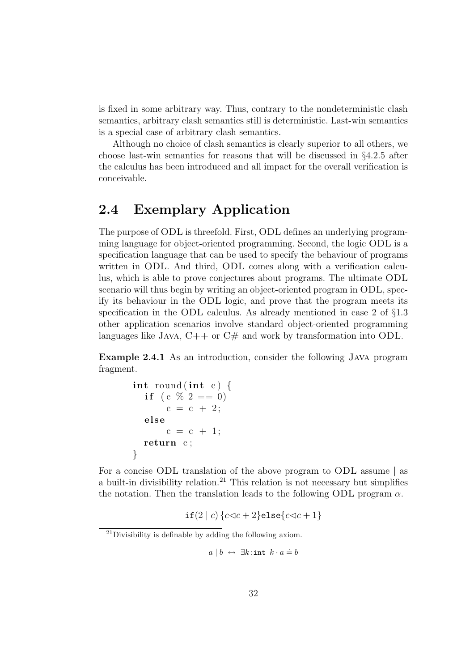is fixed in some arbitrary way. Thus, contrary to the nondeterministic clash semantics, arbitrary clash semantics still is deterministic. Last-win semantics is a special case of arbitrary clash semantics.

Although no choice of clash semantics is clearly superior to all others, we choose last-win semantics for reasons that will be discussed in §4.2.5 after the calculus has been introduced and all impact for the overall verification is conceivable.

## 2.4 Exemplary Application

The purpose of ODL is threefold. First, ODL defines an underlying programming language for object-oriented programming. Second, the logic ODL is a specification language that can be used to specify the behaviour of programs written in ODL. And third, ODL comes along with a verification calculus, which is able to prove conjectures about programs. The ultimate ODL scenario will thus begin by writing an object-oriented program in ODL, specify its behaviour in the ODL logic, and prove that the program meets its specification in the ODL calculus. As already mentioned in case 2 of §1.3 other application scenarios involve standard object-oriented programming languages like JAVA,  $C++$  or  $C#$  and work by transformation into ODL.

Example 2.4.1 As an introduction, consider the following Java program fragment.

```
int round (int c) {
  if ( c \% 2 == 0)
      c = c + 2;
  el se
      c = c + 1;return c;
}
```
For a concise ODL translation of the above program to ODL assume | as a built-in divisibility relation.<sup>21</sup> This relation is not necessary but simplifies the notation. Then the translation leads to the following ODL program  $\alpha$ .

if(2 | c) { $c \leq c + 2$ }else{ $c \leq c + 1$ }

 $^{21}$ Divisibility is definable by adding the following axiom.

 $a \mid b \leftrightarrow \exists k : \text{int } k \cdot a \doteq b$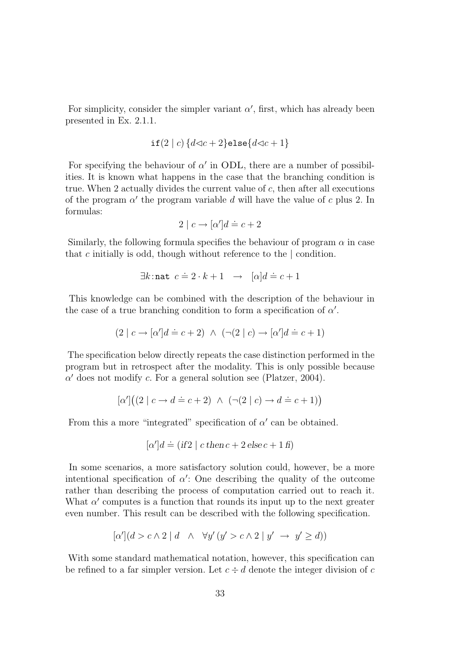For simplicity, consider the simpler variant  $\alpha'$ , first, which has already been presented in Ex. 2.1.1.

$$
\texttt{if}(2 \mid c) \{d \lhd c + 2\} \texttt{else} \{d \lhd c + 1\}
$$

For specifying the behaviour of  $\alpha'$  in ODL, there are a number of possibilities. It is known what happens in the case that the branching condition is true. When 2 actually divides the current value of  $c$ , then after all executions of the program  $\alpha'$  the program variable d will have the value of c plus 2. In formulas:

$$
2 \mid c \to [\alpha']d \doteq c + 2
$$

Similarly, the following formula specifies the behaviour of program  $\alpha$  in case that c initially is odd, though without reference to the  $\vert$  condition.

$$
\exists k : \mathtt{nat} \ c \doteq 2 \cdot k + 1 \rightarrow [\alpha]d \doteq c + 1
$$

This knowledge can be combined with the description of the behaviour in the case of a true branching condition to form a specification of  $\alpha'$ .

$$
(2 | c \rightarrow [\alpha']d \doteq c + 2) \land (\neg (2 | c) \rightarrow [\alpha']d \doteq c + 1)
$$

The specification below directly repeats the case distinction performed in the program but in retrospect after the modality. This is only possible because  $\alpha'$  does not modify c. For a general solution see (Platzer, 2004).

$$
[\alpha']((2 \mid c \rightarrow d \doteq c+2) \land (\neg (2 \mid c) \rightarrow d \doteq c+1))
$$

From this a more "integrated" specification of  $\alpha'$  can be obtained.

$$
[\alpha']d \doteq (if2 \mid c \, then \, c + 2 \, else \, c + 1 \, \text{f})
$$

In some scenarios, a more satisfactory solution could, however, be a more intentional specification of  $\alpha'$ : One describing the quality of the outcome rather than describing the process of computation carried out to reach it. What  $\alpha'$  computes is a function that rounds its input up to the next greater even number. This result can be described with the following specification.

$$
[\alpha'](d > c \wedge 2 \mid d \wedge \forall y'(y' > c \wedge 2 \mid y' \rightarrow y' \ge d))
$$

With some standard mathematical notation, however, this specification can be refined to a far simpler version. Let  $c \div d$  denote the integer division of c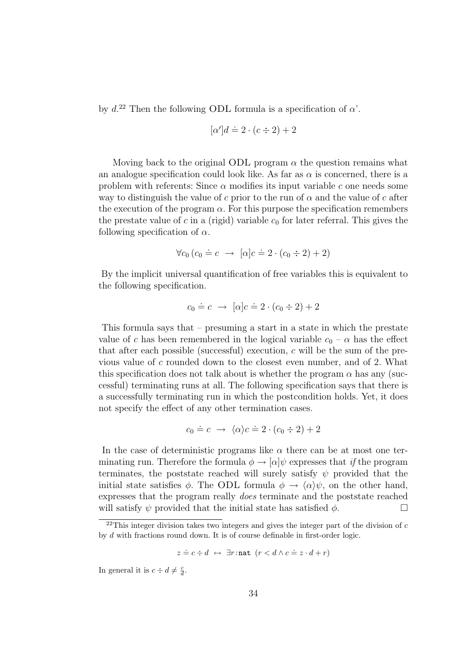by  $d^{22}$  Then the following ODL formula is a specification of  $\alpha'$ .

$$
[\alpha']d \doteq 2 \cdot (c \div 2) + 2
$$

Moving back to the original ODL program  $\alpha$  the question remains what an analogue specification could look like. As far as  $\alpha$  is concerned, there is a problem with referents: Since  $\alpha$  modifies its input variable c one needs some way to distinguish the value of c prior to the run of  $\alpha$  and the value of c after the execution of the program  $\alpha$ . For this purpose the specification remembers the prestate value of c in a (rigid) variable  $c_0$  for later referral. This gives the following specification of  $\alpha$ .

$$
\forall c_0 \left( c_0 \doteq c \rightarrow [\alpha]c \doteq 2 \cdot (c_0 \div 2) + 2 \right)
$$

By the implicit universal quantification of free variables this is equivalent to the following specification.

$$
c_0 \doteq c \rightarrow [\alpha]c \doteq 2 \cdot (c_0 \div 2) + 2
$$

This formula says that  $-$  presuming a start in a state in which the prestate value of c has been remembered in the logical variable  $c_0 - \alpha$  has the effect that after each possible (successful) execution, c will be the sum of the previous value of c rounded down to the closest even number, and of 2. What this specification does not talk about is whether the program  $\alpha$  has any (successful) terminating runs at all. The following specification says that there is a successfully terminating run in which the postcondition holds. Yet, it does not specify the effect of any other termination cases.

$$
c_0 \doteq c \rightarrow \langle \alpha \rangle c \doteq 2 \cdot (c_0 \div 2) + 2
$$

In the case of deterministic programs like  $\alpha$  there can be at most one terminating run. Therefore the formula  $\phi \rightarrow |\alpha| \psi$  expresses that if the program terminates, the poststate reached will surely satisfy  $\psi$  provided that the initial state satisfies  $\phi$ . The ODL formula  $\phi \to \langle \alpha \rangle \psi$ , on the other hand, expresses that the program really does terminate and the poststate reached will satisfy  $\psi$  provided that the initial state has satisfied  $\phi$ .

In general it is  $c \div d \neq \frac{c}{d}$ .

<sup>&</sup>lt;sup>22</sup>This integer division takes two integers and gives the integer part of the division of  $c$ by d with fractions round down. It is of course definable in first-order logic.

 $z = c \div d \leftrightarrow \exists r : \texttt{nat} \ (r < d \land c \doteq z \cdot d + r)$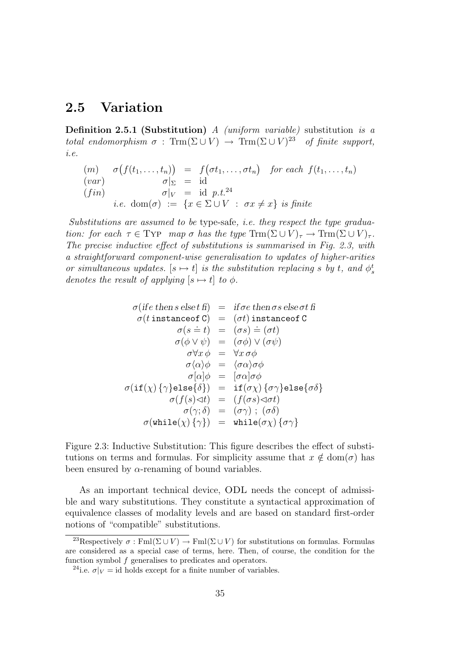### 2.5 Variation

Definition 2.5.1 (Substitution) A (uniform variable) substitution is a total endomorphism  $\sigma$ : Trm( $\Sigma \cup V$ )  $\rightarrow$  Trm( $\Sigma \cup V$ )<sup>23</sup> of finite support, i.e.

$$
(m) \quad \sigma(f(t_1,...,t_n)) = f(\sigma t_1,...,\sigma t_n) \quad \text{for each } f(t_1,...,t_n)
$$
\n
$$
(var) \quad \sigma|_{\Sigma} = id
$$
\n
$$
(fin) \quad \sigma|_{V} = id \quad p.t.^{24}
$$
\n
$$
i.e. \quad \text{dom}(\sigma) := \{x \in \Sigma \cup V : \sigma x \neq x\} \quad \text{is finite}
$$

Substitutions are assumed to be type-safe, i.e. they respect the type graduation: for each  $\tau \in \text{Typ }map\sigma$  has the type  $\text{Trm}(\Sigma \cup V)_{\tau} \to \text{Trm}(\Sigma \cup V)_{\tau}$ . The precise inductive effect of substitutions is summarised in Fig. 2.3, with a straightforward component-wise generalisation to updates of higher-arities or simultaneous updates.  $[s \mapsto t]$  is the substitution replacing s by t, and  $\phi_s^t$ denotes the result of applying  $[s \mapsto t]$  to  $\phi$ .

$$
\sigma(ife \text{ then } s \text{ else } t \text{ f}) = i f \sigma e \text{ then } \sigma s \text{ else } \sigma t \text{ f}
$$
\n
$$
\sigma(t \text{ instance of C}) = (\sigma t) \text{ instance of C}
$$
\n
$$
\sigma(s = t) = (\sigma s) = (\sigma t)
$$
\n
$$
\sigma(\phi \lor \psi) = (\sigma \phi) \lor (\sigma \psi)
$$
\n
$$
\sigma \forall x \phi = \forall x \sigma \phi
$$
\n
$$
\sigma(\alpha) \phi = (\sigma \alpha) \sigma \phi
$$
\n
$$
\sigma[\alpha] \phi = [\sigma \alpha] \sigma \phi
$$
\n
$$
\sigma(if(\chi) \{\gamma\} \text{else} \{\delta\}) = i f(\sigma \chi) \{\sigma \gamma\} \text{else} \{\sigma \delta\}
$$
\n
$$
\sigma(f(s) \lhd t) = (f(\sigma s) \lhd \sigma t)
$$
\n
$$
\sigma(\gamma; \delta) = (\sigma \gamma) ; (\sigma \delta)
$$
\n
$$
\sigma(\text{while}(\chi) \{\gamma\}) = \text{while} (\sigma \chi) \{\sigma \gamma\}
$$

Figure 2.3: Inductive Substitution: This figure describes the effect of substitutions on terms and formulas. For simplicity assume that  $x \notin \text{dom}(\sigma)$  has been ensured by  $\alpha$ -renaming of bound variables.

As an important technical device, ODL needs the concept of admissible and wary substitutions. They constitute a syntactical approximation of equivalence classes of modality levels and are based on standard first-order notions of "compatible" substitutions.

<sup>&</sup>lt;sup>23</sup>Respectively  $\sigma : \text{Fml}(\Sigma \cup V) \to \text{Fml}(\Sigma \cup V)$  for substitutions on formulas. Formulas are considered as a special case of terms, here. Then, of course, the condition for the function symbol f generalises to predicates and operators.

<sup>&</sup>lt;sup>24</sup>i.e.  $\sigma|_V = id$  holds except for a finite number of variables.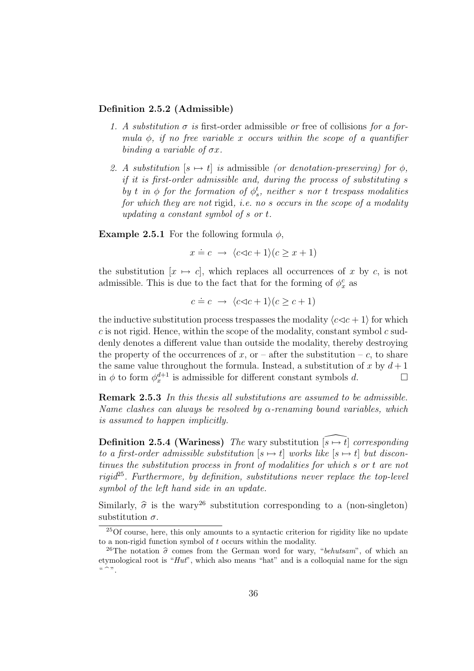#### Definition 2.5.2 (Admissible)

- 1. A substitution  $\sigma$  is first-order admissible or free of collisions for a formula  $\phi$ , if no free variable x occurs within the scope of a quantifier binding a variable of  $\sigma x$ .
- 2. A substitution  $[s \mapsto t]$  is admissible (or denotation-preserving) for  $\phi$ , if it is first-order admissible and, during the process of substituting s by t in  $\phi$  for the formation of  $\phi_s^t$ , neither s nor t trespass modalities for which they are not rigid, i.e. no s occurs in the scope of a modality updating a constant symbol of s or t.

**Example 2.5.1** For the following formula  $\phi$ ,

$$
x \doteq c \rightarrow \langle c \triangleleft c + 1 \rangle (c \ge x + 1)
$$

the substitution  $[x \mapsto c]$ , which replaces all occurrences of x by c, is not admissible. This is due to the fact that for the forming of  $\phi_x^c$  as

$$
c \doteq c \rightarrow \langle c \triangleleft c + 1 \rangle (c \ge c + 1)
$$

the inductive substitution process trespasses the modality  $\langle c \lhd c + 1 \rangle$  for which  $c$  is not rigid. Hence, within the scope of the modality, constant symbol  $c$  suddenly denotes a different value than outside the modality, thereby destroying the property of the occurrences of x, or – after the substitution – c, to share the same value throughout the formula. Instead, a substitution of x by  $d+1$ in  $\phi$  to form  $\phi_x^{d+1}$  is admissible for different constant symbols d.  $\Box$ 

Remark 2.5.3 In this thesis all substitutions are assumed to be admissible. Name clashes can always be resolved by  $\alpha$ -renaming bound variables, which is assumed to happen implicitly.

**Definition 2.5.4 (Wariness)** The wary substitution  $\overline{[s\mapsto t]}$  corresponding to a first-order admissible substitution  $[s \mapsto t]$  works like  $[s \mapsto t]$  but discontinues the substitution process in front of modalities for which s or t are not  $rigid^{25}$ . Furthermore, by definition, substitutions never replace the top-level symbol of the left hand side in an update.

Similarly,  $\hat{\sigma}$  is the wary<sup>26</sup> substitution corresponding to a (non-singleton) substitution  $\sigma$ .

<sup>25</sup>Of course, here, this only amounts to a syntactic criterion for rigidity like no update to a non-rigid function symbol of  $t$  occurs within the modality.

<sup>&</sup>lt;sup>26</sup>The notation  $\hat{\sigma}$  comes from the German word for wary, "behutsam", of which an etymological root is " $Hut$ ", which also means "hat" and is a colloquial name for the sign  $\alpha \sim$ ".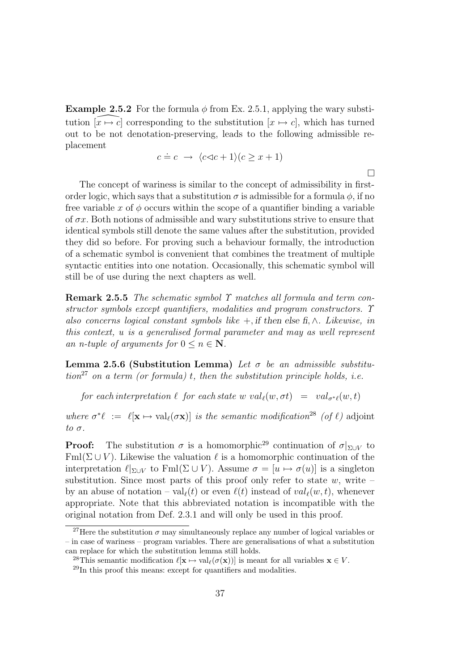**Example 2.5.2** For the formula  $\phi$  from Ex. 2.5.1, applying the wary substitution  $[x\mapsto c]$  corresponding to the substitution  $[x\mapsto c]$ , which has turned out to be not denotation-preserving, leads to the following admissible replacement

$$
c \doteq c \rightarrow \langle c \triangleleft c + 1 \rangle (c \ge x + 1)
$$

 $\Box$ 

The concept of wariness is similar to the concept of admissibility in firstorder logic, which says that a substitution  $\sigma$  is admissible for a formula  $\phi$ , if no free variable x of  $\phi$  occurs within the scope of a quantifier binding a variable of  $\sigma x$ . Both notions of admissible and wary substitutions strive to ensure that identical symbols still denote the same values after the substitution, provided they did so before. For proving such a behaviour formally, the introduction of a schematic symbol is convenient that combines the treatment of multiple syntactic entities into one notation. Occasionally, this schematic symbol will still be of use during the next chapters as well.

**Remark 2.5.5** The schematic symbol  $\Upsilon$  matches all formula and term constructor symbols except quantifiers, modalities and program constructors. Υ also concerns logical constant symbols like  $+,$  if then else fi,  $\wedge$ . Likewise, in this context, u is a generalised formal parameter and may as well represent an n-tuple of arguments for  $0 \le n \in \mathbb{N}$ .

Lemma 2.5.6 (Substitution Lemma) Let  $\sigma$  be an admissible substitu $tion^{27}$  on a term (or formula) t, then the substitution principle holds, i.e.

for each interpretation  $\ell$  for each state w val $_{\ell}(w, \sigma t) = val_{\sigma^*\ell}(w,t)$ 

where  $\sigma^*\ell := \ell[{\bf x} \mapsto \text{val}_{\ell}(\sigma {\bf x})]$  is the semantic modification<sup>28</sup> (of  $\ell$ ) adjoint to  $\sigma$ .

**Proof:** The substitution  $\sigma$  is a homomorphic<sup>29</sup> continuation of  $\sigma|_{\Sigma \cup V}$  to Fml( $\Sigma \cup V$ ). Likewise the valuation  $\ell$  is a homomorphic continuation of the interpretation  $\ell|_{\Sigma \cup V}$  to Fml( $\Sigma \cup V$ ). Assume  $\sigma = [u \mapsto \sigma(u)]$  is a singleton substitution. Since most parts of this proof only refer to state  $w$ , write – by an abuse of notation – val<sub>l</sub> $(t)$  or even  $\ell(t)$  instead of  $val_{\ell}(w,t)$ , whenever appropriate. Note that this abbreviated notation is incompatible with the original notation from Def. 2.3.1 and will only be used in this proof.

<sup>&</sup>lt;sup>27</sup>Here the substitution  $\sigma$  may simultaneously replace any number of logical variables or – in case of wariness – program variables. There are generalisations of what a substitution can replace for which the substitution lemma still holds.

<sup>&</sup>lt;sup>28</sup>This semantic modification  $\ell[x \mapsto val_{\ell}(\sigma(x))]$  is meant for all variables  $x \in V$ .

 $^{29}$ In this proof this means: except for quantifiers and modalities.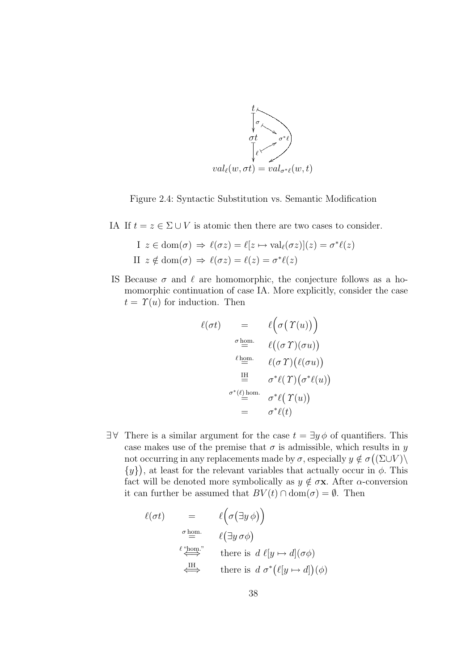

Figure 2.4: Syntactic Substitution vs. Semantic Modification

IA If  $t = z \in \Sigma \cup V$  is atomic then there are two cases to consider.

I 
$$
z \in \text{dom}(\sigma) \Rightarrow \ell(\sigma z) = \ell[z \mapsto \text{val}_{\ell}(\sigma z)](z) = \sigma^* \ell(z)
$$
  
II  $z \notin \text{dom}(\sigma) \Rightarrow \ell(\sigma z) = \ell(z) = \sigma^* \ell(z)$ 

IS Because  $\sigma$  and  $\ell$  are homomorphic, the conjecture follows as a homomorphic continuation of case IA. More explicitly, consider the case  $t = \Upsilon(u)$  for induction. Then

$$
\ell(\sigma t) = \ell(\sigma(T(u)))
$$
\n
$$
\sigma \lim_{u \to \infty} \ell((\sigma T)(\sigma u))
$$
\n
$$
\ell \lim_{u \to \infty} \ell(\sigma T)(\ell(\sigma u))
$$
\n
$$
\equiv \sigma^* \ell(T)(\sigma^* \ell(u))
$$
\n
$$
\sigma^* \ell \lim_{u \to \infty} \sigma^* \ell(T(u))
$$
\n
$$
= \sigma^* \ell(t)
$$

 $\exists \forall$  There is a similar argument for the case  $t = \exists y \phi$  of quantifiers. This case makes use of the premise that  $\sigma$  is admissible, which results in y not occurring in any replacements made by  $\sigma$ , especially  $y \notin \sigma((\Sigma \cup V))$  ${y}$ , at least for the relevant variables that actually occur in  $\phi$ . This fact will be denoted more symbolically as  $y \notin \sigma \mathbf{x}$ . After  $\alpha$ -conversion it can further be assumed that  $BV(t) \cap \text{dom}(\sigma) = \emptyset$ . Then

$$
\ell(\sigma t) = \ell(\sigma(\exists y \phi))
$$
\n
$$
\stackrel{\sigma \text{ hom.}}{=} \ell(\exists y \sigma \phi)
$$
\n
$$
\stackrel{\ell \text{ hom.}}{\iff} \text{there is } d \ell[y \mapsto d](\sigma \phi)
$$
\n
$$
\stackrel{\text{IH}}{\iff} \text{there is } d \sigma^* (\ell[y \mapsto d])(\phi)
$$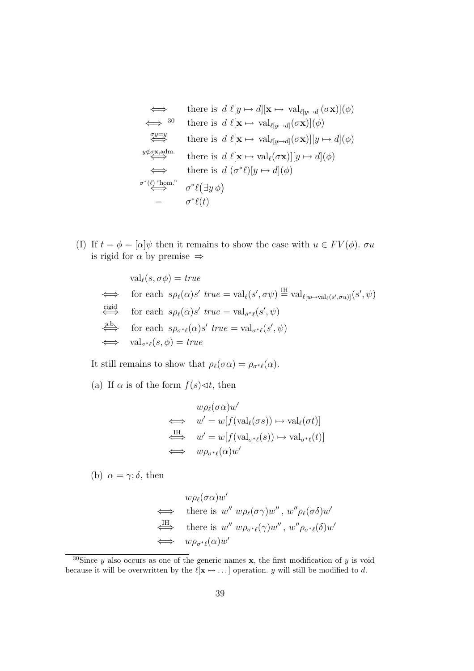$$
\iff \text{ there is } d \ell[y \mapsto d][\mathbf{x} \mapsto \text{val}_{\ell[y \mapsto d]}(\sigma \mathbf{x})](\phi)
$$
\n
$$
\iff^{30} \text{ there is } d \ell[\mathbf{x} \mapsto \text{val}_{\ell[y \mapsto d]}(\sigma \mathbf{x})](\phi)
$$
\n
$$
\iff \text{ there is } d \ell[\mathbf{x} \mapsto \text{val}_{\ell[y \mapsto d]}(\sigma \mathbf{x})][y \mapsto d](\phi)
$$
\n
$$
\iff \text{ there is } d \ell[\mathbf{x} \mapsto \text{val}_{\ell}(\sigma \mathbf{x})][y \mapsto d](\phi)
$$
\n
$$
\iff \text{ there is } d (\sigma^* \ell)[y \mapsto d](\phi)
$$
\n
$$
\sigma^* (\ell \text{Hom}^* \sigma^* \ell(\exists y \phi)
$$
\n
$$
= \sigma^* \ell(t)
$$

(I) If  $t = \phi = [\alpha]\psi$  then it remains to show the case with  $u \in FV(\phi)$ .  $\sigma u$ is rigid for  $\alpha$  by premise  $\Rightarrow$ 

$$
\text{val}_{\ell}(s, \sigma \phi) = \text{true}
$$
\n
$$
\iff \text{ for each } s\rho_{\ell}(\alpha)s' \text{ true} = \text{val}_{\ell}(s', \sigma \psi) \stackrel{\text{IH}}{=} \text{val}_{\ell[\mathfrak{u} \mapsto \text{val}_{\ell}(s', \sigma \mathfrak{u})]}(s', \psi)
$$
\n
$$
\stackrel{\text{rigid}}{\iff} \text{ for each } s\rho_{\ell}(\alpha)s' \text{ true} = \text{val}_{\sigma^*\ell}(s', \psi)
$$
\n
$$
\stackrel{\text{s.b.}}{\iff} \text{ for each } s\rho_{\sigma^*\ell}(\alpha)s' \text{ true} = \text{val}_{\sigma^*\ell}(s', \psi)
$$
\n
$$
\iff \text{val}_{\sigma^*\ell}(s, \phi) = \text{true}
$$

It still remains to show that  $\rho_\ell(\sigma\alpha) = \rho_{\sigma^*\ell}(\alpha)$ .

(a) If  $\alpha$  is of the form  $f(s) \triangleleft t$ , then

$$
w\rho_{\ell}(\sigma\alpha)w'
$$
  
\n
$$
\iff w' = w[f(\text{val}_{\ell}(\sigma s)) \mapsto \text{val}_{\ell}(\sigma t)]
$$
  
\n
$$
\iff w' = w[f(\text{val}_{\sigma^*\ell}(s)) \mapsto \text{val}_{\sigma^*\ell}(t)]
$$
  
\n
$$
\iff w\rho_{\sigma^*\ell}(\alpha)w'
$$

(b)  $\alpha = \gamma$ ;  $\delta$ , then

$$
\iff \begin{array}{rcl}\n w \rho_{\ell}(\sigma \alpha) w' \\
 \iff & \text{there is } w'' \ w \rho_{\ell}(\sigma \gamma) w'', \ w'' \rho_{\ell}(\sigma \delta) w' \\
 \iff & \text{there is } w'' \ w \rho_{\sigma^* \ell}(\gamma) w'', \ w'' \rho_{\sigma^* \ell}(\delta) w' \\
 \iff & w \rho_{\sigma^* \ell}(\alpha) w'\n\end{array}
$$

 $30$ Since y also occurs as one of the generic names x, the first modification of y is void because it will be overwritten by the  $\ell[x \mapsto \dots]$  operation. y will still be modified to d.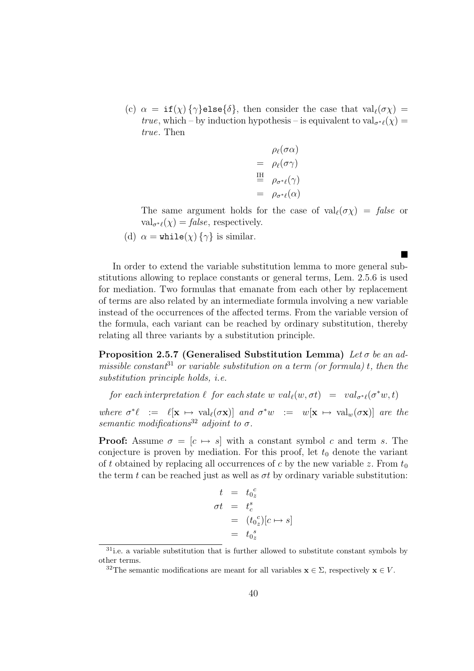(c)  $\alpha = \text{if}(\chi) \{\gamma\}$ else $\{\delta\}$ , then consider the case that val $\ell(\sigma\chi) =$ true, which – by induction hypothesis – is equivalent to val<sub>σ<sup>∗ $\ell$ </sup>( $\chi$ ) =</sub> true. Then

$$
\rho_{\ell}(\sigma \alpha) \n= \rho_{\ell}(\sigma \gamma) \n\stackrel{\text{III}}{=} \rho_{\sigma^* \ell}(\gamma) \n= \rho_{\sigma^* \ell}(\alpha)
$$

The same argument holds for the case of  $val_{\ell}(\sigma \chi) = false$  or  $\operatorname{val}_{\sigma^*\ell}(\chi) = \text{false},$  respectively.

(d)  $\alpha = \text{while}(\chi) \{\gamma\}$  is similar.

In order to extend the variable substitution lemma to more general substitutions allowing to replace constants or general terms, Lem. 2.5.6 is used for mediation. Two formulas that emanate from each other by replacement of terms are also related by an intermediate formula involving a new variable instead of the occurrences of the affected terms. From the variable version of the formula, each variant can be reached by ordinary substitution, thereby relating all three variants by a substitution principle.

Proposition 2.5.7 (Generalised Substitution Lemma) Let  $\sigma$  be an admissible constant<sup>31</sup> or variable substitution on a term (or formula) t, then the substitution principle holds, i.e.

for each interpretation  $\ell$  for each state w  $val_{\ell}(w, \sigma t) = val_{\sigma^*\ell}(\sigma^*w, t)$ 

where  $\sigma^*\ell \ := \ \ell[\mathbf{x} \mapsto \mathrm{val}_{\ell}(\sigma \mathbf{x})]$  and  $\sigma^*w \ := \ w[\mathbf{x} \mapsto \mathrm{val}_w(\sigma \mathbf{x})]$  are the semantic modifications<sup>32</sup> adjoint to  $\sigma$ .

**Proof:** Assume  $\sigma = [c \mapsto s]$  with a constant symbol c and term s. The conjecture is proven by mediation. For this proof, let  $t_0$  denote the variant of t obtained by replacing all occurrences of c by the new variable z. From  $t_0$ the term t can be reached just as well as  $\sigma t$  by ordinary variable substitution:

$$
t = t_0{}^c_z
$$
  
\n
$$
\sigma t = t^s_c
$$
  
\n
$$
= (t_0{}^c_z)[c \mapsto s]
$$
  
\n
$$
= t_0{}^s_z
$$

<sup>&</sup>lt;sup>31</sup>i.e. a variable substitution that is further allowed to substitute constant symbols by other terms.

<sup>&</sup>lt;sup>32</sup>The semantic modifications are meant for all variables  $\mathbf{x} \in \Sigma$ , respectively  $\mathbf{x} \in V$ .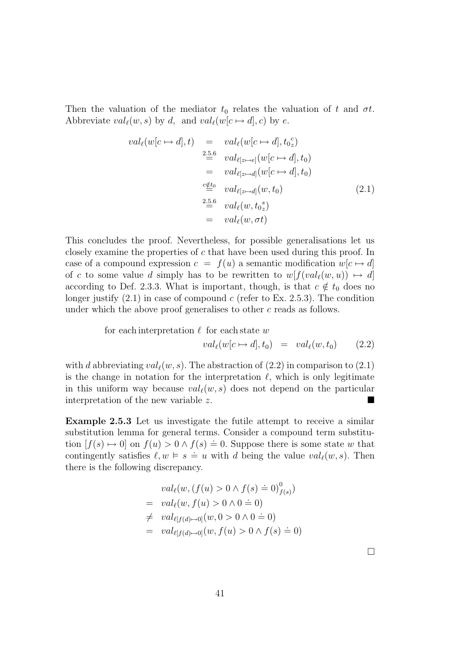Then the valuation of the mediator  $t_0$  relates the valuation of t and  $\sigma t$ . Abbreviate  $val_{\ell}(w, s)$  by d, and  $val_{\ell}(w[c \mapsto d], c)$  by e.

$$
val_{\ell}(w[c \mapsto d], t) = val_{\ell}(w[c \mapsto d], t_{0z})
$$
  
\n
$$
\stackrel{2.5.6}{=} val_{\ell[z \mapsto e]}(w[c \mapsto d], t_0)
$$
  
\n
$$
= val_{\ell[z \mapsto d]}(w[c \mapsto d], t_0)
$$
  
\n
$$
\stackrel{c \notin t_0}{=} val_{\ell[z \mapsto d]}(w, t_0)
$$
  
\n
$$
\stackrel{2.5.6}{=} val_{\ell}(w, t_{0z})
$$
  
\n
$$
= val_{\ell}(w, \sigma t)
$$
  
\n(2.1)

This concludes the proof. Nevertheless, for possible generalisations let us closely examine the properties of c that have been used during this proof. In case of a compound expression  $c = f(u)$  a semantic modification  $w[c \mapsto d]$ of c to some value d simply has to be rewritten to  $w[f(val_{\ell}(w, u)) \mapsto d]$ according to Def. 2.3.3. What is important, though, is that  $c \notin t_0$  does no longer justify  $(2.1)$  in case of compound c (refer to Ex. 2.5.3). The condition under which the above proof generalises to other c reads as follows.

for each interpretation  $\ell$  for each state w

$$
val_{\ell}(w[c \mapsto d], t_0) = val_{\ell}(w, t_0) \qquad (2.2)
$$

with d abbreviating  $val_{\ell}(w, s)$ . The abstraction of (2.2) in comparison to (2.1) is the change in notation for the interpretation  $\ell$ , which is only legitimate in this uniform way because  $val_{\ell}(w, s)$  does not depend on the particular interpretation of the new variable z.

Example 2.5.3 Let us investigate the futile attempt to receive a similar substitution lemma for general terms. Consider a compound term substitution  $[f(s) \mapsto 0]$  on  $f(u) > 0 \wedge f(s) = 0$ . Suppose there is some state w that contingently satisfies  $\ell, w \models s = u$  with d being the value  $val_{\ell}(w, s)$ . Then there is the following discrepancy.

$$
val_{\ell}(w, (f(u) > 0 \land f(s) \doteq 0)^0_{f(s)})
$$
\n
$$
= val_{\ell}(w, f(u) > 0 \land 0 \doteq 0)
$$
\n
$$
\neq val_{\ell[f(d) \mapsto 0]}(w, 0 > 0 \land 0 \doteq 0)
$$
\n
$$
= val_{\ell[f(d) \mapsto 0]}(w, f(u) > 0 \land f(s) \doteq 0)
$$

 $\Box$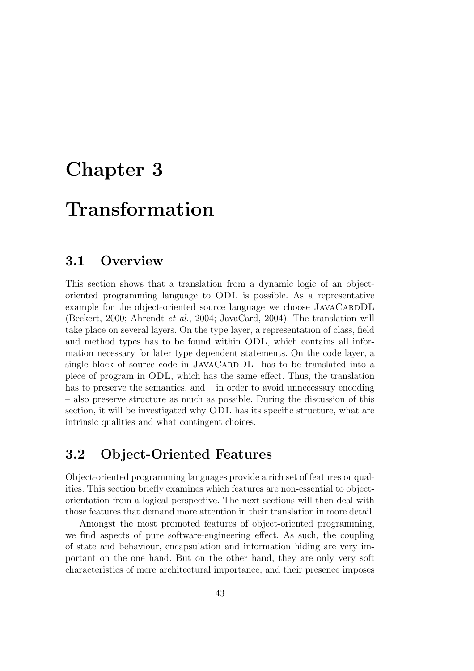## Chapter 3

# Transformation

### 3.1 Overview

This section shows that a translation from a dynamic logic of an objectoriented programming language to ODL is possible. As a representative example for the object-oriented source language we choose JAVACARDDL (Beckert, 2000; Ahrendt et al., 2004; JavaCard, 2004). The translation will take place on several layers. On the type layer, a representation of class, field and method types has to be found within ODL, which contains all information necessary for later type dependent statements. On the code layer, a single block of source code in JAVACARDDL has to be translated into a piece of program in ODL, which has the same effect. Thus, the translation has to preserve the semantics, and – in order to avoid unnecessary encoding – also preserve structure as much as possible. During the discussion of this section, it will be investigated why ODL has its specific structure, what are intrinsic qualities and what contingent choices.

### 3.2 Object-Oriented Features

Object-oriented programming languages provide a rich set of features or qualities. This section briefly examines which features are non-essential to objectorientation from a logical perspective. The next sections will then deal with those features that demand more attention in their translation in more detail.

Amongst the most promoted features of object-oriented programming, we find aspects of pure software-engineering effect. As such, the coupling of state and behaviour, encapsulation and information hiding are very important on the one hand. But on the other hand, they are only very soft characteristics of mere architectural importance, and their presence imposes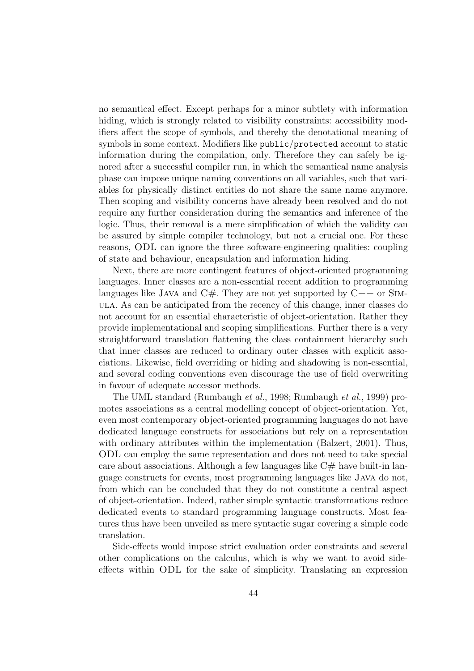no semantical effect. Except perhaps for a minor subtlety with information hiding, which is strongly related to visibility constraints: accessibility modifiers affect the scope of symbols, and thereby the denotational meaning of symbols in some context. Modifiers like public/protected account to static information during the compilation, only. Therefore they can safely be ignored after a successful compiler run, in which the semantical name analysis phase can impose unique naming conventions on all variables, such that variables for physically distinct entities do not share the same name anymore. Then scoping and visibility concerns have already been resolved and do not require any further consideration during the semantics and inference of the logic. Thus, their removal is a mere simplification of which the validity can be assured by simple compiler technology, but not a crucial one. For these reasons, ODL can ignore the three software-engineering qualities: coupling of state and behaviour, encapsulation and information hiding.

Next, there are more contingent features of object-oriented programming languages. Inner classes are a non-essential recent addition to programming languages like JAVA and  $C\#$ . They are not yet supported by  $C++$  or SIMula. As can be anticipated from the recency of this change, inner classes do not account for an essential characteristic of object-orientation. Rather they provide implementational and scoping simplifications. Further there is a very straightforward translation flattening the class containment hierarchy such that inner classes are reduced to ordinary outer classes with explicit associations. Likewise, field overriding or hiding and shadowing is non-essential, and several coding conventions even discourage the use of field overwriting in favour of adequate accessor methods.

The UML standard (Rumbaugh et al., 1998; Rumbaugh et al., 1999) promotes associations as a central modelling concept of object-orientation. Yet, even most contemporary object-oriented programming languages do not have dedicated language constructs for associations but rely on a representation with ordinary attributes within the implementation (Balzert, 2001). Thus, ODL can employ the same representation and does not need to take special care about associations. Although a few languages like  $C#$  have built-in language constructs for events, most programming languages like Java do not, from which can be concluded that they do not constitute a central aspect of object-orientation. Indeed, rather simple syntactic transformations reduce dedicated events to standard programming language constructs. Most features thus have been unveiled as mere syntactic sugar covering a simple code translation.

Side-effects would impose strict evaluation order constraints and several other complications on the calculus, which is why we want to avoid sideeffects within ODL for the sake of simplicity. Translating an expression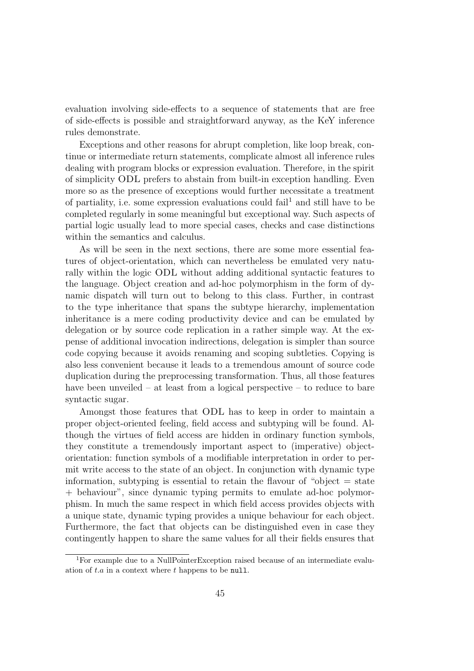evaluation involving side-effects to a sequence of statements that are free of side-effects is possible and straightforward anyway, as the KeY inference rules demonstrate.

Exceptions and other reasons for abrupt completion, like loop break, continue or intermediate return statements, complicate almost all inference rules dealing with program blocks or expression evaluation. Therefore, in the spirit of simplicity ODL prefers to abstain from built-in exception handling. Even more so as the presence of exceptions would further necessitate a treatment of partiality, i.e. some expression evaluations could  $fail<sup>1</sup>$  and still have to be completed regularly in some meaningful but exceptional way. Such aspects of partial logic usually lead to more special cases, checks and case distinctions within the semantics and calculus.

As will be seen in the next sections, there are some more essential features of object-orientation, which can nevertheless be emulated very naturally within the logic ODL without adding additional syntactic features to the language. Object creation and ad-hoc polymorphism in the form of dynamic dispatch will turn out to belong to this class. Further, in contrast to the type inheritance that spans the subtype hierarchy, implementation inheritance is a mere coding productivity device and can be emulated by delegation or by source code replication in a rather simple way. At the expense of additional invocation indirections, delegation is simpler than source code copying because it avoids renaming and scoping subtleties. Copying is also less convenient because it leads to a tremendous amount of source code duplication during the preprocessing transformation. Thus, all those features have been unveiled  $-$  at least from a logical perspective  $-$  to reduce to bare syntactic sugar.

Amongst those features that ODL has to keep in order to maintain a proper object-oriented feeling, field access and subtyping will be found. Although the virtues of field access are hidden in ordinary function symbols, they constitute a tremendously important aspect to (imperative) objectorientation: function symbols of a modifiable interpretation in order to permit write access to the state of an object. In conjunction with dynamic type information, subtyping is essential to retain the flavour of "object  $=$  state + behaviour", since dynamic typing permits to emulate ad-hoc polymorphism. In much the same respect in which field access provides objects with a unique state, dynamic typing provides a unique behaviour for each object. Furthermore, the fact that objects can be distinguished even in case they contingently happen to share the same values for all their fields ensures that

<sup>1</sup>For example due to a NullPointerException raised because of an intermediate evaluation of  $t.a$  in a context where  $t$  happens to be null.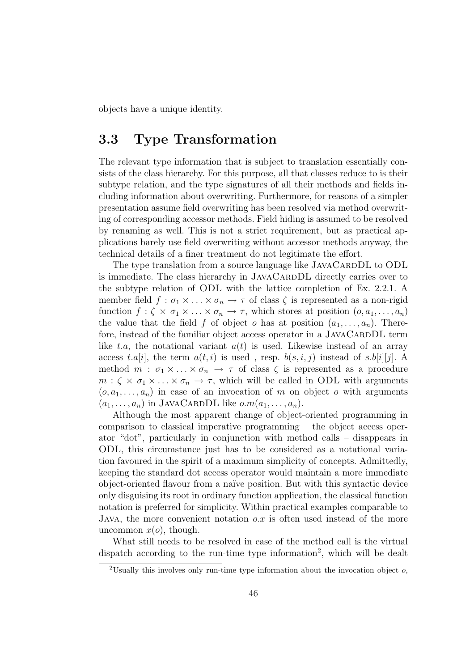objects have a unique identity.

### 3.3 Type Transformation

The relevant type information that is subject to translation essentially consists of the class hierarchy. For this purpose, all that classes reduce to is their subtype relation, and the type signatures of all their methods and fields including information about overwriting. Furthermore, for reasons of a simpler presentation assume field overwriting has been resolved via method overwriting of corresponding accessor methods. Field hiding is assumed to be resolved by renaming as well. This is not a strict requirement, but as practical applications barely use field overwriting without accessor methods anyway, the technical details of a finer treatment do not legitimate the effort.

The type translation from a source language like JAVACARDDL to ODL is immediate. The class hierarchy in JAVACARDDL directly carries over to the subtype relation of ODL with the lattice completion of Ex. 2.2.1. A member field  $f : \sigma_1 \times \ldots \times \sigma_n \to \tau$  of class  $\zeta$  is represented as a non-rigid function  $f : \zeta \times \sigma_1 \times ... \times \sigma_n \to \tau$ , which stores at position  $(o, a_1, ..., a_n)$ the value that the field f of object o has at position  $(a_1, \ldots, a_n)$ . Therefore, instead of the familiar object access operator in a JAVACARDDL term like t.a, the notational variant  $a(t)$  is used. Likewise instead of an array access t.a[i], the term  $a(t, i)$  is used, resp.  $b(s, i, j)$  instead of s.b[i][j]. A method  $m : \sigma_1 \times \ldots \times \sigma_n \to \tau$  of class  $\zeta$  is represented as a procedure  $m:\zeta \times \sigma_1 \times \ldots \times \sigma_n \to \tau$ , which will be called in ODL with arguments  $(o, a_1, \ldots, a_n)$  in case of an invocation of m on object o with arguments  $(a_1, \ldots, a_n)$  in JAVACARDDL like  $o.m(a_1, \ldots, a_n)$ .

Although the most apparent change of object-oriented programming in comparison to classical imperative programming – the object access operator "dot", particularly in conjunction with method calls – disappears in ODL, this circumstance just has to be considered as a notational variation favoured in the spirit of a maximum simplicity of concepts. Admittedly, keeping the standard dot access operator would maintain a more immediate object-oriented flavour from a na¨ıve position. But with this syntactic device only disguising its root in ordinary function application, the classical function notation is preferred for simplicity. Within practical examples comparable to JAVA, the more convenient notation  $o.x$  is often used instead of the more uncommon  $x(o)$ , though.

What still needs to be resolved in case of the method call is the virtual dispatch according to the run-time type information<sup>2</sup>, which will be dealt

<sup>&</sup>lt;sup>2</sup>Usually this involves only run-time type information about the invocation object  $o$ ,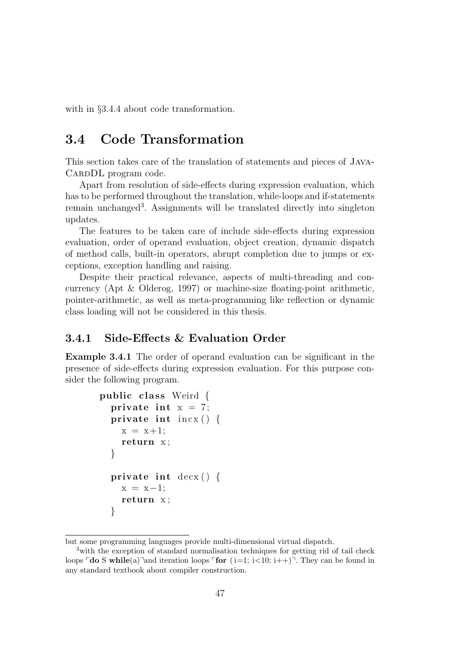with in  $\S 3.4.4$  about code transformation.

### 3.4 Code Transformation

This section takes care of the translation of statements and pieces of Java-CARDDL program code.

Apart from resolution of side-effects during expression evaluation, which has to be performed throughout the translation, while-loops and if-statements remain unchanged<sup>3</sup>. Assignments will be translated directly into singleton updates.

The features to be taken care of include side-effects during expression evaluation, order of operand evaluation, object creation, dynamic dispatch of method calls, built-in operators, abrupt completion due to jumps or exceptions, exception handling and raising.

Despite their practical relevance, aspects of multi-threading and concurrency (Apt & Olderog, 1997) or machine-size floating-point arithmetic, pointer-arithmetic, as well as meta-programming like reflection or dynamic class loading will not be considered in this thesis.

### 3.4.1 Side-Effects & Evaluation Order

Example 3.4.1 The order of operand evaluation can be significant in the presence of side-effects during expression evaluation. For this purpose consider the following program.

```
public class Weird {
  private int x = 7;
  private int incx () {
    x = x+1;
    return x;
  }
  private int decx () {
    x = x-1;return x;
  }
```
but some programming languages provide multi-dimensional virtual dispatch.

<sup>3</sup>with the exception of standard normalisation techniques for getting rid of tail check loops  $\ulcorner$  **do S while**(a) $\urcorner$  and iteration loops  $\ulcorner$  **for** (i=1; i<10; i++) $\urcorner$ . They can be found in any standard textbook about compiler construction.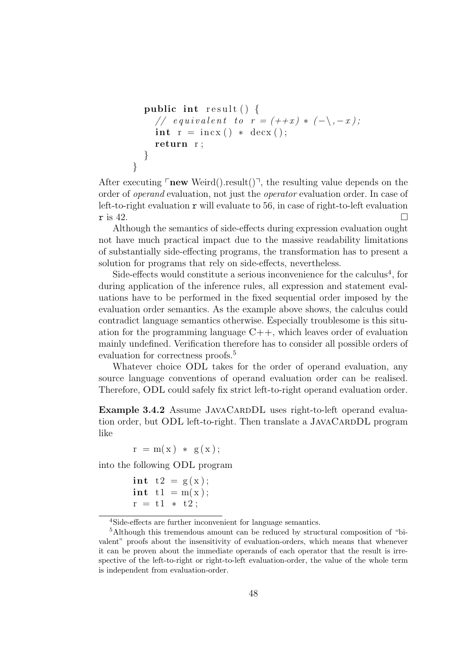```
public int result () {
    // equivalent to r = (+x) * (-\,,-x);int r = incx() * decx();return r;
  }
}
```
After executing  $\lceil \text{new Weird}(\cdot) \rceil$ , the resulting value depends on the order of operand evaluation, not just the operator evaluation order. In case of left-to-right evaluation r will evaluate to 56, in case of right-to-left evaluation r is 42.

Although the semantics of side-effects during expression evaluation ought not have much practical impact due to the massive readability limitations of substantially side-effecting programs, the transformation has to present a solution for programs that rely on side-effects, nevertheless.

Side-effects would constitute a serious inconvenience for the calculus<sup>4</sup>, for during application of the inference rules, all expression and statement evaluations have to be performed in the fixed sequential order imposed by the evaluation order semantics. As the example above shows, the calculus could contradict language semantics otherwise. Especially troublesome is this situation for the programming language  $C++$ , which leaves order of evaluation mainly undefined. Verification therefore has to consider all possible orders of evaluation for correctness proofs.<sup>5</sup>

Whatever choice ODL takes for the order of operand evaluation, any source language conventions of operand evaluation order can be realised. Therefore, ODL could safely fix strict left-to-right operand evaluation order.

Example 3.4.2 Assume JAVACARDDL uses right-to-left operand evaluation order, but ODL left-to-right. Then translate a JAVACARDDL program like

 $r = m(x) * g(x);$ 

into the following ODL program

```
int t2 = g(x);
int t1 = m(x);
r = t1 * t2;
```
<sup>4</sup>Side-effects are further inconvenient for language semantics.

<sup>5</sup>Although this tremendous amount can be reduced by structural composition of "bivalent" proofs about the insensitivity of evaluation-orders, which means that whenever it can be proven about the immediate operands of each operator that the result is irrespective of the left-to-right or right-to-left evaluation-order, the value of the whole term is independent from evaluation-order.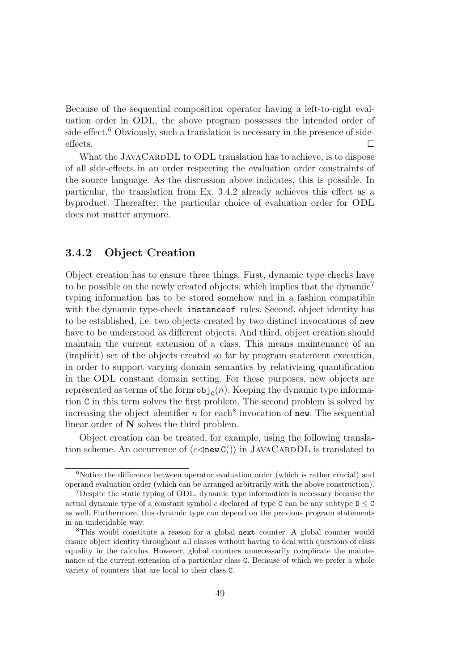Because of the sequential composition operator having a left-to-right evaluation order in ODL, the above program possesses the intended order of  $side$ -effect.<sup>6</sup> Obviously, such a translation is necessary in the presence of sideeffects.  $\Box$ 

What the JAVACARDDL to ODL translation has to achieve, is to dispose of all side-effects in an order respecting the evaluation order constraints of the source language. As the discussion above indicates, this is possible. In particular, the translation from Ex. 3.4.2 already achieves this effect as a byproduct. Thereafter, the particular choice of evaluation order for ODL does not matter anymore.

### 3.4.2 Object Creation

Object creation has to ensure three things. First, dynamic type checks have to be possible on the newly created objects, which implies that the dynamic<sup>7</sup> typing information has to be stored somehow and in a fashion compatible with the dynamic type-check instanceof rules. Second, object identity has to be established, i.e. two objects created by two distinct invocations of new have to be understood as different objects. And third, object creation should maintain the current extension of a class. This means maintenance of an (implicit) set of the objects created so far by program statement execution, in order to support varying domain semantics by relativising quantification in the ODL constant domain setting. For these purposes, new objects are represented as terms of the form  $obj_c(n)$ . Keeping the dynamic type information C in this term solves the first problem. The second problem is solved by increasing the object identifier  $n$  for each<sup>8</sup> invocation of new. The sequential linear order of N solves the third problem.

Object creation can be treated, for example, using the following translation scheme. An occurrence of  $\langle c \langle new \rangle$  in JAVACARDDL is translated to

 $6$ Notice the difference between operator evaluation order (which is rather crucial) and operand evaluation order (which can be arranged arbitrarily with the above construction).

<sup>7</sup>Despite the static typing of ODL, dynamic type information is necessary because the actual dynamic type of a constant symbol c declared of type C can be any subtype  $D \leq C$ as well. Furthermore, this dynamic type can depend on the previous program statements in an undecidable way.

<sup>8</sup>This would constitute a reason for a global next counter. A global counter would ensure object identity throughout all classes without having to deal with questions of class equality in the calculus. However, global counters unnecessarily complicate the maintenance of the current extension of a particular class C. Because of which we prefer a whole variety of counters that are local to their class C.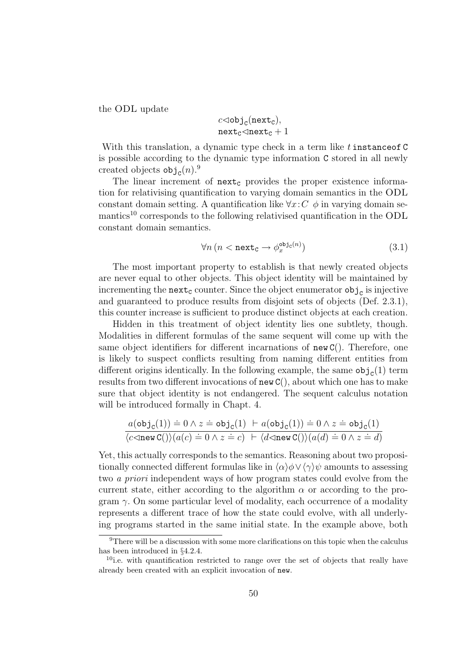the ODL update

$$
\substack{c \lhd \texttt{obj}_c(\texttt{next}_c),\\ \texttt{next}_c \lhd \texttt{next}_c + 1}
$$

With this translation, a dynamic type check in a term like t instance of C is possible according to the dynamic type information C stored in all newly created objects  $\mathsf{obj}_{\mathsf{C}}(n).^{9}$ 

The linear increment of  $next<sub>c</sub>$  provides the proper existence information for relativising quantification to varying domain semantics in the ODL constant domain setting. A quantification like  $\forall x$ : C  $\phi$  in varying domain semantics<sup>10</sup> corresponds to the following relativised quantification in the ODL constant domain semantics.

$$
\forall n \left( n < \texttt{next}_{\texttt{C}} \rightarrow \phi_x^{\texttt{obj}_{\texttt{C}}(n)} \right) \tag{3.1}
$$

The most important property to establish is that newly created objects are never equal to other objects. This object identity will be maintained by incrementing the  $\mathtt{next}_{\mathtt{C}}$  counter. Since the object enumerator  $\mathtt{obj}_{\mathtt{C}}$  is injective and guaranteed to produce results from disjoint sets of objects (Def. 2.3.1), this counter increase is sufficient to produce distinct objects at each creation.

Hidden in this treatment of object identity lies one subtlety, though. Modalities in different formulas of the same sequent will come up with the same object identifiers for different incarnations of  $new C()$ . Therefore, one is likely to suspect conflicts resulting from naming different entities from different origins identically. In the following example, the same  $\mathrm{obj}_c(1)$  term results from two different invocations of  $new C()$ , about which one has to make sure that object identity is not endangered. The sequent calculus notation will be introduced formally in Chapt. 4.

$$
\frac{a(\text{obj}_c(1)) \doteq 0 \land z \doteq \text{obj}_c(1) + a(\text{obj}_c(1)) \doteq 0 \land z \doteq \text{obj}_c(1)}{\langle c \triangleleft \text{new } C(\mathcal{C}) \rangle (a(c) \doteq 0 \land z \doteq c) + \langle d \triangleleft \text{new } C(\mathcal{C}) \rangle (a(d) \doteq 0 \land z \doteq d)}
$$

Yet, this actually corresponds to the semantics. Reasoning about two propositionally connected different formulas like in  $\langle \alpha \rangle \phi \vee \langle \gamma \rangle \psi$  amounts to assessing two a priori independent ways of how program states could evolve from the current state, either according to the algorithm  $\alpha$  or according to the program  $\gamma$ . On some particular level of modality, each occurrence of a modality represents a different trace of how the state could evolve, with all underlying programs started in the same initial state. In the example above, both

<sup>9</sup>There will be a discussion with some more clarifications on this topic when the calculus has been introduced in §4.2.4.

 $10$ i.e. with quantification restricted to range over the set of objects that really have already been created with an explicit invocation of new.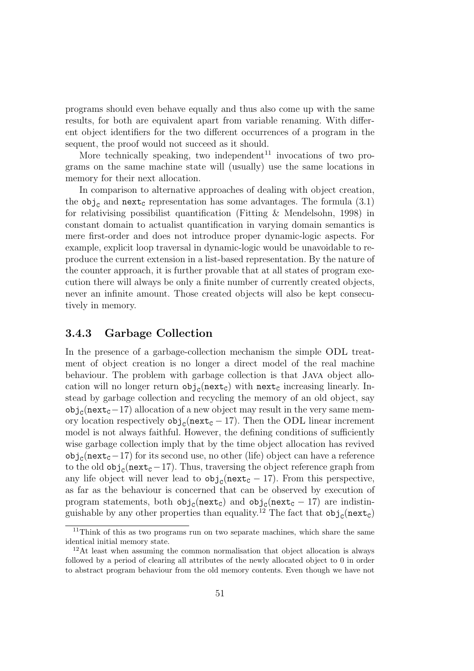programs should even behave equally and thus also come up with the same results, for both are equivalent apart from variable renaming. With different object identifiers for the two different occurrences of a program in the sequent, the proof would not succeed as it should.

More technically speaking, two independent<sup>11</sup> invocations of two programs on the same machine state will (usually) use the same locations in memory for their next allocation.

In comparison to alternative approaches of dealing with object creation, the  $obj_{\text{C}}$  and  $next_{\text{C}}$  representation has some advantages. The formula (3.1) for relativising possibilist quantification (Fitting & Mendelsohn, 1998) in constant domain to actualist quantification in varying domain semantics is mere first-order and does not introduce proper dynamic-logic aspects. For example, explicit loop traversal in dynamic-logic would be unavoidable to reproduce the current extension in a list-based representation. By the nature of the counter approach, it is further provable that at all states of program execution there will always be only a finite number of currently created objects, never an infinite amount. Those created objects will also be kept consecutively in memory.

#### 3.4.3 Garbage Collection

In the presence of a garbage-collection mechanism the simple ODL treatment of object creation is no longer a direct model of the real machine behaviour. The problem with garbage collection is that Java object allocation will no longer return  $\texttt{obj}_c(\texttt{next}_c)$  with  $\texttt{next}_c$  increasing linearly. Instead by garbage collection and recycling the memory of an old object, say  $\texttt{obj}_c(\texttt{next}_c-17)$  allocation of a new object may result in the very same memory location respectively  $obj_c(next_c - 17)$ . Then the ODL linear increment model is not always faithful. However, the defining conditions of sufficiently wise garbage collection imply that by the time object allocation has revived  $obj_c(next_c-17)$  for its second use, no other (life) object can have a reference to the old  $\texttt{obj}_c(\texttt{next}_c-17)$ . Thus, traversing the object reference graph from any life object will never lead to  $obj_c(next_c - 17)$ . From this perspective, as far as the behaviour is concerned that can be observed by execution of program statements, both  $\mathsf{obj}_\mathsf{C}(\mathtt{next}_\mathtt{C})$  and  $\mathsf{obj}_\mathsf{C}(\mathtt{next}_\mathtt{C} - 17)$  are indistinguishable by any other properties than equality.<sup>12</sup> The fact that  $obj_c(next_c)$ 

<sup>&</sup>lt;sup>11</sup>Think of this as two programs run on two separate machines, which share the same identical initial memory state.

<sup>12</sup>At least when assuming the common normalisation that object allocation is always followed by a period of clearing all attributes of the newly allocated object to 0 in order to abstract program behaviour from the old memory contents. Even though we have not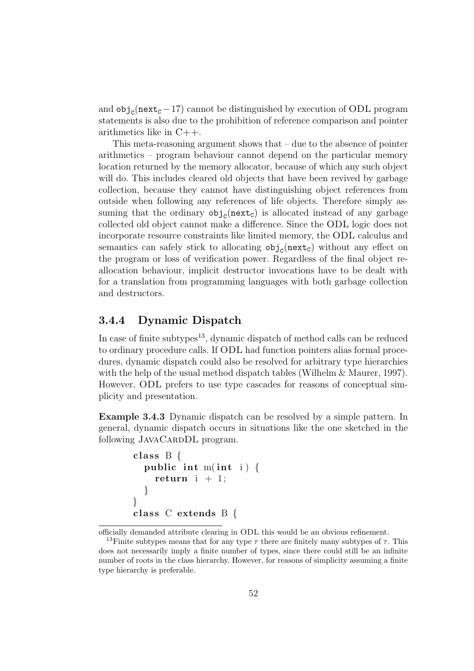and  $obj_c(next_c-17)$  cannot be distinguished by execution of ODL program statements is also due to the prohibition of reference comparison and pointer arithmetics like in  $C++$ .

This meta-reasoning argument shows that – due to the absence of pointer arithmetics – program behaviour cannot depend on the particular memory location returned by the memory allocator, because of which any such object will do. This includes cleared old objects that have been revived by garbage collection, because they cannot have distinguishing object references from outside when following any references of life objects. Therefore simply assuming that the ordinary  $obj_c(next_c)$  is allocated instead of any garbage collected old object cannot make a difference. Since the ODL logic does not incorporate resource constraints like limited memory, the ODL calculus and semantics can safely stick to allocating  $obj_c(next_c)$  without any effect on the program or loss of verification power. Regardless of the final object reallocation behaviour, implicit destructor invocations have to be dealt with for a translation from programming languages with both garbage collection and destructors.

### 3.4.4 Dynamic Dispatch

In case of finite subtypes<sup>13</sup>, dynamic dispatch of method calls can be reduced to ordinary procedure calls. If ODL had function pointers alias formal procedures, dynamic dispatch could also be resolved for arbitrary type hierarchies with the help of the usual method dispatch tables (Wilhelm & Maurer, 1997). However, ODL prefers to use type cascades for reasons of conceptual simplicity and presentation.

Example 3.4.3 Dynamic dispatch can be resolved by a simple pattern. In general, dynamic dispatch occurs in situations like the one sketched in the following JAVACARDDL program.

```
class B \{public int m(int i) {
    return i + 1;
  }
}
class C extends B \{
```
officially demanded attribute clearing in ODL this would be an obvious refinement.

<sup>&</sup>lt;sup>13</sup>Finite subtypes means that for any type  $\tau$  there are finitely many subtypes of  $\tau$ . This does not necessarily imply a finite number of types, since there could still be an infinite number of roots in the class hierarchy. However, for reasons of simplicity assuming a finite type hierarchy is preferable.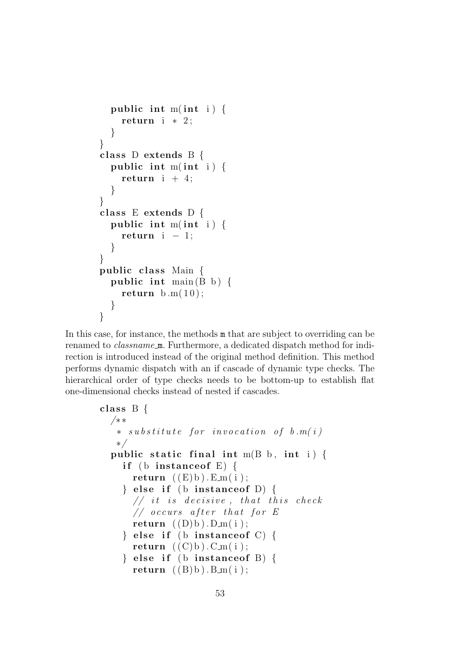```
public int m(int i) {
    return i * 2;
  }
}
class D extends B \{public int m(int i) {
    return i + 4;
  }
}
class E extends D {
  public int m(int i) {
    return i -1;
  }
}
public class Main {
  public int main (B b) \{return b.m(10);}
}
```
In this case, for instance, the methods m that are subject to overriding can be renamed to *classname* m. Furthermore, a dedicated dispatch method for indirection is introduced instead of the original method definition. This method performs dynamic dispatch with an if cascade of dynamic type checks. The hierarchical order of type checks needs to be bottom-up to establish flat one-dimensional checks instead of nested if cascades.

```
class B \{/∗∗
   * substitute for invocation of b.m(i)∗/
 public static final int m(B b, int i) {
    if (b instance of E) {
      return ((E)b). E_m(i);
    } else if (b instance of D) {
      // it is decisive, that this check
      // occurs after that for Ereturn ((D)b). D_m(i);
    } else if (b instance of C) {
      return ((C)b). C_m(i);
    \} else if (b instance of B) {
      return ((B)b). B_m(i);
```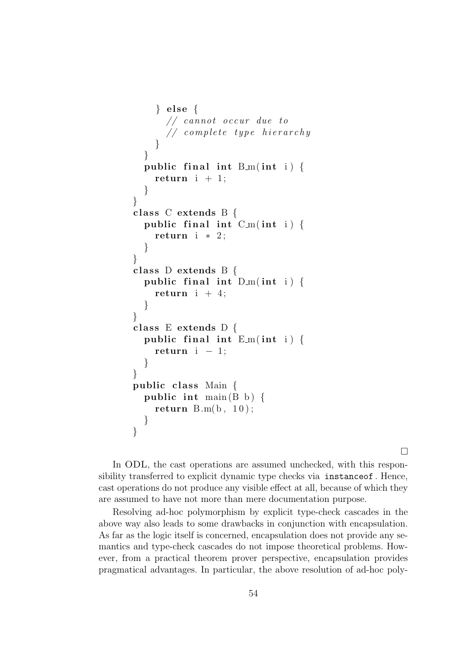```
\} else {
      // cannot occur due to
      // complete type hierarchy}
  }
  public final int B_m(int i) {
    return i + 1;
  }
}
class C extends B \{public final int C_m(int i) {
    return i * 2;}
}
class D extends B \{public final int D_m(int i) {
    return i + 4;
  }
}
class E extends D {
  public final int E_m(int i) {
    return i -1;
  }
}
public class Main {
  public int main (B b) {
    return B.m(b, 10);}
}
```
 $\Box$ 

In ODL, the cast operations are assumed unchecked, with this responsibility transferred to explicit dynamic type checks via instanceof . Hence, cast operations do not produce any visible effect at all, because of which they are assumed to have not more than mere documentation purpose.

Resolving ad-hoc polymorphism by explicit type-check cascades in the above way also leads to some drawbacks in conjunction with encapsulation. As far as the logic itself is concerned, encapsulation does not provide any semantics and type-check cascades do not impose theoretical problems. However, from a practical theorem prover perspective, encapsulation provides pragmatical advantages. In particular, the above resolution of ad-hoc poly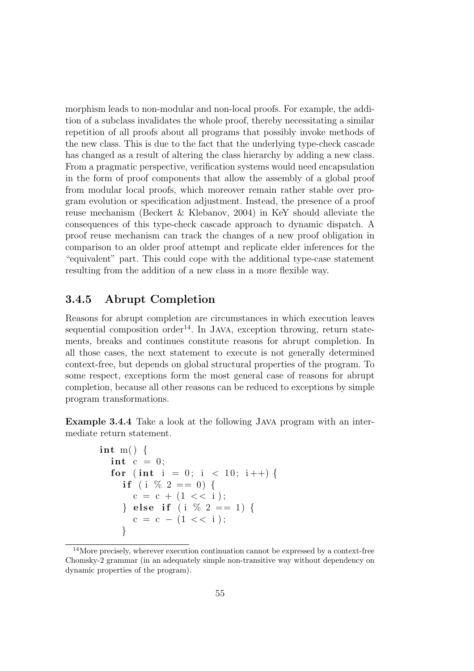morphism leads to non-modular and non-local proofs. For example, the addition of a subclass invalidates the whole proof, thereby necessitating a similar repetition of all proofs about all programs that possibly invoke methods of the new class. This is due to the fact that the underlying type-check cascade has changed as a result of altering the class hierarchy by adding a new class. From a pragmatic perspective, verification systems would need encapsulation in the form of proof components that allow the assembly of a global proof from modular local proofs, which moreover remain rather stable over program evolution or specification adjustment. Instead, the presence of a proof reuse mechanism (Beckert & Klebanov, 2004) in KeY should alleviate the consequences of this type-check cascade approach to dynamic dispatch. A proof reuse mechanism can track the changes of a new proof obligation in comparison to an older proof attempt and replicate elder inferences for the "equivalent" part. This could cope with the additional type-case statement resulting from the addition of a new class in a more flexible way.

#### 3.4.5 Abrupt Completion

Reasons for abrupt completion are circumstances in which execution leaves sequential composition order<sup>14</sup>. In JAVA, exception throwing, return statements, breaks and continues constitute reasons for abrupt completion. In all those cases, the next statement to execute is not generally determined context-free, but depends on global structural properties of the program. To some respect, exceptions form the most general case of reasons for abrupt completion, because all other reasons can be reduced to exceptions by simple program transformations.

Example 3.4.4 Take a look at the following Java program with an intermediate return statement.

```
int m() \{int c = 0;
  for (int i = 0; i < 10; i++) {
    if (i \% 2 == 0) {
      c = c + (1 \lt < i);} else if (i \% 2 == 1) {
      c = c - (1 \lt < i);}
```
<sup>14</sup>More precisely, wherever execution continuation cannot be expressed by a context-free Chomsky-2 grammar (in an adequately simple non-transitive way without dependency on dynamic properties of the program).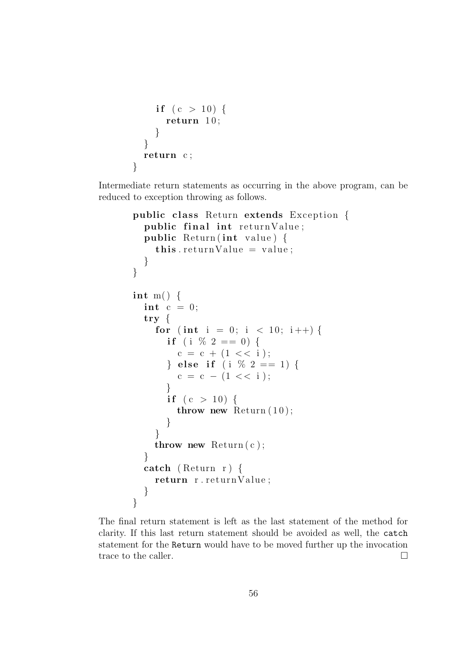```
if (c > 10) {
    return 10;
  }
}
return c;
```
}

Intermediate return statements as occurring in the above program, can be reduced to exception throwing as follows.

```
public class Return extends Exception {
  public final int returnValue;
  public Return (int value) {
    this . return Value = value ;}
}
int m() \{int c = 0;
  try {
    for (int i = 0; i < 10; i++) {
      if (i \% 2 == 0) {
        c = c + (1 \lt < i);} else if (i \% 2 == 1) {
        c = c - (1 \lt < i);}
      if (c > 10) {
        throw new Return (10);}
    }
    throw new Return(c);}
  catch (Return r) {
    return r. returnValue;
  }
}
```
The final return statement is left as the last statement of the method for clarity. If this last return statement should be avoided as well, the catch statement for the Return would have to be moved further up the invocation trace to the caller.  $\Box$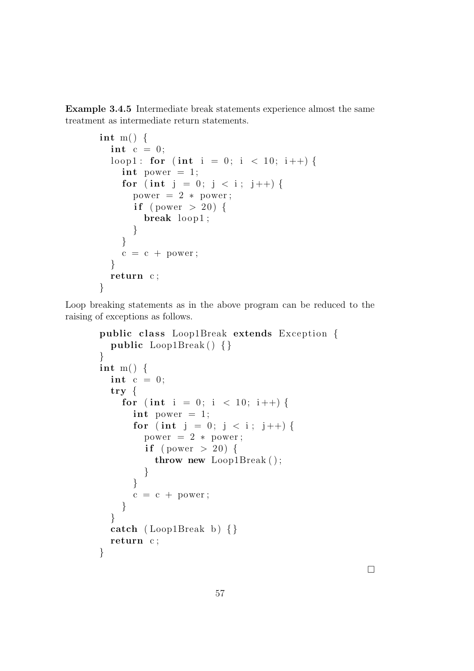Example 3.4.5 Intermediate break statements experience almost the same treatment as intermediate return statements.

```
int m() \{int c = 0;
  loop1: for (int i = 0; i < 10; i++) {
    int power = 1;
    for (int j = 0; j < i; j++) {
      power = 2 * power;if (power > 20) {
        break loop1 ;
      }
    }
    c = c + power;}
 return c;
}
```
Loop breaking statements as in the above program can be reduced to the raising of exceptions as follows.

```
public class Loop1Break extends Exception {
  public Loop1Break () { }
}
int m() \{int c = 0;
  try {
    for (int i = 0; i < 10; i++) {
      int power = 1;
      for (int j = 0; j < i; j++) {
        power = 2 * power;if (power > 20) {
          throw new Loop1Break ();
        }
      }
      c = c + power;}
  }
  catch (Loop1Break b) \{\}return c;
}
```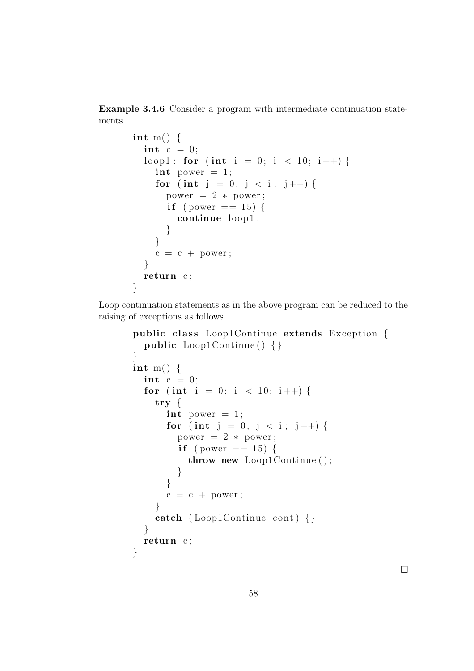Example 3.4.6 Consider a program with intermediate continuation statements.

```
int m() \{int c = 0;
  loop1: for (int i = 0; i < 10; i++) {
    int power = 1;
    for (int j = 0; j < i; j++) {
      power = 2 * power;if (power == 15) {
        continue loop1 ;
      }
    }
    c = c + power;}
  return c;
}
```
Loop continuation statements as in the above program can be reduced to the raising of exceptions as follows.

```
public class Loop1Continue extends Exception {
  public Loop1Continue () { }
}
int m() \{int c = 0;
  for (int i = 0; i < 10; i++) {
    try {
      int power = 1;
      for (int j = 0; j < i; j++) {
        power = 2 * power;if (power == 15) {
          throw new Loop1Continue ();
        }
      }
      c = c + power;}
    catch (Loop1Continue cont) {}
  }
  return c;
}
```
 $\Box$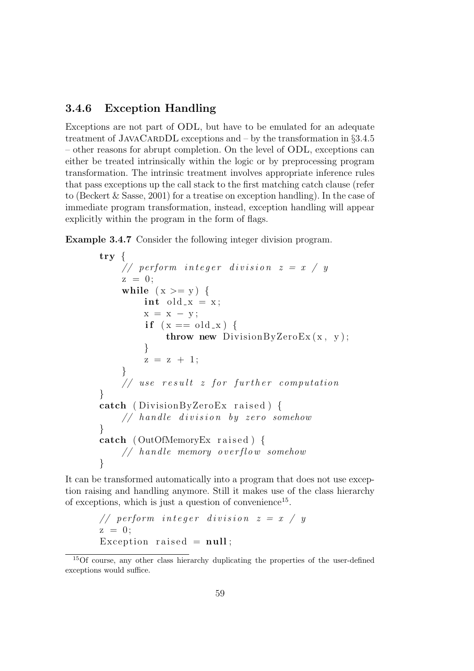### 3.4.6 Exception Handling

Exceptions are not part of ODL, but have to be emulated for an adequate treatment of JAVACARDDL exceptions and – by the transformation in  $\S 3.4.5$ – other reasons for abrupt completion. On the level of ODL, exceptions can either be treated intrinsically within the logic or by preprocessing program transformation. The intrinsic treatment involves appropriate inference rules that pass exceptions up the call stack to the first matching catch clause (refer to (Beckert & Sasse, 2001) for a treatise on exception handling). In the case of immediate program transformation, instead, exception handling will appear explicitly within the program in the form of flags.

Example 3.4.7 Consider the following integer division program.

```
try {
    // perform integer division z = x / yz = 0;
    while (x \ge y) {
        int old x = x;
        x = x - y;if (x == old_x) {
            throw new DivisionByZeroEx(x, v);
        }
        z = z + 1;}
    // use result\; z for further computation
}
catch (DivisionByZeroEx raised) {
    // handle division by zero somehow
}
catch (OutOfMemoryEx raised) {
    // handle memory overflow somehow
}
```
It can be transformed automatically into a program that does not use exception raising and handling anymore. Still it makes use of the class hierarchy of exceptions, which is just a question of convenience<sup>15</sup>.

```
// perform integer division z = x / yz = 0:
Exception raised = null;
```
<sup>15</sup>Of course, any other class hierarchy duplicating the properties of the user-defined exceptions would suffice.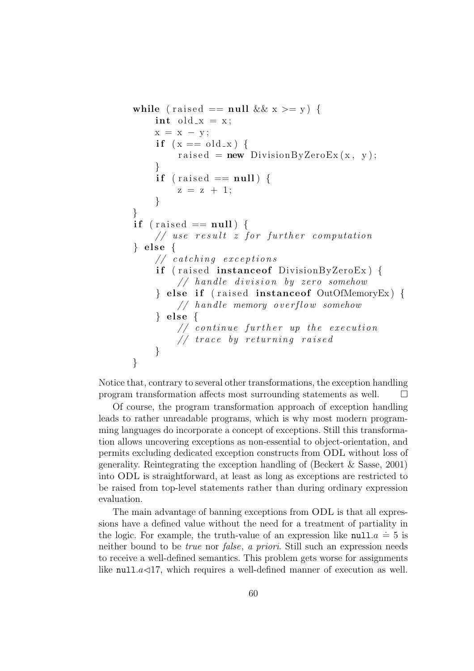```
while (raised = null && x > y) {
    int old x = x;
    x = x - y;if (x == old_x)raised = new DivisionByZeroEx(x, y);
    }
    if (raised == null) {
        z = z + 1;}
}
if (raised == null) {
    // use result z for further computation
\} else \{// catching exceptionsif (raised instance of DivisionByZeroEx) {
        // handle division by zero somehow
    } else if (raised instanceof OutOfMemoryEx) {
        // handle memory overflow somehow
    \} else \{// continue further up the execution
        // trace by returning raised}
}
```
Notice that, contrary to several other transformations, the exception handling program transformation affects most surrounding statements as well.  $\Box$ 

Of course, the program transformation approach of exception handling leads to rather unreadable programs, which is why most modern programming languages do incorporate a concept of exceptions. Still this transformation allows uncovering exceptions as non-essential to object-orientation, and permits excluding dedicated exception constructs from ODL without loss of generality. Reintegrating the exception handling of (Beckert & Sasse, 2001) into ODL is straightforward, at least as long as exceptions are restricted to be raised from top-level statements rather than during ordinary expression evaluation.

The main advantage of banning exceptions from ODL is that all expressions have a defined value without the need for a treatment of partiality in the logic. For example, the truth-value of an expression like  $null.a = 5$  is neither bound to be true nor false, a priori. Still such an expression needs to receive a well-defined semantics. This problem gets worse for assignments like null. $a \triangleleft 17$ , which requires a well-defined manner of execution as well.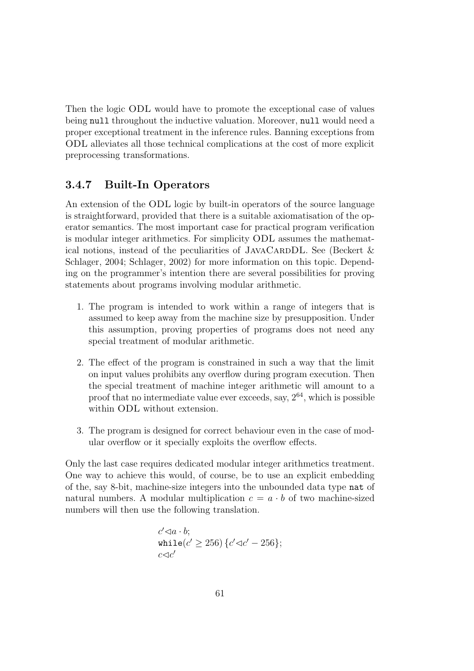Then the logic ODL would have to promote the exceptional case of values being null throughout the inductive valuation. Moreover, null would need a proper exceptional treatment in the inference rules. Banning exceptions from ODL alleviates all those technical complications at the cost of more explicit preprocessing transformations.

### 3.4.7 Built-In Operators

An extension of the ODL logic by built-in operators of the source language is straightforward, provided that there is a suitable axiomatisation of the operator semantics. The most important case for practical program verification is modular integer arithmetics. For simplicity ODL assumes the mathematical notions, instead of the peculiarities of JAVACARDDL. See (Beckert  $\&$ Schlager, 2004; Schlager, 2002) for more information on this topic. Depending on the programmer's intention there are several possibilities for proving statements about programs involving modular arithmetic.

- 1. The program is intended to work within a range of integers that is assumed to keep away from the machine size by presupposition. Under this assumption, proving properties of programs does not need any special treatment of modular arithmetic.
- 2. The effect of the program is constrained in such a way that the limit on input values prohibits any overflow during program execution. Then the special treatment of machine integer arithmetic will amount to a proof that no intermediate value ever exceeds, say,  $2^{64}$ , which is possible within ODL without extension.
- 3. The program is designed for correct behaviour even in the case of modular overflow or it specially exploits the overflow effects.

Only the last case requires dedicated modular integer arithmetics treatment. One way to achieve this would, of course, be to use an explicit embedding of the, say 8-bit, machine-size integers into the unbounded data type nat of natural numbers. A modular multiplication  $c = a \cdot b$  of two machine-sized numbers will then use the following translation.

$$
c' \triangleleft a \cdot b;
$$
  
while $(c' \ge 256)$   $\{c' \triangleleft c' - 256\};$   
 $c \triangleleft c'$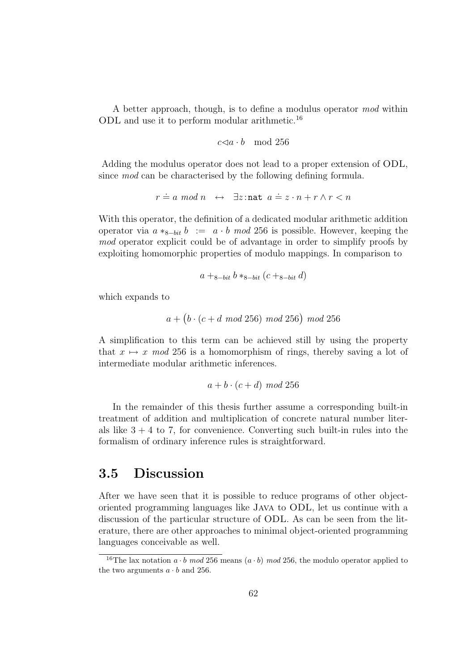A better approach, though, is to define a modulus operator mod within ODL and use it to perform modular arithmetic.<sup>16</sup>

$$
c \lhd a \cdot b \mod 256
$$

Adding the modulus operator does not lead to a proper extension of ODL, since *mod* can be characterised by the following defining formula.

$$
r \doteq a \mod n \quad \leftrightarrow \quad \exists z \text{ :nat } a \doteq z \cdot n + r \land r < n
$$

With this operator, the definition of a dedicated modular arithmetic addition operator via  $a *_{8-hit} b := a \cdot b \mod 256$  is possible. However, keeping the mod operator explicit could be of advantage in order to simplify proofs by exploiting homomorphic properties of modulo mappings. In comparison to

$$
a +_{8-bit} b *_{8-bit} (c +_{8-bit} d)
$$

which expands to

$$
a + (b \cdot (c + d \mod 256) \mod 256) \mod 256
$$

A simplification to this term can be achieved still by using the property that  $x \mapsto x \mod 256$  is a homomorphism of rings, thereby saving a lot of intermediate modular arithmetic inferences.

$$
a+b\cdot(c+d)\,\bmod 256
$$

In the remainder of this thesis further assume a corresponding built-in treatment of addition and multiplication of concrete natural number literals like  $3 + 4$  to 7, for convenience. Converting such built-in rules into the formalism of ordinary inference rules is straightforward.

### 3.5 Discussion

After we have seen that it is possible to reduce programs of other objectoriented programming languages like Java to ODL, let us continue with a discussion of the particular structure of ODL. As can be seen from the literature, there are other approaches to minimal object-oriented programming languages conceivable as well.

<sup>&</sup>lt;sup>16</sup>The lax notation  $a \cdot b \mod 256$  means  $(a \cdot b) \mod 256$ , the modulo operator applied to the two arguments  $a \cdot b$  and 256.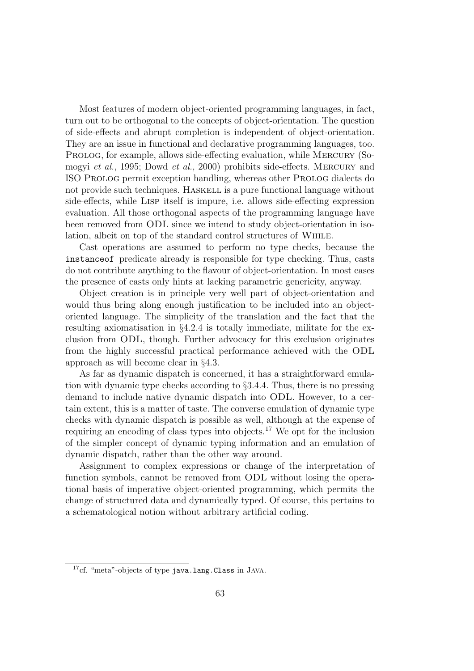Most features of modern object-oriented programming languages, in fact, turn out to be orthogonal to the concepts of object-orientation. The question of side-effects and abrupt completion is independent of object-orientation. They are an issue in functional and declarative programming languages, too. PROLOG, for example, allows side-effecting evaluation, while MERCURY (Somogyi et al., 1995; Dowd et al., 2000) prohibits side-effects. Mercury and ISO Prolog permit exception handling, whereas other Prolog dialects do not provide such techniques. HASKELL is a pure functional language without side-effects, while Lisp itself is impure, i.e. allows side-effecting expression evaluation. All those orthogonal aspects of the programming language have been removed from ODL since we intend to study object-orientation in isolation, albeit on top of the standard control structures of While.

Cast operations are assumed to perform no type checks, because the instanceof predicate already is responsible for type checking. Thus, casts do not contribute anything to the flavour of object-orientation. In most cases the presence of casts only hints at lacking parametric genericity, anyway.

Object creation is in principle very well part of object-orientation and would thus bring along enough justification to be included into an objectoriented language. The simplicity of the translation and the fact that the resulting axiomatisation in §4.2.4 is totally immediate, militate for the exclusion from ODL, though. Further advocacy for this exclusion originates from the highly successful practical performance achieved with the ODL approach as will become clear in §4.3.

As far as dynamic dispatch is concerned, it has a straightforward emulation with dynamic type checks according to §3.4.4. Thus, there is no pressing demand to include native dynamic dispatch into ODL. However, to a certain extent, this is a matter of taste. The converse emulation of dynamic type checks with dynamic dispatch is possible as well, although at the expense of requiring an encoding of class types into objects.<sup>17</sup> We opt for the inclusion of the simpler concept of dynamic typing information and an emulation of dynamic dispatch, rather than the other way around.

Assignment to complex expressions or change of the interpretation of function symbols, cannot be removed from ODL without losing the operational basis of imperative object-oriented programming, which permits the change of structured data and dynamically typed. Of course, this pertains to a schematological notion without arbitrary artificial coding.

<sup>&</sup>lt;sup>17</sup>cf. "meta"-objects of type java.lang.Class in JAVA.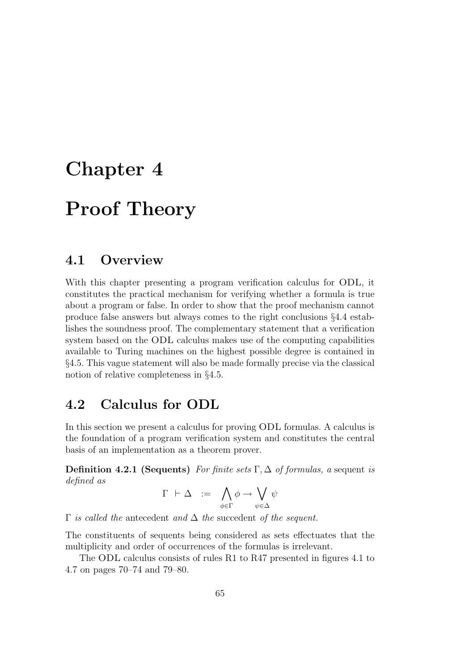# Chapter 4

# Proof Theory

### 4.1 Overview

With this chapter presenting a program verification calculus for ODL, it constitutes the practical mechanism for verifying whether a formula is true about a program or false. In order to show that the proof mechanism cannot produce false answers but always comes to the right conclusions §4.4 establishes the soundness proof. The complementary statement that a verification system based on the ODL calculus makes use of the computing capabilities available to Turing machines on the highest possible degree is contained in §4.5. This vague statement will also be made formally precise via the classical notion of relative completeness in §4.5.

## 4.2 Calculus for ODL

In this section we present a calculus for proving ODL formulas. A calculus is the foundation of a program verification system and constitutes the central basis of an implementation as a theorem prover.

Definition 4.2.1 (Sequents) For finite sets  $\Gamma, \Delta$  of formulas, a sequent is defined as

$$
\Gamma \ \vdash \Delta \ \ := \ \ \bigwedge_{\phi \in \Gamma} \phi \to \bigvee_{\psi \in \Delta} \psi
$$

 $\Gamma$  is called the antecedent and  $\Delta$  the succedent of the sequent.

The constituents of sequents being considered as sets effectuates that the multiplicity and order of occurrences of the formulas is irrelevant.

The ODL calculus consists of rules R1 to R47 presented in figures 4.1 to 4.7 on pages 70–74 and 79–80.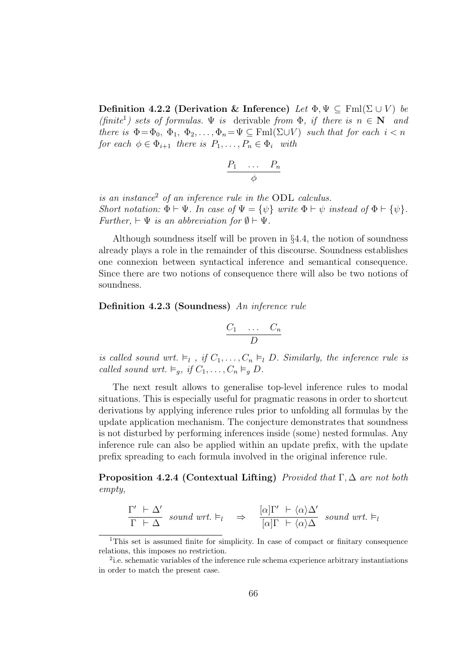Definition 4.2.2 (Derivation & Inference) Let  $\Phi, \Psi \subseteq \text{Fml}(\Sigma \cup V)$  be (finite<sup>1</sup>) sets of formulas.  $\Psi$  is derivable from  $\Phi$ , if there is  $n \in \mathbb{N}$  and there is  $\Phi = \Phi_0, \ \Phi_1, \ \Phi_2, \ldots, \Phi_n = \Psi \subseteq \text{Fml}(\Sigma \cup V)$  such that for each  $i < n$ for each  $\phi \in \Phi_{i+1}$  there is  $P_1, \ldots, P_n \in \Phi_i$  with

$$
\begin{array}{ccc}\nP_1 & \dots & P_n \\
& \phi & \n\end{array}
$$

is an instance <sup>2</sup> of an inference rule in the ODL calculus. Short notation:  $\Phi \vdash \Psi$ . In case of  $\Psi = {\psi}$  write  $\Phi \vdash \psi$  instead of  $\Phi \vdash {\psi}.$ Further,  $\vdash \Psi$  is an abbreviation for  $\emptyset \vdash \Psi$ .

Although soundness itself will be proven in §4.4, the notion of soundness already plays a role in the remainder of this discourse. Soundness establishes one connexion between syntactical inference and semantical consequence. Since there are two notions of consequence there will also be two notions of soundness.

Definition 4.2.3 (Soundness) An inference rule

$$
\begin{array}{ccc}\nC_1 & \ldots & C_n \\
D\n\end{array}
$$

is called sound wrt.  $\vDash_l$ , if  $C_1, \ldots, C_n \vDash_l D$ . Similarly, the inference rule is called sound wrt.  $\vDash_q$ , if  $C_1, \ldots, C_n \vDash_q D$ .

The next result allows to generalise top-level inference rules to modal situations. This is especially useful for pragmatic reasons in order to shortcut derivations by applying inference rules prior to unfolding all formulas by the update application mechanism. The conjecture demonstrates that soundness is not disturbed by performing inferences inside (some) nested formulas. Any inference rule can also be applied within an update prefix, with the update prefix spreading to each formula involved in the original inference rule.

**Proposition 4.2.4 (Contextual Lifting)** Provided that  $\Gamma, \Delta$  are not both empty,

$$
\frac{\Gamma' + \Delta'}{\Gamma + \Delta} \text{ sound wrt. } \models_l \Rightarrow \frac{[\alpha]\Gamma' + \langle \alpha \rangle \Delta'}{[\alpha]\Gamma + \langle \alpha \rangle \Delta} \text{ sound wrt. } \models_l
$$

<sup>1</sup>This set is assumed finite for simplicity. In case of compact or finitary consequence relations, this imposes no restriction.

<sup>&</sup>lt;sup>2</sup>i.e. schematic variables of the inference rule schema experience arbitrary instantiations in order to match the present case.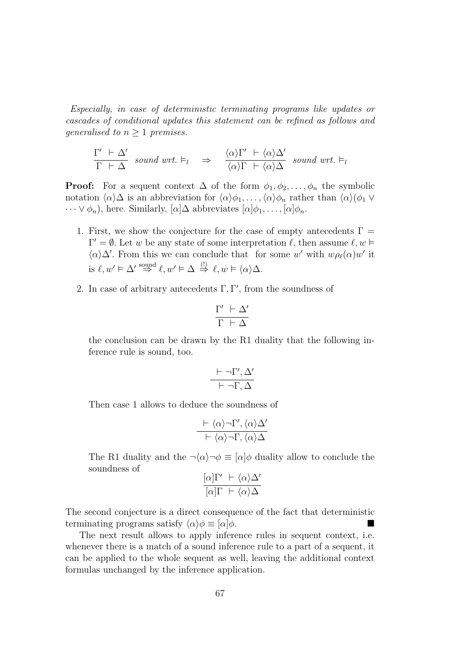Especially, in case of deterministic terminating programs like updates or cascades of conditional updates this statement can be refined as follows and generalised to  $n \geq 1$  premises.

$$
\frac{\Gamma' + \Delta'}{\Gamma + \Delta} \text{ sound wrt. } \models_l \Rightarrow \frac{\langle \alpha \rangle \Gamma' + \langle \alpha \rangle \Delta'}{\langle \alpha \rangle \Gamma + \langle \alpha \rangle \Delta} \text{ sound wrt. } \models_l
$$

**Proof:** For a sequent context  $\Delta$  of the form  $\phi_1, \phi_2, \ldots, \phi_n$  the symbolic notation  $\langle \alpha \rangle$  is an abbreviation for  $\langle \alpha \rangle \phi_1, \ldots, \langle \alpha \rangle \phi_n$  rather than  $\langle \alpha \rangle (\phi_1 \vee \phi_2)$  $\cdots \vee \phi_n$ , here. Similarly,  $[\alpha] \Delta$  abbreviates  $[\alpha] \phi_1, \ldots, [\alpha] \phi_n$ .

- 1. First, we show the conjecture for the case of empty antecedents  $\Gamma =$  $\Gamma' = \emptyset$ . Let w be any state of some interpretation  $\ell$ , then assume  $\ell, w \models$  $\langle \alpha \rangle \Delta'$ . From this we can conclude that for some w' with  $w \rho_{\ell}(\alpha) w'$  it is  $\ell, w' \models \Delta' \stackrel{\text{sound}}{\Rightarrow} \ell, w' \models \Delta \stackrel{(!)}{\Rightarrow} \ell, w \models \langle \alpha \rangle \Delta.$
- 2. In case of arbitrary antecedents  $\Gamma, \Gamma',$  from the soundness of

$$
\frac{\Gamma'\ +\Delta'}{\Gamma\ +Delta}
$$

the conclusion can be drawn by the R1 duality that the following inference rule is sound, too.

$$
\frac{\vdash \neg \Gamma', \Delta'}{\vdash \neg \Gamma, \Delta}
$$

Then case 1 allows to deduce the soundness of

$$
\frac{\vdash \langle \alpha \rangle \neg \Gamma', \langle \alpha \rangle \Delta'}{\vdash \langle \alpha \rangle \neg \Gamma, \langle \alpha \rangle \Delta}
$$

The R1 duality and the  $\neg \langle \alpha \rangle \neg \phi \equiv [\alpha] \phi$  duality allow to conclude the soundness of

$$
\frac{[\alpha]\Gamma' + \langle \alpha \rangle \Delta'}{[\alpha]\Gamma + \langle \alpha \rangle \Delta}
$$

The second conjecture is a direct consequence of the fact that deterministic terminating programs satisfy  $\langle \alpha \rangle \phi \equiv [\alpha] \phi$ .

The next result allows to apply inference rules in sequent context, i.e. whenever there is a match of a sound inference rule to a part of a sequent, it can be applied to the whole sequent as well, leaving the additional context formulas unchanged by the inference application.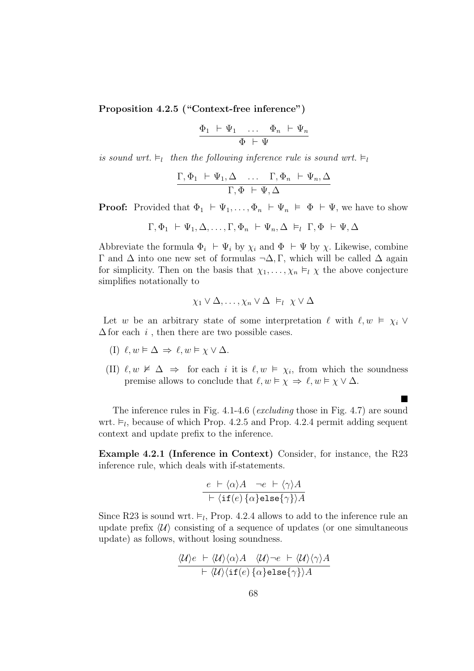Proposition 4.2.5 ("Context-free inference")

$$
\frac{\Phi_1 + \Psi_1 \dots \Phi_n + \Psi_n}{\Phi + \Psi}
$$

is sound wrt.  $\vDash_l$  then the following inference rule is sound wrt.  $\vDash_l$ 

$$
\frac{\Gamma, \Phi_1 + \Psi_1, \Delta \dots \Gamma, \Phi_n + \Psi_n, \Delta}{\Gamma, \Phi + \Psi, \Delta}
$$

**Proof:** Provided that  $\Phi_1 \vdash \Psi_1, \ldots, \Phi_n \vdash \Psi_n \models \Phi \vdash \Psi$ , we have to show

$$
\Gamma, \Phi_1 \vdash \Psi_1, \Delta, \ldots, \Gamma, \Phi_n \vdash \Psi_n, \Delta \vDash_l \Gamma, \Phi \vdash \Psi, \Delta
$$

Abbreviate the formula  $\Phi_i \vdash \Psi_i$  by  $\chi_i$  and  $\Phi \vdash \Psi$  by  $\chi$ . Likewise, combine Γ and  $\Delta$  into one new set of formulas  $\neg \Delta$ , Γ, which will be called  $\Delta$  again for simplicity. Then on the basis that  $\chi_1, \ldots, \chi_n \vDash_l \chi$  the above conjecture simplifies notationally to

$$
\chi_1 \vee \Delta, \ldots, \chi_n \vee \Delta \models_l \chi \vee \Delta
$$

Let w be an arbitrary state of some interpretation  $\ell$  with  $\ell, w \models \chi_i \vee$  $\Delta$  for each  $\,i$  , then there are two possible cases.

- (I)  $\ell, w \models \Delta \Rightarrow \ell, w \models \chi \lor \Delta$ .
- (II)  $\ell, w \not\vDash \Delta \Rightarrow$  for each i it is  $\ell, w \vDash \chi_i$ , from which the soundness premise allows to conclude that  $\ell, w \vDash \chi \Rightarrow \ell, w \vDash \chi \vee \Delta$ .

ш

The inference rules in Fig. 4.1-4.6 (*excluding* those in Fig. 4.7) are sound wrt.  $\vDash_l$ , because of which Prop. 4.2.5 and Prop. 4.2.4 permit adding sequent context and update prefix to the inference.

Example 4.2.1 (Inference in Context) Consider, for instance, the R23 inference rule, which deals with if-statements.

$$
\frac{e + \langle \alpha \rangle A \quad \neg e + \langle \gamma \rangle A}{\vdash \langle \text{if}(e) \{ \alpha \} \text{else} \{ \gamma \} \rangle A}
$$

Since R23 is sound wrt.  $\vDash_l$ , Prop. 4.2.4 allows to add to the inference rule an update prefix  $\langle U \rangle$  consisting of a sequence of updates (or one simultaneous update) as follows, without losing soundness.

$$
\frac{\langle \mathcal{U} \rangle e + \langle \mathcal{U} \rangle \langle \alpha \rangle A \quad \langle \mathcal{U} \rangle \neg e + \langle \mathcal{U} \rangle \langle \gamma \rangle A}{\vdash \langle \mathcal{U} \rangle \langle \texttt{if}(e) \{ \alpha \} \texttt{else} \{ \gamma \} \rangle A}
$$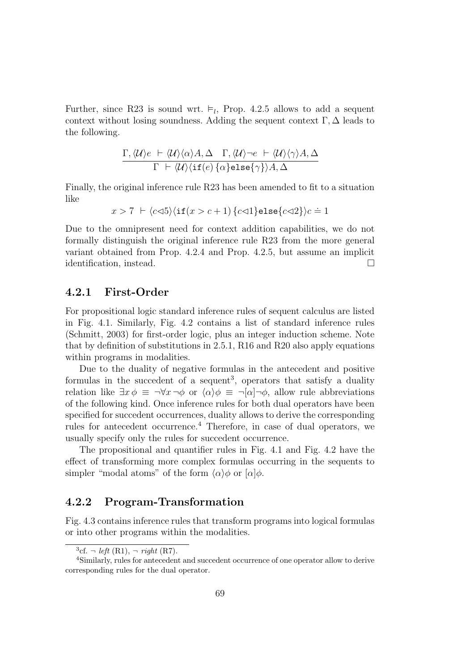Further, since R23 is sound wrt.  $\vDash_l$ , Prop. 4.2.5 allows to add a sequent context without losing soundness. Adding the sequent context  $\Gamma, \Delta$  leads to the following.

$$
\frac{\Gamma, \langle \mathcal{U} \rangle e + \langle \mathcal{U} \rangle \langle \alpha \rangle A, \Delta \quad \Gamma, \langle \mathcal{U} \rangle \neg e + \langle \mathcal{U} \rangle \langle \gamma \rangle A, \Delta}{\Gamma + \langle \mathcal{U} \rangle \langle \text{if}(e) \{ \alpha \} \text{else} \{ \gamma \} \rangle A, \Delta}
$$

Finally, the original inference rule R23 has been amended to fit to a situation like

$$
x > 7 \ \vdash \langle c \triangleleft 5 \rangle \langle \text{if} (x > c + 1) \{c \triangleleft 1\} \text{else} \{c \triangleleft 2\} \rangle c \doteq 1
$$

Due to the omnipresent need for context addition capabilities, we do not formally distinguish the original inference rule R23 from the more general variant obtained from Prop. 4.2.4 and Prop. 4.2.5, but assume an implicit identification, instead.

#### 4.2.1 First-Order

For propositional logic standard inference rules of sequent calculus are listed in Fig. 4.1. Similarly, Fig. 4.2 contains a list of standard inference rules (Schmitt, 2003) for first-order logic, plus an integer induction scheme. Note that by definition of substitutions in 2.5.1, R16 and R20 also apply equations within programs in modalities.

Due to the duality of negative formulas in the antecedent and positive formulas in the succedent of a sequent 3 , operators that satisfy a duality relation like  $\exists x \phi \equiv \neg \forall x \neg \phi$  or  $\langle \alpha \rangle \phi \equiv \neg [\alpha] \neg \phi$ , allow rule abbreviations of the following kind. Once inference rules for both dual operators have been specified for succedent occurrences, duality allows to derive the corresponding rules for antecedent occurrence.<sup>4</sup> Therefore, in case of dual operators, we usually specify only the rules for succedent occurrence.

The propositional and quantifier rules in Fig. 4.1 and Fig. 4.2 have the effect of transforming more complex formulas occurring in the sequents to simpler "modal atoms" of the form  $\langle \alpha \rangle \phi$  or  $\langle \alpha | \phi$ .

#### 4.2.2 Program-Transformation

Fig. 4.3 contains inference rules that transform programs into logical formulas or into other programs within the modalities.

 ${}^{3}$ cf.  $\neg$  *left* (R1),  $\neg$  *right* (R7).

<sup>4</sup>Similarly, rules for antecedent and succedent occurrence of one operator allow to derive corresponding rules for the dual operator.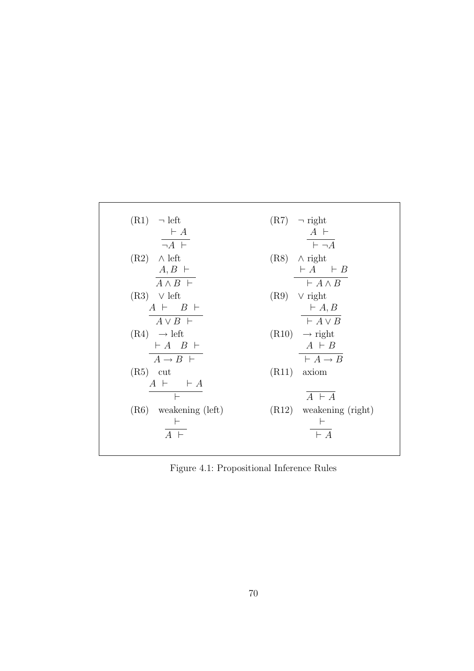(R1) 
$$
\neg
$$
 left  
\n $\neg A$   
\n $\neg A$   
\n(R2)  $\land$  left  
\nA, B  $\vdash$   
\n(A, B  $\vdash$   
\n(A, B  $\vdash$   
\n(A, B  $\vdash$   
\n(A, B  $\vdash$   
\n(A, B  $\vdash$   
\n(A, B  $\vdash$   
\n(A, B  $\vdash$   
\n(A, B  $\vdash$   
\n(A, B  $\vdash$   
\n(A, B  $\vdash$   
\n(A, B  $\vdash$   
\n(A, B  $\vdash$   
\n(A, B  $\vdash$   
\n(A, B  $\vdash$   
\n(A, B  $\vdash$   
\n(A, B  $\vdash$   
\n(A, B  $\vdash$   
\n(A, B  $\vdash$   
\n(A, B  $\vdash$   
\n(A, B  $\vdash$   
\n(A, B  $\vdash$   
\n(A, B  $\vdash$   
\n(A, B  $\vdash$   
\n(A, B  $\vdash$   
\n(A, B  $\vdash$   
\n(A, B  $\vdash$   
\n(A, B  $\vdash$   
\n(A, B  $\vdash$   
\n(A, B  $\vdash$   
\n(A, B  $\vdash$   
\n(A, B  $\vdash$   
\n(A, B  $\vdash$   
\n(A, B  $\vdash$   
\n(A, B  $\vdash$   
\n(A, B  $\vdash$   
\n(A, B  $\vdash$   
\n(A, B  $\vdash$   
\n(A, B  $\vdash$   
\n(A, B  $\vdash$   
\n(A, B  $\vdash$   
\n(A, B  $\vdash$   
\n(A, B  $\vdash$   
\n(A, B  $\vdash$   
\n(A, B  $\vdash$   
\n(A, B  $\vdash$   
\n(A, B  $\vdash$   
\n(A, B  $\vdash$   
\n(A, B  $\vdash$   
\n(A, B  $\vdash$   
\n(A, B  $\vdash$   
\n(A

Figure 4.1: Propositional Inference Rules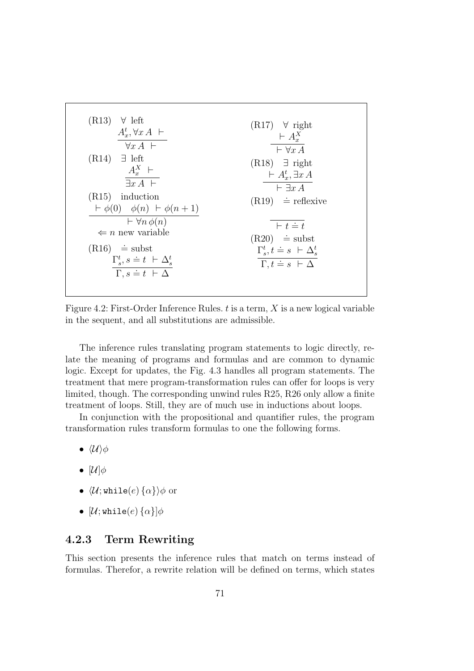(R13) 
$$
\forall
$$
 left  
\n
$$
\frac{A_x^t, \forall x A \vdash}{\forall x A \vdash}
$$
\n(R14)  $\exists$  left  
\n
$$
\frac{A_x^X \vdash}{\exists x A \vdash}
$$
\n(R15) induction  
\n $\vdash \phi(0) \phi(n) \vdash \phi(n+1)$   
\n $\Leftarrow n$  new variable  
\n(R16)  $\exists$  subset  
\n
$$
\frac{\Gamma_s^t, s \doteq t \vdash \Delta_s^t}{\Gamma, s \doteq t \vdash \Delta}
$$
\n(R20)  $\exists$  subset  
\n
$$
\frac{\Gamma_s^t, t \doteq s \vdash \Delta_s^t}{\Gamma, t \doteq s \vdash \Delta}
$$
\n(R30)  $\exists$  reflexive  
\n $\frac{\Gamma_s^t, t \doteq s \vdash \Delta_s^t}{\Gamma, t \doteq s \vdash \Delta_s}$ 

Figure 4.2: First-Order Inference Rules.  $t$  is a term,  $X$  is a new logical variable in the sequent, and all substitutions are admissible.

The inference rules translating program statements to logic directly, relate the meaning of programs and formulas and are common to dynamic logic. Except for updates, the Fig. 4.3 handles all program statements. The treatment that mere program-transformation rules can offer for loops is very limited, though. The corresponding unwind rules R25, R26 only allow a finite treatment of loops. Still, they are of much use in inductions about loops.

In conjunction with the propositional and quantifier rules, the program transformation rules transform formulas to one the following forms.

- $\langle \mathcal{U} \rangle \phi$
- $[\mathcal{U}]\phi$
- $\langle \mathcal{U}; \text{while}(e) \{\alpha\} \rangle \phi$  or
- $[\mathcal{U}; \text{while}(e) \{\alpha\}] \phi$

#### 4.2.3 Term Rewriting

This section presents the inference rules that match on terms instead of formulas. Therefor, a rewrite relation will be defined on terms, which states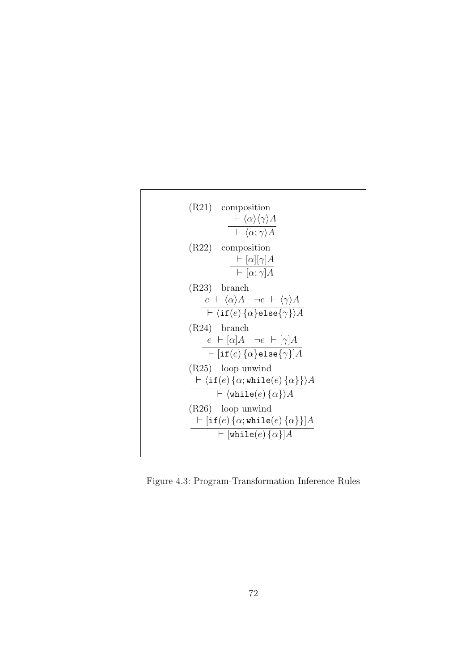

Figure 4.3: Program-Transformation Inference Rules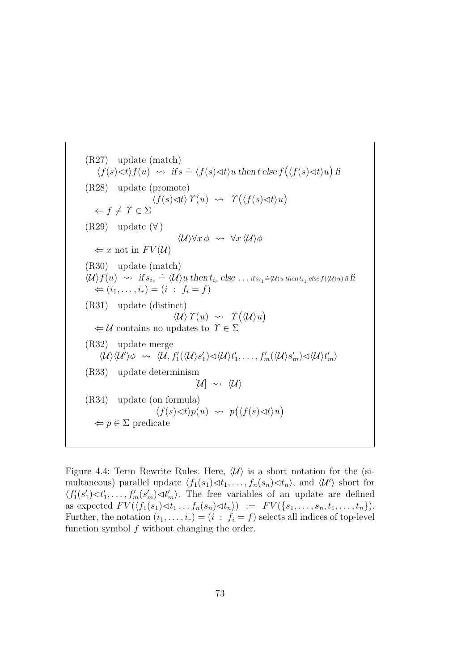(R27) update (match)  
\n
$$
\langle f(s) \prec t \rangle f(u) \rightsquigarrow if s = \langle f(s) \prec t \rangle u
$$
 then t else  $f(\langle f(s) \prec t \rangle u)$  fi  
\n(R28) update (promote)  
\n $\langle f(s) \prec t \rangle T(u) \rightsquigarrow T(\langle f(s) \prec t \rangle u)$   
\n $\Leftarrow f \neq T \in \Sigma$   
\n(R29) update  $(\forall)$   
\n $\langle U \rangle \forall x \phi \rightsquigarrow \forall x \langle U \rangle \phi$   
\n $\Leftarrow x$  not in  $FV(U)$   
\n(R30) update (match)  
\n $\langle U \rangle f(u) \rightsquigarrow if s_{i_r} = \langle U \rangle u$  then  $t_{i_r}$  else ... if  $s_{i_1} = \langle U \rangle u$  then  $t_{i_1}$  else  $f(\langle U \rangle u)$  if  $f(\langle U \rangle u) \rightsquigarrow f(\langle U \rangle u)$   
\n $\Leftarrow (i_1, ..., i_r) = (i : f_i = f)$   
\n(R31) update (distinct)  
\n $\langle U \rangle T(u) \rightsquigarrow T(\langle U \rangle u)$   
\n $\Leftarrow U$  contains no updates to  $T \in \Sigma$   
\n(R32) update merge  
\n $\langle U \rangle \langle U' \rangle \phi \rightsquigarrow \langle U, f'_1(\langle U \rangle s'_1) \prec \langle U \rangle t'_1, ..., f'_m(\langle U \rangle s'_m) \prec \langle U \rangle t'_m \rangle$   
\n(R33) update determinism  
\n $[U] \rightsquigarrow \langle U \rangle$   
\n(R34) update (on formula)  
\n $\langle f(s) \prec t \rangle p(u) \rightsquigarrow p(\langle f(s) \prec t \rangle u)$   
\n $\Leftarrow p \in \Sigma$  predicate

Figure 4.4: Term Rewrite Rules. Here,  $\langle U \rangle$  is a short notation for the (simultaneous) parallel update  $\langle f_1(s_1) \ll t_1, \ldots, f_n(s_n) \ll t_n \rangle$ , and  $\langle \mathcal{U}' \rangle$  short for  $\langle f_1'(s_1')\langle t_1',\ldots,t_m'(s_m')\langle t_m'\rangle$ . The free variables of an update are defined as expected  $FV(\langle f_1(s_1)\langle t_1 \ldots f_n(s_n)\langle t_n \rangle) := FV(\{s_1,\ldots,s_n,t_1,\ldots,t_n\}).$ Further, the notation  $(i_1, \ldots, i_r) = (i : f_i = f)$  selects all indices of top-level function symbol  $f$  without changing the order.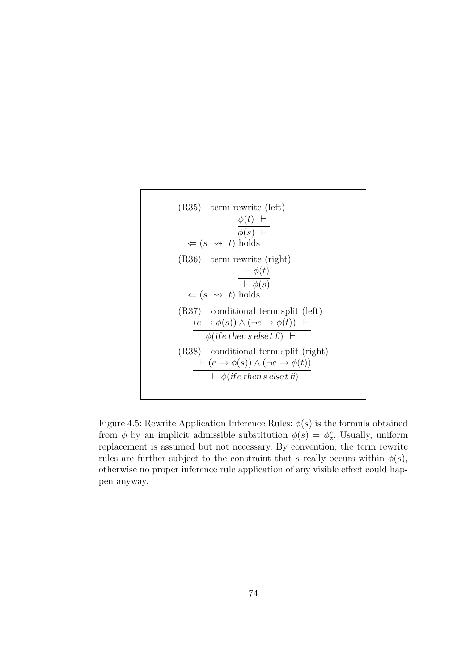(R35) term rewrite (left)  $\phi(t)$   $\vdash$  $\phi(s)$   $\vdash$  $\Leftarrow$  (s  $\rightsquigarrow$  t) holds (R36) term rewrite (right)  $\vdash \phi(t)$  $\vdash \phi (s)$  $\Leftarrow$  (s  $\rightsquigarrow$  t) holds (R37) conditional term split (left)  $(e \to \phi(s)) \land (\neg e \to \phi(t))$   $\vdash$  $\phi$ (if e then s else t fi)  $\vdash$ (R38) conditional term split (right)  $\vdash (e \rightarrow \phi(s)) \land (\neg e \rightarrow \phi(t))$  $\vdash \phi$ (if e then s else t fi)

Figure 4.5: Rewrite Application Inference Rules:  $\phi(s)$  is the formula obtained from  $\phi$  by an implicit admissible substitution  $\phi(s) = \phi_s^s$ . Usually, uniform replacement is assumed but not necessary. By convention, the term rewrite rules are further subject to the constraint that s really occurs within  $\phi(s)$ , otherwise no proper inference rule application of any visible effect could happen anyway.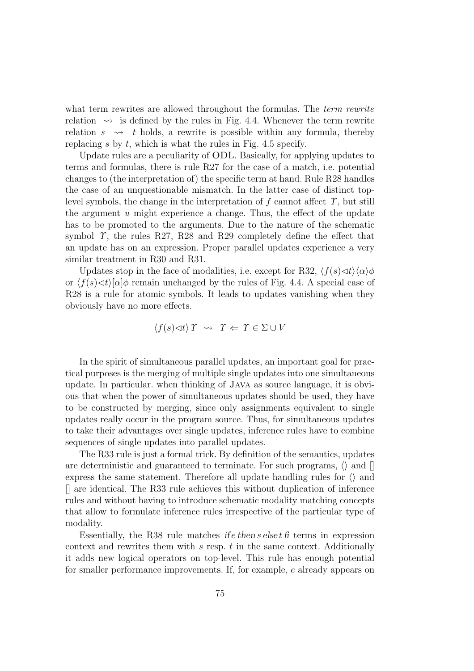what term rewrites are allowed throughout the formulas. The *term rewrite* relation  $\rightarrow$  is defined by the rules in Fig. 4.4. Whenever the term rewrite relation  $s \rightsquigarrow t$  holds, a rewrite is possible within any formula, thereby replacing  $s$  by  $t$ , which is what the rules in Fig. 4.5 specify.

Update rules are a peculiarity of ODL. Basically, for applying updates to terms and formulas, there is rule R27 for the case of a match, i.e. potential changes to (the interpretation of) the specific term at hand. Rule R28 handles the case of an unquestionable mismatch. In the latter case of distinct toplevel symbols, the change in the interpretation of f cannot affect  $\gamma$ , but still the argument  $u$  might experience a change. Thus, the effect of the update has to be promoted to the arguments. Due to the nature of the schematic symbol  $\Upsilon$ , the rules R27, R28 and R29 completely define the effect that an update has on an expression. Proper parallel updates experience a very similar treatment in R30 and R31.

Updates stop in the face of modalities, i.e. except for R32,  $\langle f(s) \langle \phi \rangle \phi$ or  $\langle f(s)\langle t\rangle|\alpha|\phi$  remain unchanged by the rules of Fig. 4.4. A special case of R28 is a rule for atomic symbols. It leads to updates vanishing when they obviously have no more effects.

$$
\langle f(s)\triangleleft t\rangle \, \Upsilon \, \rightsquigarrow \, \Upsilon \Leftarrow \, \Upsilon \in \Sigma \cup V
$$

In the spirit of simultaneous parallel updates, an important goal for practical purposes is the merging of multiple single updates into one simultaneous update. In particular. when thinking of Java as source language, it is obvious that when the power of simultaneous updates should be used, they have to be constructed by merging, since only assignments equivalent to single updates really occur in the program source. Thus, for simultaneous updates to take their advantages over single updates, inference rules have to combine sequences of single updates into parallel updates.

The R33 rule is just a formal trick. By definition of the semantics, updates are deterministic and guaranteed to terminate. For such programs,  $\langle \rangle$  and  $\langle \rangle$ express the same statement. Therefore all update handling rules for  $\langle \rangle$  and [] are identical. The R33 rule achieves this without duplication of inference rules and without having to introduce schematic modality matching concepts that allow to formulate inference rules irrespective of the particular type of modality.

Essentially, the R38 rule matches if  $e$  then  $s$  elset  $f$  terms in expression context and rewrites them with  $s$  resp.  $t$  in the same context. Additionally it adds new logical operators on top-level. This rule has enough potential for smaller performance improvements. If, for example, e already appears on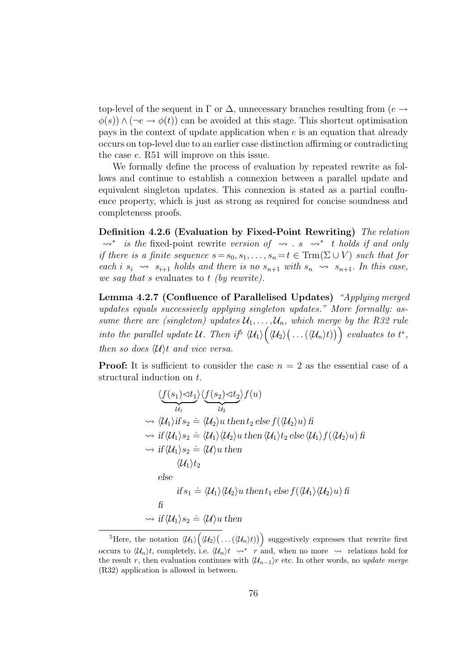top-level of the sequent in  $\Gamma$  or  $\Delta$ , unnecessary branches resulting from  $(e \rightarrow$  $\phi(s)$ )  $\wedge (\neg e \rightarrow \phi(t))$  can be avoided at this stage. This shortcut optimisation pays in the context of update application when  $e$  is an equation that already occurs on top-level due to an earlier case distinction affirming or contradicting the case e. R51 will improve on this issue.

We formally define the process of evaluation by repeated rewrite as follows and continue to establish a connexion between a parallel update and equivalent singleton updates. This connexion is stated as a partial confluence property, which is just as strong as required for concise soundness and completeness proofs.

Definition 4.2.6 (Evaluation by Fixed-Point Rewriting) The relation  $\rightsquigarrow^*$  is the fixed-point rewrite version of  $\rightsquigarrow$ . s  $\rightsquigarrow^*$  t holds if and only if there is a finite sequence  $s=s_0, s_1, \ldots, s_n=t \in \text{Trm}(\Sigma \cup V)$  such that for each i  $s_i \rightsquigarrow s_{i+1}$  holds and there is no  $s_{n+1}$  with  $s_n \rightsquigarrow s_{n+1}$ . In this case, we say that s evaluates to t (by rewrite).

Lemma 4.2.7 (Confluence of Parallelised Updates) "Applying merged updates equals successively applying singleton updates." More formally: assume there are (singleton) updates  $\mathcal{U}_1, \ldots, \mathcal{U}_n$ , which merge by the R32 rule into the parallel update U. Then if<sup>5</sup>  $\langle U_1 \rangle (\langle U_2 \rangle (\dots (\langle U_n \rangle t)) )$  evaluates to  $t^*$ , then so does  $\langle U \rangle t$  and vice versa.

**Proof:** It is sufficient to consider the case  $n = 2$  as the essential case of a structural induction on t.

$$
\langle \underbrace{f(s_1) \triangleleft t_1}_{\mathcal{U}_1} \rangle \langle \underbrace{f(s_2) \triangleleft t_2}_{\mathcal{U}_2} \rangle f(u)
$$
\n
$$
\sim \langle \mathcal{U}_1 \rangle \text{ if } s_2 \doteq \langle \mathcal{U}_2 \rangle u \text{ then } t_2 \text{ else } f(\langle \mathcal{U}_2 \rangle u) \text{ fi}
$$
\n
$$
\sim \text{ if } \langle \mathcal{U}_1 \rangle s_2 \doteq \langle \mathcal{U}_1 \rangle \langle \mathcal{U}_2 \rangle u \text{ then } \langle \mathcal{U}_1 \rangle t_2 \text{ else } \langle \mathcal{U}_1 \rangle f(\langle \mathcal{U}_2 \rangle u) \text{ fi}
$$
\n
$$
\sim \text{ if } \langle \mathcal{U}_1 \rangle s_2 \doteq \langle \mathcal{U} \rangle u \text{ then}
$$
\n
$$
\langle \mathcal{U}_1 \rangle t_2
$$
\nelse\n
$$
\text{ if } s_1 \doteq \langle \mathcal{U}_1 \rangle \langle \mathcal{U}_2 \rangle u \text{ then } t_1 \text{ else } f(\langle \mathcal{U}_1 \rangle \langle \mathcal{U}_2 \rangle u) \text{ fi}
$$
\nfi\n
$$
\sim \text{ if } \langle \mathcal{U}_1 \rangle s_2 \doteq \langle \mathcal{U} \rangle u \text{ then}
$$

<sup>&</sup>lt;sup>5</sup>Here, the notation  $\langle U_1 \rangle (\langle U_2 \rangle (\dots (\langle U_n \rangle t)) )$  suggestively expresses that rewrite first occurs to  $\langle \mathcal{U}_n \rangle t$ , completely, i.e.  $\langle \mathcal{U}_n \rangle t \rightsquigarrow^* r$  and, when no more  $\rightsquigarrow$  relations hold for the result r, then evaluation continues with  $\langle \mathcal{U}_{n-1} \rangle r$  etc. In other words, no update merge (R32) application is allowed in between.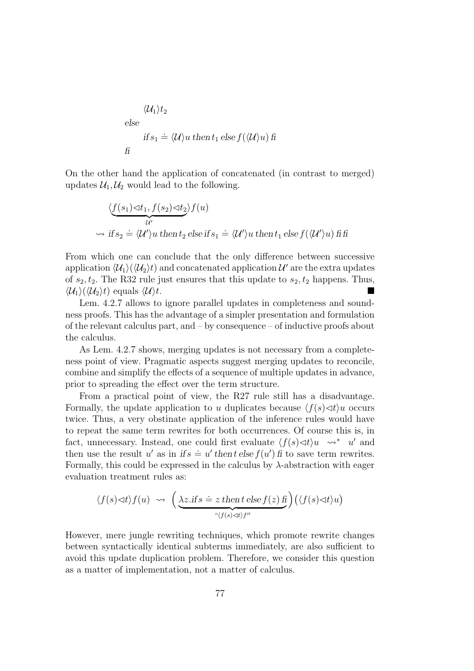$$
\langle U_1 \rangle t_2
$$
else
$$
if s_1 = \langle U \rangle u then t_1 else f(\langle U \rangle u) fi
$$

On the other hand the application of concatenated (in contrast to merged) updates  $\mathcal{U}_1, \mathcal{U}_2$  would lead to the following.

$$
\langle \underbrace{f(s_1) \triangleleft t_1}_{\mathcal{U}'} , f(s_2) \triangleleft t_2}_{\mathcal{U}'} \rangle f(u)
$$
  
\n
$$
\sim
$$
 if  $s_2 \doteq \langle \mathcal{U}' \rangle u$  then  $t_2$  else if  $s_1 \doteq \langle \mathcal{U}' \rangle u$  then  $t_1$  else  $f(\langle \mathcal{U}' \rangle u)$  if f

From which one can conclude that the only difference between successive application  $\langle \mathcal{U}_1 \rangle (\langle \mathcal{U}_2 \rangle t)$  and concatenated application  $\mathcal{U}'$  are the extra updates of  $s_2, t_2$ . The R32 rule just ensures that this update to  $s_2, t_2$  happens. Thus,  $\langle \mathcal{U}_1 \rangle(\langle \mathcal{U}_2 \rangle t)$  equals  $\langle \mathcal{U} \rangle t$ .

Lem. 4.2.7 allows to ignore parallel updates in completeness and soundness proofs. This has the advantage of a simpler presentation and formulation of the relevant calculus part, and – by consequence – of inductive proofs about the calculus.

As Lem. 4.2.7 shows, merging updates is not necessary from a completeness point of view. Pragmatic aspects suggest merging updates to reconcile, combine and simplify the effects of a sequence of multiple updates in advance, prior to spreading the effect over the term structure.

From a practical point of view, the R27 rule still has a disadvantage. Formally, the update application to u duplicates because  $\langle f(s) \triangleleft t \rangle u$  occurs twice. Thus, a very obstinate application of the inference rules would have to repeat the same term rewrites for both occurrences. Of course this is, in fact, unnecessary. Instead, one could first evaluate  $\langle f(s) \langle t \rangle u \rightarrow^* u'$  and then use the result u' as in if  $s = u'$  then t else  $f(u')$  fi to save term rewrites. Formally, this could be expressed in the calculus by  $\lambda$ -abstraction with eager evaluation treatment rules as:

$$
\langle f(s)\vartriangleleft t\rangle f(u) \;\rightsquigarrow\; \Big(\underbrace{\lambda z. \text{if}\, s \doteq z \text{ then } t \text{ else } f(z) \text{ fi}}_{\text{``}\langle f(s)\vartriangleleft t\rangle f^{\prime\prime}}\Big) \Big(\langle f(s)\vartriangleleft t\rangle u\Big)
$$

However, mere jungle rewriting techniques, which promote rewrite changes between syntactically identical subterms immediately, are also sufficient to avoid this update duplication problem. Therefore, we consider this question as a matter of implementation, not a matter of calculus.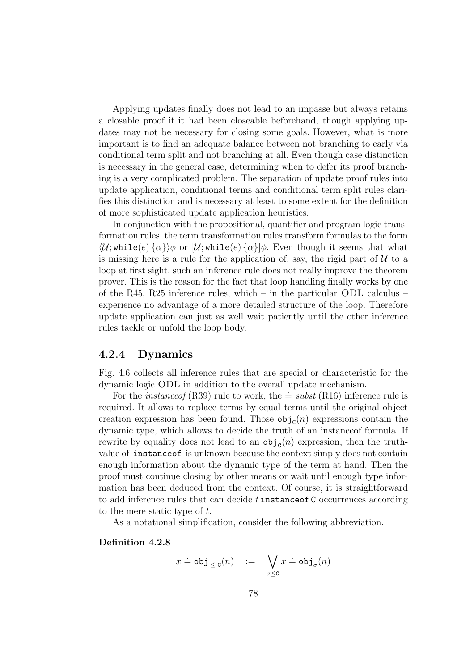Applying updates finally does not lead to an impasse but always retains a closable proof if it had been closeable beforehand, though applying updates may not be necessary for closing some goals. However, what is more important is to find an adequate balance between not branching to early via conditional term split and not branching at all. Even though case distinction is necessary in the general case, determining when to defer its proof branching is a very complicated problem. The separation of update proof rules into update application, conditional terms and conditional term split rules clarifies this distinction and is necessary at least to some extent for the definition of more sophisticated update application heuristics.

In conjunction with the propositional, quantifier and program logic transformation rules, the term transformation rules transform formulas to the form  $\langle U; \text{while}(e) \{\alpha\} \rangle \phi$  or  $[U; \text{while}(e) \{\alpha\}] \phi$ . Even though it seems that what is missing here is a rule for the application of, say, the rigid part of  $U$  to a loop at first sight, such an inference rule does not really improve the theorem prover. This is the reason for the fact that loop handling finally works by one of the R45, R25 inference rules, which – in the particular ODL calculus – experience no advantage of a more detailed structure of the loop. Therefore update application can just as well wait patiently until the other inference rules tackle or unfold the loop body.

#### 4.2.4 Dynamics

Fig. 4.6 collects all inference rules that are special or characteristic for the dynamic logic ODL in addition to the overall update mechanism.

For the *instanceof* (R39) rule to work, the  $\dot{=}$  subst (R16) inference rule is required. It allows to replace terms by equal terms until the original object creation expression has been found. Those  $\mathsf{obj}_{\mathsf{C}}(n)$  expressions contain the dynamic type, which allows to decide the truth of an instanceof formula. If rewrite by equality does not lead to an  $obj_c(n)$  expression, then the truthvalue of instanceof is unknown because the context simply does not contain enough information about the dynamic type of the term at hand. Then the proof must continue closing by other means or wait until enough type information has been deduced from the context. Of course, it is straightforward to add inference rules that can decide  $t$  instance of  $C$  occurrences according to the mere static type of t.

As a notational simplification, consider the following abbreviation.

#### Definition 4.2.8

$$
x \doteq \texttt{obj}_{\leq \texttt{C}}(n) \quad := \quad \bigvee_{\sigma \leq \texttt{C}} x \doteq \texttt{obj}_{\sigma}(n)
$$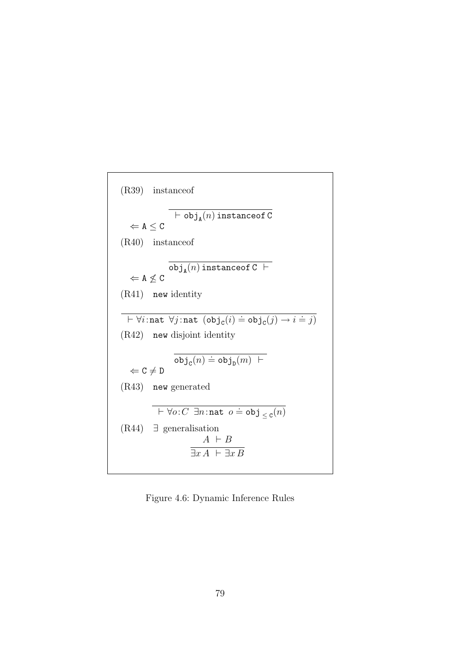(R39) instanceof  $\vdash \texttt{obj}_\texttt{A}(n)$  instanceof C  $\Leftarrow$  A  $\leq$  C (R40) instanceof  $\mathtt{obj_A}(n)$  instanceof C  $\;\vdash$  $\Leftrightarrow$  A  $\measuredangle$  C (R41) new identity  $\overline{\forall i:\texttt{nat }\forall j:\texttt{nat}(\texttt{obj}_c(i) \doteq \texttt{obj}_c(j) \rightarrow i \doteq j)}$ (R42) new disjoint identity  $\overline{\mathsf{obj}_{\mathsf{C}}(n)} \doteq \mathsf{obj}_{\mathsf{D}}(m)$   $\vdash$  $\Leftrightarrow$  C  $\neq$  D (R43) new generated  $\overline{\vdash \forall o(C \exists n : \mathtt{nat} \ o \doteq \mathtt{obj}_{\leq \mathtt{C}}(n)}$  $(R44) \exists$  generalisation  $A \vdash B$  $\overline{\exists x A \vdash \exists x B}$ 

Figure 4.6: Dynamic Inference Rules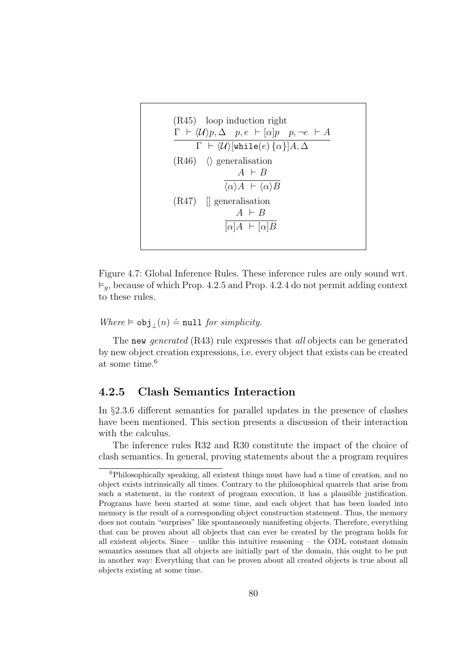(R45) loop induction right  
\n
$$
\frac{\Gamma \vdash \langle \mathcal{U} \rangle p, \Delta \quad p, e \vdash [\alpha]p \quad p, \neg e \vdash A}{\Gamma \vdash \langle \mathcal{U} \rangle [\text{while}(e) \{\alpha\}]A, \Delta}
$$
\n(R46)  $\langle \rangle$  generalisation  
\n
$$
\frac{A \vdash B}{\langle \alpha \rangle A \vdash \langle \alpha \rangle B}
$$
\n(R47) [] generalisation  
\n
$$
\frac{A \vdash B}{[\alpha]A \vdash [\alpha]B}
$$

Figure 4.7: Global Inference Rules. These inference rules are only sound wrt.  $\vDash_g$ , because of which Prop. 4.2.5 and Prop. 4.2.4 do not permit adding context to these rules.

## Where  $\models$   $obj_{\perp}(n) \doteq null$  for simplicity.

The new *generated* (R43) rule expresses that *all* objects can be generated by new object creation expressions, i.e. every object that exists can be created at some time.<sup>6</sup>

#### 4.2.5 Clash Semantics Interaction

In §2.3.6 different semantics for parallel updates in the presence of clashes have been mentioned. This section presents a discussion of their interaction with the calculus.

The inference rules R32 and R30 constitute the impact of the choice of clash semantics. In general, proving statements about the a program requires

<sup>&</sup>lt;sup>6</sup>Philosophically speaking, all existent things must have had a time of creation, and no object exists intrinsically all times. Contrary to the philosophical quarrels that arise from such a statement, in the context of program execution, it has a plausible justification. Programs have been started at some time, and each object that has been loaded into memory is the result of a corresponding object construction statement. Thus, the memory does not contain "surprises" like spontaneously manifesting objects. Therefore, everything that can be proven about all objects that can ever be created by the program holds for all existent objects. Since – unlike this intuitive reasoning – the ODL constant domain semantics assumes that all objects are initially part of the domain, this ought to be put in another way: Everything that can be proven about all created objects is true about all objects existing at some time.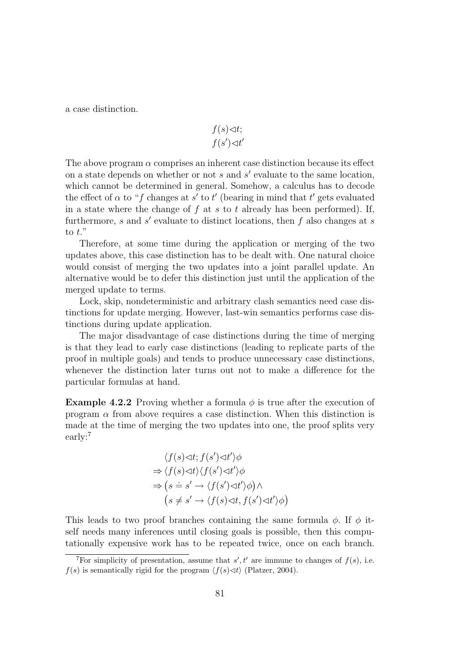a case distinction.

$$
f(s) \triangleleft t;
$$
  

$$
f(s') \triangleleft t'
$$

The above program  $\alpha$  comprises an inherent case distinction because its effect on a state depends on whether or not  $s$  and  $s'$  evaluate to the same location, which cannot be determined in general. Somehow, a calculus has to decode the effect of  $\alpha$  to "f changes at s' to t' (bearing in mind that t' gets evaluated in a state where the change of f at s to t already has been performed). If, furthermore,  $s$  and  $s'$  evaluate to distinct locations, then  $f$  also changes at  $s$ to  $t$ ."

Therefore, at some time during the application or merging of the two updates above, this case distinction has to be dealt with. One natural choice would consist of merging the two updates into a joint parallel update. An alternative would be to defer this distinction just until the application of the merged update to terms.

Lock, skip, nondeterministic and arbitrary clash semantics need case distinctions for update merging. However, last-win semantics performs case distinctions during update application.

The major disadvantage of case distinctions during the time of merging is that they lead to early case distinctions (leading to replicate parts of the proof in multiple goals) and tends to produce unnecessary case distinctions, whenever the distinction later turns out not to make a difference for the particular formulas at hand.

**Example 4.2.2** Proving whether a formula  $\phi$  is true after the execution of program  $\alpha$  from above requires a case distinction. When this distinction is made at the time of merging the two updates into one, the proof splits very early:<sup>7</sup>

$$
\langle f(s)\langle\mathbf{d}t; f(s')\langle\mathbf{d}'\rangle \phi
$$
  
\n
$$
\Rightarrow \langle f(s)\langle\mathbf{d}t\rangle \langle f(s')\langle\mathbf{d}'\rangle \phi
$$
  
\n
$$
\Rightarrow (s \doteq s' \rightarrow \langle f(s')\langle\mathbf{d}'\rangle \phi) \land
$$
  
\n
$$
(s \neq s' \rightarrow \langle f(s)\langle\mathbf{d}t, f(s')\langle\mathbf{d}'\rangle \phi)
$$

This leads to two proof branches containing the same formula  $\phi$ . If  $\phi$  itself needs many inferences until closing goals is possible, then this computationally expensive work has to be repeated twice, once on each branch.

<sup>&</sup>lt;sup>7</sup>For simplicity of presentation, assume that  $s', t'$  are immune to changes of  $f(s)$ , i.e.  $f(s)$  is semantically rigid for the program  $\langle f(s) \prec t \rangle$  (Platzer, 2004).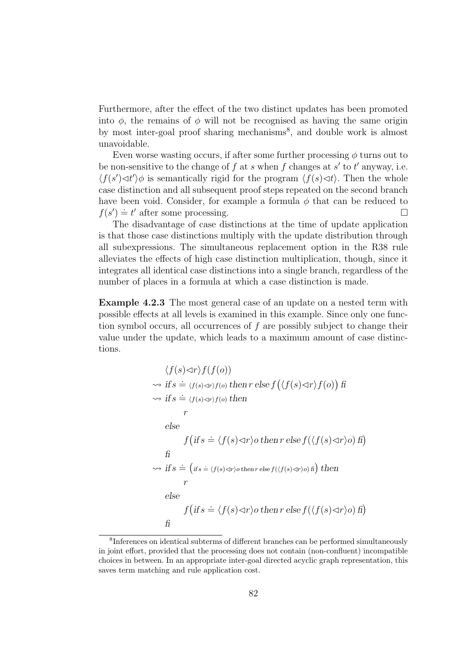Furthermore, after the effect of the two distinct updates has been promoted into  $\phi$ , the remains of  $\phi$  will not be recognised as having the same origin by most inter-goal proof sharing mechanisms<sup>8</sup>, and double work is almost unavoidable.

Even worse wasting occurs, if after some further processing  $\phi$  turns out to be non-sensitive to the change of f at s when f changes at s' to t' anyway, i.e.  $\langle f(s')\langle t'\rangle\phi$  is semantically rigid for the program  $\langle f(s)\langle t\rangle$ . Then the whole case distinction and all subsequent proof steps repeated on the second branch have been void. Consider, for example a formula  $\phi$  that can be reduced to  $f(s') \doteq t'$  after some processing.

The disadvantage of case distinctions at the time of update application is that those case distinctions multiply with the update distribution through all subexpressions. The simultaneous replacement option in the R38 rule alleviates the effects of high case distinction multiplication, though, since it integrates all identical case distinctions into a single branch, regardless of the number of places in a formula at which a case distinction is made.

Example 4.2.3 The most general case of an update on a nested term with possible effects at all levels is examined in this example. Since only one function symbol occurs, all occurrences of  $f$  are possibly subject to change their value under the update, which leads to a maximum amount of case distinctions.

$$
\langle f(s) \langle r \rangle f(f(o))
$$
  
\n
$$
\sim \text{if } s \doteq \langle f(s) \langle r \rangle f(o) \text{ then } r \text{ else } f(\langle f(s) \langle r \rangle f(o)) \text{ f}i
$$
  
\n
$$
\sim \text{if } s \doteq \langle f(s) \langle r \rangle f(o) \text{ then }
$$
  
\n
$$
r
$$
  
\nelse  
\n
$$
f(\text{if } s \doteq \langle f(s) \langle r \rangle o \text{ then } r \text{ else } f(\langle f(s) \langle r \rangle o) \text{ f}i)
$$
  
\nfi  
\n
$$
\sim \text{if } s \doteq (fs \doteq \langle f(s) \langle r \rangle o \text{ then } r \text{ else } f(\langle f(s) \langle r \rangle o) \text{ f}i)
$$
  
\n
$$
r
$$
  
\nelse  
\n
$$
f(\text{if } s \doteq \langle f(s) \langle r \rangle o \text{ then } r \text{ else } f(\langle f(s) \langle r \rangle o) \text{ f}i)
$$
  
\nfi  
\nfi

<sup>8</sup> Inferences on identical subterms of different branches can be performed simultaneously in joint effort, provided that the processing does not contain (non-confluent) incompatible choices in between. In an appropriate inter-goal directed acyclic graph representation, this saves term matching and rule application cost.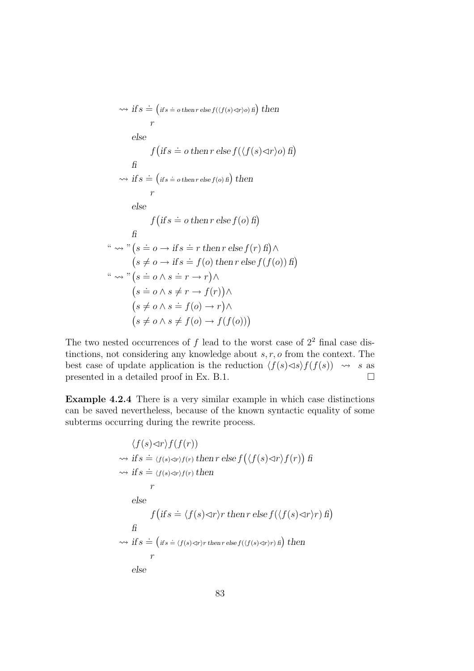$$
\Rightarrow \text{ if } s = (\text{if } s = o \text{ then } r \text{ else } f(\langle f(s) \triangle r \rangle o) \text{ f}) \text{ then}
$$
\n
$$
r
$$
\n
$$
\text{else}
$$
\n
$$
f \left( \text{if } s = o \text{ then } r \text{ else } f(\langle f(s) \triangle r \rangle o) \text{ f} \right)
$$
\n
$$
\text{f}
$$
\n
$$
\Rightarrow \text{ if } s = (\text{if } s = o \text{ then } r \text{ else } f(o) \text{ f}) \text{ then}
$$
\n
$$
r
$$
\n
$$
\text{else}
$$
\n
$$
f \left( \text{if } s = o \text{ then } r \text{ else } f(o) \text{ f} \right)
$$
\n
$$
\text{f}
$$
\n
$$
\Rightarrow \text{`` } (s = o \rightarrow \text{ if } s = r \text{ then } r \text{ else } f(r) \text{ f}) \land
$$
\n
$$
(s \neq o \rightarrow \text{ if } s = f(o) \text{ then } r \text{ else } f(f(o)) \text{ f})
$$
\n
$$
\Rightarrow \text{`` } (s = o \land s = r \rightarrow r) \land
$$
\n
$$
(s = o \land s \neq r \rightarrow f(r)) \land
$$
\n
$$
(s \neq o \land s = f(o) \rightarrow r) \land
$$
\n
$$
(s \neq o \land s \neq f(o) \rightarrow f(f(o)))
$$

The two nested occurrences of  $f$  lead to the worst case of  $2<sup>2</sup>$  final case distinctions, not considering any knowledge about  $s, r, o$  from the context. The best case of update application is the reduction  $\langle f(s) \triangleleft s \rangle f(f(s)) \rangle \rightsquigarrow s$  as presented in a detailed proof in Ex. B.1.  $\Box$ 

Example 4.2.4 There is a very similar example in which case distinctions can be saved nevertheless, because of the known syntactic equality of some subterms occurring during the rewrite process.

$$
\langle f(s) \langle \langle r \rangle f(f(r)) \rangle
$$
  
\n
$$
\langle f(s) \langle \langle r \rangle f(r) \rangle
$$
 then  $r$  else  $f(\langle f(s) \langle \langle r \rangle f(r)) \rangle f(r)$   
\n
$$
\langle f(s) \langle \langle r \rangle f(r) \rangle
$$
 then  
\n $r$   
\nelse  
\n $f(\text{if } s \leq \langle f(s) \langle \langle r \rangle \rangle r) \text{ then } r \text{ else } f(\langle f(s) \langle \langle r \rangle \rangle r) \text{ if})$   
\nfi  
\n $f(\text{if } s \leq \langle f(s) \langle \langle r \rangle \rangle r) \text{ then } r \text{ else } f(\langle f(s) \langle \langle r \rangle \rangle r) \text{ if}) \text{ then}$   
\n $r$   
\nelse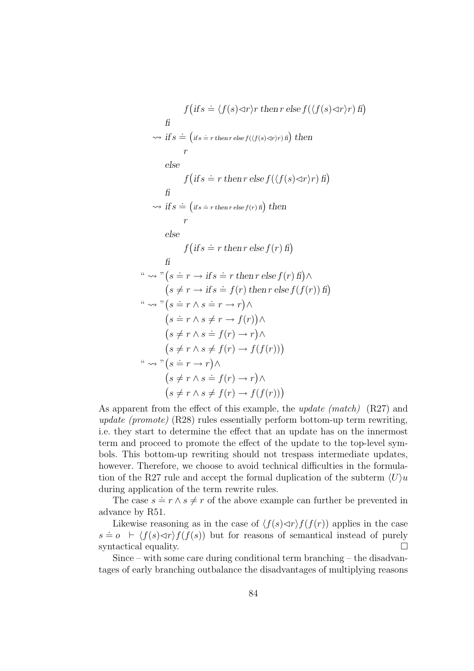$$
f\left( \text{if } s \doteq \langle f(s) \lhd r \rangle r \text{ then } r \text{ else } f(\langle f(s) \lhd r \rangle r) \text{ f} \right)
$$
\n
$$
\hat{f} \rightarrow \text{if } s \doteq ( \text{if } s \doteq r \text{ then } r \text{ else } f(\langle f(s) \lhd r \rangle r) \text{ f} ) \text{ then}
$$
\n
$$
r
$$
\n
$$
\text{else}
$$
\n
$$
f\left( \text{if } s \doteq r \text{ then } r \text{ else } f(\langle f(s) \lhd r \rangle r) \text{ f} \right)
$$
\n
$$
\hat{f}
$$
\n
$$
\rightarrow \text{if } s \doteq ( \text{if } s \doteq r \text{ then } r \text{ else } f(r) \text{ f} )
$$
\n
$$
r
$$
\n
$$
\text{else}
$$
\n
$$
f\left( \text{if } s \doteq r \text{ then } r \text{ else } f(r) \text{ f} \right)
$$
\n
$$
\text{f}
$$
\n
$$
\Rightarrow \text{`` } s \doteq r \rightarrow \text{if } s \doteq r \text{ then } r \text{ else } f(r) \text{ f} \right) \land
$$
\n
$$
\left( s \neq r \rightarrow \text{if } s \doteq r \land r \rightarrow r \right) \land
$$
\n
$$
\left( s \doteq r \land s \doteq r \land r \rightarrow f(r) \right) \land
$$
\n
$$
\left( s \doteq r \land s \neq f(r) \rightarrow r \right) \land
$$
\n
$$
\left( s \neq r \land s \neq f(r) \rightarrow f(f(r)) \right)
$$
\n
$$
\Rightarrow \text{`` } s \doteq r \land s \neq f(r) \rightarrow f(f(r)) \}
$$
\n
$$
\Rightarrow \text{`` } s \neq r \land s \neq f(r) \rightarrow f(f(r)) \}
$$

As apparent from the effect of this example, the update (match) (R27) and update (promote)  $(R28)$  rules essentially perform bottom-up term rewriting, i.e. they start to determine the effect that an update has on the innermost term and proceed to promote the effect of the update to the top-level symbols. This bottom-up rewriting should not trespass intermediate updates, however. Therefore, we choose to avoid technical difficulties in the formulation of the R27 rule and accept the formal duplication of the subterm  $\langle U \rangle u$ during application of the term rewrite rules.

The case  $s = r \wedge s \neq r$  of the above example can further be prevented in advance by R51.

Likewise reasoning as in the case of  $\langle f(s)\langle r\rangle f(f(r))$  applies in the case s  $s = o + \langle f(s) \triangleleft r \rangle f(f(s)) \rangle$  but for reasons of semantical instead of purely syntactical equality.

Since – with some care during conditional term branching – the disadvantages of early branching outbalance the disadvantages of multiplying reasons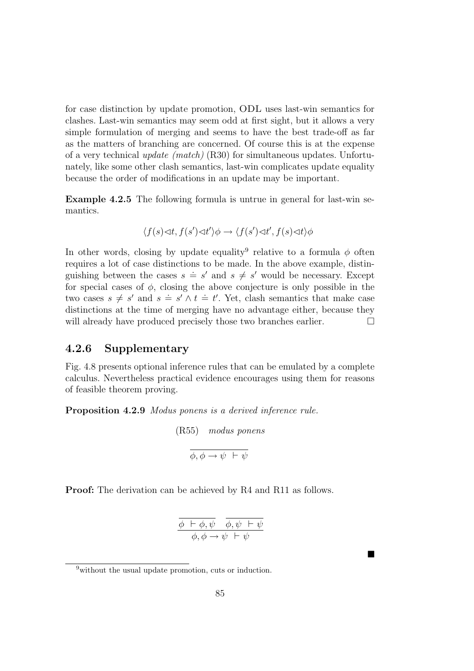for case distinction by update promotion, ODL uses last-win semantics for clashes. Last-win semantics may seem odd at first sight, but it allows a very simple formulation of merging and seems to have the best trade-off as far as the matters of branching are concerned. Of course this is at the expense of a very technical update (match) (R30) for simultaneous updates. Unfortunately, like some other clash semantics, last-win complicates update equality because the order of modifications in an update may be important.

Example 4.2.5 The following formula is untrue in general for last-win semantics.

$$
\langle f(s)\langle st, f(s')\langle st' \rangle \phi \to \langle f(s')\langle st', f(s)\langle st \rangle \phi
$$

In other words, closing by update equality<sup>9</sup> relative to a formula  $\phi$  often requires a lot of case distinctions to be made. In the above example, distinguishing between the cases  $s \doteq s'$  and  $s \neq s'$  would be necessary. Except for special cases of  $\phi$ , closing the above conjecture is only possible in the two cases  $s \neq s'$  and  $s = s' \wedge t = t'$ . Yet, clash semantics that make case distinctions at the time of merging have no advantage either, because they will already have produced precisely those two branches earlier.  $\Box$ 

#### 4.2.6 Supplementary

Fig. 4.8 presents optional inference rules that can be emulated by a complete calculus. Nevertheless practical evidence encourages using them for reasons of feasible theorem proving.

Proposition 4.2.9 *Modus ponens is a derived inference rule*.

(R55) *modus ponens*  
\n
$$
\overline{\phi, \phi \rightarrow \psi + \psi}
$$

Proof: The derivation can be achieved by R4 and R11 as follows.

$$
\frac{\overline{\phi} + \phi, \overline{\psi} \quad \overline{\phi}, \psi + \psi}{\phi, \phi \rightarrow \psi + \psi}
$$

П

<sup>&</sup>lt;sup>9</sup>without the usual update promotion, cuts or induction.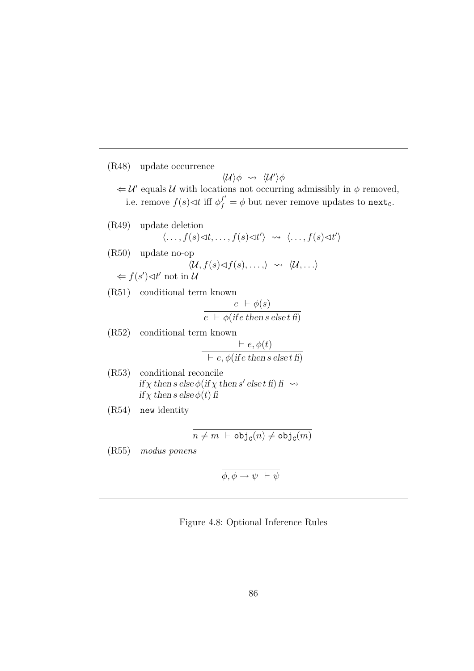(R48) update occurrence  $\langle \mathcal{U} \rangle \phi \rightsquigarrow \langle \mathcal{U}' \rangle \phi$  $\Leftarrow$  U' equals U' with locations not occurring admissibly in  $\phi$  removed, i.e. remove  $f(s) \triangleleft t$  iff  $\phi_f^{f'} = \phi$  but never remove updates to next<sub>c</sub>. (R49) update deletion  $\langle \ldots, f(s) \triangleleft t, \ldots, f(s) \triangleleft t' \rangle \rightarrow \langle \ldots, f(s) \triangleleft t' \rangle$ (R50) update no-op  $\langle \mathcal{U}, f(s) \triangleleft f(s), \ldots, \rangle \rightsquigarrow \langle \mathcal{U}, \ldots \rangle$  $\Leftarrow f(s') \triangleleft t'$  not in  $\mathcal{U}$ (R51) conditional term known  $e + \phi(s)$  $e + \phi$ (if e then s else t fi) (R52) conditional term known  $\vdash e, \phi(t)$  $\vdash e, \phi$  (if e then s elset fi) (R53) conditional reconcile if  $\chi$  then s else  $\phi$ (if  $\chi$  then s' else t fi) fi  $\leadsto$ if  $\chi$  then s else  $\phi(t)$  fi (R54) new identity  $n \neq m \ \vdash \textrm{obj}_\textrm{C}(n) \neq \textrm{obj}_\textrm{C}(m)$ (R55) modus ponens  $\phi, \phi \rightarrow \psi + \psi$ 

Figure 4.8: Optional Inference Rules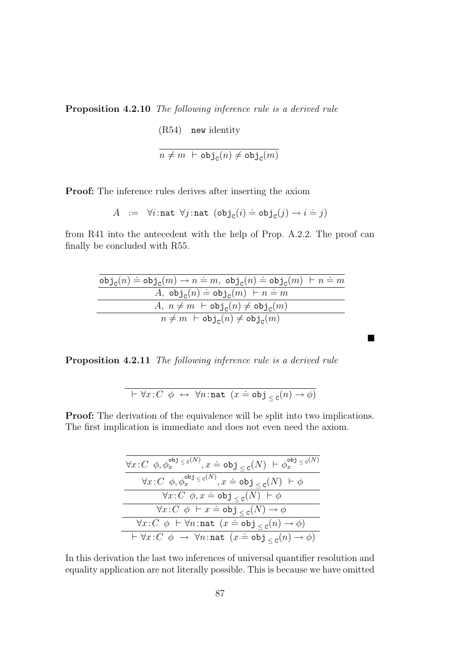Proposition 4.2.10 The following inference rule is a derived rule

(R54) new identity

$$
\overline{n\neq m\; \vdash \mathrm{obj}_{\mathsf{C}}(n) \neq \mathrm{obj}_{\mathsf{C}}(m)}
$$

Proof: The inference rules derives after inserting the axiom

$$
A \ := \ \forall i : \mathtt{nat} \ \forall j : \mathtt{nat} \ (\mathtt{obj}_c(i) \doteq \mathtt{obj}_c(j) \rightarrow i \doteq j)
$$

from R41 into the antecedent with the help of Prop. A.2.2. The proof can finally be concluded with R55.

| $obj_c(n) \doteq obj_c(m) \rightarrow n \doteq m$ , $obj_c(n) \doteq obj_c(m)$ $\vdash n \doteq m$ |  |
|----------------------------------------------------------------------------------------------------|--|
| A, $obj_c(n) = obj_c(m)$ $\vdash n = m$                                                            |  |
| A, $n \neq m$ $\vdash$ obj <sub>c</sub> $(n) \neq$ obj <sub>c</sub> $(m)$                          |  |
| $n \neq m$ $\vdash$ obj <sub>c</sub> $(n) \neq$ obj <sub>c</sub> $(m)$                             |  |

 $\blacksquare$ 

Proposition 4.2.11 The following inference rule is a derived rule

$$
\overline{\qquad \qquad \vdash \forall x \colon C \phi \leftrightarrow \forall n \colon \mathtt{nat} \ (x \doteq \mathtt{obj}_{\leq \mathtt{C}}(n) \rightarrow \phi)}
$$

Proof: The derivation of the equivalence will be split into two implications. The first implication is immediate and does not even need the axiom.

| $\forall x \colon C \phi, \phi_x^{\text{obj}} \leq c^{(N)}, x \doteq \text{obj}_{\leq c}(N) \vdash \phi_x^{\text{obj}} \leq c^{(N)}$ |
|--------------------------------------------------------------------------------------------------------------------------------------|
| $\overline{\forall x}$ : $C \phi, \phi_x^{\text{obj } \leq \text{c}^{(N)}}, x \doteq \text{obj }_{\lt c}(N) \vdash \phi$             |
| $\forall x \colon C \phi, x \doteq \text{obj}_{< c}(N) \vdash \phi$                                                                  |
| $\forall x \colon C \phi \vdash x \doteq \text{obj}_{< c}(N) \rightarrow \phi$                                                       |
| $\forall x \colon C \phi \vdash \forall n \colon \mathtt{nat}(x \doteq \mathtt{obj}_{< \mathtt{c}}(n) \rightarrow \phi)$             |
| $\vdash \forall x \colon C \phi \rightarrow \forall n \colon \mathtt{nat}(x \doteq \mathtt{obj}_{\leq C}(n) \rightarrow \phi)$       |

In this derivation the last two inferences of universal quantifier resolution and equality application are not literally possible. This is because we have omitted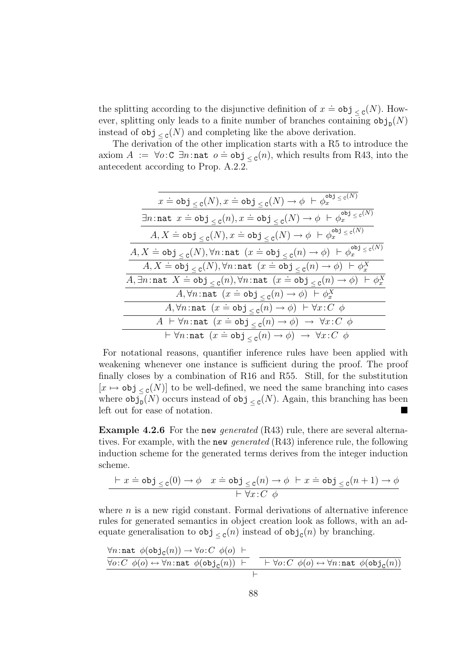the splitting according to the disjunctive definition of  $x \doteq \text{obj}_{\leq c}(N)$ . However, splitting only leads to a finite number of branches containing  $\mathsf{obj}_D(N)$ instead of  $\mathsf{obj}_{\leq \mathsf{c}}(N)$  and completing like the above derivation.

The derivation of the other implication starts with a R5 to introduce the axiom  $A := \forall o : C \exists n : \text{nat } o = \text{obj}_{\leq c}(n)$ , which results from R43, into the antecedent according to Prop. A.2.2.

| $x = \text{obj}_{\leq c}(N), x = \text{obj}_{\leq c}(N) \rightarrow \phi + \phi_x^{\text{obj}_{\leq c}(N)}$                                                                                       |
|---------------------------------------------------------------------------------------------------------------------------------------------------------------------------------------------------|
| $\exists n:\mathtt{nat}\ x \doteq \mathtt{obj}_{\leq \mathtt{C}}(n), x \doteq \mathtt{obj}_{\leq \mathtt{C}}(N) \rightarrow \phi + \phi_x^{\mathtt{obj}_{\leq \mathtt{C}}(N)}$                    |
| $A, X \doteq \texttt{obj}_{\leq \texttt{c}}(N), x \doteq \texttt{obj}_{\leq \texttt{c}}(N) \rightarrow \phi + \phi_x^{\texttt{obj}_{\leq \texttt{c}}(N)}$                                         |
| $A,X \doteq \texttt{obj}_{\leq \texttt{C}}(N), \forall n \colon \texttt{nat} \ (x \doteq \texttt{obj}_{\leq \texttt{C}}(n) \rightarrow \phi) \ \vdash \phi_x^{\texttt{obj}_{\leq \texttt{C}}(N)}$ |
| $A, X \doteq \text{obj}_{< c}(N), \forall n \text{:nat } (x \doteq \text{obj}_{< c}(n) \rightarrow \phi) \vdash \phi_x^X$                                                                         |
| A, $\exists n:$ nat $X = obj_{< c}(n)$ , $\forall n:$ nat $(x = obj_{< c}(n) \rightarrow \phi)$ $\vdash \phi_x^X$                                                                                 |
| A, $\forall n$ : nat $(x \doteq \texttt{obj}_{< c}(n) \rightarrow \phi) \vdash \phi_x^X$                                                                                                          |
| A, $\forall n$ : nat $(x \doteq \text{obj}_{\leq c}(n) \rightarrow \phi)$ $\vdash \forall x$ : $C \phi$                                                                                           |
| $A \vdash \forall n : \mathtt{nat} \ (x \doteq \mathtt{obj}_{\lt c}(n) \rightarrow \phi) \rightarrow \forall x : C \ \phi$                                                                        |
| $\vdash \forall n : \mathtt{nat} \ (x \doteq \mathtt{obj}_{< \mathtt{c}}(n) \rightarrow \phi) \rightarrow \forall x : C \ \phi$                                                                   |

For notational reasons, quantifier inference rules have been applied with weakening whenever one instance is sufficient during the proof. The proof finally closes by a combination of R16 and R55. Still, for the substitution  $[x \mapsto \texttt{obj}_{\leq \texttt{c}}(N)]$  to be well-defined, we need the same branching into cases where  $\textsf{obj}_D(N)$  occurs instead of  $\textsf{obj}_{\leq C}(N)$ . Again, this branching has been left out for ease of notation.

Example 4.2.6 For the new *generated* (R43) rule, there are several alternatives. For example, with the new generated (R43) inference rule, the following induction scheme for the generated terms derives from the integer induction scheme.

$$
\frac{\vdash x \doteq \texttt{obj}_{\leq \texttt{c}}(0) \rightarrow \phi \quad x \doteq \texttt{obj}_{\leq \texttt{c}}(n) \rightarrow \phi \quad \vdash x \doteq \texttt{obj}_{\leq \texttt{c}}(n+1) \rightarrow \phi}{\vdash \forall x \colon C \phi}
$$

 $\sim$ 

where  $n$  is a new rigid constant. Formal derivations of alternative inference rules for generated semantics in object creation look as follows, with an adequate generalisation to  $\text{obj}_{\leq c}(n)$  instead of  $\text{obj}_{c}(n)$  by branching.

$$
\frac{\forall n:\texttt{nat }\phi(\texttt{obj}_{\texttt{C}}(n)) \rightarrow \forall o:C \phi(o) \vdash}{\forall o:C \phi(o) \leftrightarrow \forall n:\texttt{nat }\phi(\texttt{obj}_{\texttt{C}}(n)) \vdash \qquad \vdash \forall o:C \phi(o) \leftrightarrow \forall n:\texttt{nat }\phi(\texttt{obj}_{\texttt{C}}(n))}
$$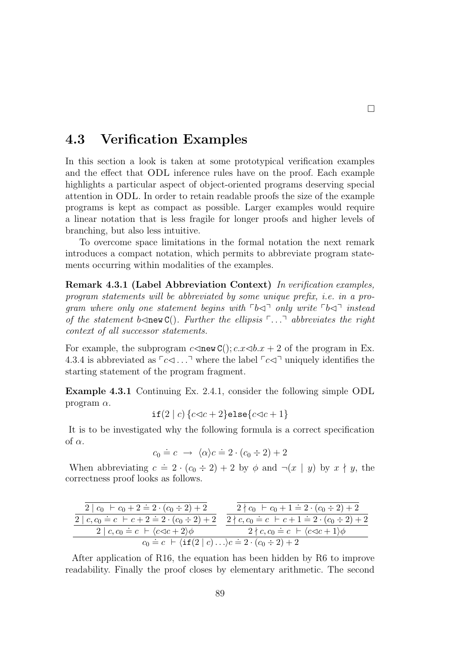### 4.3 Verification Examples

In this section a look is taken at some prototypical verification examples and the effect that ODL inference rules have on the proof. Each example highlights a particular aspect of object-oriented programs deserving special attention in ODL. In order to retain readable proofs the size of the example programs is kept as compact as possible. Larger examples would require a linear notation that is less fragile for longer proofs and higher levels of branching, but also less intuitive.

To overcome space limitations in the formal notation the next remark introduces a compact notation, which permits to abbreviate program statements occurring within modalities of the examples.

Remark 4.3.1 (Label Abbreviation Context) In verification examples, program statements will be abbreviated by some unique prefix, i.e. in a program where only one statement begins with  $\lceil b \lceil d \rceil$  only write  $\lceil b \lceil d \rceil$  instead of the statement  $b \triangleleft new C()$ . Further the ellipsis  $\ulcorner \ldots \urcorner$  abbreviates the right context of all successor statements.

For example, the subprogram  $c \triangleleft new \mathcal{C}$ ;  $c.x \triangleleft b.x + 2$  of the program in Ex. 4.3.4 is abbreviated as  $\lceil c \lceil c \rceil$  where the label  $\lceil c \lceil c \rceil$  uniquely identifies the starting statement of the program fragment.

Example 4.3.1 Continuing Ex. 2.4.1, consider the following simple ODL program  $\alpha$ .

$$
\texttt{if}(2 \mid c) \{c \lhd c + 2\} \texttt{else} \{c \lhd c + 1\}
$$

It is to be investigated why the following formula is a correct specification of  $\alpha$ .

$$
c_0 \doteq c \rightarrow \langle \alpha \rangle c \doteq 2 \cdot (c_0 \div 2) + 2
$$

When abbreviating  $c = 2 \cdot (c_0 \div 2) + 2$  by  $\phi$  and  $\neg(x \mid y)$  by  $x \nmid y$ , the correctness proof looks as follows.

| $2 c_0 + c_0 + 2 \doteq 2 \cdot (c_0 \div 2) + 2$                                                 | $2 \nmid c_0$ + $c_0$ + 1 = 2 · $(c_0 \div 2)$ + 2      |
|---------------------------------------------------------------------------------------------------|---------------------------------------------------------|
| $2   c, c_0 \doteq c + c + 2 \doteq 2 \cdot (c_0 \div 2) + 2$                                     | $2 \nmid c, c_0 = c + c + 1 = 2 \cdot (c_0 \div 2) + 2$ |
| $2   c, c_0 \doteq c   c \langle c \triangleleft c + 2 \rangle \phi$                              | $2 \nmid c, c_0 \doteq c \mid c \lhd c + 1 \rhd \phi$   |
| $c_0 \doteq c$ $\vdash \langle \text{if}(2   c) \ldots \rangle c \doteq 2 \cdot (c_0 \div 2) + 2$ |                                                         |

After application of R16, the equation has been hidden by R6 to improve readability. Finally the proof closes by elementary arithmetic. The second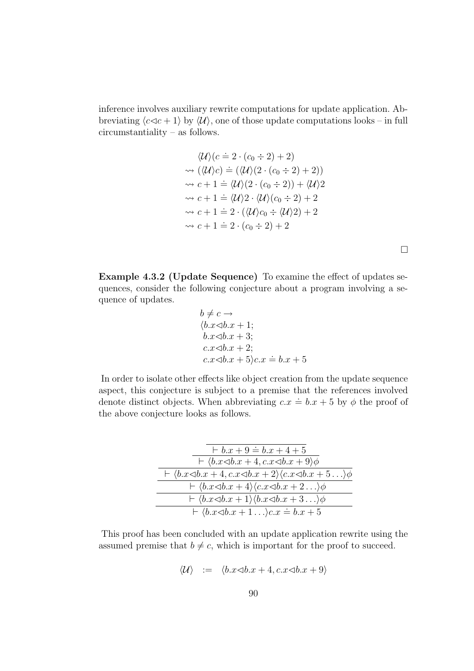inference involves auxiliary rewrite computations for update application. Abbreviating  $\langle c \lhd c + 1 \rangle$  by  $\langle U \rangle$ , one of those update computations looks – in full circumstantiality – as follows.

$$
\langle \mathcal{U} \rangle (c \doteq 2 \cdot (c_0 \div 2) + 2)
$$
  
\n
$$
\leadsto (\langle \mathcal{U} \rangle c) \doteq (\langle \mathcal{U} \rangle (2 \cdot (c_0 \div 2) + 2))
$$
  
\n
$$
\leadsto c + 1 \doteq \langle \mathcal{U} \rangle (2 \cdot (c_0 \div 2)) + \langle \mathcal{U} \rangle 2
$$
  
\n
$$
\leadsto c + 1 \doteq \langle \mathcal{U} \rangle 2 \cdot \langle \mathcal{U} \rangle (c_0 \div 2) + 2
$$
  
\n
$$
\leadsto c + 1 \doteq 2 \cdot (\langle \mathcal{U} \rangle c_0 \div \langle \mathcal{U} \rangle 2) + 2
$$
  
\n
$$
\leadsto c + 1 \doteq 2 \cdot (c_0 \div 2) + 2
$$

Example 4.3.2 (Update Sequence) To examine the effect of updates sequences, consider the following conjecture about a program involving a sequence of updates.

 $\Box$ 

$$
b \neq c \rightarrow
$$
  
\n
$$
\langle b.x \triangleleft b.x + 1;
$$
  
\n
$$
b.x \triangleleft b.x + 3;
$$
  
\n
$$
c.x \triangleleft b.x + 2;
$$
  
\n
$$
c.x \triangleleft b.x + 5 \rangle c.x \doteq b.x + 5
$$

In order to isolate other effects like object creation from the update sequence aspect, this conjecture is subject to a premise that the references involved denote distinct objects. When abbreviating  $c.x = b.x + 5$  by  $\phi$  the proof of the above conjecture looks as follows.

| $b \cdot x + 9 \doteq b \cdot x + 4 + 5$                                                                                                    |
|---------------------------------------------------------------------------------------------------------------------------------------------|
| $\vdash \langle b.x \triangleleft b.x + 4, c.x \triangleleft b.x + 9 \rangle \phi$                                                          |
| $\vdash \langle b.x \triangleleft b.x + 4, c.x \triangleleft b.x + 2 \rangle \langle c.x \triangleleft b.x + 5 \ldots \rangle \phi \rangle$ |
| $\vdash \langle b.x \triangleleft b.x + 4 \rangle \langle c.x \triangleleft b.x + 2 \ldots \rangle \phi$                                    |
| $\vdash \langle b.x \triangleleft b.x + 1 \rangle \langle b.x \triangleleft b.x + 3 \ldots \rangle \phi$                                    |
| $\vdash \langle b.x \triangleleft b.x + 1 \ldots \rangle c.x = b.x + 5$                                                                     |

This proof has been concluded with an update application rewrite using the assumed premise that  $b \neq c$ , which is important for the proof to succeed.

$$
\langle \mathcal{U} \rangle \quad := \quad \langle b.x \triangleleft b.x + 4, c.x \triangleleft b.x + 9 \rangle
$$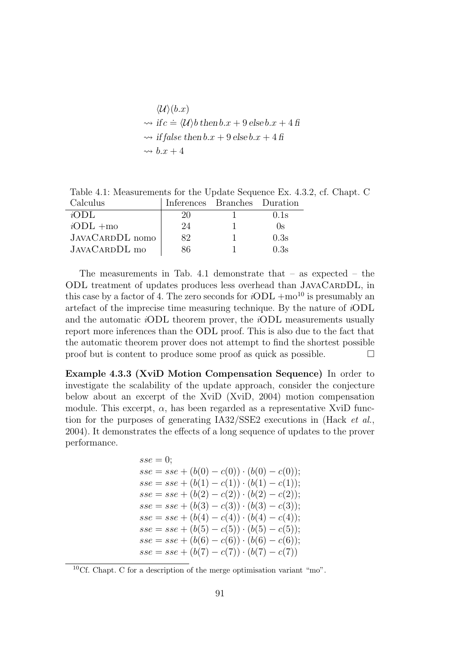$$
\langle U \rangle (b.x)
$$
  
\n
$$
\sim \text{ if } c \doteq \langle U \rangle b \text{ then } b.x + 9 \text{ else } b.x + 4 \text{ if}
$$
  
\n
$$
\sim \text{ if } false \text{ then } b.x + 9 \text{ else } b.x + 4 \text{ if}
$$
  
\n
$$
\sim b.x + 4
$$

Table 4.1: Measurements for the Update Sequence Ex. 4.3.2, cf. Chapt. C Calculus Inferences Branches Duration

| ----------- | ---------- | .        |
|-------------|------------|----------|
| 20          |            | 0.1s     |
| 24          |            | $\Omega$ |
| 82          |            | 0.3s     |
| 86          |            | 0.3s     |
|             |            |          |

The measurements in Tab. 4.1 demonstrate that  $-$  as expected  $-$  the ODL treatment of updates produces less overhead than JAVACARDDL, in this case by a factor of 4. The zero seconds for  $iODL + \text{mo}^{10}$  is presumably an artefact of the imprecise time measuring technique. By the nature of iODL and the automatic iODL theorem prover, the iODL measurements usually report more inferences than the ODL proof. This is also due to the fact that the automatic theorem prover does not attempt to find the shortest possible proof but is content to produce some proof as quick as possible.  $\Box$ 

Example 4.3.3 (XviD Motion Compensation Sequence) In order to investigate the scalability of the update approach, consider the conjecture below about an excerpt of the XviD (XviD, 2004) motion compensation module. This excerpt,  $\alpha$ , has been regarded as a representative XviD function for the purposes of generating IA32/SSE2 executions in (Hack et al., 2004). It demonstrates the effects of a long sequence of updates to the prover performance.

```
\textit{sse} = 0;sse = sse + (b(0) - c(0)) \cdot (b(0) - c(0));sse = sse + (b(1) - c(1)) \cdot (b(1) - c(1));sse = sse + (b(2) - c(2)) \cdot (b(2) - c(2));sse = sse + (b(3) - c(3)) \cdot (b(3) - c(3));sse = sse + (b(4) - c(4)) \cdot (b(4) - c(4));sse = sse + (b(5) - c(5)) \cdot (b(5) - c(5));sse = sse + (b(6) - c(6)) \cdot (b(6) - c(6));sse = sse + (b(7) - c(7)) \cdot (b(7) - c(7))
```
 $10C$ f. Chapt. C for a description of the merge optimisation variant "mo".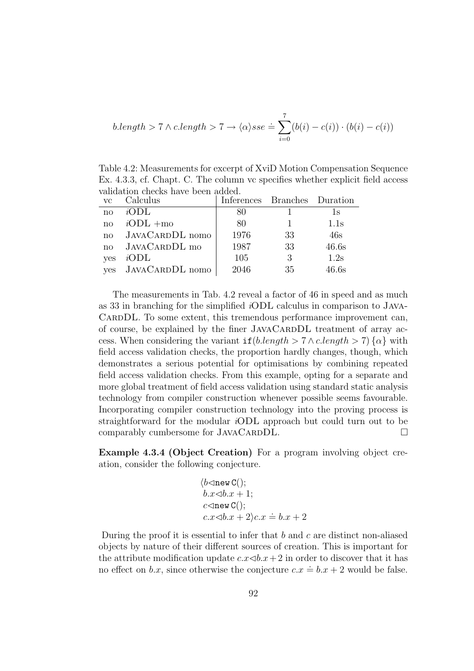$$
b.length > 7 \land c.length > 7 \rightarrow \langle \alpha \rangle sse \doteq \sum_{i=0}^{7} (b(i) - c(i)) \cdot (b(i) - c(i))
$$

Table 4.2: Measurements for excerpt of XviD Motion Compensation Sequence Ex. 4.3.3, cf. Chapt. C. The column vc specifies whether explicit field access validation checks have been added.

| <b>VC</b>  | Calculus           | Inferences Branches Duration |    |       |
|------------|--------------------|------------------------------|----|-------|
| no         | iODL               | 80                           |    | 1s    |
| no         | $iODL + \text{mo}$ | 80                           |    | 1.1s  |
| no         | JAVACARDDL nomo    | 1976                         | 33 | 46s   |
| no         | JAVACARDDL mo      | 1987                         | 33 | 46.6s |
| <b>ves</b> | iODL               | 105                          | 3  | 1.2s  |
| <b>ves</b> | JAVACARDDL nomo    | 2046                         | 35 | 46.6s |

The measurements in Tab. 4.2 reveal a factor of 46 in speed and as much as 33 in branching for the simplified iODL calculus in comparison to Java-CARDDL. To some extent, this tremendous performance improvement can, of course, be explained by the finer JAVACARDDL treatment of array access. When considering the variant  $if(b.length > 7 \land c.length > 7)$  { $\alpha$ } with field access validation checks, the proportion hardly changes, though, which demonstrates a serious potential for optimisations by combining repeated field access validation checks. From this example, opting for a separate and more global treatment of field access validation using standard static analysis technology from compiler construction whenever possible seems favourable. Incorporating compiler construction technology into the proving process is straightforward for the modular iODL approach but could turn out to be comparably cumbersome for  $JAVA$ CARDDL.

Example 4.3.4 (Object Creation) For a program involving object creation, consider the following conjecture.

$$
\langle b \triangleleft \text{new } C();
$$
  
\n
$$
b.x \triangleleft b.x + 1;
$$
  
\n
$$
c \triangleleft \text{new } C();
$$
  
\n
$$
c.x \triangleleft b.x + 2 \rangle c.x \doteq b.x + 2
$$

During the proof it is essential to infer that  $b$  and  $c$  are distinct non-aliased objects by nature of their different sources of creation. This is important for the attribute modification update  $c.x \triangleleft b.x+2$  in order to discover that it has no effect on b.x, since otherwise the conjecture  $c.x = b.x + 2$  would be false.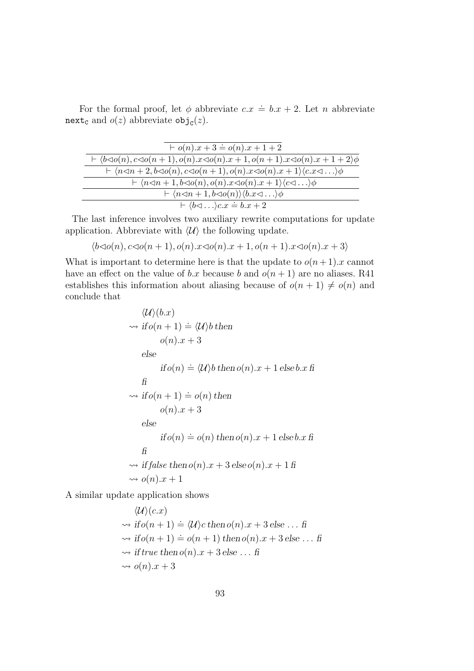For the formal proof, let  $\phi$  abbreviate  $c.x \doteq b.x + 2$ . Let n abbreviate  $\texttt{next}_{\texttt{C}}$  and  $o(z)$  abbreviate  $\texttt{obj}_{\texttt{C}}(z)$ .

| $\vdash$ $o(n).x + 3 = o(n).x + 1 + 2$                                                                                                                                  |
|-------------------------------------------------------------------------------------------------------------------------------------------------------------------------|
| $\vdash \langle b \triangleleft o(n), c \triangleleft o(n+1), o(n).x \triangleleft o(n).x+1, o(n+1).x \triangleleft o(n).x+1+2 \rangle \phi$                            |
| $\vdash \langle n \triangleleft n+2, b \triangleleft o(n), c \triangleleft o(n+1), o(n).x \triangleleft o(n).x+1 \rangle \langle c.x \triangleleft \ldots \rangle \phi$ |
| $\vdash \langle n \triangleleft n+1, b \triangleleft o(n), o(n).x \triangleleft o(n).x+1 \rangle \langle c \triangleleft \ldots \rangle \phi$                           |
| $\vdash \langle n \triangleleft n+1, b \triangleleft o(n) \rangle \langle b.x \triangleleft \ldots \rangle \phi$                                                        |
| $\vdash \langle b \triangleleft \ldots \rangle c.x \doteq b.x + 2$                                                                                                      |

The last inference involves two auxiliary rewrite computations for update application. Abbreviate with  $\langle \mathcal{U} \rangle$  the following update.

$$
\langle b \triangleleft o(n), c \triangleleft o(n+1), o(n).x \triangleleft o(n).x+1, o(n+1).x \triangleleft o(n).x+3 \rangle
$$

What is important to determine here is that the update to  $o(n+1)x$  cannot have an effect on the value of b.x because b and  $o(n+1)$  are no aliases. R41 establishes this information about aliasing because of  $o(n + 1) \neq o(n)$  and conclude that

$$
\langle \mathcal{U} \rangle (b.x)
$$
  
\n
$$
\sim if o(n + 1) = \langle \mathcal{U} \rangle b
$$
 then  
\n
$$
o(n).x + 3
$$
  
\nelse  
\n
$$
if o(n) \doteq \langle \mathcal{U} \rangle b
$$
 then  $o(n).x + 1$  else  $b.x$  if  
\n
$$
\sim if o(n + 1) \doteq o(n)
$$
 then  
\n
$$
o(n).x + 3
$$
  
\nelse  
\n
$$
if o(n) \doteq o(n)
$$
 then  $o(n).x + 1$  else  $b.x$  if  
\n
$$
\therefore
$$
 if false then  $o(n).x + 3$  else  $o(n).x + 1$  if  
\n
$$
\sim o(n).x + 1
$$

A similar update application shows

$$
\langle U \rangle (c.x)
$$
  
\n
$$
\sim if o(n + 1) \doteq \langle U \rangle c \text{ then } o(n).x + 3 \text{ else } \dots \text{ fi}
$$
  
\n
$$
\sim if o(n + 1) \doteq o(n + 1) \text{ then } o(n).x + 3 \text{ else } \dots \text{ fi}
$$
  
\n
$$
\sim if true \text{ then } o(n).x + 3 \text{ else } \dots \text{ fi}
$$
  
\n
$$
\sim o(n).x + 3
$$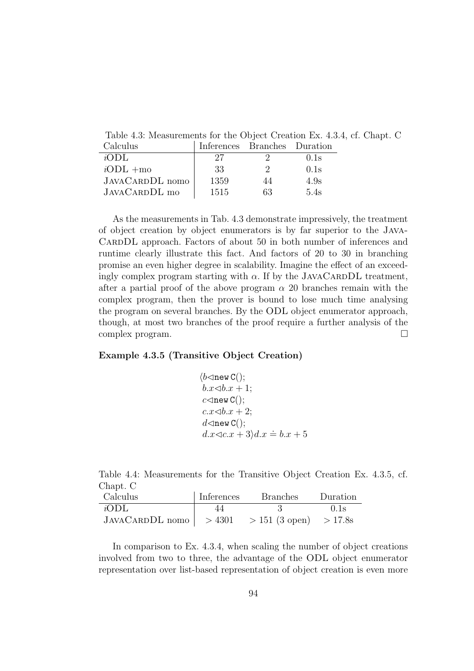Table 4.3: Measurements for the Object Creation Ex. 4.3.4, cf. Chapt. C

| Calculus           | Inferences Branches Duration |         |      |
|--------------------|------------------------------|---------|------|
| iODL               | 27                           |         | 0.1s |
| $iODL + \text{mo}$ | 33                           | $\cdot$ | 0.1s |
| JAVACARDDL nomo    | 1359                         | 44      | 4.9s |
| JAVACARDDL mo      | 1515                         | 63      | 5.4s |

As the measurements in Tab. 4.3 demonstrate impressively, the treatment of object creation by object enumerators is by far superior to the Java-CARDDL approach. Factors of about 50 in both number of inferences and runtime clearly illustrate this fact. And factors of 20 to 30 in branching promise an even higher degree in scalability. Imagine the effect of an exceedingly complex program starting with  $\alpha$ . If by the JAVACARDDL treatment, after a partial proof of the above program  $\alpha$  20 branches remain with the complex program, then the prover is bound to lose much time analysing the program on several branches. By the ODL object enumerator approach, though, at most two branches of the proof require a further analysis of the complex program.

#### Example 4.3.5 (Transitive Object Creation)

$$
\langle b \triangleleft \text{new } C();
$$
  
\n
$$
b.x \triangleleft b.x + 1;
$$
  
\n
$$
c \triangleleft \text{new } C();
$$
  
\n
$$
c.x \triangleleft b.x + 2;
$$
  
\n
$$
d \triangleleft \text{new } C();
$$
  
\n
$$
d.x \triangleleft c.x + 3 \rangle d.x = b.x + 5
$$

|          | Table 4.4: Measurements for the Transitive Object Creation Ex. 4.3.5, cf. |  |  |  |  |
|----------|---------------------------------------------------------------------------|--|--|--|--|
| Chapt. C |                                                                           |  |  |  |  |

| Calculus                                        | Inferences | <b>Branches</b> | Duration |
|-------------------------------------------------|------------|-----------------|----------|
| $i$ ODL                                         |            |                 | 0.1s     |
| JAVACARDDL nomo   > 4301 > 151 (3 open) > 17.8s |            |                 |          |

In comparison to Ex. 4.3.4, when scaling the number of object creations involved from two to three, the advantage of the ODL object enumerator representation over list-based representation of object creation is even more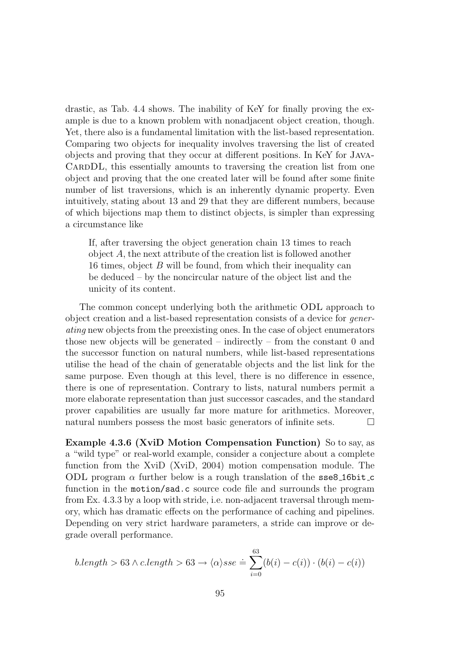drastic, as Tab. 4.4 shows. The inability of KeY for finally proving the example is due to a known problem with nonadjacent object creation, though. Yet, there also is a fundamental limitation with the list-based representation. Comparing two objects for inequality involves traversing the list of created objects and proving that they occur at different positions. In KeY for Java-CARDDL, this essentially amounts to traversing the creation list from one object and proving that the one created later will be found after some finite number of list traversions, which is an inherently dynamic property. Even intuitively, stating about 13 and 29 that they are different numbers, because of which bijections map them to distinct objects, is simpler than expressing a circumstance like

If, after traversing the object generation chain 13 times to reach object A, the next attribute of the creation list is followed another 16 times, object B will be found, from which their inequality can be deduced – by the noncircular nature of the object list and the unicity of its content.

The common concept underlying both the arithmetic ODL approach to object creation and a list-based representation consists of a device for generating new objects from the preexisting ones. In the case of object enumerators those new objects will be generated – indirectly – from the constant 0 and the successor function on natural numbers, while list-based representations utilise the head of the chain of generatable objects and the list link for the same purpose. Even though at this level, there is no difference in essence, there is one of representation. Contrary to lists, natural numbers permit a more elaborate representation than just successor cascades, and the standard prover capabilities are usually far more mature for arithmetics. Moreover, natural numbers possess the most basic generators of infinite sets.  $\Box$ 

Example 4.3.6 (XviD Motion Compensation Function) So to say, as a "wild type" or real-world example, consider a conjecture about a complete function from the XviD (XviD, 2004) motion compensation module. The ODL program  $\alpha$  further below is a rough translation of the sse8.16bit. function in the motion/sad.c source code file and surrounds the program from Ex. 4.3.3 by a loop with stride, i.e. non-adjacent traversal through memory, which has dramatic effects on the performance of caching and pipelines. Depending on very strict hardware parameters, a stride can improve or degrade overall performance.

$$
b.length > 63 \land c.length > 63 \rightarrow \langle \alpha \rangle sse \doteq \sum_{i=0}^{63} (b(i) - c(i)) \cdot (b(i) - c(i))
$$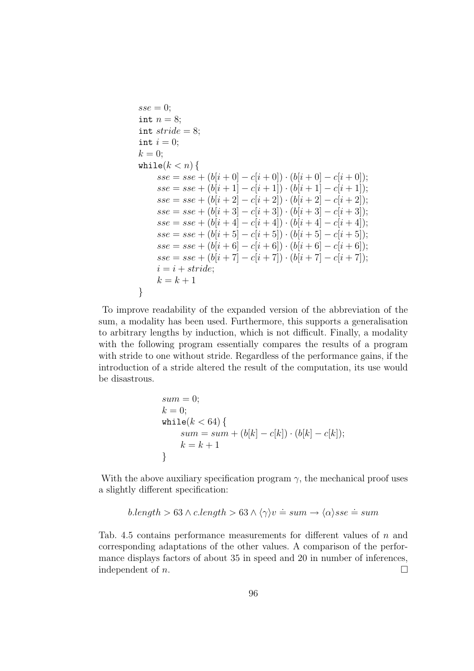```
\,sse = 0;
int n = 8;
int \textit{stride} = 8;
int i = 0;
k = 0;
while(k < n) {
     sse = sse + (b[i+0] - c[i+0]) \cdot (b[i+0] - c[i+0]);sse = sse + (b[i + 1] - c[i + 1]) \cdot (b[i + 1] - c[i + 1]);sse = sse + (b[i + 2] - c[i + 2]) \cdot (b[i + 2] - c[i + 2]);sse = sse + (b[i + 3] - c[i + 3]) \cdot (b[i + 3] - c[i + 3]);sse = sse + (b[i + 4] - c[i + 4]) \cdot (b[i + 4] - c[i + 4]);sse = sse + (b[i + 5] - c[i + 5]) \cdot (b[i + 5] - c[i + 5]);sse = sse + (b[i + 6] - c[i + 6]) \cdot (b[i + 6] - c[i + 6]);sse = sse + (b[i + 7] - c[i + 7]) \cdot (b[i + 7] - c[i + 7]);i = i + stride;k = k + 1}
```
To improve readability of the expanded version of the abbreviation of the sum, a modality has been used. Furthermore, this supports a generalisation to arbitrary lengths by induction, which is not difficult. Finally, a modality with the following program essentially compares the results of a program with stride to one without stride. Regardless of the performance gains, if the introduction of a stride altered the result of the computation, its use would be disastrous.

$$
sum = 0;
$$
  
\n
$$
k = 0;
$$
  
\n
$$
while (k < 64) {\{ \atop sum = sum + (b[k] - c[k]) \cdot (b[k] - c[k]) \atop k = k + 1 \}}
$$

With the above auxiliary specification program  $\gamma$ , the mechanical proof uses a slightly different specification:

$$
b.length > 63 \land c.length > 63 \land \langle \gamma \rangle v = sum \rightarrow \langle \alpha \rangle sse = sum
$$

Tab. 4.5 contains performance measurements for different values of  $n$  and corresponding adaptations of the other values. A comparison of the performance displays factors of about 35 in speed and 20 in number of inferences, independent of *n*.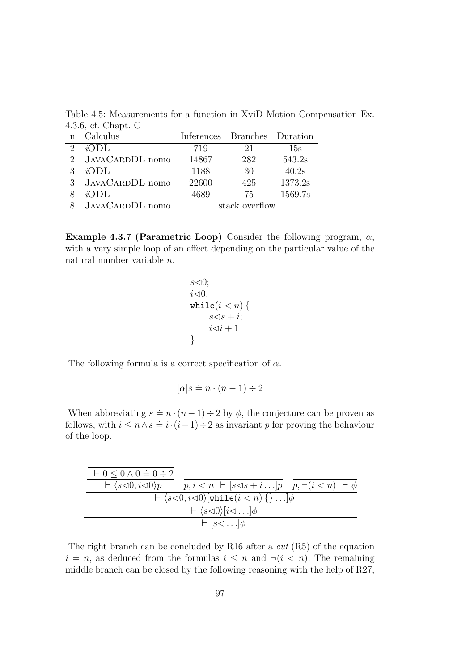Table 4.5: Measurements for a function in XviD Motion Compensation Ex. 4.3.6, cf. Chapt. C

|                             | Calculus          | Inferences Branches Duration |                |         |
|-----------------------------|-------------------|------------------------------|----------------|---------|
| $\mathcal{D}_{\mathcal{L}}$ | $i$ ODL           | 719                          | 21             | 15s     |
|                             | 2 JAVACARDDL nomo | 14867                        | 282            | 543.2s  |
|                             | iODL              | 1188                         | 30             | 40.2s   |
| 3                           | JAVACARDDL nomo   | 22600                        | 425            | 1373.2s |
|                             | iODL              | 4689                         | 75             | 1569.7s |
|                             | JAVACARDDL nomo   |                              | stack overflow |         |

Example 4.3.7 (Parametric Loop) Consider the following program,  $\alpha$ , with a very simple loop of an effect depending on the particular value of the natural number variable n.

$$
s \triangleleft 0;
$$
  
\n
$$
i \triangleleft 0;
$$
  
\n
$$
while (i < n) \{ \text{ } s \triangleleft s + i; \text{ } i \triangleleft i + 1 \text{ } \}
$$
  
\n
$$
i \triangleleft i + 1 \text{ }
$$

The following formula is a correct specification of  $\alpha$ .

$$
[\alpha]s \doteq n \cdot (n-1) \div 2
$$

When abbreviating  $s = n \cdot (n-1) \div 2$  by  $\phi$ , the conjecture can be proven as follows, with  $i \leq n \wedge s = i \cdot (i-1) \div 2$  as invariant p for proving the behaviour of the loop.

| $\vdash 0 \leq 0 \land 0 = 0 \div 2$ |                                                                                                                                                      |  |
|--------------------------------------|------------------------------------------------------------------------------------------------------------------------------------------------------|--|
|                                      | $\vdash \langle s \triangleleft 0, i \triangleleft 0 \rangle p$ $p, i < n \vdash [s \triangleleft s + i \ldots] p \quad p, \neg (i < n) \vdash \phi$ |  |
|                                      | $\vdash \langle s \triangleleft 0, i \triangleleft 0 \rangle$ [while $(i < n)$ { } ] $\phi$                                                          |  |
|                                      | $\vdash \langle s \triangleleft 0 \rangle[i \triangleleft \dots] \phi$                                                                               |  |
|                                      | $\vdash [s \triangleleft \dots] \phi$                                                                                                                |  |

The right branch can be concluded by R16 after a cut (R5) of the equation  $i = n$ , as deduced from the formulas  $i \leq n$  and  $\neg (i < n)$ . The remaining middle branch can be closed by the following reasoning with the help of R27,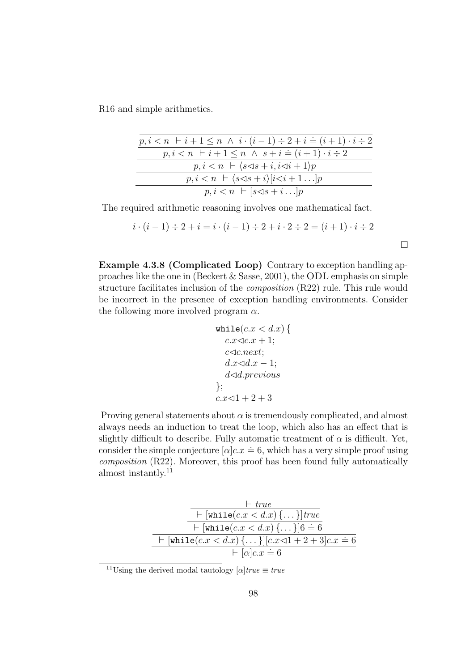R16 and simple arithmetics.

| $p, i < n$ $\vdash i+1 \leq n \land i \cdot (i-1) \div 2 + i \doteq (i+1) \cdot i \div 2$  |
|--------------------------------------------------------------------------------------------|
| $p, i < n$ $\vdash i + 1 \leq n \land s + i \doteq (i + 1) \cdot i \div 2$                 |
| $p, i < n$ $\vdash$ $\langle s \triangleleft s + i, i \triangleleft i + 1 \rangle p$       |
| $p, i < n \vdash \langle s \triangleleft s + i \rangle   i \triangleleft i + 1 \ldots   p$ |
| $p, i < n$ $\vdash$ $[s \triangleleft s + i \ldots] p$                                     |

The required arithmetic reasoning involves one mathematical fact.

$$
i \cdot (i-1) \div 2 + i = i \cdot (i-1) \div 2 + i \cdot 2 \div 2 = (i+1) \cdot i \div 2
$$

 $\Box$ 

Example 4.3.8 (Complicated Loop) Contrary to exception handling approaches like the one in (Beckert & Sasse, 2001), the ODL emphasis on simple structure facilitates inclusion of the composition (R22) rule. This rule would be incorrect in the presence of exception handling environments. Consider the following more involved program  $\alpha$ .

$$
\begin{aligned}\n\text{while}(c.x < d.x) \{ \\
 c.x < c.x + 1; \\
 c < c.next; \\
 d.x < d.x - 1; \\
 d < d.previous\n \}; \\
 c.x < 1 + 2 + 3\n \end{aligned}
$$

Proving general statements about  $\alpha$  is tremendously complicated, and almost always needs an induction to treat the loop, which also has an effect that is slightly difficult to describe. Fully automatic treatment of  $\alpha$  is difficult. Yet, consider the simple conjecture  $[\alpha]c.x = 6$ , which has a very simple proof using composition (R22). Moreover, this proof has been found fully automatically almost instantly. 11

| $\vdash true$                                                   |
|-----------------------------------------------------------------|
| $\vdash$ [while ( <i>c.x</i> < <i>d.x</i> ) {}] <i>true</i>     |
| $\vdash$ [while $(c.x < d.x)$ {} ] $6 \doteq 6$                 |
| $\vdash$ [while $(c.x < d.x)$ {}][ $c.x \lhd 1 + 2 + 3]c.x = 6$ |
| $\vdash [\alpha] c.x \doteq 6$                                  |

<sup>11</sup>Using the derived modal tautology  $\alpha$  true  $\equiv true$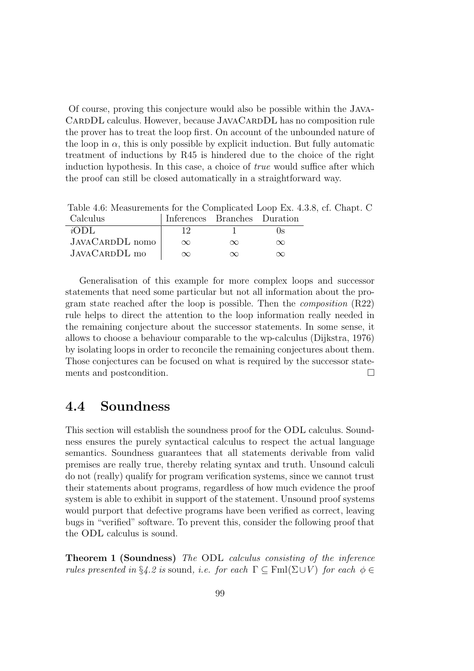Of course, proving this conjecture would also be possible within the Java-CARDDL calculus. However, because JAVACARDDL has no composition rule the prover has to treat the loop first. On account of the unbounded nature of the loop in  $\alpha$ , this is only possible by explicit induction. But fully automatic treatment of inductions by R45 is hindered due to the choice of the right induction hypothesis. In this case, a choice of true would suffice after which the proof can still be closed automatically in a straightforward way.

Table 4.6: Measurements for the Complicated Loop Ex. 4.3.8, cf. Chapt. C Inferences Branches Duration

| <u>Caruus</u>   | micrences Dramenes |          | - Duration |  |
|-----------------|--------------------|----------|------------|--|
| iODL            |                    |          |            |  |
| JAVACARDDL nomo | $\infty$           | $\infty$ | $\infty$   |  |
| JAVACARDDL mo   | $\infty$           |          |            |  |

Generalisation of this example for more complex loops and successor statements that need some particular but not all information about the program state reached after the loop is possible. Then the composition (R22) rule helps to direct the attention to the loop information really needed in the remaining conjecture about the successor statements. In some sense, it allows to choose a behaviour comparable to the wp-calculus (Dijkstra, 1976) by isolating loops in order to reconcile the remaining conjectures about them. Those conjectures can be focused on what is required by the successor statements and postcondition.

## 4.4 Soundness

This section will establish the soundness proof for the ODL calculus. Soundness ensures the purely syntactical calculus to respect the actual language semantics. Soundness guarantees that all statements derivable from valid premises are really true, thereby relating syntax and truth. Unsound calculi do not (really) qualify for program verification systems, since we cannot trust their statements about programs, regardless of how much evidence the proof system is able to exhibit in support of the statement. Unsound proof systems would purport that defective programs have been verified as correct, leaving bugs in "verified" software. To prevent this, consider the following proof that the ODL calculus is sound.

Theorem 1 (Soundness) The ODL calculus consisting of the inference rules presented in §4.2 is sound, i.e. for each  $\Gamma \subseteq \text{Fml}(\Sigma \cup V)$  for each  $\phi \in$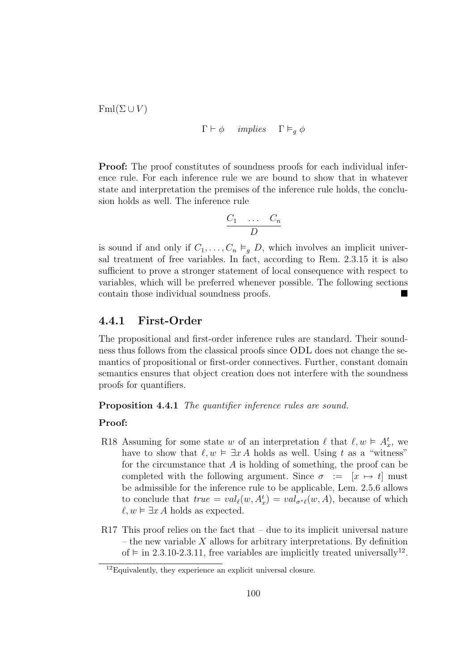$\text{Fml}(\Sigma \cup V)$ 

$$
\Gamma \vdash \phi \quad \text{ implies } \quad \Gamma \vDash_g \phi
$$

**Proof:** The proof constitutes of soundness proofs for each individual inference rule. For each inference rule we are bound to show that in whatever state and interpretation the premises of the inference rule holds, the conclusion holds as well. The inference rule

$$
\frac{C_1 \cdots C_n}{D}
$$

is sound if and only if  $C_1, \ldots, C_n \vDash_{\mathfrak{g}} D$ , which involves an implicit universal treatment of free variables. In fact, according to Rem. 2.3.15 it is also sufficient to prove a stronger statement of local consequence with respect to variables, which will be preferred whenever possible. The following sections contain those individual soundness proofs.

### 4.4.1 First-Order

The propositional and first-order inference rules are standard. Their soundness thus follows from the classical proofs since ODL does not change the semantics of propositional or first-order connectives. Further, constant domain semantics ensures that object creation does not interfere with the soundness proofs for quantifiers.

Proposition 4.4.1 The quantifier inference rules are sound.

#### Proof:

- R18 Assuming for some state w of an interpretation  $\ell$  that  $\ell, w \in A_x^t$ , we have to show that  $\ell, w \vDash \exists x A$  holds as well. Using t as a "witness" for the circumstance that A is holding of something, the proof can be completed with the following argument. Since  $\sigma := [x \mapsto t]$  must be admissible for the inference rule to be applicable, Lem. 2.5.6 allows to conclude that  $true = val_{\ell}(w, A_x^t) = val_{\sigma^*\ell}(w, A)$ , because of which  $\ell, w \vDash \exists x A$  holds as expected.
- R17 This proof relies on the fact that due to its implicit universal nature – the new variable  $X$  allows for arbitrary interpretations. By definition of  $\models$  in 2.3.10-2.3.11, free variables are implicitly treated universally<sup>12</sup>.

<sup>&</sup>lt;sup>12</sup>Equivalently, they experience an explicit universal closure.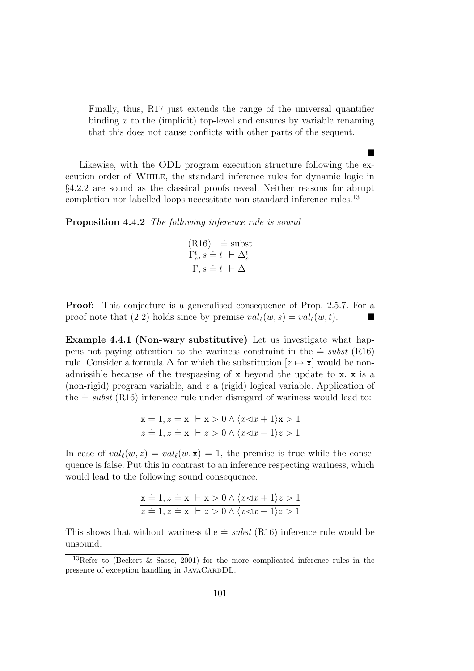Finally, thus, R17 just extends the range of the universal quantifier binding  $x$  to the (implicit) top-level and ensures by variable renaming that this does not cause conflicts with other parts of the sequent.

 $\blacksquare$ 

Likewise, with the ODL program execution structure following the execution order of While, the standard inference rules for dynamic logic in §4.2.2 are sound as the classical proofs reveal. Neither reasons for abrupt completion nor labelled loops necessitate non-standard inference rules.<sup>13</sup>

Proposition 4.4.2 The following inference rule is sound

(R16) 
$$
\doteq
$$
 subset  
\n $\Gamma_s^t$ ,  $s \doteq t \vdash \Delta_s^t$   
\n $\Gamma, s \doteq t \vdash \Delta$ 

Proof: This conjecture is a generalised consequence of Prop. 2.5.7. For a proof note that (2.2) holds since by premise  $val_{\ell}(w, s) = val_{\ell}(w, t)$ .

Example 4.4.1 (Non-wary substitutive) Let us investigate what happens not paying attention to the wariness constraint in the  $\dot{=}$  subst (R16) rule. Consider a formula  $\Delta$  for which the substitution  $[z \mapsto x]$  would be nonadmissible because of the trespassing of x beyond the update to x. x is a (non-rigid) program variable, and z a (rigid) logical variable. Application of the  $\dot{=}$  subst (R16) inference rule under disregard of wariness would lead to:

$$
\mathbf{x} \doteq 1, z \doteq \mathbf{x} \mid \mathbf{x} > 0 \land \langle x \lhd x + 1 \rangle \mathbf{x} > 1
$$
\n
$$
z \doteq 1, z \doteq \mathbf{x} \mid z > 0 \land \langle x \lhd x + 1 \rangle z > 1
$$

In case of  $val_{\ell}(w, z) = val_{\ell}(w, x) = 1$ , the premise is true while the consequence is false. Put this in contrast to an inference respecting wariness, which would lead to the following sound consequence.

$$
\mathbf{x} \doteq 1, z \doteq \mathbf{x} \mid \mathbf{x} > 0 \land \langle x \lhd x + 1 \rangle z > 1
$$
\n
$$
z \doteq 1, z \doteq \mathbf{x} \mid z > 0 \land \langle x \lhd x + 1 \rangle z > 1
$$

This shows that without wariness the  $\dot{=}$  subst (R16) inference rule would be unsound.

<sup>13</sup>Refer to (Beckert & Sasse, 2001) for the more complicated inference rules in the presence of exception handling in JAVACARDDL.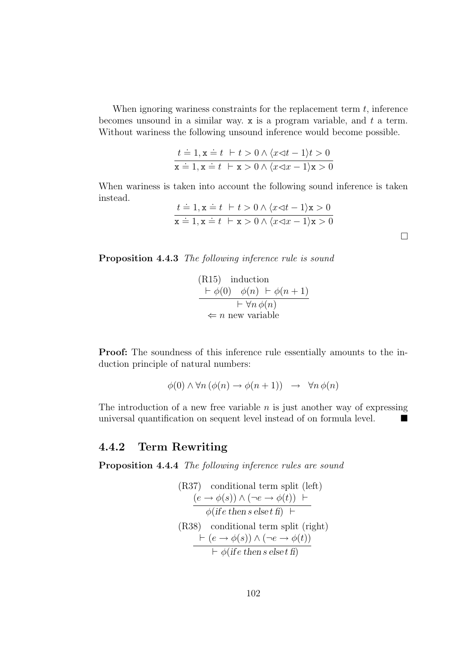When ignoring wariness constraints for the replacement term  $t$ , inference becomes unsound in a similar way.  $x$  is a program variable, and  $t$  a term. Without wariness the following unsound inference would become possible.

$$
t = 1, \mathbf{x} = t + t > 0 \land \langle x \lhd t - 1 \rangle t > 0
$$
  

$$
\mathbf{x} = 1, \mathbf{x} = t + \mathbf{x} > 0 \land \langle x \lhd x - 1 \rangle \mathbf{x} > 0
$$

When wariness is taken into account the following sound inference is taken instead.

$$
t = 1, \mathbf{x} = t + t > 0 \land (x \triangleleft t - 1)\mathbf{x} > 0
$$

$$
\mathbf{x} = 1, \mathbf{x} = t + \mathbf{x} > 0 \land (x \triangleleft x - 1)\mathbf{x} > 0
$$

 $\Box$ 

Proposition 4.4.3 The following inference rule is sound

(R15) induction  
\n
$$
\frac{\vdash \phi(0) \quad \phi(n) \vdash \phi(n+1)}{\vdash \forall n \, \phi(n)}
$$
\n
$$
\Leftarrow n \text{ new variable}
$$

Proof: The soundness of this inference rule essentially amounts to the induction principle of natural numbers:

$$
\phi(0) \land \forall n \left( \phi(n) \to \phi(n+1) \right) \rightarrow \forall n \phi(n)
$$

The introduction of a new free variable  $n$  is just another way of expressing universal quantification on sequent level instead of on formula level.  $\blacksquare$ 

### 4.4.2 Term Rewriting

Proposition 4.4.4 The following inference rules are sound

(R37) conditional term split (left)  
\n
$$
\frac{(e \to \phi(s)) \land (\neg e \to \phi(t)) +}{\phi(ite \, then \, s \, else \, t \, f)} +
$$
\n(R38) conditional term split (right)  
\n
$$
\frac{\vdash (e \to \phi(s)) \land (\neg e \to \phi(t))}{\vdash \phi(ife \, then \, s \, else \, t \, f)}
$$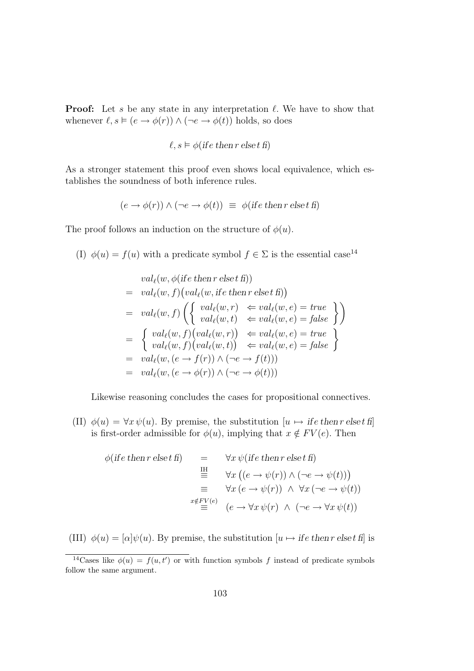**Proof:** Let s be any state in any interpretation  $\ell$ . We have to show that whenever  $\ell, s \models (e \rightarrow \phi(r)) \land (\neg e \rightarrow \phi(t))$  holds, so does

$$
\ell, s \vDash \phi(\text{if } e \text{ then } r \text{ else } t \text{ fi})
$$

As a stronger statement this proof even shows local equivalence, which establishes the soundness of both inference rules.

$$
(e \rightarrow \phi(r)) \land (\neg e \rightarrow \phi(t)) \equiv \phi(\text{if } e \text{ then } r \text{ else } t \text{ fi})
$$

The proof follows an induction on the structure of  $\phi(u)$ .

(I)  $\phi(u) = f(u)$  with a predicate symbol  $f \in \Sigma$  is the essential case<sup>14</sup>

$$
val_{\ell}(w, \phi(\text{if } e \text{ then } r \text{ else } t \text{ fi}))
$$
\n
$$
= val_{\ell}(w, f) (val_{\ell}(w, \text{if } e \text{ then } r \text{ else } t \text{ fi}))
$$
\n
$$
= val_{\ell}(w, f) \left( \begin{cases} val_{\ell}(w, r) < val_{\ell}(w, e) = true \\ val_{\ell}(w, t) < val_{\ell}(w, e) = false \end{cases} \right)
$$
\n
$$
= \begin{cases} val_{\ell}(w, f) (val_{\ell}(w, r)) < val_{\ell}(w, e) = true \\ val_{\ell}(w, f) (val_{\ell}(w, t)) < val_{\ell}(w, e) = false \end{cases}
$$
\n
$$
= val_{\ell}(w, (e \rightarrow f(r)) \land (\neg e \rightarrow f(t)))
$$
\n
$$
= val_{\ell}(w, (e \rightarrow \phi(r)) \land (\neg e \rightarrow \phi(t)))
$$

Likewise reasoning concludes the cases for propositional connectives.

(II)  $\phi(u) = \forall x \psi(u)$ . By premise, the substitution  $[u \mapsto i\pi e$  then r else t fi is first-order admissible for  $\phi(u)$ , implying that  $x \notin FV(e)$ . Then

$$
\begin{array}{rcl}\n\phi(\text{if } e \text{ then } r \text{ else } t \text{ f}) & = & \forall x \, \psi(\text{if } e \text{ then } r \text{ else } t \text{ f}) \\
& \stackrel{\text{IH}}{=} & \forall x \, \big( (e \to \psi(r)) \land (\neg e \to \psi(t)) \big) \\
& \equiv & \forall x \, (e \to \psi(r)) \land \forall x \, (\neg e \to \psi(t)) \\
& \stackrel{x \notin FV(e)}{=} & (e \to \forall x \, \psi(r) \land (\neg e \to \forall x \, \psi(t))\n\end{array}
$$

(III)  $\phi(u) = [\alpha]\psi(u)$ . By premise, the substitution  $[u \mapsto i\ell e$  then r else t fil is

<sup>&</sup>lt;sup>14</sup>Cases like  $\phi(u) = f(u, t')$  or with function symbols f instead of predicate symbols follow the same argument.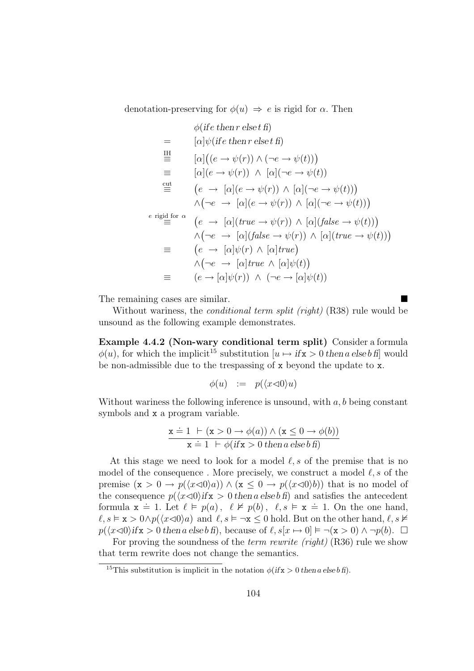denotation-preserving for  $\phi(u) \Rightarrow e$  is rigid for  $\alpha$ . Then

$$
\phi(\text{if } e \text{ then } r \text{ else } f \text{ if})
$$
\n
$$
= [\alpha] \psi(\text{if } e \text{ then } r \text{ else } f \text{ if})
$$
\n
$$
\equiv [\alpha] ((e \rightarrow \psi(r)) \land (\neg e \rightarrow \psi(t)))
$$
\n
$$
\equiv [\alpha] (e \rightarrow \psi(r)) \land [\alpha] (\neg e \rightarrow \psi(t))
$$
\n
$$
\stackrel{\text{cut}}{=} (e \rightarrow [\alpha] (e \rightarrow \psi(r)) \land [\alpha] (\neg e \rightarrow \psi(t)) )
$$
\n
$$
\land (\neg e \rightarrow [\alpha] (e \rightarrow \psi(r)) \land [\alpha] (\neg e \rightarrow \psi(t)) )
$$
\n
$$
e \text{ rigid for } \alpha \quad (e \rightarrow [\alpha] (true \rightarrow \psi(r)) \land [\alpha] (false \rightarrow \psi(t)) )
$$
\n
$$
\land (\neg e \rightarrow [\alpha] (false \rightarrow \psi(r)) \land [\alpha] (true \rightarrow \psi(t)) )
$$
\n
$$
= (e \rightarrow [\alpha] \psi(r) \land [\alpha] true )
$$
\n
$$
\land (\neg e \rightarrow [\alpha] \psi(r)) \land (\neg e \rightarrow [\alpha] \psi(t))
$$
\n
$$
= (e \rightarrow [\alpha] \psi(r)) \land (\neg e \rightarrow [\alpha] \psi(t))
$$

The remaining cases are similar.

Without wariness, the *conditional term split (right)* (R38) rule would be unsound as the following example demonstrates.

Example 4.4.2 (Non-wary conditional term split) Consider a formula  $\phi(u)$ , for which the implicit<sup>15</sup> substitution  $[u \mapsto if \mathbf{x} > 0$  then a else b fil would be non-admissible due to the trespassing of x beyond the update to x.

$$
\phi(u) \quad := \quad p(\langle x \triangleleft 0 \rangle u)
$$

Without wariness the following inference is unsound, with  $a, b$  being constant symbols and x a program variable.

$$
\frac{\mathbf{x} \doteq 1 \ \vdash (\mathbf{x} > 0 \rightarrow \phi(a)) \land (\mathbf{x} \le 0 \rightarrow \phi(b))}{\mathbf{x} \doteq 1 \ \vdash \phi(\text{if } \mathbf{x} > 0 \text{ then a else b f)})}
$$

At this stage we need to look for a model  $\ell$ , s of the premise that is no model of the consequence. More precisely, we construct a model  $\ell$ , s of the premise  $(x > 0 \rightarrow p(\langle x\triangleleft 0 \rangle a)) \wedge (x \leq 0 \rightarrow p(\langle x\triangleleft 0 \rangle b))$  that is no model of the consequence  $p(\langle x\triangleleft 0 \rangle \text{ if } x > 0 \text{ then } a \text{ else } b \text{ f})$  and satisfies the antecedent formula  $x = 1$ . Let  $\ell \models p(a)$ ,  $\ell \not\models p(b)$ ,  $\ell, s \models x = 1$ . On the one hand,  $\ell, s \vDash x > 0 \wedge p(\langle x \triangleleft 0 \rangle a)$  and  $\ell, s \vDash \neg x \leq 0$  hold. But on the other hand,  $\ell, s \nvDash$  $p(\langle x\triangleleft 0\rangle \text{ if } x > 0 \text{ then } a \text{ else } b \text{ f} \text{), because of } \ell, s[x \mapsto 0] \models \neg(x > 0) \land \neg p(b). \square$ 

For proving the soundness of the *term rewrite (right)* (R36) rule we show that term rewrite does not change the semantics.

<sup>&</sup>lt;sup>15</sup>This substitution is implicit in the notation  $\phi$  (if  $x > 0$  then a else b fi).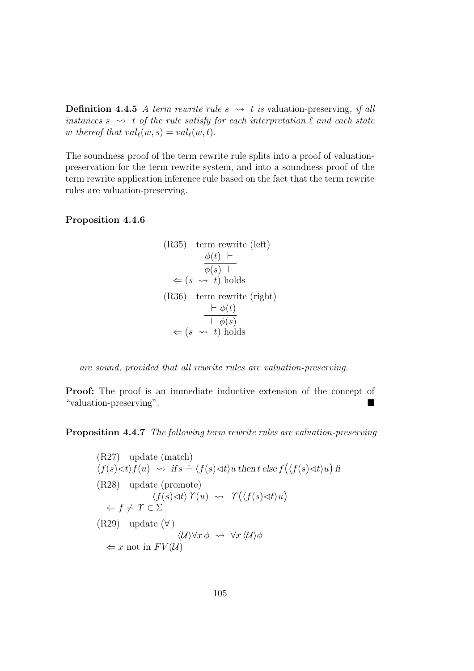**Definition 4.4.5** A term rewrite rule  $s \rightarrow t$  is valuation-preserving, if all instances  $s \leftrightarrow t$  of the rule satisfy for each interpretation  $\ell$  and each state w thereof that  $val_{\ell}(w, s) = val_{\ell}(w, t)$ .

The soundness proof of the term rewrite rule splits into a proof of valuationpreservation for the term rewrite system, and into a soundness proof of the term rewrite application inference rule based on the fact that the term rewrite rules are valuation-preserving.

Proposition 4.4.6

(R35) term rewrite (left)  
\n
$$
\begin{array}{rcl}\n\phi(t) & \vdash \\
\hline\n\phi(s) & \vdash \\
\Leftarrow (s \rightsquigarrow t) holds \\
(R36) & \text{term rewrite (right)} \\
&\vdash \phi(t) \\
&\vdash \phi(s) \\
\Leftarrow (s \rightsquigarrow t) holds\n\end{array}
$$

are sound, provided that all rewrite rules are valuation-preserving.

Proof: The proof is an immediate inductive extension of the concept of "valuation-preserving".

Proposition 4.4.7 The following term rewrite rules are valuation-preserving

(R27) update (match)  
\n
$$
\langle f(s) \prec t \rangle f(u) \leadsto ifs = \langle f(s) \prec t \rangle u
$$
 then t else  $f(\langle f(s) \prec t \rangle u)$  fi  
\n(R28) update (promote)  
\n $\langle f(s) \prec t \rangle T(u) \leadsto T(\langle f(s) \prec t \rangle u)$   
\n $\Leftarrow f \neq T \in \Sigma$   
\n(R29) update  $(\forall)$   
\n $\langle \mathcal{U} \rangle \forall x \phi \leadsto \forall x \langle \mathcal{U} \rangle \phi$   
\n $\Leftarrow x$  not in  $FV(\mathcal{U})$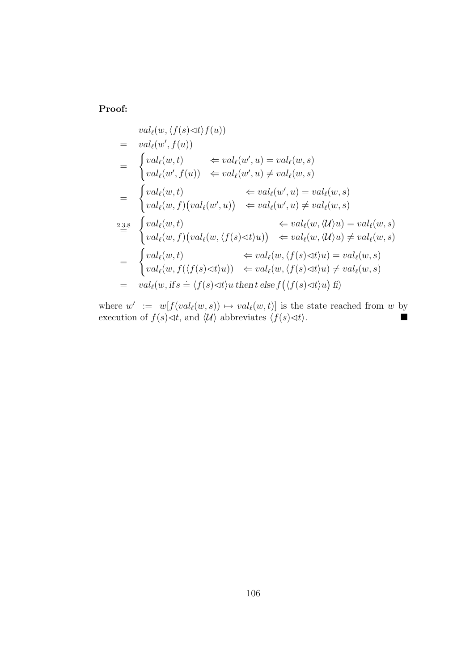## Proof:

$$
val_{\ell}(w, \langle f(s) \triangleleft t \rangle f(u))
$$
\n
$$
= val_{\ell}(w', f(u)) \Leftrightarrow val_{\ell}(w', u) = val_{\ell}(w, s)
$$
\n
$$
= \begin{cases}\nval_{\ell}(w, t) \Leftrightarrow val_{\ell}(w', u) \neq val_{\ell}(w, s) \\
val_{\ell}(w', f(u)) \Leftrightarrow val_{\ell}(w', u) \neq val_{\ell}(w, s)\n\end{cases}
$$
\n
$$
= \begin{cases}\nval_{\ell}(w, t) \Leftrightarrow val_{\ell}(w', u) = val_{\ell}(w, s) \\
val_{\ell}(w, f)(val_{\ell}(w', u)) \Leftrightarrow val_{\ell}(w', u) \neq val_{\ell}(w, s)\n\end{cases}
$$
\n
$$
= val_{\ell}(w, \langle \mathcal{U} \rangle u) = val_{\ell}(w, s)
$$
\n
$$
= \begin{cases}\nval_{\ell}(w, t) \Leftrightarrow val_{\ell}(w, \langle f(s) \triangleleft t \rangle u) \neq val_{\ell}(w, s) \\
val_{\ell}(w, f(\langle f(s) \triangleleft t \rangle u)) \Leftrightarrow val_{\ell}(w, \langle f(s) \triangleleft t \rangle u) \neq val_{\ell}(w, s) \\
val_{\ell}(w, f(\langle f(s) \triangleleft t \rangle u) \neq val_{\ell}(w, \langle f(s) \triangleleft t \rangle u) \neq val_{\ell}(w, s)\n\end{cases}
$$
\n
$$
= val_{\ell}(w, \text{if } s = \langle f(s) \triangleleft t \rangle u \text{ then } t \text{ else } f(\langle f(s) \triangleleft t \rangle u) \text{ fin}\n\end{cases}
$$

where  $w' := w[f(val_{\ell}(w, s)) \mapsto val_{\ell}(w, t)]$  is the state reached from w by execution of  $f(s) \triangleleft t$ , and  $\langle \mathcal{U} \rangle$  abbreviates  $\langle f(s) \triangleleft t \rangle$ .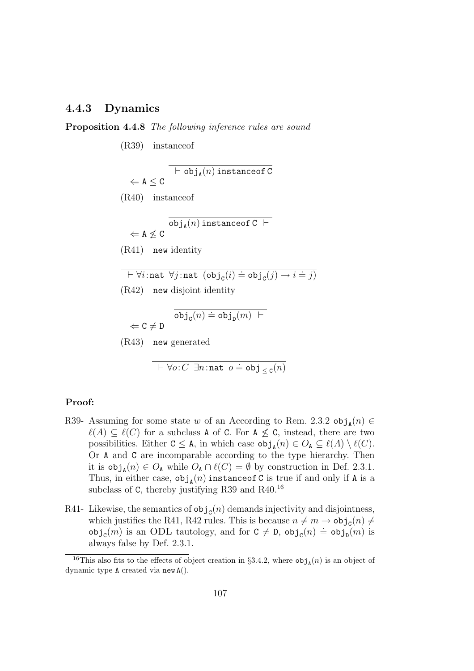### 4.4.3 Dynamics

Proposition 4.4.8 The following inference rules are sound

(R39) instanceof

 $\vdash \texttt{obj}_\texttt{A}(n)$  instanceof C  $\Leftrightarrow$  A  $\leq$  C (R40) instanceof  $\mathtt{obj_A}(n)$  instanceof C  $\;\vdash$  $\Leftarrow$  A  $\not\leq$  C (R41) new identity  $\overline{\forall i:\texttt{nat }\forall j:\texttt{nat}(\texttt{obj}_c(i) \doteq \texttt{obj}_c(j) \rightarrow i \doteq j)}$ (R42) new disjoint identity  $\overline{\mathsf{obj}_{\mathsf{C}}(n)} \doteq \mathsf{obj}_{\mathsf{D}}(m)$   $\vdash$  $\Leftrightarrow$  C  $\neq$  D (R43) new generated  $\overline{\vdash \forall o(C \exists n : \mathtt{nat} \ o \doteq \mathtt{obj}_{\leq \mathtt{C}}(n)}$ 

#### Proof:

- R39- Assuming for some state w of an According to Rem. 2.3.2  $\text{obj}_{\text{A}}(n) \in$  $\ell(A) \subseteq \ell(C)$  for a subclass A of C. For  $A \not\leq C$ , instead, there are two possibilities. Either  $C \leq A$ , in which case  $\mathrm{obj}_{A}(n) \in O_{A} \subseteq \ell(A) \setminus \ell(C)$ . Or A and C are incomparable according to the type hierarchy. Then it is  $obj_A(n) \in O_A$  while  $O_A \cap \ell(C) = \emptyset$  by construction in Def. 2.3.1. Thus, in either case,  $obj_A(n)$  instance of C is true if and only if A is a subclass of  $C$ , thereby justifying R39 and R40.<sup>16</sup>
- R41- Likewise, the semantics of  $obj_c(n)$  demands injectivity and disjointness, which justifies the R41, R42 rules. This is because  $n \neq m \rightarrow \text{obj}_{\text{C}}(n) \neq$ which jasones the ferr, ferrolling in the is because  $h \rightarrow m \rightarrow s_{\text{Ug}}(n)$ . always false by Def. 2.3.1.

<sup>&</sup>lt;sup>16</sup>This also fits to the effects of object creation in  $\S 3.4.2$ , where  $\text{obj}_{\mathbf{A}}(n)$  is an object of dynamic type A created via new A().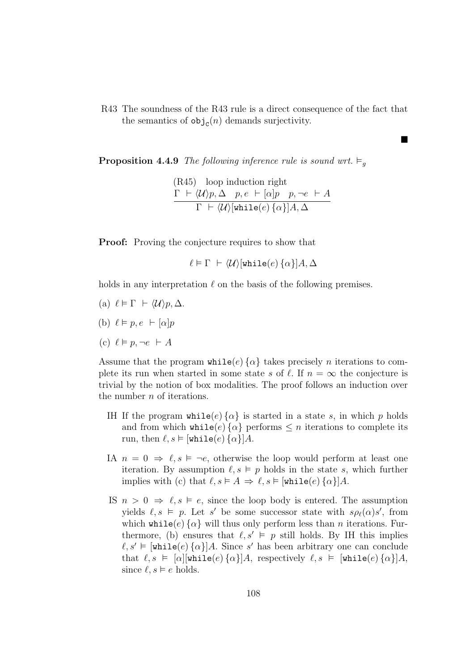R43 The soundness of the R43 rule is a direct consequence of the fact that the semantics of  $obj_c(n)$  demands surjectivity.

■

**Proposition 4.4.9** The following inference rule is sound wrt.  $\vDash$ <sub>q</sub>

(R45) loop induction right  
\n
$$
\frac{\Gamma \vdash \langle \mathcal{U} \rangle p, \Delta \quad p, e \vdash [\alpha] p \quad p, \neg e \vdash A}{\Gamma \vdash \langle \mathcal{U} \rangle [\text{while}(e) \{ \alpha \}] A, \Delta}
$$

**Proof:** Proving the conjecture requires to show that

 $\ell \vDash \Gamma \vdash \langle \mathcal{U} \rangle$ [while(e)  $\{\alpha\}$ ] $A, \Delta$ 

holds in any interpretation  $\ell$  on the basis of the following premises.

- (a)  $\ell \models \Gamma \vdash \langle \mathcal{U} \rangle p, \Delta$ .
- (b)  $\ell \models p, e \vdash [\alpha]p$
- (c)  $\ell \models p, \neg e \vdash A$

Assume that the program while(e)  $\{\alpha\}$  takes precisely n iterations to complete its run when started in some state s of  $\ell$ . If  $n = \infty$  the conjecture is trivial by the notion of box modalities. The proof follows an induction over the number n of iterations.

- IH If the program while(e)  $\{\alpha\}$  is started in a state s, in which p holds and from which  $\text{while}(e) \{\alpha\}$  performs  $\leq n$  iterations to complete its run, then  $\ell, s \vDash [\texttt{while}(e) \{ \alpha \}]A$ .
- IA  $n = 0 \Rightarrow \ell, s \models \neg e$ , otherwise the loop would perform at least one iteration. By assumption  $\ell, s \vDash p$  holds in the state s, which further implies with (c) that  $\ell, s \models A \Rightarrow \ell, s \models [\text{while}(e) \{\alpha\}]A$ .
- IS  $n > 0 \Rightarrow \ell, s \models e$ , since the loop body is entered. The assumption yields  $\ell, s \models p$ . Let s' be some successor state with  $s\rho_{\ell}(\alpha)s'$ , from which while(e)  $\{\alpha\}$  will thus only perform less than *n* iterations. Furthermore, (b) ensures that  $\ell, s' \vDash p$  still holds. By IH this implies  $\ell, s' \vDash [\text{while}(e) \{\alpha\}]A.$  Since s' has been arbitrary one can conclude that  $\ell, s \models [\alpha][\text{while}(e) \{\alpha\}]A$ , respectively  $\ell, s \models [\text{while}(e) \{\alpha\}]A$ , since  $\ell, s \vDash e$  holds.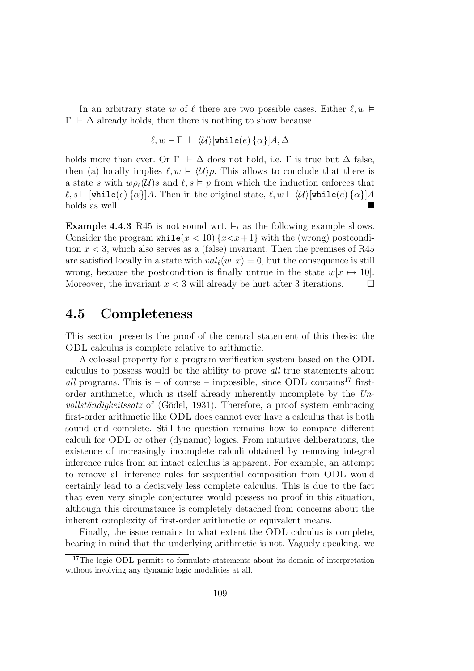In an arbitrary state w of  $\ell$  there are two possible cases. Either  $\ell, w \models$  $\Gamma \vdash \Delta$  already holds, then there is nothing to show because

$$
\ell, w \vDash \Gamma \vdash \langle \mathcal{U} \rangle [\text{while}(e) \{ \alpha \}] A, \Delta
$$

holds more than ever. Or  $\Gamma$   $\vdash \Delta$  does not hold, i.e.  $\Gamma$  is true but  $\Delta$  false, then (a) locally implies  $\ell, w \models \langle \mathcal{U} \rangle p$ . This allows to conclude that there is a state s with  $w\rho_{\ell}(\mathcal{U})$ s and  $\ell, s \models p$  from which the induction enforces that  $\ell, s \vDash [\text{while}(e) \{\alpha\}]A.$  Then in the original state,  $\ell, w \vDash \langle \mathcal{U} \rangle[\text{while}(e) \{\alpha\}]A$ holds as well.

**Example 4.4.3** R45 is not sound wrt.  $\vDash_l$  as the following example shows. Consider the program  $\text{while}(x < 10) \{x \leq x+1\}$  with the (wrong) postcondition  $x < 3$ , which also serves as a (false) invariant. Then the premises of R45 are satisfied locally in a state with  $val_\ell(w, x) = 0$ , but the consequence is still wrong, because the postcondition is finally untrue in the state  $w[x \mapsto 10]$ . Moreover, the invariant  $x < 3$  will already be hurt after 3 iterations.  $\Box$ 

# 4.5 Completeness

This section presents the proof of the central statement of this thesis: the ODL calculus is complete relative to arithmetic.

A colossal property for a program verification system based on the ODL calculus to possess would be the ability to prove all true statements about all programs. This is – of course – impossible, since ODL contains<sup>17</sup> firstorder arithmetic, which is itself already inherently incomplete by the Un $vollständigkeitssatz$  of (Gödel, 1931). Therefore, a proof system embracing first-order arithmetic like ODL does cannot ever have a calculus that is both sound and complete. Still the question remains how to compare different calculi for ODL or other (dynamic) logics. From intuitive deliberations, the existence of increasingly incomplete calculi obtained by removing integral inference rules from an intact calculus is apparent. For example, an attempt to remove all inference rules for sequential composition from ODL would certainly lead to a decisively less complete calculus. This is due to the fact that even very simple conjectures would possess no proof in this situation, although this circumstance is completely detached from concerns about the inherent complexity of first-order arithmetic or equivalent means.

Finally, the issue remains to what extent the ODL calculus is complete, bearing in mind that the underlying arithmetic is not. Vaguely speaking, we

<sup>&</sup>lt;sup>17</sup>The logic ODL permits to formulate statements about its domain of interpretation without involving any dynamic logic modalities at all.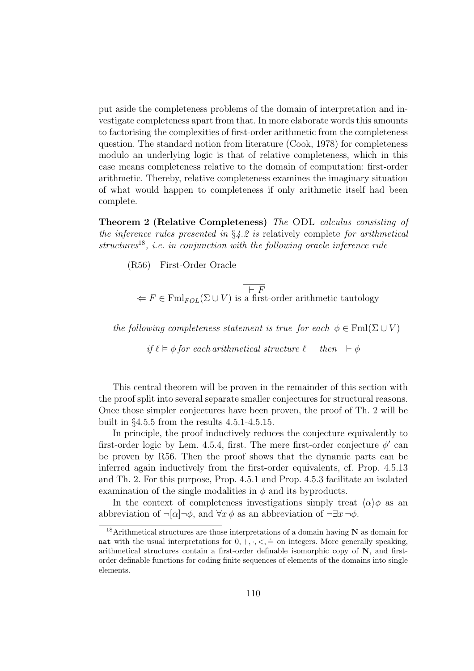put aside the completeness problems of the domain of interpretation and investigate completeness apart from that. In more elaborate words this amounts to factorising the complexities of first-order arithmetic from the completeness question. The standard notion from literature (Cook, 1978) for completeness modulo an underlying logic is that of relative completeness, which in this case means completeness relative to the domain of computation: first-order arithmetic. Thereby, relative completeness examines the imaginary situation of what would happen to completeness if only arithmetic itself had been complete.

Theorem 2 (Relative Completeness) The ODL calculus consisting of the inference rules presented in  $\S 4.2$  is relatively complete for arithmetical  $structures<sup>18</sup>, i.e. in conjunction with the following oracle inference rule$ 

(R56) First-Order Oracle

$$
\Leftarrow F \in \text{Fml}_{FOL}(\Sigma \cup V) \text{ is a first-order arithmetic tautology}
$$

the following completeness statement is true for each  $\phi \in \text{Fml}(\Sigma \cup V)$ 

if  $\ell \models \phi$  for each arithmetical structure  $\ell$  then  $\vdash \phi$ 

This central theorem will be proven in the remainder of this section with the proof split into several separate smaller conjectures for structural reasons. Once those simpler conjectures have been proven, the proof of Th. 2 will be built in §4.5.5 from the results 4.5.1-4.5.15.

In principle, the proof inductively reduces the conjecture equivalently to first-order logic by Lem. 4.5.4, first. The mere first-order conjecture  $\phi'$  can be proven by R56. Then the proof shows that the dynamic parts can be inferred again inductively from the first-order equivalents, cf. Prop. 4.5.13 and Th. 2. For this purpose, Prop. 4.5.1 and Prop. 4.5.3 facilitate an isolated examination of the single modalities in  $\phi$  and its byproducts.

In the context of completeness investigations simply treat  $\langle \alpha \rangle \phi$  as an abbreviation of  $\neg[\alpha]\neg\phi$ , and  $\forall x \phi$  as an abbreviation of  $\neg \exists x \neg \phi$ .

<sup>&</sup>lt;sup>18</sup>Arithmetical structures are those interpretations of a domain having  $N$  as domain for nat with the usual interpretations for  $0, +, \cdot, < \doteq$  on integers. More generally speaking, arithmetical structures contain a first-order definable isomorphic copy of N, and firstorder definable functions for coding finite sequences of elements of the domains into single elements.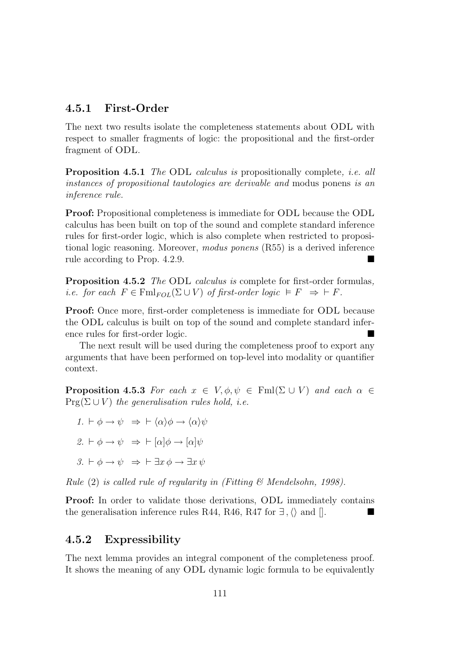### 4.5.1 First-Order

The next two results isolate the completeness statements about ODL with respect to smaller fragments of logic: the propositional and the first-order fragment of ODL.

Proposition 4.5.1 The ODL calculus is propositionally complete, i.e. all instances of propositional tautologies are derivable and modus ponens is an inference rule.

Proof: Propositional completeness is immediate for ODL because the ODL calculus has been built on top of the sound and complete standard inference rules for first-order logic, which is also complete when restricted to propositional logic reasoning. Moreover, modus ponens (R55) is a derived inference rule according to Prop. 4.2.9.

Proposition 4.5.2 The ODL calculus is complete for first-order formulas, i.e. for each  $F \in \text{Fml}_{FOL}(\Sigma \cup V)$  of first-order logic  $\models F \Rightarrow \vdash F$ .

Proof: Once more, first-order completeness is immediate for ODL because the ODL calculus is built on top of the sound and complete standard inference rules for first-order logic.

The next result will be used during the completeness proof to export any arguments that have been performed on top-level into modality or quantifier context.

**Proposition 4.5.3** For each  $x \in V, \phi, \psi \in \text{Fml}(\Sigma \cup V)$  and each  $\alpha \in$  $\Pr(g(\Sigma \cup V))$  the generalisation rules hold, i.e.

- 1.  $\vdash \phi \rightarrow \psi \Rightarrow \vdash \langle \alpha \rangle \phi \rightarrow \langle \alpha \rangle \psi$ 2.  $\vdash \phi \rightarrow \psi \Rightarrow \vdash [\alpha]\phi \rightarrow [\alpha]\psi$
- $3. \vdash \phi \rightarrow \psi \Rightarrow \vdash \exists x \, \phi \rightarrow \exists x \, \psi$

Rule  $(2)$  is called rule of regularity in (Fitting  $\mathcal{C}$  Mendelsohn, 1998).

Proof: In order to validate those derivations, ODL immediately contains the generalisation inference rules R44, R46, R47 for  $\exists$ ,  $\langle \rangle$  and  $\parallel$ .

### 4.5.2 Expressibility

The next lemma provides an integral component of the completeness proof. It shows the meaning of any ODL dynamic logic formula to be equivalently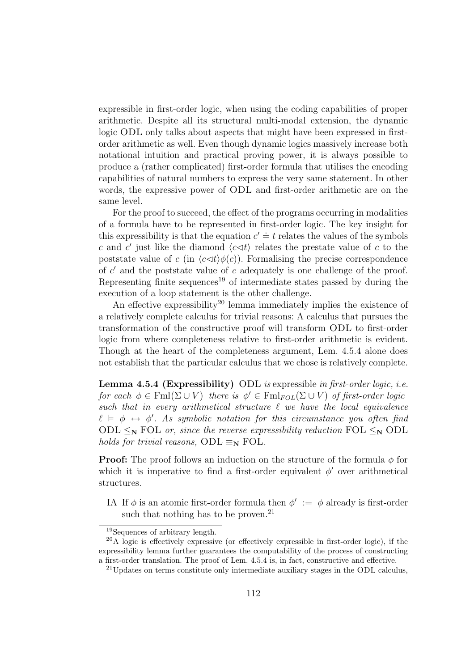expressible in first-order logic, when using the coding capabilities of proper arithmetic. Despite all its structural multi-modal extension, the dynamic logic ODL only talks about aspects that might have been expressed in firstorder arithmetic as well. Even though dynamic logics massively increase both notational intuition and practical proving power, it is always possible to produce a (rather complicated) first-order formula that utilises the encoding capabilities of natural numbers to express the very same statement. In other words, the expressive power of ODL and first-order arithmetic are on the same level.

For the proof to succeed, the effect of the programs occurring in modalities of a formula have to be represented in first-order logic. The key insight for this expressibility is that the equation  $c' \doteq t$  relates the values of the symbols c and c' just like the diamond  $\langle c \triangleleft t \rangle$  relates the prestate value of c to the poststate value of c (in  $\langle c \langle t \rangle \phi(c)$ ). Formalising the precise correspondence of  $c'$  and the poststate value of  $c$  adequately is one challenge of the proof. Representing finite sequences<sup>19</sup> of intermediate states passed by during the execution of a loop statement is the other challenge.

An effective expressibility<sup>20</sup> lemma immediately implies the existence of a relatively complete calculus for trivial reasons: A calculus that pursues the transformation of the constructive proof will transform ODL to first-order logic from where completeness relative to first-order arithmetic is evident. Though at the heart of the completeness argument, Lem. 4.5.4 alone does not establish that the particular calculus that we chose is relatively complete.

**Lemma 4.5.4 (Expressibility)** ODL is expressible in first-order logic, i.e. for each  $\phi \in \text{Fml}(\Sigma \cup V)$  there is  $\phi' \in \text{Fml}_{FOL}(\Sigma \cup V)$  of first-order logic such that in every arithmetical structure  $\ell$  we have the local equivalence  $\ell \vDash \phi \leftrightarrow \phi'$ . As symbolic notation for this circumstance you often find ODL  $\leq_N$  FOL or, since the reverse expressibility reduction FOL  $\leq_N$  ODL holds for trivial reasons,  $ODL \equiv_N FOL$ .

**Proof:** The proof follows an induction on the structure of the formula  $\phi$  for which it is imperative to find a first-order equivalent  $\phi'$  over arithmetical structures.

IA If  $\phi$  is an atomic first-order formula then  $\phi' := \phi$  already is first-order such that nothing has to be proven.<sup>21</sup>

<sup>19</sup>Sequences of arbitrary length.

 $^{20}$ A logic is effectively expressive (or effectively expressible in first-order logic), if the expressibility lemma further guarantees the computability of the process of constructing a first-order translation. The proof of Lem. 4.5.4 is, in fact, constructive and effective.

<sup>21</sup>Updates on terms constitute only intermediate auxiliary stages in the ODL calculus,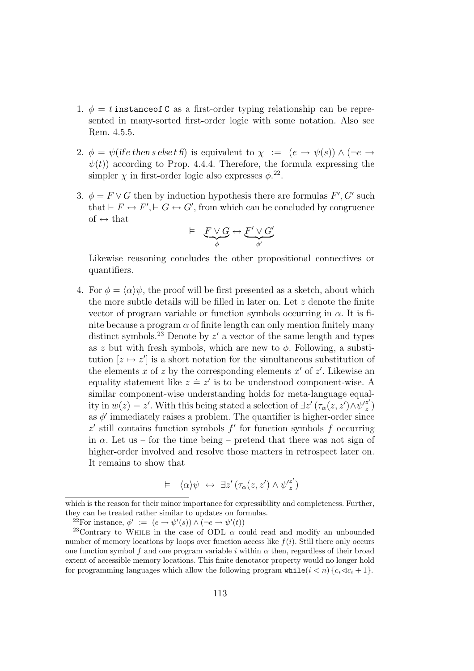- 1.  $\phi = t$  instance of C as a first-order typing relationship can be represented in many-sorted first-order logic with some notation. Also see Rem. 4.5.5.
- 2.  $\phi = \psi$  (if e then s elset fi) is equivalent to  $\chi := (e \to \psi(s)) \wedge (\neg e \to \psi(s))$  $\psi(t)$  according to Prop. 4.4.4. Therefore, the formula expressing the simpler  $\chi$  in first-order logic also expresses  $\phi$ <sup>22</sup>.
- 3.  $\phi = F \vee G$  then by induction hypothesis there are formulas  $F', G'$  such that  $\models F \leftrightarrow F'$ ,  $\models G \leftrightarrow G'$ , from which can be concluded by congruence of  $\leftrightarrow$  that

$$
\models \quad \underbrace{F \vee G}_{\phi} \leftrightarrow \underbrace{F' \vee G'}_{\phi'}
$$

Likewise reasoning concludes the other propositional connectives or quantifiers.

4. For  $\phi = \langle \alpha \rangle \psi$ , the proof will be first presented as a sketch, about which the more subtle details will be filled in later on. Let z denote the finite vector of program variable or function symbols occurring in  $\alpha$ . It is finite because a program  $\alpha$  of finite length can only mention finitely many distinct symbols.<sup>23</sup> Denote by  $z'$  a vector of the same length and types as z but with fresh symbols, which are new to  $\phi$ . Following, a substitution  $[z \mapsto z']$  is a short notation for the simultaneous substitution of the elements x of z by the corresponding elements  $x'$  of  $z'$ . Likewise an equality statement like  $z = z'$  is to be understood component-wise. A similar component-wise understanding holds for meta-language equality in  $w(z) = z'$ . With this being stated a selection of  $\exists z'$   $(\tau_\alpha(z, z') \wedge \psi_z'^{z'}$  $\binom{z}{z}$ as  $\phi'$  immediately raises a problem. The quantifier is higher-order since  $z'$  still contains function symbols  $f'$  for function symbols  $f$  occurring in  $\alpha$ . Let us – for the time being – pretend that there was not sign of higher-order involved and resolve those matters in retrospect later on. It remains to show that

$$
\vDash \langle \alpha \rangle \psi \leftrightarrow \exists z' (\tau_{\alpha}(z, z') \wedge \psi'^{z'}_{z})
$$

which is the reason for their minor importance for expressibility and completeness. Further, they can be treated rather similar to updates on formulas.

<sup>&</sup>lt;sup>22</sup>For instance,  $\phi' := (e \rightarrow \psi'(s)) \land (\neg e \rightarrow \psi'(t))$ 

<sup>&</sup>lt;sup>23</sup>Contrary to WHILE in the case of ODL  $\alpha$  could read and modify an unbounded number of memory locations by loops over function access like  $f(i)$ . Still there only occurs one function symbol f and one program variable i within  $\alpha$  then, regardless of their broad extent of accessible memory locations. This finite denotator property would no longer hold for programming languages which allow the following program  $\text{while}(i < n) \{c_i \lhd c_i + 1\}.$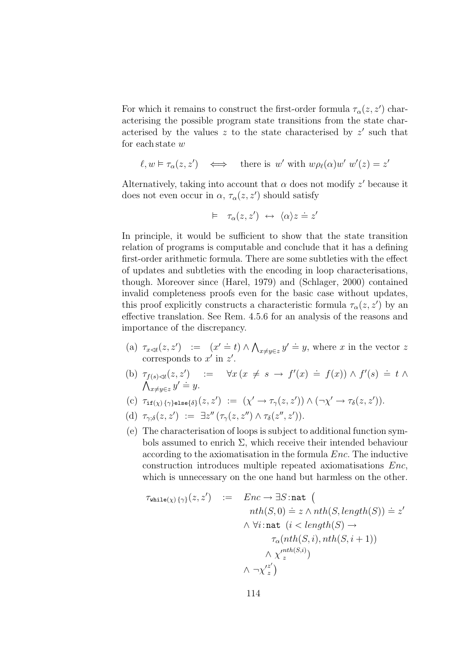For which it remains to construct the first-order formula  $\tau_{\alpha}(z, z')$  characterising the possible program state transitions from the state characterised by the values  $z$  to the state characterised by  $z'$  such that for each state w

$$
\ell, w \vDash \tau_{\alpha}(z, z')
$$
  $\iff$  there is w' with  $w \rho_{\ell}(\alpha) w' w'(z) = z'$ 

Alternatively, taking into account that  $\alpha$  does not modify  $z'$  because it does not even occur in  $\alpha$ ,  $\tau_{\alpha}(z, z')$  should satisfy

$$
\models \tau_{\alpha}(z, z') \leftrightarrow \langle \alpha \rangle z \doteq z'
$$

In principle, it would be sufficient to show that the state transition relation of programs is computable and conclude that it has a defining first-order arithmetic formula. There are some subtleties with the effect of updates and subtleties with the encoding in loop characterisations, though. Moreover since (Harel, 1979) and (Schlager, 2000) contained invalid completeness proofs even for the basic case without updates, this proof explicitly constructs a characteristic formula  $\tau_{\alpha}(z, z')$  by an effective translation. See Rem. 4.5.6 for an analysis of the reasons and importance of the discrepancy.

- (a)  $\tau_{x\lhd t}(z, z') := (x' \doteq t) \wedge \bigwedge_{x \neq y \in z} y' \doteq y$ , where x in the vector z corresponds to  $x'$  in  $z'$ .
- (b)  $\tau_{f(s) \lhd t}(z, z')$  :=  $\forall x \left( x \neq s \rightarrow f'(x) = f(x) \right) \wedge f'(s) = t \wedge$  $\bigwedge_{x\neq y\in z}^{y(s)\leq u(s,x,y)} y' \doteq y.$
- (c)  $\tau_{\mathbf{if}(\chi)}\{\gamma\}\mathbf{else}^{\delta}\}(z,z') := (\chi' \to \tau_{\gamma}(z,z')) \wedge (\neg \chi' \to \tau_{\delta}(z,z')).$
- (d)  $\tau_{\gamma,\delta}(z,z') := \exists z'' (\tau_{\gamma}(z,z'') \wedge \tau_{\delta}(z'',z')).$
- (e) The characterisation of loops is subject to additional function symbols assumed to enrich  $\Sigma$ , which receive their intended behaviour according to the axiomatisation in the formula Enc. The inductive construction introduces multiple repeated axiomatisations Enc, which is unnecessary on the one hand but harmless on the other.

$$
\tau_{\text{while}(\chi)}\{\gamma\}(z, z') \quad := \quad Enc \to \exists S : \text{nat} \quad ( \\
 \quad nth(S, 0) \doteq z \land nth(S, length(S)) \doteq z' \\
 \land \forall i : \text{nat} \quad (i < length(S) \to \\
 \quad \tau_{\alpha}(nth(S, i), nth(S, i + 1)) \\
 \quad \land \quad \chi_z'^{nth(S, i)}) \\
 \land \quad \neg \chi_z'^{z'} \}
$$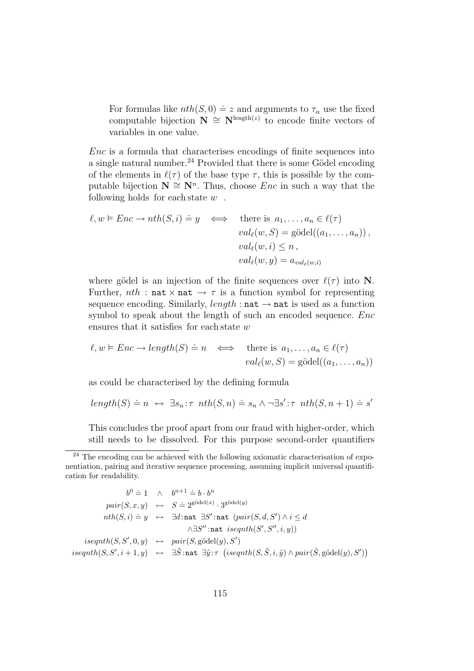For formulas like  $nth(S, 0) \doteq z$  and arguments to  $\tau_{\alpha}$  use the fixed computable bijection  $\mathbf{N} \cong \mathbf{N}^{\text{length}(z)}$  to encode finite vectors of variables in one value.

Enc is a formula that characterises encodings of finite sequences into a single natural number. $^{24}$  Provided that there is some Gödel encoding of the elements in  $\ell(\tau)$  of the base type  $\tau$ , this is possible by the computable bijection  $\mathbf{N} \cong \mathbf{N}^n$ . Thus, choose *Enc* in such a way that the following holds for each state  $w$ .

$$
\ell, w \vDash Enc \to nth(S, i) \doteq y \iff \text{there is } a_1, \dots, a_n \in \ell(\tau)
$$

$$
val_{\ell}(w, S) = \text{gödel}((a_1, \dots, a_n)),
$$

$$
val_{\ell}(w, i) \leq n,
$$

$$
val_{\ell}(w, y) = a_{val_{\ell}(w, i)}
$$

where godel is an injection of the finite sequences over  $\ell(\tau)$  into N. Further, nth: nat  $\times$  nat  $\rightarrow \tau$  is a function symbol for representing sequence encoding. Similarly, length :  $\texttt{nat} \rightarrow \texttt{nat}$  is used as a function symbol to speak about the length of such an encoded sequence. Enc ensures that it satisfies for each state  $w$ 

$$
\ell, w \vDash Enc \rightarrow length(S) \doteq n \iff \text{there is } a_1, \dots, a_n \in \ell(\tau)
$$

$$
val_{\ell}(w, S) = \text{gödel}((a_1, \dots, a_n))
$$

as could be characterised by the defining formula

$$
length(S) \doteq n \leftrightarrow \exists s_n : \tau
$$
  $nth(S,n) \doteq s_n \land \neg \exists s' : \tau$   $nth(S,n+1) \doteq s'$ 

This concludes the proof apart from our fraud with higher-order, which still needs to be dissolved. For this purpose second-order quantifiers

$$
b^{0} \doteq 1 \quad \land \quad b^{n+1} \doteq b \cdot b^{n}
$$
\n
$$
pair(S, x, y) \leftrightarrow S \doteq 2^{\text{gödel}(x)} \cdot 3^{\text{gödel}(y)}
$$
\n
$$
nth(S, i) \doteq y \leftrightarrow \exists d : \texttt{nat } \exists S' : \texttt{nat } (pair(S, d, S') \land i \le d
$$
\n
$$
\land \exists S'' : \texttt{nat } iseqnth(S', S'', i, y))
$$
\n
$$
iseqnth(S, S', 0, y) \leftrightarrow pair(S, \text{gödel}(y), S')
$$
\n
$$
iseqnth(S, S', i + 1, y) \leftrightarrow \exists \tilde{S} : \texttt{nat } \exists \tilde{y} : \tau \ (iseqnth(S, \tilde{S}, i, \tilde{y}) \land pair(\tilde{S}, \text{gödel}(y), S'))
$$

 $24$  The encoding can be achieved with the following axiomatic characterisation of exponentiation, pairing and iterative sequence processing, assuming implicit universal quantification for readability.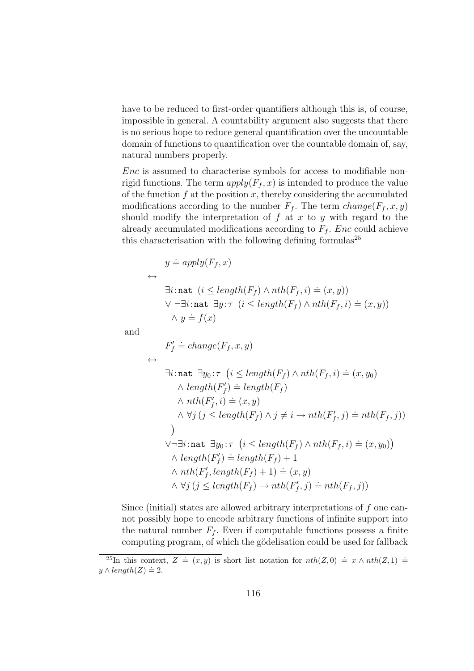have to be reduced to first-order quantifiers although this is, of course, impossible in general. A countability argument also suggests that there is no serious hope to reduce general quantification over the uncountable domain of functions to quantification over the countable domain of, say, natural numbers properly.

Enc is assumed to characterise symbols for access to modifiable nonrigid functions. The term  $apply(F_f, x)$  is intended to produce the value of the function  $f$  at the position  $x$ , thereby considering the accumulated modifications according to the number  $F_f$ . The term change( $F_f, x, y$ ) should modify the interpretation of  $f$  at  $x$  to  $y$  with regard to the already accumulated modifications according to  $F_f$ . Enc could achieve this characterisation with the following defining formulas<sup>25</sup>

$$
y \doteq apply(F_f, x)
$$
  
\n⇒  
\n
$$
\exists i : \text{nat} \quad (i \le length(F_f) \land nth(F_f, i) = (x, y))
$$
  
\n
$$
\lor \neg \exists i : \text{nat} \quad \exists y : \tau \quad (i \le length(F_f) \land nth(F_f, i) = (x, y))
$$
  
\n
$$
\land y \doteq f(x)
$$
  
\n
$$
F'_f \doteq change(F_f, x, y)
$$
  
\n⇒  
\n
$$
\exists i : \text{nat} \quad \exists y_0 : \tau \quad (i \le length(F_f) \land nth(F_f, i) = (x, y_0)
$$
  
\n
$$
\land length(F'_f) \doteq length(F_f)
$$
  
\n
$$
\land nth(F'_f, i) = (x, y)
$$
  
\n
$$
\land \forall j (j \le length(F_f) \land j \neq i \rightarrow nth(F'_f, j) = nth(F_f, j))
$$
  
\n
$$
\lor \neg \exists i : \text{nat} \quad \exists y_0 : \tau \quad (i \le length(F_f) \land nth(F_f, i) = (x, y_0))
$$
  
\n
$$
\land length(F'_f) \doteq length(F_f) + 1
$$
  
\n
$$
\land nth(F'_f, length(F_f) + 1) \doteq (x, y)
$$
  
\n
$$
\land \forall j (j \le length(F_f) \rightarrow nth(F'_f, j) = nth(F_f, j))
$$

and

Since (initial) states are allowed arbitrary interpretations of f one cannot possibly hope to encode arbitrary functions of infinite support into the natural number  $F_f$ . Even if computable functions possess a finite computing program, of which the gödelisation could be used for fallback

<sup>&</sup>lt;sup>25</sup>In this context,  $Z \doteq (x, y)$  is short list notation for  $nth(Z, 0) \doteq x \wedge nth(Z, 1) \doteq$  $y \wedge length(Z) \doteq 2.$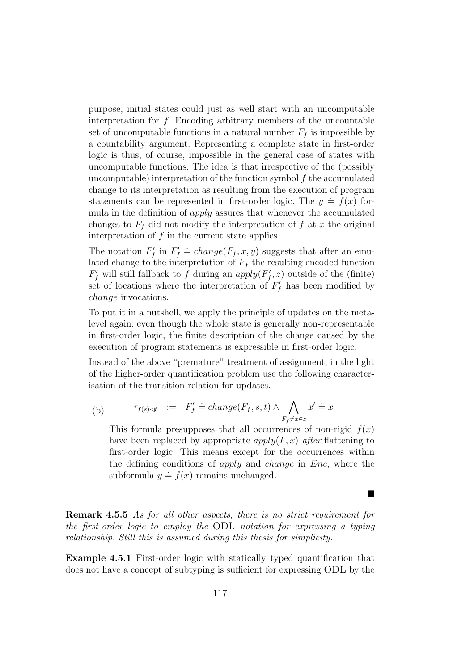purpose, initial states could just as well start with an uncomputable interpretation for  $f$ . Encoding arbitrary members of the uncountable set of uncomputable functions in a natural number  $F_f$  is impossible by a countability argument. Representing a complete state in first-order logic is thus, of course, impossible in the general case of states with uncomputable functions. The idea is that irrespective of the (possibly uncomputable) interpretation of the function symbol  $f$  the accumulated change to its interpretation as resulting from the execution of program statements can be represented in first-order logic. The  $y \doteq f(x)$  formula in the definition of *apply* assures that whenever the accumulated changes to  $F_f$  did not modify the interpretation of f at x the original interpretation of  $f$  in the current state applies.

The notation  $F'_f$  in  $F'_f \doteq change(F_f, x, y)$  suggests that after an emulated change to the interpretation of  $F_f$  the resulting encoded function  $F'_f$  will still fallback to f during an  $apply(F'_f, z)$  outside of the (finite) set of locations where the interpretation of  $F'_f$  has been modified by change invocations.

To put it in a nutshell, we apply the principle of updates on the metalevel again: even though the whole state is generally non-representable in first-order logic, the finite description of the change caused by the execution of program statements is expressible in first-order logic.

Instead of the above "premature" treatment of assignment, in the light of the higher-order quantification problem use the following characterisation of the transition relation for updates.

(b) 
$$
\tau_{f(s)\vartriangleleft t} := F'_f \doteq \text{change}(F_f, s, t) \wedge \bigwedge_{F_f \neq x \in z} x' \doteq x
$$

This formula presupposes that all occurrences of non-rigid  $f(x)$ have been replaced by appropriate  $apply(F, x)$  after flattening to first-order logic. This means except for the occurrences within the defining conditions of apply and change in Enc, where the subformula  $y = f(x)$  remains unchanged.

 $\blacksquare$ 

Remark 4.5.5 As for all other aspects, there is no strict requirement for the first-order logic to employ the ODL notation for expressing a typing relationship. Still this is assumed during this thesis for simplicity.

Example 4.5.1 First-order logic with statically typed quantification that does not have a concept of subtyping is sufficient for expressing ODL by the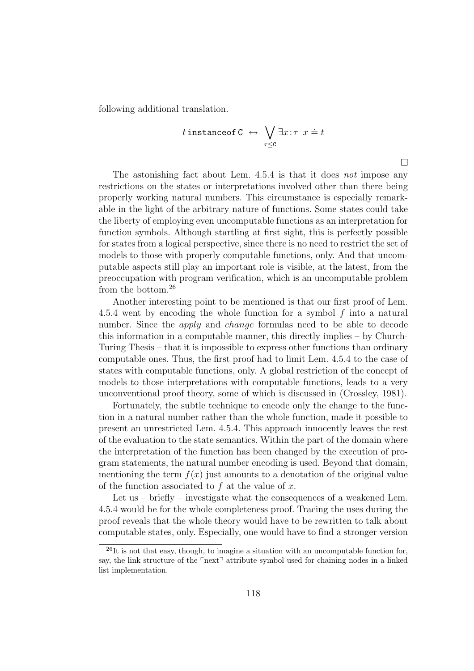following additional translation.

$$
t \text{ instance of } C \leftrightarrow \bigvee_{\tau \leq C} \exists x: \tau \ x \doteq t
$$

 $\Box$ 

The astonishing fact about Lem. 4.5.4 is that it does *not* impose any restrictions on the states or interpretations involved other than there being properly working natural numbers. This circumstance is especially remarkable in the light of the arbitrary nature of functions. Some states could take the liberty of employing even uncomputable functions as an interpretation for function symbols. Although startling at first sight, this is perfectly possible for states from a logical perspective, since there is no need to restrict the set of models to those with properly computable functions, only. And that uncomputable aspects still play an important role is visible, at the latest, from the preoccupation with program verification, which is an uncomputable problem from the bottom.<sup>26</sup>

Another interesting point to be mentioned is that our first proof of Lem. 4.5.4 went by encoding the whole function for a symbol f into a natural number. Since the *apply* and *change* formulas need to be able to decode this information in a computable manner, this directly implies – by Church-Turing Thesis – that it is impossible to express other functions than ordinary computable ones. Thus, the first proof had to limit Lem. 4.5.4 to the case of states with computable functions, only. A global restriction of the concept of models to those interpretations with computable functions, leads to a very unconventional proof theory, some of which is discussed in (Crossley, 1981).

Fortunately, the subtle technique to encode only the change to the function in a natural number rather than the whole function, made it possible to present an unrestricted Lem. 4.5.4. This approach innocently leaves the rest of the evaluation to the state semantics. Within the part of the domain where the interpretation of the function has been changed by the execution of program statements, the natural number encoding is used. Beyond that domain, mentioning the term  $f(x)$  just amounts to a denotation of the original value of the function associated to  $f$  at the value of  $x$ .

Let us – briefly – investigate what the consequences of a weakened Lem. 4.5.4 would be for the whole completeness proof. Tracing the uses during the proof reveals that the whole theory would have to be rewritten to talk about computable states, only. Especially, one would have to find a stronger version

 $^{26}$ It is not that easy, though, to imagine a situation with an uncomputable function for, say, the link structure of the  $\lceil \text{next} \rceil$  attribute symbol used for chaining nodes in a linked list implementation.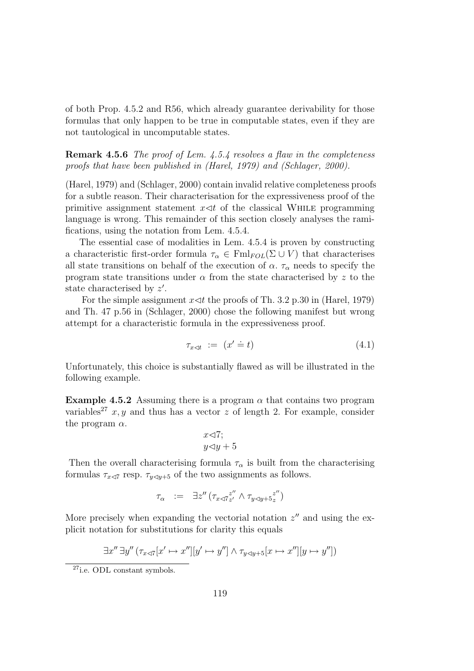of both Prop. 4.5.2 and R56, which already guarantee derivability for those formulas that only happen to be true in computable states, even if they are not tautological in uncomputable states.

Remark 4.5.6 The proof of Lem. 4.5.4 resolves a flaw in the completeness proofs that have been published in (Harel, 1979) and (Schlager, 2000).

(Harel, 1979) and (Schlager, 2000) contain invalid relative completeness proofs for a subtle reason. Their characterisation for the expressiveness proof of the primitive assignment statement  $x \le t$  of the classical WHILE programming language is wrong. This remainder of this section closely analyses the ramifications, using the notation from Lem. 4.5.4.

The essential case of modalities in Lem. 4.5.4 is proven by constructing a characteristic first-order formula  $\tau_{\alpha} \in \text{Fml}_{FOL}(\Sigma \cup V)$  that characterises all state transitions on behalf of the execution of  $\alpha$ .  $\tau_{\alpha}$  needs to specify the program state transitions under  $\alpha$  from the state characterised by z to the state characterised by  $z'$ .

For the simple assignment  $x \le t$  the proofs of Th. 3.2 p.30 in (Harel, 1979) and Th. 47 p.56 in (Schlager, 2000) chose the following manifest but wrong attempt for a characteristic formula in the expressiveness proof.

$$
\tau_{x \lhd t} := (x' \doteq t) \tag{4.1}
$$

Unfortunately, this choice is substantially flawed as will be illustrated in the following example.

**Example 4.5.2** Assuming there is a program  $\alpha$  that contains two program variables<sup>27</sup> x, y and thus has a vector z of length 2. For example, consider the program  $\alpha$ .

$$
x \triangleleft 7;
$$
  

$$
y \triangleleft y + 5
$$

Then the overall characterising formula  $\tau_{\alpha}$  is built from the characterising formulas  $\tau_{x\lhd7}$  resp.  $\tau_{y\lhd y+5}$  of the two assignments as follows.

$$
\tau_{\alpha} \quad := \quad \exists z'' \, (\tau_{x\lhd \overline{t}z'}^{z''} \wedge \tau_{y\lhd y+\overline{5}z}^{z''})
$$

More precisely when expanding the vectorial notation  $z''$  and using the explicit notation for substitutions for clarity this equals

$$
\exists x'' \,\exists y'' \, (\tau_{x\lhd \tau}[x'\mapsto x''][y'\mapsto y''] \wedge \tau_{y\lhd y+5}[x\mapsto x''][y\mapsto y''])
$$

<sup>27</sup>i.e. ODL constant symbols.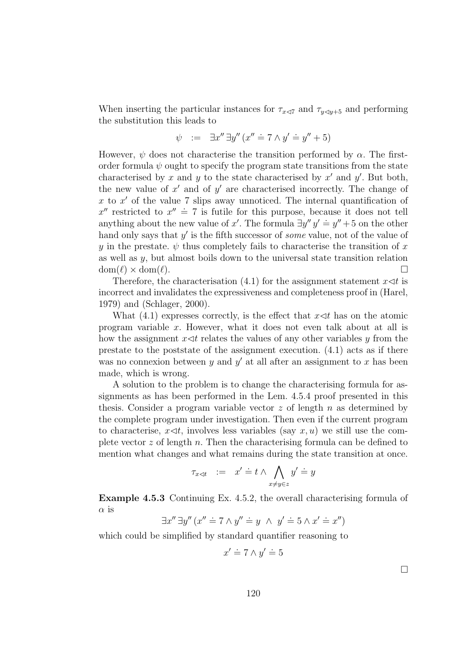When inserting the particular instances for  $\tau_{x\leq 7}$  and  $\tau_{y\leq y+5}$  and performing the substitution this leads to

$$
\psi := \exists x'' \exists y'' \left( x'' \doteq 7 \land y' \doteq y'' + 5 \right)
$$

However,  $\psi$  does not characterise the transition performed by  $\alpha$ . The firstorder formula  $\psi$  ought to specify the program state transitions from the state characterised by x and y to the state characterised by  $x'$  and  $y'$ . But both, the new value of  $x'$  and of  $y'$  are characterised incorrectly. The change of  $x$  to  $x'$  of the value 7 slips away unnoticed. The internal quantification of x'' restricted to  $x'' \doteq 7$  is futile for this purpose, because it does not tell anything about the new value of x'. The formula  $\exists y''y' \doteq y'' + 5$  on the other hand only says that  $y'$  is the fifth successor of *some* value, not of the value of y in the prestate.  $\psi$  thus completely fails to characterise the transition of x as well as y, but almost boils down to the universal state transition relation  $dom(\ell) \times dom(\ell).$ 

Therefore, the characterisation (4.1) for the assignment statement  $x \triangleleft t$  is incorrect and invalidates the expressiveness and completeness proof in (Harel, 1979) and (Schlager, 2000).

What  $(4.1)$  expresses correctly, is the effect that  $x \triangleleft t$  has on the atomic program variable x. However, what it does not even talk about at all is how the assignment  $x \triangleleft t$  relates the values of any other variables y from the prestate to the poststate of the assignment execution. (4.1) acts as if there was no connexion between  $y$  and  $y'$  at all after an assignment to  $x$  has been made, which is wrong.

A solution to the problem is to change the characterising formula for assignments as has been performed in the Lem. 4.5.4 proof presented in this thesis. Consider a program variable vector  $z$  of length  $n$  as determined by the complete program under investigation. Then even if the current program to characterise,  $x \triangleleft t$ , involves less variables (say  $x, u$ ) we still use the complete vector  $z$  of length  $n$ . Then the characterising formula can be defined to mention what changes and what remains during the state transition at once.

$$
\tau_{x \lhd t} \quad := \quad x' \doteq t \land \bigwedge_{x \neq y \in z} y' \doteq y
$$

Example 4.5.3 Continuing Ex. 4.5.2, the overall characterising formula of  $\alpha$  is

$$
\exists x'' \exists y'' \ (x'' \doteq 7 \land y'' \doteq y \land y' \doteq 5 \land x' \doteq x'')
$$

which could be simplified by standard quantifier reasoning to

$$
x' \doteq 7 \land y' \doteq 5
$$

 $\Box$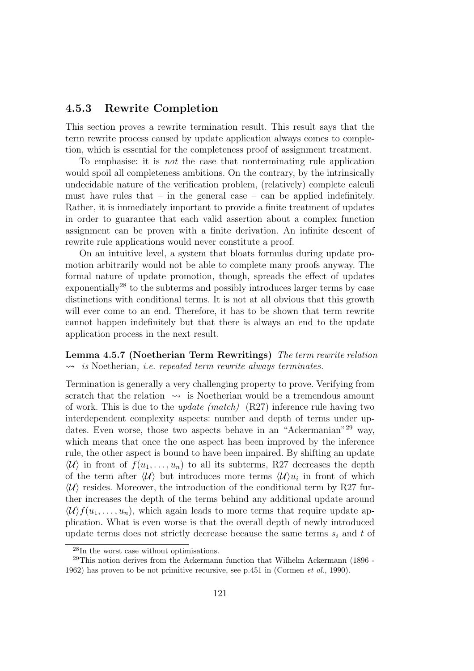### 4.5.3 Rewrite Completion

This section proves a rewrite termination result. This result says that the term rewrite process caused by update application always comes to completion, which is essential for the completeness proof of assignment treatment.

To emphasise: it is not the case that nonterminating rule application would spoil all completeness ambitions. On the contrary, by the intrinsically undecidable nature of the verification problem, (relatively) complete calculi must have rules that – in the general case – can be applied indefinitely. Rather, it is immediately important to provide a finite treatment of updates in order to guarantee that each valid assertion about a complex function assignment can be proven with a finite derivation. An infinite descent of rewrite rule applications would never constitute a proof.

On an intuitive level, a system that bloats formulas during update promotion arbitrarily would not be able to complete many proofs anyway. The formal nature of update promotion, though, spreads the effect of updates  $\alpha$  exponentially<sup>28</sup> to the subterms and possibly introduces larger terms by case distinctions with conditional terms. It is not at all obvious that this growth will ever come to an end. Therefore, it has to be shown that term rewrite cannot happen indefinitely but that there is always an end to the update application process in the next result.

Lemma 4.5.7 (Noetherian Term Rewritings) The term rewrite relation  $\rightarrow$  is Noetherian, *i.e.* repeated term rewrite always terminates.

Termination is generally a very challenging property to prove. Verifying from scratch that the relation  $\rightarrow$  is Noetherian would be a tremendous amount of work. This is due to the *update* (match) (R27) inference rule having two interdependent complexity aspects: number and depth of terms under updates. Even worse, those two aspects behave in an "Ackermanian"<sup>29</sup> way, which means that once the one aspect has been improved by the inference rule, the other aspect is bound to have been impaired. By shifting an update  $\langle \mathcal{U} \rangle$  in front of  $f(u_1, \ldots, u_n)$  to all its subterms, R27 decreases the depth of the term after  $\langle U \rangle$  but introduces more terms  $\langle U \rangle u_i$  in front of which  $\langle U \rangle$  resides. Moreover, the introduction of the conditional term by R27 further increases the depth of the terms behind any additional update around  $\langle U \rangle f(u_1, \ldots, u_n)$ , which again leads to more terms that require update application. What is even worse is that the overall depth of newly introduced update terms does not strictly decrease because the same terms  $s_i$  and t of

<sup>28</sup>In the worst case without optimisations.

<sup>29</sup>This notion derives from the Ackermann function that Wilhelm Ackermann (1896 - 1962) has proven to be not primitive recursive, see p.451 in (Cormen et al., 1990).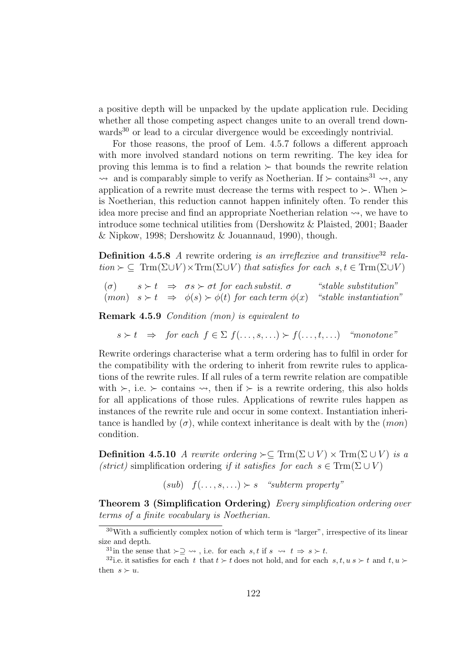a positive depth will be unpacked by the update application rule. Deciding whether all those competing aspect changes unite to an overall trend downwards<sup>30</sup> or lead to a circular divergence would be exceedingly nontrivial.

For those reasons, the proof of Lem. 4.5.7 follows a different approach with more involved standard notions on term rewriting. The key idea for proving this lemma is to find a relation  $\succ$  that bounds the rewrite relation  $\rightsquigarrow$  and is comparably simple to verify as Noetherian. If  $\succ$  contains<sup>31</sup>  $\rightsquigarrow$ , any application of a rewrite must decrease the terms with respect to  $\succ$ . When  $\succ$ is Noetherian, this reduction cannot happen infinitely often. To render this idea more precise and find an appropriate Noetherian relation  $\rightsquigarrow$ , we have to introduce some technical utilities from (Dershowitz & Plaisted, 2001; Baader & Nipkow, 1998; Dershowitz & Jouannaud, 1990), though.

**Definition 4.5.8** A rewrite ordering is an irreflexive and transitive<sup>32</sup> rela $tion \succ \subseteq \text{Trm}(\Sigma \cup V) \times \text{Trm}(\Sigma \cup V)$  that satisfies for each  $s, t \in \text{Trm}(\Sigma \cup V)$ 

(σ)  $s \succ t \Rightarrow \sigma s \succ \sigma t$  for each substitution "stable substitution"  $(mon) \quad s \succ t \Rightarrow \phi(s) \succ \phi(t)$  for each term  $\phi(x)$  "stable instantiation"

Remark 4.5.9 Condition (mon) is equivalent to

 $s \succ t \Rightarrow$  for each  $f \in \Sigma$   $f(\ldots, s, \ldots) \succ f(\ldots, t, \ldots)$  "monotone"

Rewrite orderings characterise what a term ordering has to fulfil in order for the compatibility with the ordering to inherit from rewrite rules to applications of the rewrite rules. If all rules of a term rewrite relation are compatible with  $\succ$ , i.e.  $\succ$  contains  $\rightsquigarrow$ , then if  $\succ$  is a rewrite ordering, this also holds for all applications of those rules. Applications of rewrite rules happen as instances of the rewrite rule and occur in some context. Instantiation inheritance is handled by  $(\sigma)$ , while context inheritance is dealt with by the  $(mon)$ condition.

Definition 4.5.10 A rewrite ordering  $\succ \subseteq \text{Trm}(\Sigma \cup V) \times \text{Trm}(\Sigma \cup V)$  is a (strict) simplification ordering if it satisfies for each  $s \in \text{Trm}(\Sigma \cup V)$ 

 $(sub)$   $f(\ldots, s, \ldots) \succ s$  "subterm property"

Theorem 3 (Simplification Ordering) Every simplification ordering over terms of a finite vocabulary is Noetherian.

<sup>30</sup>With a sufficiently complex notion of which term is "larger", irrespective of its linear size and depth.

 $^{31}{\rm in}$  the sense that  $\succ\supseteq\rightsquigarrow$  , i.e. for each  $\,s,t$  if  $s\;\rightsquigarrow\;t\,\Rightarrow\,s\succ t.$ 

<sup>&</sup>lt;sup>32</sup>i.e. it satisfies for each t that  $t > t$  does not hold, and for each  $s, t, u s > t$  and  $t, u >$ then  $s \succ u$ .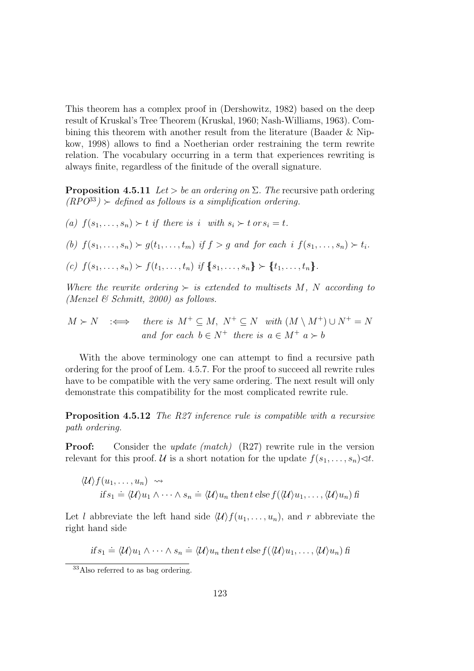This theorem has a complex proof in (Dershowitz, 1982) based on the deep result of Kruskal's Tree Theorem (Kruskal, 1960; Nash-Williams, 1963). Combining this theorem with another result from the literature (Baader & Nipkow, 1998) allows to find a Noetherian order restraining the term rewrite relation. The vocabulary occurring in a term that experiences rewriting is always finite, regardless of the finitude of the overall signature.

**Proposition 4.5.11** Let > be an ordering on  $\Sigma$ . The recursive path ordering  $(RPO^{33})$  > defined as follows is a simplification ordering.

(a)  $f(s_1, \ldots, s_n) \succ t$  if there is i with  $s_i \succ t$  or  $s_i = t$ .

(b)  $f(s_1, \ldots, s_n) \succ g(t_1, \ldots, t_m)$  if  $f > g$  and for each i  $f(s_1, \ldots, s_n) \succ t_i$ .

(c)  $f(s_1, \ldots, s_n) \succ f(t_1, \ldots, t_n)$  if  $\{s_1, \ldots, s_n\} \succ \{t_1, \ldots, t_n\}.$ 

Where the rewrite ordering  $\succ$  is extended to multisets M, N according to (Menzel  $\mathcal B$  Schmitt, 2000) as follows.

$$
M \succ N \quad \Longleftrightarrow \quad there \text{ is } M^+ \subseteq M, \ N^+ \subseteq N \quad with \ (M \setminus M^+) \cup N^+ = N
$$
  
and for each  $b \in N^+$  there is  $a \in M^+ \ a \succ b$ 

With the above terminology one can attempt to find a recursive path ordering for the proof of Lem. 4.5.7. For the proof to succeed all rewrite rules have to be compatible with the very same ordering. The next result will only demonstrate this compatibility for the most complicated rewrite rule.

Proposition 4.5.12 The R27 inference rule is compatible with a recursive path ordering.

**Proof:** Consider the *update (match)* (R27) rewrite rule in the version relevant for this proof. U is a short notation for the update  $f(s_1, \ldots, s_n) \triangleleft t$ .

$$
\langle \mathcal{U} \rangle f(u_1, \dots, u_n) \rightsquigarrow
$$
  
if  $s_1 = \langle \mathcal{U} \rangle u_1 \wedge \dots \wedge s_n = \langle \mathcal{U} \rangle u_n$  then  $t$  else  $f(\langle \mathcal{U} \rangle u_1, \dots, \langle \mathcal{U} \rangle u_n)$  fi

Let l abbreviate the left hand side  $\langle U \rangle f(u_1, \ldots, u_n)$ , and r abbreviate the right hand side

if 
$$
s_1 \doteq \langle \mathcal{U} \rangle u_1 \wedge \cdots \wedge s_n \doteq \langle \mathcal{U} \rangle u_n
$$
 then t else  $f(\langle \mathcal{U} \rangle u_1, \ldots, \langle \mathcal{U} \rangle u_n)$  fi

<sup>33</sup>Also referred to as bag ordering.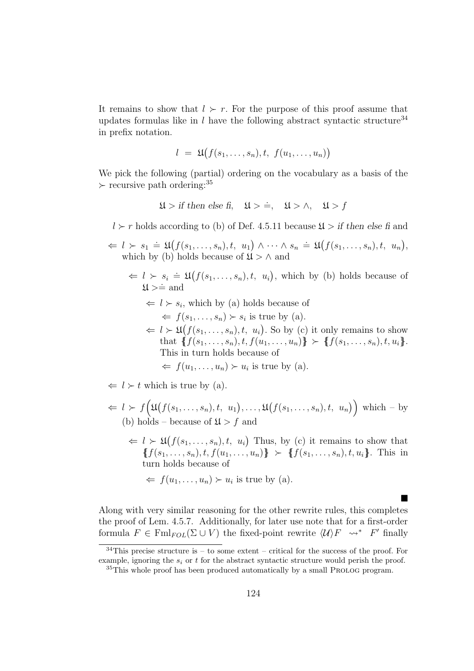It remains to show that  $l \succ r$ . For the purpose of this proof assume that updates formulas like in l have the following abstract syntactic structure<sup>34</sup> in prefix notation.

$$
l = \mathfrak{U}\big(f(s_1,\ldots,s_n),t,\ f(u_1,\ldots,u_n)\big)
$$

We pick the following (partial) ordering on the vocabulary as a basis of the  $\succ$  recursive path ordering:<sup>35</sup>

$$
\mathfrak{U} > \text{if then else f, } \mathfrak{U} > \doteq, \mathfrak{U} > \wedge, \mathfrak{U} > f
$$

 $l \succ r$  holds according to (b) of Def. 4.5.11 because  $\mathfrak{U} > i f$  then else fi and

 $\Leftarrow l \succ s_1 \doteq \mathfrak{U}(f(s_1,\ldots,s_n),t, u_1) \wedge \cdots \wedge s_n \doteq \mathfrak{U}(f(s_1,\ldots,s_n),t, u_n),$ which by (b) holds because of  $\mathfrak{U} > \wedge$  and

- $\Leftarrow l \succ s_i \stackrel{\cdot}{=} \mathfrak{U}(f(s_1,\ldots,s_n),t, u_i)$ , which by (b) holds because of  $\mathfrak{U} \geq \doteq \text{and}$ 
	- $\Leftarrow$   $l \succ s_i$ , which by (a) holds because of
		- $\Leftarrow f(s_1, \ldots, s_n) \succ s_i$  is true by (a).
	- $\Leftarrow l \succ \mathfrak{U}(f(s_1,\ldots,s_n),t, u_i)$ . So by (c) it only remains to show that  $\{f(s_1, \ldots, s_n), t, f(u_1, \ldots, u_n)\}$   $\succ$   $\{f(s_1, \ldots, s_n), t, u_i\}$ . This in turn holds because of  $\Leftarrow f(u_1, \ldots, u_n) \succ u_i$  is true by (a).

 $\Leftarrow$  l  $\succ t$  which is true by (a).

- $\Leftarrow l \succ f(\mathfrak{U}(f(s_1,\ldots,s_n),t, u_1),\ldots,\mathfrak{U}(f(s_1,\ldots,s_n),t, u_n))$  which by (b) holds – because of  $\mathfrak{U} > f$  and
	- $\Leftarrow l \succ \mathfrak{U}(f(s_1,\ldots,s_n),t, u_i)$  Thus, by (c) it remains to show that  ${f(s_1, \ldots, s_n), t, f(u_1, \ldots, u_n)} \geq {f(s_1, \ldots, s_n), t, u_i}.$  This in turn holds because of

$$
\Leftarrow f(u_1, \ldots, u_n) \succ u_i \text{ is true by (a)}.
$$

Along with very similar reasoning for the other rewrite rules, this completes the proof of Lem. 4.5.7. Additionally, for later use note that for a first-order formula  $F \in \text{Fml}_{FOL}(\Sigma \cup V)$  the fixed-point rewrite  $\langle \mathcal{U} \rangle F \sim^* F'$  finally

 $34$ This precise structure is – to some extent – critical for the success of the proof. For example, ignoring the  $s_i$  or t for the abstract syntactic structure would perish the proof.

<sup>&</sup>lt;sup>35</sup>This whole proof has been produced automatically by a small PROLOG program.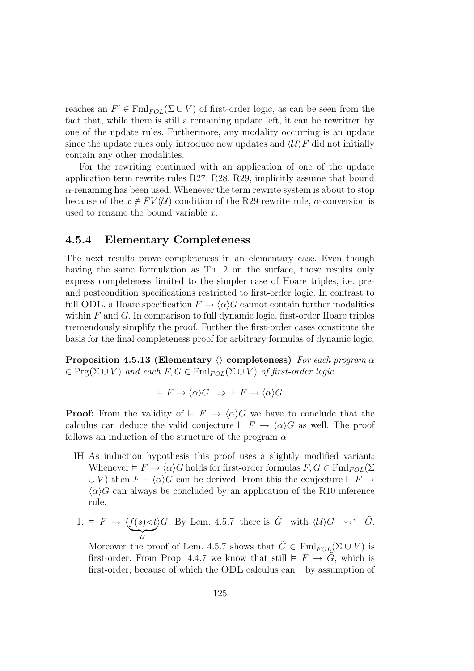reaches an  $F' \in \text{Fml}_{FOL}(\Sigma \cup V)$  of first-order logic, as can be seen from the fact that, while there is still a remaining update left, it can be rewritten by one of the update rules. Furthermore, any modality occurring is an update since the update rules only introduce new updates and  $\langle U \rangle F$  did not initially contain any other modalities.

For the rewriting continued with an application of one of the update application term rewrite rules R27, R28, R29, implicitly assume that bound  $\alpha$ -renaming has been used. Whenever the term rewrite system is about to stop because of the  $x \notin FV(U)$  condition of the R29 rewrite rule,  $\alpha$ -conversion is used to rename the bound variable  $x$ .

### 4.5.4 Elementary Completeness

The next results prove completeness in an elementary case. Even though having the same formulation as Th. 2 on the surface, those results only express completeness limited to the simpler case of Hoare triples, i.e. preand postcondition specifications restricted to first-order logic. In contrast to full ODL, a Hoare specification  $F \to \langle \alpha \rangle G$  cannot contain further modalities within  $F$  and  $G$ . In comparison to full dynamic logic, first-order Hoare triples tremendously simplify the proof. Further the first-order cases constitute the basis for the final completeness proof for arbitrary formulas of dynamic logic.

**Proposition 4.5.13 (Elementary**  $\langle \rangle$  **completeness)** For each program  $\alpha$  $\in$  Prg( $\Sigma \cup V$ ) and each  $F, G \in \text{Fml}_{FOL}(\Sigma \cup V)$  of first-order logic

$$
\vDash F \to \langle \alpha \rangle G \Rightarrow \vdash F \to \langle \alpha \rangle G
$$

**Proof:** From the validity of  $\models$   $F \rightarrow \langle \alpha \rangle G$  we have to conclude that the calculus can deduce the valid conjecture  $\vdash F \rightarrow \langle \alpha \rangle G$  as well. The proof follows an induction of the structure of the program  $\alpha$ .

- IH As induction hypothesis this proof uses a slightly modified variant: Whenever  $\models F \rightarrow \langle \alpha \rangle G$  holds for first-order formulas  $F, G \in \text{Fml}_{FOL}(\Sigma)$  $\cup V$ ) then  $F \vdash \langle \alpha \rangle G$  can be derived. From this the conjecture  $\vdash F \rightarrow$  $\langle \alpha \rangle$ G can always be concluded by an application of the R10 inference rule.
- 1.  $\models$   $F \rightarrow \langle f(s) \triangleleft t$  $\overline{u}$  $\Diamond G$ . By Lem. 4.5.7 there is  $\tilde{G}$  with  $\langle \mathcal{U} \rangle G \sim^* \tilde{G}$ .

Moreover the proof of Lem. 4.5.7 shows that  $\tilde{G} \in \text{Fml}_{FOL}(\Sigma \cup V)$  is first-order. From Prop. 4.4.7 we know that still  $\models F \rightarrow \tilde{G}$ , which is first-order, because of which the ODL calculus can – by assumption of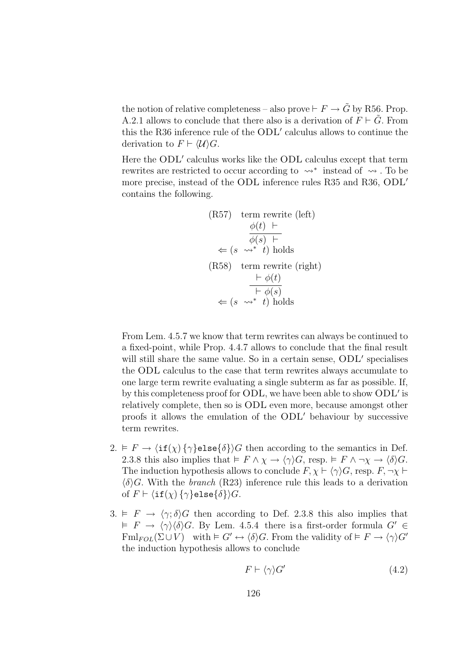the notion of relative completeness – also prove  $\vdash F \to \tilde{G}$  by R56. Prop. A.2.1 allows to conclude that there also is a derivation of  $F \vdash \tilde{G}$ . From this the R36 inference rule of the  $ODL'$  calculus allows to continue the derivation to  $F \vdash \langle U \rangle G$ .

Here the ODL' calculus works like the ODL calculus except that term rewrites are restricted to occur according to  $\leadsto^*$  instead of  $\leadsto$ . To be more precise, instead of the ODL inference rules R35 and R36,  $ODL'$ contains the following.

(R57) term rewrite (left)  
\n
$$
\frac{\phi(t) \vdash}{\phi(s) \vdash}
$$
\n
$$
\Leftarrow (s \leadsto^* t) \text{ holds}
$$
\n(R58) term rewrite (right)  
\n
$$
\frac{\vdash \phi(t)}{\vdash \phi(s)}
$$
\n
$$
\Leftarrow (s \leadsto^* t) \text{ holds}
$$

From Lem. 4.5.7 we know that term rewrites can always be continued to a fixed-point, while Prop. 4.4.7 allows to conclude that the final result will still share the same value. So in a certain sense, ODL' specialises the ODL calculus to the case that term rewrites always accumulate to one large term rewrite evaluating a single subterm as far as possible. If, by this completeness proof for ODL, we have been able to show ODL' is relatively complete, then so is ODL even more, because amongst other proofs it allows the emulation of the  $ODL'$  behaviour by successive term rewrites.

- 2.  $F \to \langle \text{if}(\chi) \{ \gamma \} \text{else} \{ \delta \} \rangle G$  then according to the semantics in Def. 2.3.8 this also implies that  $\models F \land \chi \rightarrow \langle \gamma \rangle G$ , resp.  $\models F \land \neg \chi \rightarrow \langle \delta \rangle G$ . The induction hypothesis allows to conclude  $F, \chi \vdash \langle \gamma \rangle G$ , resp.  $F, \neg \chi \vdash$  $\langle \delta \rangle G$ . With the *branch* (R23) inference rule this leads to a derivation of  $F \vdash \langle \text{if}(\chi) \{ \gamma \} \text{else} \{ \delta \} \rangle G.$
- 3.  $F \rightarrow \langle \gamma; \delta \rangle G$  then according to Def. 2.3.8 this also implies that  $F \rightarrow \langle \gamma \rangle \langle \delta \rangle G$ . By Lem. 4.5.4 there is a first-order formula  $G' \in$  $\text{Fml}_{FOL}(\Sigma \cup V)$  with  $\models G' \leftrightarrow \langle \delta \rangle G$ . From the validity of  $\models F \rightarrow \langle \gamma \rangle G'$ the induction hypothesis allows to conclude

$$
F \vdash \langle \gamma \rangle G' \tag{4.2}
$$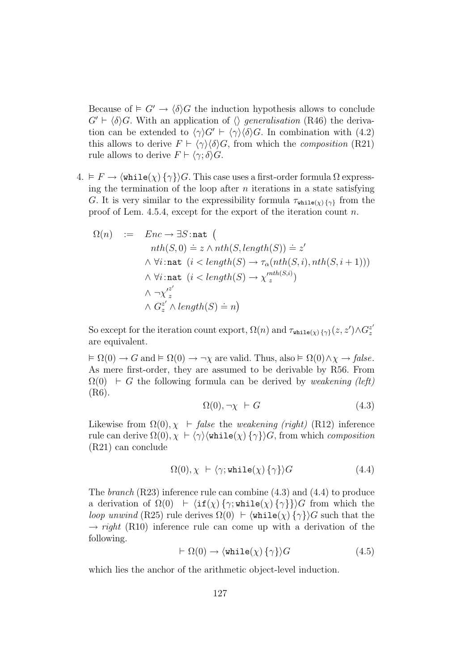Because of  $\vdash G' \rightarrow \langle \delta \rangle G$  the induction hypothesis allows to conclude  $G' \vdash \langle \delta \rangle G$ . With an application of  $\langle \rangle$  generalisation (R46) the derivation can be extended to  $\langle \gamma \rangle G' \vdash \langle \gamma \rangle \langle \delta \rangle G$ . In combination with (4.2) this allows to derive  $F \vdash \langle \gamma \rangle \langle \delta \rangle G$ , from which the *composition* (R21) rule allows to derive  $F \vdash \langle \gamma; \delta \rangle G$ .

 $4. \vDash F \rightarrow \langle \text{while}(\chi) \{\gamma\}\rangle G$ . This case uses a first-order formula  $\Omega$  expressing the termination of the loop after  $n$  iterations in a state satisfying G. It is very similar to the expressibility formula  $\tau_{\text{while}(\chi)}\{\gamma\}$  from the proof of Lem. 4.5.4, except for the export of the iteration count n.

$$
\Omega(n) := Enc \to \exists S : \text{nat} \quad ( \\
 \quad nth(S, 0) \doteq z \land nth(S, length(S)) \doteq z' \\
 \land \forall i : \text{nat} \quad (i < length(S) \to \tau_{\alpha}(nth(S, i), nth(S, i + 1))) \\
 \land \forall i : \text{nat} \quad (i < length(S) \to \chi'^{nth(S, i)}_{z}) \\
 \land \neg \chi'^{z'}_{z} \\
 \land G^{z'}_{z} \land length(S) \doteq n)
$$

So except for the iteration count export,  $\Omega(n)$  and  $\tau_{\text{while}(\chi)}\{\gamma\}(z, z') \wedge G_z^{z'}$ z are equivalent.

 $\vDash \Omega(0) \rightarrow G$  and  $\vDash \Omega(0) \rightarrow \neg \chi$  are valid. Thus, also  $\vDash \Omega(0) \land \chi \rightarrow false$ . As mere first-order, they are assumed to be derivable by R56. From  $\Omega(0)$   $\vdash G$  the following formula can be derived by weakening (left) (R6).

$$
\Omega(0), \neg \chi \vdash G \tag{4.3}
$$

Likewise from  $\Omega(0)$ ,  $\chi$   $\vdash$  false the weakening (right) (R12) inference rule can derive  $\Omega(0), \chi \vdash \langle \gamma \rangle$  (while( $\chi$ ) { $\gamma$ }) G, from which composition (R21) can conclude

$$
\Omega(0), \chi \vdash \langle \gamma; \text{while}(\chi) \{ \gamma \} \rangle G \tag{4.4}
$$

The branch (R23) inference rule can combine (4.3) and (4.4) to produce a derivation of  $\Omega(0) \vdash \langle \text{if}(\chi) \{ \gamma ; \text{while}(\chi) \{ \gamma \} \} \rangle G$  from which the loop unwind (R25) rule derives  $\Omega(0) \vdash \langle \text{while}(\chi) \{ \gamma \} \rangle G$  such that the  $\rightarrow$  right (R10) inference rule can come up with a derivation of the following.

$$
\vdash \Omega(0) \to \langle \text{while}(\chi) \{ \gamma \} \rangle G \tag{4.5}
$$

which lies the anchor of the arithmetic object-level induction.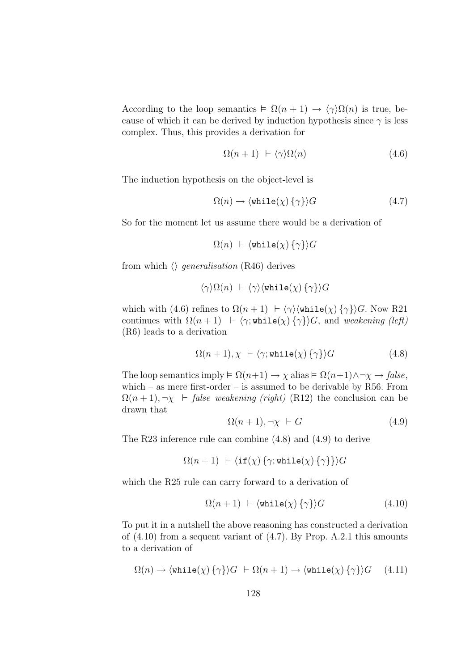According to the loop semantics  $\vdash \Omega(n+1) \rightarrow \langle \gamma \rangle \Omega(n)$  is true, because of which it can be derived by induction hypothesis since  $\gamma$  is less complex. Thus, this provides a derivation for

$$
\Omega(n+1) + \langle \gamma \rangle \Omega(n) \tag{4.6}
$$

The induction hypothesis on the object-level is

$$
\Omega(n) \to \langle \text{while}(\chi) \{ \gamma \} \rangle G \tag{4.7}
$$

So for the moment let us assume there would be a derivation of

$$
\Omega(n) \vdash \langle \text{while}(\chi) \{ \gamma \} \rangle G
$$

from which  $\langle \rangle$  generalisation (R46) derives

$$
\langle \gamma \rangle \Omega(n) \ \vdash \langle \gamma \rangle \langle \mathtt{while}(\chi) \ \{\gamma\} \rangle G
$$

which with (4.6) refines to  $\Omega(n+1) \vdash \langle \gamma \rangle$  (while( $\chi$ )  $\{\gamma\}$ ) G. Now R21 continues with  $\Omega(n + 1)$   $\vdash \langle \gamma; \text{while}(\chi) \{ \gamma \} \rangle G$ , and weakening (left) (R6) leads to a derivation

$$
\Omega(n+1), \chi \vdash \langle \gamma; \text{while}(\chi) \{ \gamma \} \rangle G \tag{4.8}
$$

The loop semantics imply  $\vdash \Omega(n+1) \rightarrow \chi$  alias  $\vdash \Omega(n+1) \land \neg \chi \rightarrow false$ , which – as mere first-order – is assumed to be derivable by R56. From  $\Omega(n+1), \neg \chi$  + false weakening (right) (R12) the conclusion can be drawn that

$$
\Omega(n+1), \neg \chi \vdash G \tag{4.9}
$$

The R23 inference rule can combine (4.8) and (4.9) to derive

$$
\Omega(n+1) \vdash \langle \text{if}(\chi) \{ \gamma; \text{while}(\chi) \{ \gamma \} \} \rangle G
$$

which the R25 rule can carry forward to a derivation of

$$
\Omega(n+1) \;\vdash \langle \text{while}(\chi) \{ \gamma \} \rangle G \tag{4.10}
$$

To put it in a nutshell the above reasoning has constructed a derivation of  $(4.10)$  from a sequent variant of  $(4.7)$ . By Prop. A.2.1 this amounts to a derivation of

$$
\Omega(n) \to \langle \text{while}(\chi) \{ \gamma \} \rangle G \; \vdash \Omega(n+1) \to \langle \text{while}(\chi) \{ \gamma \} \rangle G \quad (4.11)
$$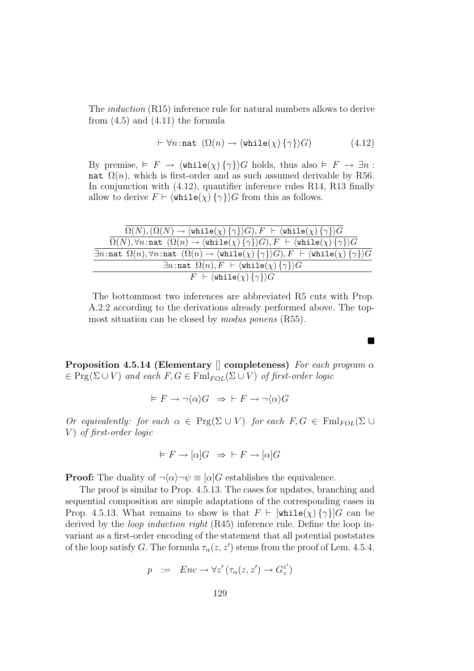The induction (R15) inference rule for natural numbers allows to derive from  $(4.5)$  and  $(4.11)$  the formula

$$
\vdash \forall n : \mathtt{nat} \ (\Omega(n) \to \langle \mathtt{while}(\chi) \ \{\gamma\} \rangle G) \tag{4.12}
$$

By premise,  $\models F \rightarrow \langle \text{while}(\chi) \{\gamma\}\rangle G$  holds, thus also  $\models F \rightarrow \exists n$ : nat  $\Omega(n)$ , which is first-order and as such assumed derivable by R56. In conjunction with (4.12), quantifier inference rules R14, R13 finally allow to derive  $F \vdash \langle \text{while}(\chi) \{\gamma\} \rangle G$  from this as follows.

| $\Omega(N), (\Omega(N) \to \langle \text{while}(\chi) \{\gamma\} \rangle G), F \vdash \langle \text{while}(\chi) \{\gamma\} \rangle G$                                                       |
|----------------------------------------------------------------------------------------------------------------------------------------------------------------------------------------------|
| $\Omega(N), \forall n$ :nat $(\Omega(n) \to \langle \text{while}(\chi) \{\gamma\} \rangle G), F \vdash \langle \text{while}(\chi) \{\gamma\} \rangle G$                                      |
| $\exists n:\texttt{nat} \ \Omega(n), \forall n:\texttt{nat} \ (\Omega(n) \to \langle \texttt{while}(\chi) \{\gamma\} \rangle G), F \vdash \langle \texttt{while}(\chi) \{\gamma\} \rangle G$ |
| $\exists n:\texttt{nat} \ \Omega(n), F \ \vdash \langle \texttt{while}(\chi) \ \{\gamma\} \rangle G$                                                                                         |
| $F \vdash \langle \text{while}(\chi) \{ \gamma \} \rangle G$                                                                                                                                 |

The bottommost two inferences are abbreviated R5 cuts with Prop. A.2.2 according to the derivations already performed above. The topmost situation can be closed by *modus ponens* (R55).

**Proposition 4.5.14 (Elementary [] completeness)** For each program  $\alpha$  $\in$  Prg( $\Sigma \cup V$ ) and each  $F, G \in \text{Fml}_{FOL}(\Sigma \cup V)$  of first-order logic

$$
\vDash F \to \neg \langle \alpha \rangle G \Rightarrow \vdash F \to \neg \langle \alpha \rangle G
$$

Or equivalently: for each  $\alpha \in \text{Prg}(\Sigma \cup V)$  for each  $F, G \in \text{Fml}_{FOL}(\Sigma \cup V)$  $V$ ) of first-order logic

$$
\vDash F \to [\alpha]G \Rightarrow \vdash F \to [\alpha]G
$$

**Proof:** The duality of  $\neg \langle \alpha \rangle \neg \psi \equiv [\alpha]G$  establishes the equivalence.

The proof is similar to Prop. 4.5.13. The cases for updates, branching and sequential composition are simple adaptations of the corresponding cases in Prop. 4.5.13. What remains to show is that  $F \vdash [\text{while}(\chi) \{\gamma\}]G$  can be derived by the *loop induction right* (R45) inference rule. Define the loop invariant as a first-order encoding of the statement that all potential poststates of the loop satisfy G. The formula  $\tau_{\alpha}(z, z')$  stems from the proof of Lem. 4.5.4.

$$
p := Enc \rightarrow \forall z' (\tau_{\alpha}(z, z') \rightarrow G_z^{z'})
$$

■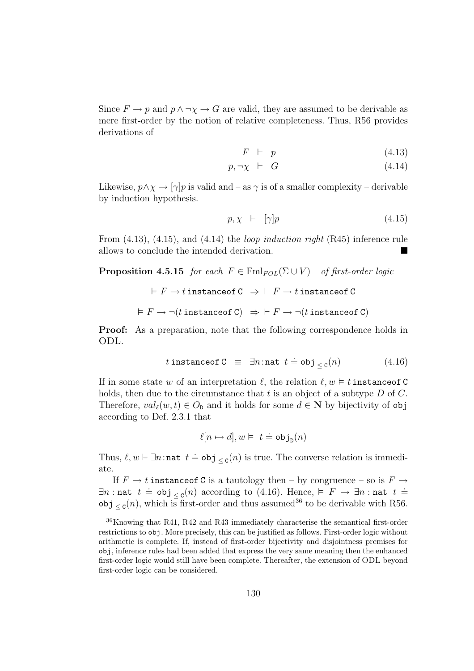Since  $F \to p$  and  $p \land \neg \chi \to G$  are valid, they are assumed to be derivable as mere first-order by the notion of relative completeness. Thus, R56 provides derivations of

$$
F \ \vdash \ p \tag{4.13}
$$

$$
p, \neg \chi \vdash G \tag{4.14}
$$

Likewise,  $p \wedge \chi \rightarrow [\gamma] p$  is valid and – as  $\gamma$  is of a smaller complexity – derivable by induction hypothesis.

$$
p, \chi \quad \vdash \quad [\gamma]p \tag{4.15}
$$

From  $(4.13)$ ,  $(4.15)$ , and  $(4.14)$  the *loop induction right*  $(R45)$  inference rule allows to conclude the intended derivation.

**Proposition 4.5.15** for each  $F \in \text{Fml}_{FOL}(\Sigma \cup V)$  of first-order logic

$$
\vDash F \rightarrow t \text{ instance} \text{of } C \Rightarrow \vdash F \rightarrow t \text{ instance} \text{of } C
$$
\n
$$
\vDash F \rightarrow \neg(t \text{ instance} \text{of } C) \Rightarrow \vdash F \rightarrow \neg(t \text{ instance} \text{of } C)
$$

**Proof:** As a preparation, note that the following correspondence holds in ODL.

$$
t \text{ instance of } C \equiv \exists n \text{ :nat } t \doteq \text{obj}_{\leq c}(n) \tag{4.16}
$$

If in some state w of an interpretation  $\ell$ , the relation  $\ell, w \models t$  instance of C holds, then due to the circumstance that t is an object of a subtype  $D$  of  $C$ . Therefore,  $val_{\ell}(w,t) \in O_{\mathfrak{D}}$  and it holds for some  $d \in \mathbb{N}$  by bijectivity of obj according to Def. 2.3.1 that

$$
\ell[n \mapsto d], w \vDash t \doteq \mathrm{obj}_{\mathrm{D}}(n)
$$

Thus,  $\ell, w \models \exists n : \texttt{nat } t \doteq \texttt{obj}_{\leq \texttt{c}}(n)$  is true. The converse relation is immediate.

If  $F \to t$  instance of C is a tautology then – by congruence – so is  $F \to$  $\exists n : \text{nat } t \doteq \text{obj}_{\leq c}(n) \text{ according to (4.16). Hence, } \models F \rightarrow \exists n : \text{nat } t \doteq$ obj<sub> $\leq$ c</sub> $(n)$ , which is first-order and thus assumed<sup>36</sup> to be derivable with R56.

<sup>36</sup>Knowing that R41, R42 and R43 immediately characterise the semantical first-order restrictions to obj. More precisely, this can be justified as follows. First-order logic without arithmetic is complete. If, instead of first-order bijectivity and disjointness premises for obj, inference rules had been added that express the very same meaning then the enhanced first-order logic would still have been complete. Thereafter, the extension of ODL beyond first-order logic can be considered.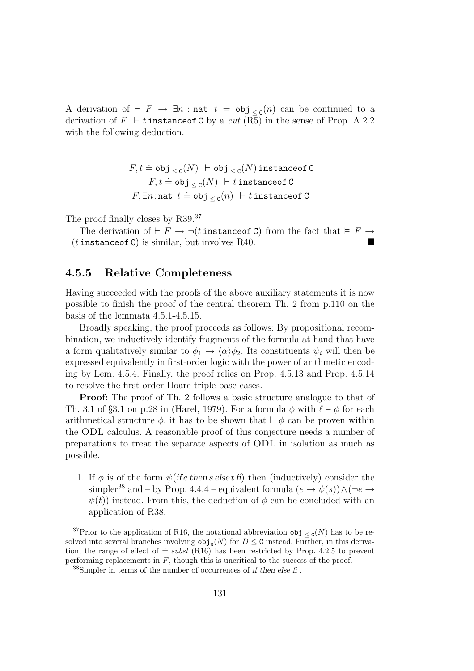A derivation of  $\vdash$   $F \rightarrow \exists n : \texttt{nat} \ t \doteq \texttt{obj}_{\leq \texttt{c}}(n)$  can be continued to a derivation of  $F \perp t$  instance of C by a cut (R5) in the sense of Prop. A.2.2 with the following deduction.

| $F, t = \text{obj}_{< c}(N) \vdash \text{obj}_{< c}(N)$ instance of C                                      |
|------------------------------------------------------------------------------------------------------------|
| $F, t \doteq \texttt{obj}_{< c}(N) \vdash t \text{ instance of } C$                                        |
| $F, \exists n : \mathtt{nat} \ t \doteq \mathtt{obj}_{< c}(n) \ \vdash t \mathtt{instanceof} \ \mathtt{C}$ |

The proof finally closes by R39.<sup>37</sup>

The derivation of  $\vdash F \rightarrow \neg(t \text{ instance of C})$  from the fact that  $\models F \rightarrow$  $\neg(t$  instance of C) is similar, but involves R40.

### 4.5.5 Relative Completeness

Having succeeded with the proofs of the above auxiliary statements it is now possible to finish the proof of the central theorem Th. 2 from p.110 on the basis of the lemmata 4.5.1-4.5.15.

Broadly speaking, the proof proceeds as follows: By propositional recombination, we inductively identify fragments of the formula at hand that have a form qualitatively similar to  $\phi_1 \rightarrow \langle \alpha \rangle \phi_2$ . Its constituents  $\psi_i$  will then be expressed equivalently in first-order logic with the power of arithmetic encoding by Lem. 4.5.4. Finally, the proof relies on Prop. 4.5.13 and Prop. 4.5.14 to resolve the first-order Hoare triple base cases.

Proof: The proof of Th. 2 follows a basic structure analogue to that of Th. 3.1 of §3.1 on p.28 in (Harel, 1979). For a formula  $\phi$  with  $\ell \models \phi$  for each arithmetical structure  $\phi$ , it has to be shown that  $\vdash \phi$  can be proven within the ODL calculus. A reasonable proof of this conjecture needs a number of preparations to treat the separate aspects of ODL in isolation as much as possible.

1. If  $\phi$  is of the form  $\psi$  (if e then s else t fi) then (inductively) consider the simpler<sup>38</sup> and – by Prop. 4.4.4 – equivalent formula  $(e \rightarrow \psi(s)) \wedge (\neg e \rightarrow$  $\psi(t)$  instead. From this, the deduction of  $\phi$  can be concluded with an application of R38.

<sup>&</sup>lt;sup>37</sup>Prior to the application of R16, the notational abbreviation  $\mathsf{obj}_{\leq c}(N)$  has to be resolved into several branches involving  $\text{obj}_D(N)$  for  $D \leq C$  instead. Further, in this derivation, the range of effect of  $\dot{=}$  subst (R16) has been restricted by Prop. 4.2.5 to prevent performing replacements in  $F$ , though this is uncritical to the success of the proof.

 $38$ Simpler in terms of the number of occurrences of if then else fi.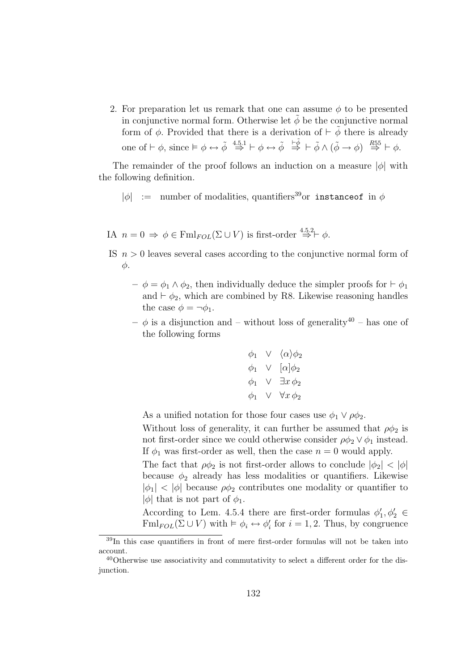2. For preparation let us remark that one can assume  $\phi$  to be presented in conjunctive normal form. Otherwise let  $\phi$  be the conjunctive normal form of  $\phi$ . Provided that there is a derivation of  $\vdash \tilde{\phi}$  there is already one of  $\vdash \phi$ , since  $\models \phi \leftrightarrow \tilde{\phi} \stackrel{4.5.1}{\Rightarrow} \vdash \phi \leftrightarrow \tilde{\phi} \stackrel{\vdash \tilde{\phi}}{\Rightarrow} \vdash \tilde{\phi} \wedge (\tilde{\phi} \rightarrow \phi) \stackrel{R55}{\Rightarrow} \vdash \phi$ .

The remainder of the proof follows an induction on a measure  $|\phi|$  with the following definition.

- $|\phi|$  := number of modalities, quantifiers<sup>39</sup>or instance of in  $\phi$
- IA  $n = 0 \Rightarrow \phi \in \text{Fml}_{FOL}(\Sigma \cup V)$  is first-order  $\stackrel{4.5.2}{\Rightarrow} \vdash \phi$ .
- IS  $n > 0$  leaves several cases according to the conjunctive normal form of φ.
	- $-\phi = \phi_1 \wedge \phi_2$ , then individually deduce the simpler proofs for  $\vdash \phi_1$ and  $\vdash \phi_2$ , which are combined by R8. Likewise reasoning handles the case  $\phi = \neg \phi_1$ .
	- $\phi$  is a disjunction and without loss of generality<sup>40</sup> has one of the following forms

$$
\begin{array}{ccc}\n\phi_1 & \lor & \langle \alpha \rangle \phi_2 \\
\phi_1 & \lor & [\alpha] \phi_2 \\
\phi_1 & \lor & \exists x \, \phi_2 \\
\phi_1 & \lor & \forall x \, \phi_2\n\end{array}
$$

As a unified notation for those four cases use  $\phi_1 \vee \rho \phi_2$ .

Without loss of generality, it can further be assumed that  $\rho \phi_2$  is not first-order since we could otherwise consider  $\rho \phi_2 \vee \phi_1$  instead. If  $\phi_1$  was first-order as well, then the case  $n = 0$  would apply.

The fact that  $\rho\phi_2$  is not first-order allows to conclude  $|\phi_2| < |\phi|$ because  $\phi_2$  already has less modalities or quantifiers. Likewise  $|\phi_1|$  <  $|\phi|$  because  $\rho\phi_2$  contributes one modality or quantifier to  $|\phi|$  that is not part of  $\phi_1$ .

According to Lem. 4.5.4 there are first-order formulas  $\phi'_1, \phi'_2 \in$  $\text{Fml}_{FOL}(\Sigma \cup V)$  with  $\models \phi_i \leftrightarrow \phi'_i$  for  $i = 1, 2$ . Thus, by congruence

<sup>39</sup>In this case quantifiers in front of mere first-order formulas will not be taken into account.

<sup>40</sup>Otherwise use associativity and commutativity to select a different order for the disjunction.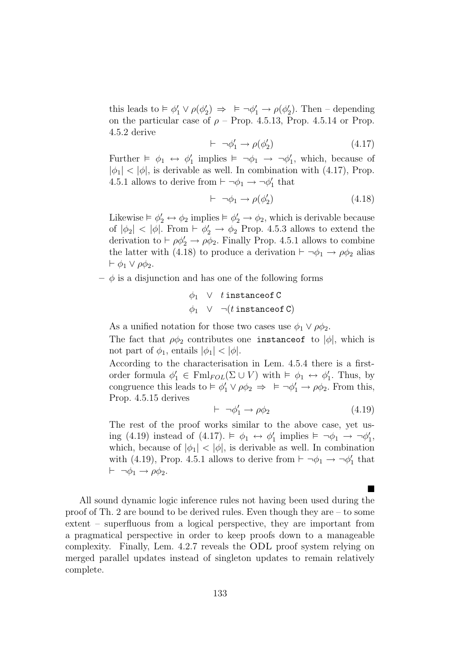this leads to  $\models \phi'_1 \lor \rho(\phi'_2) \Rightarrow \models \neg \phi'_1 \to \rho(\phi'_2)$ . Then – depending on the particular case of  $\rho$  – Prop. 4.5.13, Prop. 4.5.14 or Prop. 4.5.2 derive

$$
\vdash \neg \phi_1' \to \rho(\phi_2') \tag{4.17}
$$

Further  $\models \phi_1 \leftrightarrow \phi'_1$  implies  $\models \neg \phi_1 \rightarrow \neg \phi'_1$ , which, because of  $|\phi_1| < |\phi|$ , is derivable as well. In combination with (4.17), Prop. 4.5.1 allows to derive from  $\vdash \neg \phi_1 \rightarrow \neg \phi'_1$  that

$$
\vdash \neg \phi_1 \to \rho(\phi_2') \tag{4.18}
$$

Likewise  $\models \phi_2' \leftrightarrow \phi_2$  implies  $\models \phi_2' \rightarrow \phi_2$ , which is derivable because of  $|\phi_2|$  <  $|\phi|$ . From  $\vdash \phi'_2 \rightarrow \phi_2$  Prop. 4.5.3 allows to extend the derivation to  $\vdash \rho \phi_2' \rightarrow \rho \phi_2$ . Finally Prop. 4.5.1 allows to combine the latter with (4.18) to produce a derivation  $\vdash \neg \phi_1 \rightarrow \rho \phi_2$  alias  $\vdash \phi_1 \lor \rho\phi_2.$ 

 $-\phi$  is a disjunction and has one of the following forms

$$
\begin{array}{rcl}\n\phi_1 & \vee & t \text{ instance of } C \\
\phi_1 & \vee & \neg(t \text{ instance of } C)\n\end{array}
$$

As a unified notation for those two cases use  $\phi_1 \vee \rho \phi_2$ .

The fact that  $\rho\phi_2$  contributes one instance of to  $|\phi|$ , which is not part of  $\phi_1$ , entails  $|\phi_1| < |\phi|$ .

According to the characterisation in Lem. 4.5.4 there is a firstorder formula  $\phi'_1 \in \text{Fml}_{FOL}(\Sigma \cup V)$  with  $\models \phi_1 \leftrightarrow \phi'_1$ . Thus, by congruence this leads to  $\models \phi'_1 \lor \rho \phi_2 \Rightarrow \models \neg \phi'_1 \rightarrow \rho \phi_2$ . From this, Prop. 4.5.15 derives

$$
\vdash \neg \phi_1' \to \rho \phi_2 \tag{4.19}
$$

■

The rest of the proof works similar to the above case, yet using (4.19) instead of (4.17).  $\models \phi_1 \leftrightarrow \phi'_1$  implies  $\models \neg \phi_1 \rightarrow \neg \phi'_1$ , which, because of  $|\phi_1| < |\phi|$ , is derivable as well. In combination with (4.19), Prop. 4.5.1 allows to derive from  $\vdash \neg \phi_1 \rightarrow \neg \phi'_1$  that  $\vdash \neg \phi_1 \rightarrow \rho \phi_2.$ 

All sound dynamic logic inference rules not having been used during the proof of Th. 2 are bound to be derived rules. Even though they are  $-$  to some extent – superfluous from a logical perspective, they are important from a pragmatical perspective in order to keep proofs down to a manageable complexity. Finally, Lem. 4.2.7 reveals the ODL proof system relying on merged parallel updates instead of singleton updates to remain relatively complete.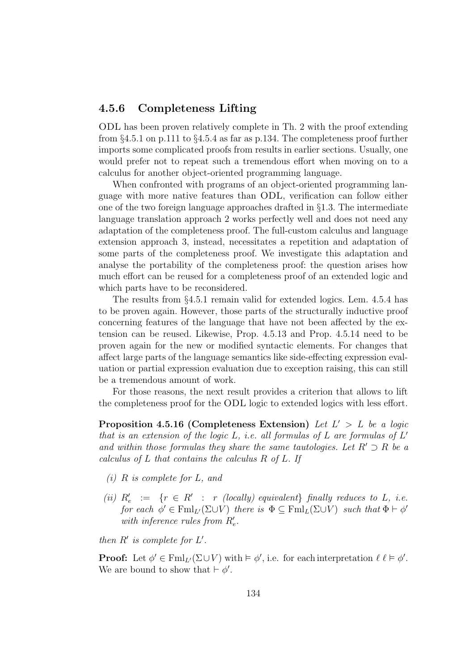### 4.5.6 Completeness Lifting

ODL has been proven relatively complete in Th. 2 with the proof extending from §4.5.1 on p.111 to §4.5.4 as far as p.134. The completeness proof further imports some complicated proofs from results in earlier sections. Usually, one would prefer not to repeat such a tremendous effort when moving on to a calculus for another object-oriented programming language.

When confronted with programs of an object-oriented programming language with more native features than ODL, verification can follow either one of the two foreign language approaches drafted in §1.3. The intermediate language translation approach 2 works perfectly well and does not need any adaptation of the completeness proof. The full-custom calculus and language extension approach 3, instead, necessitates a repetition and adaptation of some parts of the completeness proof. We investigate this adaptation and analyse the portability of the completeness proof: the question arises how much effort can be reused for a completeness proof of an extended logic and which parts have to be reconsidered.

The results from §4.5.1 remain valid for extended logics. Lem. 4.5.4 has to be proven again. However, those parts of the structurally inductive proof concerning features of the language that have not been affected by the extension can be reused. Likewise, Prop. 4.5.13 and Prop. 4.5.14 need to be proven again for the new or modified syntactic elements. For changes that affect large parts of the language semantics like side-effecting expression evaluation or partial expression evaluation due to exception raising, this can still be a tremendous amount of work.

For those reasons, the next result provides a criterion that allows to lift the completeness proof for the ODL logic to extended logics with less effort.

Proposition 4.5.16 (Completeness Extension) Let  $L' > L$  be a logic that is an extension of the logic  $L$ , i.e. all formulas of  $L$  are formulas of  $L'$ and within those formulas they share the same tautologies. Let  $R' \supset R$  be a calculus of  $L$  that contains the calculus  $R$  of  $L$ . If

- (i) R is complete for L, and
- (ii)  $R'_e$  :  $\{r \in R' : r \text{ (locally) equivalent} \}$  finally reduces to L, i.e. for each  $\phi' \in \text{Fml}_{L'}(\Sigma \cup V)$  there is  $\Phi \subseteq \text{Fml}_{L}(\Sigma \cup V)$  such that  $\Phi \vdash \phi'$ with inference rules from  $R'_e$ .

then  $R'$  is complete for  $L'$ .

**Proof:** Let  $\phi' \in \text{Fml}_{L'}(\Sigma \cup V)$  with  $\models \phi'$ , i.e. for each interpretation  $\ell \ell \models \phi'$ . We are bound to show that  $\vdash \phi'$ .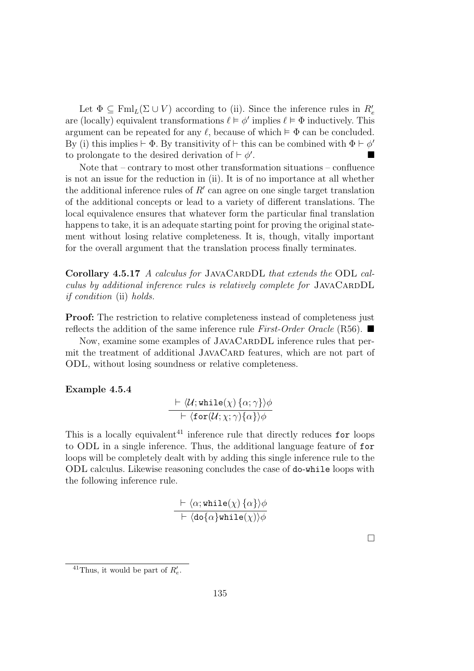Let  $\Phi \subseteq \text{Fml}_L(\Sigma \cup V)$  according to (ii). Since the inference rules in  $R'_e$ are (locally) equivalent transformations  $\ell \models \phi'$  implies  $\ell \models \Phi$  inductively. This argument can be repeated for any  $\ell$ , because of which  $\models \Phi$  can be concluded. By (i) this implies  $\vdash \Phi$ . By transitivity of  $\vdash$  this can be combined with  $\Phi \vdash \phi'$ to prolongate to the desired derivation of  $\vdash \phi'$ .

Note that – contrary to most other transformation situations – confluence is not an issue for the reduction in (ii). It is of no importance at all whether the additional inference rules of  $R'$  can agree on one single target translation of the additional concepts or lead to a variety of different translations. The local equivalence ensures that whatever form the particular final translation happens to take, it is an adequate starting point for proving the original statement without losing relative completeness. It is, though, vitally important for the overall argument that the translation process finally terminates.

Corollary 4.5.17 A calculus for JAVACARDDL that extends the ODL calculus by additional inference rules is relatively complete for  $JAVACARDDL$ if condition (ii) holds.

Proof: The restriction to relative completeness instead of completeness just reflects the addition of the same inference rule First-Order Oracle (R56).  $\blacksquare$ 

Now, examine some examples of JAVACARDDL inference rules that permit the treatment of additional JAVACARD features, which are not part of ODL, without losing soundness or relative completeness.

#### Example 4.5.4

$$
\frac{\vdash \langle \mathcal{U}; \mathtt{while}(\chi) \: \{ \alpha; \gamma \} \rangle \phi}{\vdash \: \langle \mathtt{for}(\mathcal{U}; \chi; \gamma) \{ \alpha \} \rangle \phi}
$$

This is a locally equivalent<sup>41</sup> inference rule that directly reduces for loops to ODL in a single inference. Thus, the additional language feature of for loops will be completely dealt with by adding this single inference rule to the ODL calculus. Likewise reasoning concludes the case of do-while loops with the following inference rule.

$$
\frac{\vdash \langle \alpha; \mathtt{while}(\chi) \: \{\alpha\} \rangle \phi}{\vdash \langle \mathtt{do} \{ \alpha \} \mathtt{while}(\chi) \rangle \phi}
$$

 $\Box$ 

<sup>&</sup>lt;sup>41</sup>Thus, it would be part of  $R'_e$ .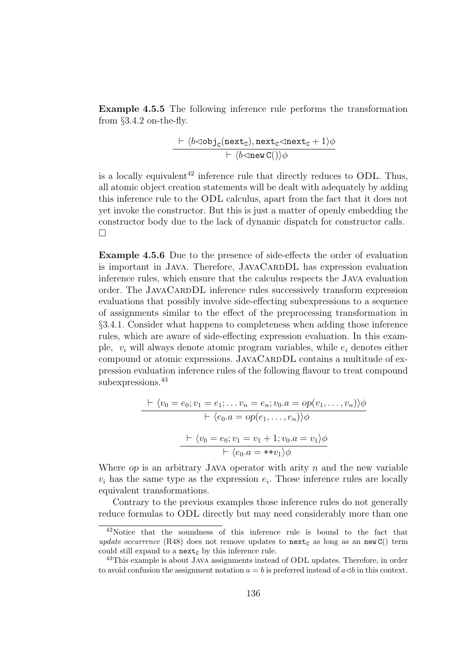Example 4.5.5 The following inference rule performs the transformation from  $\S 3.4.2$  on-the-fly.

$$
\frac{\vdash \langle b \lhd \mathtt{obj}_\mathtt{C}(\mathtt{next}_\mathtt{C}),\mathtt{next}_\mathtt{C} \lhd \mathtt{next}_\mathtt{C} + 1 \rangle \phi}{\vdash \langle b \lhd \mathtt{new}\, C()\rangle \phi}
$$

is a locally equivalent <sup>42</sup> inference rule that directly reduces to ODL. Thus, all atomic object creation statements will be dealt with adequately by adding this inference rule to the ODL calculus, apart from the fact that it does not yet invoke the constructor. But this is just a matter of openly embedding the constructor body due to the lack of dynamic dispatch for constructor calls.  $\Box$ 

Example 4.5.6 Due to the presence of side-effects the order of evaluation is important in JAVA. Therefore, JAVACARDDL has expression evaluation inference rules, which ensure that the calculus respects the Java evaluation order. The JavaCardDL inference rules successively transform expression evaluations that possibly involve side-effecting subexpressions to a sequence of assignments similar to the effect of the preprocessing transformation in §3.4.1. Consider what happens to completeness when adding those inference rules, which are aware of side-effecting expression evaluation. In this example,  $v_i$  will always denote atomic program variables, while  $e_i$  denotes either compound or atomic expressions. JAVACARDDL contains a multitude of expression evaluation inference rules of the following flavour to treat compound subexpressions.<sup>43</sup>

$$
\frac{\begin{aligned}\n\vdash \langle v_0 = e_0; v_1 = e_1; \dots v_n = e_n; v_0.a = op(v_1, \dots, v_n) \rangle \phi \\
&\quad \vdash \langle e_0.a = op(e_1, \dots, e_n) \rangle \phi \\
&\quad \vdash \langle v_0 = e_0; v_1 = v_1 + 1; v_0.a = v_1 \rangle \phi \\
&\quad \vdash \langle e_0.a = \mathbf{u}_1 \rangle \phi\n\end{aligned}
$$

Where  $op$  is an arbitrary JAVA operator with arity n and the new variable  $v_i$  has the same type as the expression  $e_i$ . Those inference rules are locally equivalent transformations.

Contrary to the previous examples those inference rules do not generally reduce formulas to ODL directly but may need considerably more than one

<sup>42</sup>Notice that the soundness of this inference rule is bound to the fact that update occurrence (R48) does not remove updates to  $\texttt{next}_C$  as long as an  $\texttt{new C}()$  term could still expand to a  $next<sub>C</sub>$  by this inference rule.

<sup>43</sup>This example is about Java assignments instead of ODL updates. Therefore, in order to avoid confusion the assignment notation  $a = b$  is preferred instead of  $a \triangleleft b$  in this context.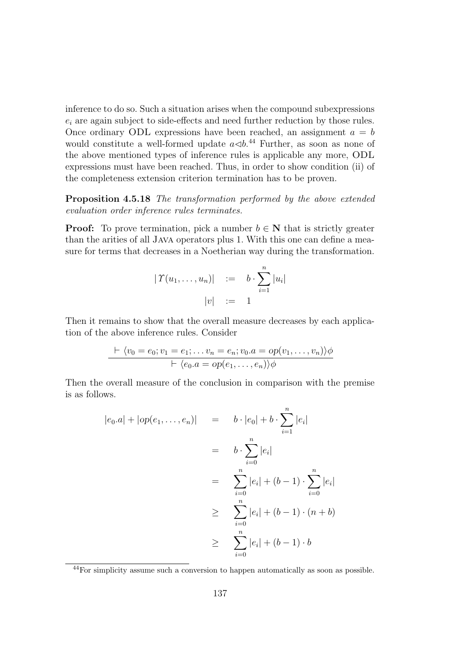inference to do so. Such a situation arises when the compound subexpressions  $e_i$  are again subject to side-effects and need further reduction by those rules. Once ordinary ODL expressions have been reached, an assignment  $a = b$ would constitute a well-formed update  $a \triangleleft b$ .<sup>44</sup> Further, as soon as none of the above mentioned types of inference rules is applicable any more, ODL expressions must have been reached. Thus, in order to show condition (ii) of the completeness extension criterion termination has to be proven.

Proposition 4.5.18 The transformation performed by the above extended evaluation order inference rules terminates.

**Proof:** To prove termination, pick a number  $b \in \mathbb{N}$  that is strictly greater than the arities of all Java operators plus 1. With this one can define a measure for terms that decreases in a Noetherian way during the transformation.

$$
|\Upsilon(u_1,\ldots,u_n)| \quad := \quad b \cdot \sum_{i=1}^n |u_i|
$$

$$
|v| \quad := \quad 1
$$

Then it remains to show that the overall measure decreases by each application of the above inference rules. Consider

$$
\frac{\vdash \langle v_0 = e_0; v_1 = e_1; \dots v_n = e_n; v_0.a = op(v_1, \dots, v_n) \rangle \phi}{\vdash \langle e_0.a = op(e_1, \dots, e_n) \rangle \phi}
$$

Then the overall measure of the conclusion in comparison with the premise is as follows.

$$
|e_0.a| + |op(e_1, ..., e_n)| = b \cdot |e_0| + b \cdot \sum_{i=1}^n |e_i|
$$
  
=  $b \cdot \sum_{i=0}^n |e_i|$   
=  $\sum_{i=0}^n |e_i| + (b-1) \cdot \sum_{i=0}^n |e_i|$   
 $\geq \sum_{i=0}^n |e_i| + (b-1) \cdot (n+b)$   
 $\geq \sum_{i=0}^n |e_i| + (b-1) \cdot b$ 

|

<sup>44</sup>For simplicity assume such a conversion to happen automatically as soon as possible.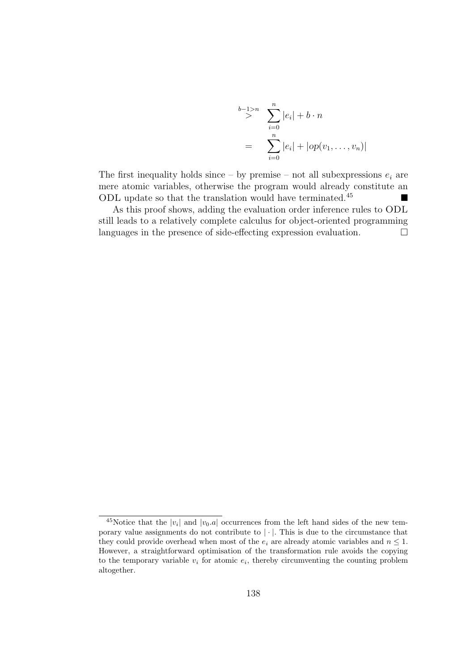$$
\sum_{i=0}^{b-1>n} \sum_{i=0}^{n} |e_i| + b \cdot n
$$
  
= 
$$
\sum_{i=0}^{n} |e_i| + |op(v_1, ..., v_n)|
$$

The first inequality holds since – by premise – not all subexpressions  $e_i$  are mere atomic variables, otherwise the program would already constitute an ODL update so that the translation would have terminated.<sup>45</sup>

As this proof shows, adding the evaluation order inference rules to ODL still leads to a relatively complete calculus for object-oriented programming languages in the presence of side-effecting expression evaluation.  $\Box$ 

<sup>&</sup>lt;sup>45</sup>Notice that the  $|v_i|$  and  $|v_0.a|$  occurrences from the left hand sides of the new temporary value assignments do not contribute to  $|\cdot|$ . This is due to the circumstance that they could provide overhead when most of the  $e_i$  are already atomic variables and  $n \leq 1$ . However, a straightforward optimisation of the transformation rule avoids the copying to the temporary variable  $v_i$  for atomic  $e_i$ , thereby circumventing the counting problem altogether.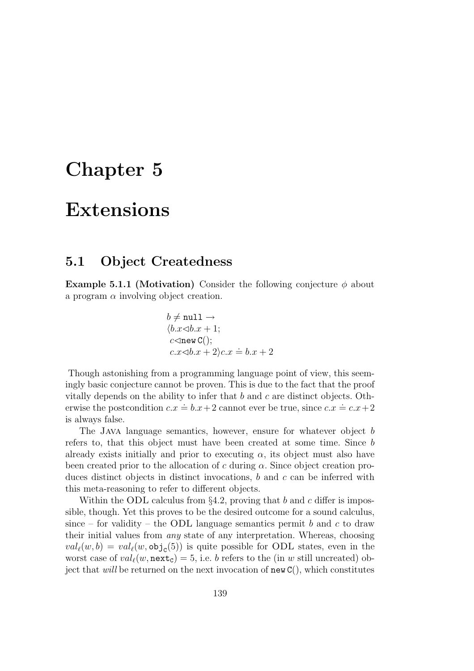### Chapter 5

## Extensions

### 5.1 Object Createdness

**Example 5.1.1 (Motivation)** Consider the following conjecture  $\phi$  about a program  $\alpha$  involving object creation.

$$
b \neq \texttt{null} \rightarrow \langle b.x \triangleleft b.x + 1; c \triangleleft \texttt{new C}(\cdot); c.x \triangleleft b.x + 2 \rangle c.x \doteq b.x + 2
$$

Though astonishing from a programming language point of view, this seemingly basic conjecture cannot be proven. This is due to the fact that the proof vitally depends on the ability to infer that  $b$  and  $c$  are distinct objects. Otherwise the postcondition  $c.x = b.x + 2$  cannot ever be true, since  $c.x = c.x + 2$ is always false.

The Java language semantics, however, ensure for whatever object b refers to, that this object must have been created at some time. Since b already exists initially and prior to executing  $\alpha$ , its object must also have been created prior to the allocation of c during  $\alpha$ . Since object creation produces distinct objects in distinct invocations,  $b$  and  $c$  can be inferred with this meta-reasoning to refer to different objects.

Within the ODL calculus from §4.2, proving that b and c differ is impossible, though. Yet this proves to be the desired outcome for a sound calculus, since – for validity – the ODL language semantics permit b and c to draw their initial values from any state of any interpretation. Whereas, choosing  $val_{\ell}(w, b) = val_{\ell}(w, \text{obj}_{\mathcal{C}}(5))$  is quite possible for ODL states, even in the worst case of  $val_\ell(w, \texttt{next}_{\mathsf{C}}) = 5$ , i.e. b refers to the (in w still uncreated) object that will be returned on the next invocation of new  $C()$ , which constitutes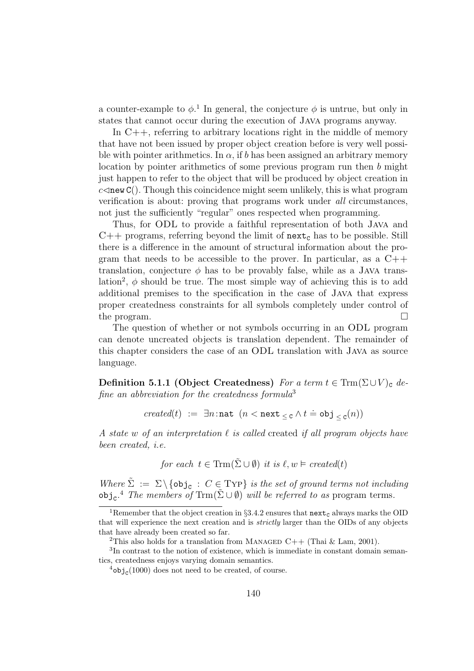a counter-example to  $\phi$ <sup>1</sup>. In general, the conjecture  $\phi$  is untrue, but only in states that cannot occur during the execution of Java programs anyway.

In  $C++$ , referring to arbitrary locations right in the middle of memory that have not been issued by proper object creation before is very well possible with pointer arithmetics. In  $\alpha$ , if b has been assigned an arbitrary memory location by pointer arithmetics of some previous program run then b might just happen to refer to the object that will be produced by object creation in  $c \triangleleft \text{new } C()$ . Though this coincidence might seem unlikely, this is what program verification is about: proving that programs work under all circumstances, not just the sufficiently "regular" ones respected when programming.

Thus, for ODL to provide a faithful representation of both Java and  $C++$  programs, referring beyond the limit of next<sub>c</sub> has to be possible. Still there is a difference in the amount of structural information about the program that needs to be accessible to the prover. In particular, as a  $C++$ translation, conjecture  $\phi$  has to be provably false, while as a JAVA translation<sup>2</sup>,  $\phi$  should be true. The most simple way of achieving this is to add additional premises to the specification in the case of Java that express proper createdness constraints for all symbols completely under control of the program.  $\Box$ 

The question of whether or not symbols occurring in an ODL program can denote uncreated objects is translation dependent. The remainder of this chapter considers the case of an ODL translation with Java as source language.

Definition 5.1.1 (Object Createdness) For a term  $t \in \text{Trm}(\Sigma \cup V)_{c}$  define an abbreviation for the createdness formula<sup>3</sup>

$$
\mathit{created}(t) \ := \ \exists n \colon \mathtt{nat} \ \ (n < \mathtt{next} \leq c \land t \doteq \mathtt{obj} \leq c(n))
$$

A state w of an interpretation  $\ell$  is called created if all program objects have been created, i.e.

for each  $t \in \text{Trm}(\tilde{\Sigma} \cup \emptyset)$  it is  $\ell, w \vDash \text{created}(t)$ 

Where  $\tilde{\Sigma} := \Sigma \setminus {\text{obj}_c : C \in \text{Typ}}$  is the set of ground terms not including  $\mathrm{obj}_{\mathbb{C}}$ <sup>4</sup> The members of Trm( $\tilde{\Sigma} \cup \emptyset$ ) will be referred to as program terms.

<sup>&</sup>lt;sup>1</sup>Remember that the object creation in §3.4.2 ensures that  $next_c$  always marks the OID that will experience the next creation and is strictly larger than the OIDs of any objects that have already been created so far.

<sup>&</sup>lt;sup>2</sup>This also holds for a translation from MANAGED C++ (Thai & Lam, 2001).

<sup>3</sup> In contrast to the notion of existence, which is immediate in constant domain semantics, createdness enjoys varying domain semantics.

 $^{4}$ obj<sub>c</sub>(1000) does not need to be created, of course.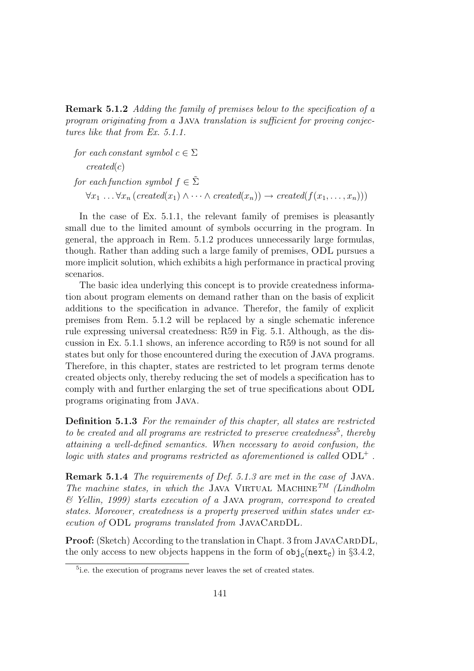Remark 5.1.2 Adding the family of premises below to the specification of a program originating from a Java translation is sufficient for proving conjectures like that from Ex. 5.1.1.

```
for each constant symbol c \in \Sigmacreated(c)for each function symbol f \in \tilde{\Sigma}\forall x_1 \ldots \forall x_n \, (created(x_1) \land \cdots \land created(x_n)) \rightarrow created(f(x_1, \ldots, x_n)))
```
In the case of Ex. 5.1.1, the relevant family of premises is pleasantly small due to the limited amount of symbols occurring in the program. In general, the approach in Rem. 5.1.2 produces unnecessarily large formulas, though. Rather than adding such a large family of premises, ODL pursues a more implicit solution, which exhibits a high performance in practical proving scenarios.

The basic idea underlying this concept is to provide createdness information about program elements on demand rather than on the basis of explicit additions to the specification in advance. Therefor, the family of explicit premises from Rem. 5.1.2 will be replaced by a single schematic inference rule expressing universal createdness: R59 in Fig. 5.1. Although, as the discussion in Ex. 5.1.1 shows, an inference according to R59 is not sound for all states but only for those encountered during the execution of Java programs. Therefore, in this chapter, states are restricted to let program terms denote created objects only, thereby reducing the set of models a specification has to comply with and further enlarging the set of true specifications about ODL programs originating from Java.

Definition 5.1.3 For the remainder of this chapter, all states are restricted to be created and all programs are restricted to preserve createdness<sup>5</sup>, thereby attaining a well-defined semantics. When necessary to avoid confusion, the logic with states and programs restricted as aforementioned is called  $\mathrm{ODL}^+$ .

Remark 5.1.4 The requirements of Def. 5.1.3 are met in the case of Java. The machine states, in which the JAVA VIRTUAL MACHINE<sup>TM</sup> (Lindholm & Yellin, 1999) starts execution of a Java program, correspond to created states. Moreover, createdness is a property preserved within states under execution of ODL programs translated from JAVACARDDL.

**Proof:** (Sketch) According to the translation in Chapt. 3 from JAVACARDDL, the only access to new objects happens in the form of  $\texttt{obj}_c(\texttt{next}_c)$  in §3.4.2,

<sup>&</sup>lt;sup>5</sup>i.e. the execution of programs never leaves the set of created states.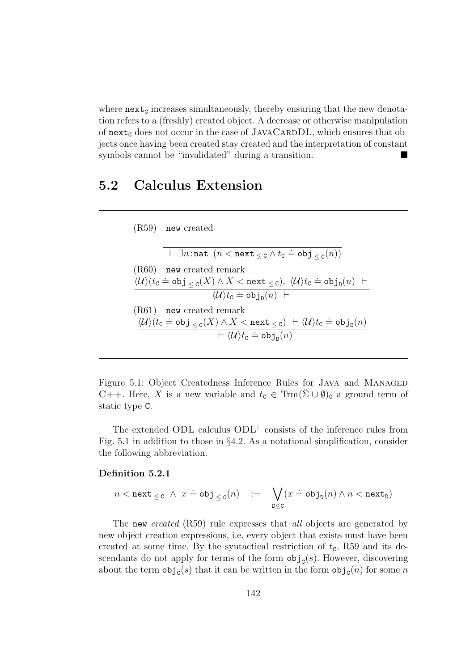where  $next_c$  increases simultaneously, thereby ensuring that the new denotation refers to a (freshly) created object. A decrease or otherwise manipulation of  $next_c$  does not occur in the case of JAVACARDDL, which ensures that objects once having been created stay created and the interpretation of constant symbols cannot be "invalidated" during a transition.

### 5.2 Calculus Extension

(R59) new created

 $\vdash \exists n \colon \mathtt{nat} \ \left( n < \mathtt{next}_{\leq \mathtt{C}} \wedge t_{\mathtt{C}} \doteq \mathtt{obj}_{\leq \mathtt{C}}(n) \right)$ (R60) new created remark  $\langle \mathcal{U} \rangle (t_{\rm C} \doteq {\rm obj}_{\leq {\rm C}}(X) \wedge X < {\rm next}_{\leq {\rm C}}), \ \langle \mathcal{U} \rangle t_{\rm C} \doteq {\rm obj}_{\rm D}(n)$   $\vdash$  $\frac{1}{\langle \mathcal{U} \rangle t_{\texttt{C}}} = \texttt{obj}_{\texttt{D}}(n)$   $\vdash$ (R61) new created remark  $\langle U \rangle (t_{\rm C} \doteq {\rm obj}_{\leq {\rm C}}(X) \wedge X < {\rm next}_{\leq {\rm C}}) \ \vdash \langle U \rangle t_{\rm C} \doteq {\rm obj}_{\rm D}(n)$  $\overline{\Theta} \vdash \langle \mathcal{U} \rangle t_{\texttt{C}} \doteq \texttt{obj}_{\texttt{D}}(n)$ 

Figure 5.1: Object Createdness Inference Rules for Java and Managed C++. Here, X is a new variable and  $t_c \in \text{Trm}(\Sigma \cup \emptyset)_c$  a ground term of static type C.

The extended ODL calculus  $ODL^+$  consists of the inference rules from Fig. 5.1 in addition to those in §4.2. As a notational simplification, consider the following abbreviation.

#### Definition 5.2.1

$$
n < \mathtt{next}_{\,\leq\, \mathtt{C}} ~\wedge~ x \doteq \mathtt{obj}_{\,\leq\, \mathtt{C}}(n) \quad := \quad \bigvee_{\mathtt{D} \leq \mathtt{C}} (x \doteq \mathtt{obj}_{\mathtt{D}}(n) \wedge n < \mathtt{next}_{\mathtt{D}})
$$

The new *created* (R59) rule expresses that *all* objects are generated by new object creation expressions, i.e. every object that exists must have been created at some time. By the syntactical restriction of  $t_c$ , R59 and its descendants do not apply for terms of the form  $obj_{\mathcal{C}}(s)$ . However, discovering about the term  $\textsf{obj}_{\textsf{C}}(s)$  that it can be written in the form  $\textsf{obj}_{\textsf{C}}(n)$  for some n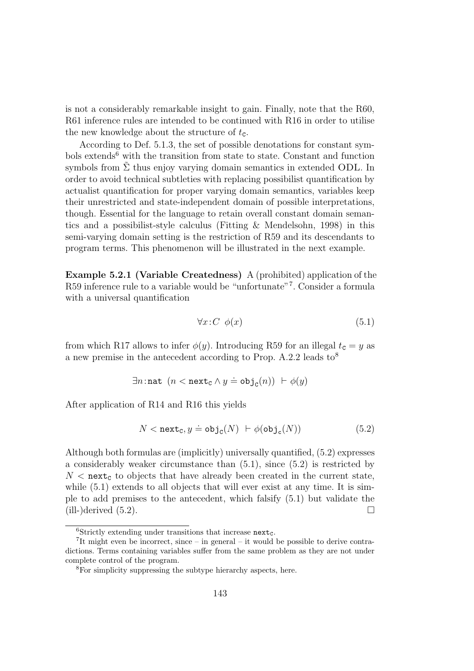is not a considerably remarkable insight to gain. Finally, note that the R60, R61 inference rules are intended to be continued with R16 in order to utilise the new knowledge about the structure of  $t_c$ .

According to Def. 5.1.3, the set of possible denotations for constant symbols extends<sup>6</sup> with the transition from state to state. Constant and function symbols from  $\Sigma$  thus enjoy varying domain semantics in extended ODL. In order to avoid technical subtleties with replacing possibilist quantification by actualist quantification for proper varying domain semantics, variables keep their unrestricted and state-independent domain of possible interpretations, though. Essential for the language to retain overall constant domain semantics and a possibilist-style calculus (Fitting & Mendelsohn, 1998) in this semi-varying domain setting is the restriction of R59 and its descendants to program terms. This phenomenon will be illustrated in the next example.

Example 5.2.1 (Variable Createdness) A (prohibited) application of the R59 inference rule to a variable would be "unfortunate"<sup>7</sup>. Consider a formula with a universal quantification

$$
\forall x \colon C \phi(x) \tag{5.1}
$$

from which R17 allows to infer  $\phi(y)$ . Introducing R59 for an illegal  $t_c = y$  as a new premise in the antecedent according to Prop.  $A.2.2$  leads to  $8$ 

$$
\exists n : \mathtt{nat} \ (n < \mathtt{next}_{\mathtt{C}} \land y \doteq \mathtt{obj}_{\mathtt{C}}(n)) \ \vdash \phi(y)
$$

After application of R14 and R16 this yields

$$
N < \texttt{next}_{\texttt{c}}, y \doteq \texttt{obj}_{\texttt{c}}(N) \ \vdash \phi(\texttt{obj}_{\texttt{c}}(N)) \tag{5.2}
$$

Although both formulas are (implicitly) universally quantified, (5.2) expresses a considerably weaker circumstance than (5.1), since (5.2) is restricted by  $N <$  next<sub>c</sub> to objects that have already been created in the current state, while  $(5.1)$  extends to all objects that will ever exist at any time. It is simple to add premises to the antecedent, which falsify (5.1) but validate the  $\Box$  (ill-)derived (5.2).

<sup>&</sup>lt;sup>6</sup>Strictly extending under transitions that increase next<sub>c</sub>.

<sup>7</sup> It might even be incorrect, since – in general – it would be possible to derive contradictions. Terms containing variables suffer from the same problem as they are not under complete control of the program.

<sup>8</sup>For simplicity suppressing the subtype hierarchy aspects, here.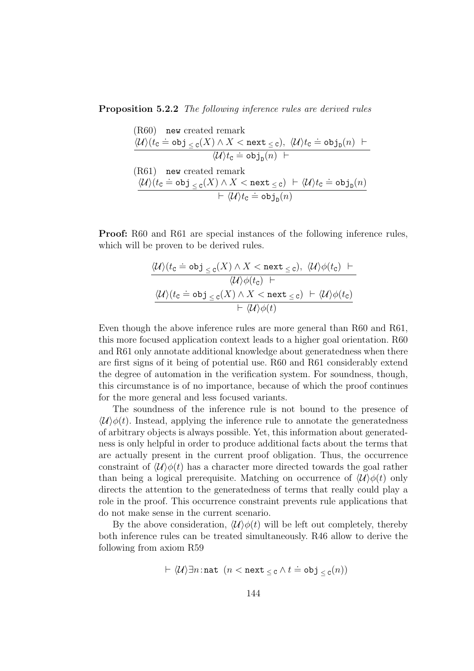Proposition 5.2.2 The following inference rules are derived rules

(R60) new created remark  
\n
$$
\frac{\langle \mathcal{U} \rangle (t_{\mathsf{c}} \doteq \mathsf{obj}_{\leq \mathsf{c}}(X) \land X < \mathsf{next}_{\leq \mathsf{c}}), \ \langle \mathcal{U} \rangle t_{\mathsf{c}} \doteq \mathsf{obj}_{\mathsf{D}}(n) \ \vdash \\
 \frac{\langle \mathcal{U} \rangle (t_{\mathsf{c}} \doteq \mathsf{obj}_{\mathsf{c}}(X) \land X < \mathsf{next}_{\leq \mathsf{c}}) \ \vdash \langle \mathcal{U} \rangle t_{\mathsf{c}} \doteq \mathsf{obj}_{\mathsf{D}}(n)}{\langle \mathcal{U} \rangle (t_{\mathsf{c}} \doteq \mathsf{obj}_{\leq \mathsf{c}}(X) \land X < \mathsf{next}_{\leq \mathsf{c}}) \ \vdash \langle \mathcal{U} \rangle t_{\mathsf{c}} \doteq \mathsf{obj}_{\mathsf{D}}(n)} \\
 \qquad \qquad \vdots
$$

Proof: R60 and R61 are special instances of the following inference rules, which will be proven to be derived rules.

$$
\dfrac{\langle \mathcal{U}\rangle(t_\text{C}\doteq\text{obj}\underset{\leq \text{c}}{\dot{\langle \mathcal{U}\rangle}}(\mathcal{X})\wedge X<\text{next}\underset{\leq \text{c}}{\dot{\langle \mathcal{U}\rangle}}\phi(t_\text{C})~\vdash \\\dfrac{\langle \mathcal{U}\rangle(t_\text{C}\dot{\langle \mathcal{U}\rangle}}{\langle \mathcal{U}\rangle(t_\text{C}\dot{\langle \mathcal{U}\rangle}}\underset{\vdash}{\dot{\langle \mathcal{U}\rangle}}\phi(t_\text{C})~\vdash \langle \mathcal{U}\rangle\phi(t_\text{C})\\ \dfrac{\langle \mathcal{U}\rangle(t_\text{C}\dot{\langle \mathcal{U}\rangle}}{\langle \mathcal{U}\rangle\phi(t)}
$$

Even though the above inference rules are more general than R60 and R61, this more focused application context leads to a higher goal orientation. R60 and R61 only annotate additional knowledge about generatedness when there are first signs of it being of potential use. R60 and R61 considerably extend the degree of automation in the verification system. For soundness, though, this circumstance is of no importance, because of which the proof continues for the more general and less focused variants.

The soundness of the inference rule is not bound to the presence of  $\langle U \rangle \phi(t)$ . Instead, applying the inference rule to annotate the generatedness of arbitrary objects is always possible. Yet, this information about generatedness is only helpful in order to produce additional facts about the terms that are actually present in the current proof obligation. Thus, the occurrence constraint of  $\langle U \rangle \phi(t)$  has a character more directed towards the goal rather than being a logical prerequisite. Matching on occurrence of  $\langle U \rangle \phi(t)$  only directs the attention to the generatedness of terms that really could play a role in the proof. This occurrence constraint prevents rule applications that do not make sense in the current scenario.

By the above consideration,  $\langle U \rangle \phi(t)$  will be left out completely, thereby both inference rules can be treated simultaneously. R46 allow to derive the following from axiom R59

$$
\vdash \langle \mathcal{U} \rangle \exists n : \mathtt{nat} \ \ (n < \mathtt{next}_{\leq \mathtt{C}} \land t \doteq \mathtt{obj}_{\leq \mathtt{C}}(n))
$$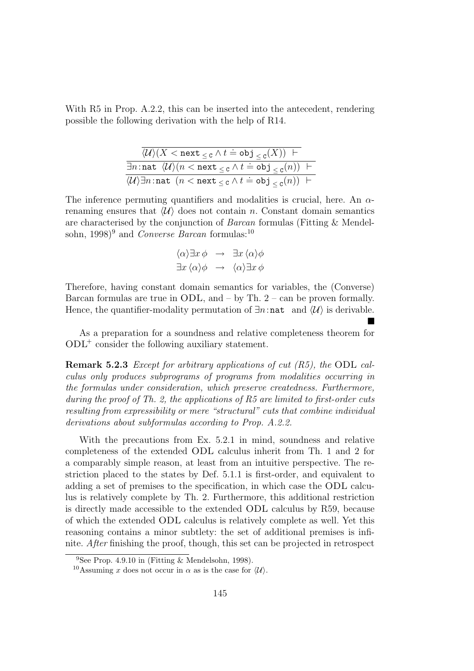With R5 in Prop. A.2.2, this can be inserted into the antecedent, rendering possible the following derivation with the help of R14.

| $\langle \mathcal{U} \rangle (X < \mathtt{next}_{\leq \mathtt{c}} \wedge t \doteq \mathtt{obj}_{\leq \mathtt{c}}(X))$ $\vdash$ |  |
|--------------------------------------------------------------------------------------------------------------------------------|--|
| $\exists n : \texttt{nat} \ \langle \mathcal{U} \rangle (n < \texttt{next}_{< c} \land t = \texttt{obj}_{< c}(n))$             |  |
| $\langle \mathcal{U} \rangle \exists n$ :nat $(n < \texttt{next}_{< c} \land t = \texttt{obj}_{< c}(n))$ $\vdash$              |  |

The inference permuting quantifiers and modalities is crucial, here. An  $\alpha$ renaming ensures that  $\langle U \rangle$  does not contain n. Constant domain semantics are characterised by the conjunction of Barcan formulas (Fitting & Mendelsohn, 1998)<sup>9</sup> and *Converse Barcan* formulas:<sup>10</sup>

$$
\langle \alpha \rangle \exists x \phi \rightarrow \exists x \langle \alpha \rangle \phi
$$
  

$$
\exists x \langle \alpha \rangle \phi \rightarrow \langle \alpha \rangle \exists x \phi
$$

Therefore, having constant domain semantics for variables, the (Converse) Barcan formulas are true in ODL, and – by Th. 2 – can be proven formally. Hence, the quantifier-modality permutation of  $\exists n$ :nat and  $\langle \mathcal{U} \rangle$  is derivable.

As a preparation for a soundness and relative completeness theorem for ODL<sup>+</sup> consider the following auxiliary statement.

Remark 5.2.3 Except for arbitrary applications of cut (R5), the ODL calculus only produces subprograms of programs from modalities occurring in the formulas under consideration, which preserve createdness. Furthermore, during the proof of Th. 2, the applications of R5 are limited to first-order cuts resulting from expressibility or mere "structural" cuts that combine individual derivations about subformulas according to Prop. A.2.2.

With the precautions from Ex. 5.2.1 in mind, soundness and relative completeness of the extended ODL calculus inherit from Th. 1 and 2 for a comparably simple reason, at least from an intuitive perspective. The restriction placed to the states by Def. 5.1.1 is first-order, and equivalent to adding a set of premises to the specification, in which case the ODL calculus is relatively complete by Th. 2. Furthermore, this additional restriction is directly made accessible to the extended ODL calculus by R59, because of which the extended ODL calculus is relatively complete as well. Yet this reasoning contains a minor subtlety: the set of additional premises is infinite. After finishing the proof, though, this set can be projected in retrospect

<sup>&</sup>lt;sup>9</sup>See Prop. 4.9.10 in (Fitting & Mendelsohn, 1998).

<sup>&</sup>lt;sup>10</sup>Assuming x does not occur in  $\alpha$  as is the case for  $\langle \mathcal{U} \rangle$ .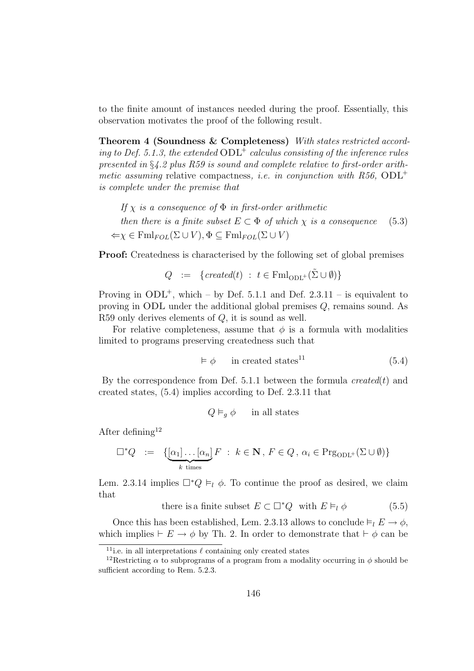to the finite amount of instances needed during the proof. Essentially, this observation motivates the proof of the following result.

Theorem 4 (Soundness & Completeness) With states restricted according to Def. 5.1.3, the extended  $ODL^+$  calculus consisting of the inference rules presented in §4.2 plus R59 is sound and complete relative to first-order arithmetic assuming relative compactness, *i.e.* in conjunction with R56,  $ODL^+$ is complete under the premise that

If  $\chi$  is a consequence of  $\Phi$  in first-order arithmetic then there is a finite subset  $E \subset \Phi$  of which  $\chi$  is a consequence (5.3)  $\Leftrightarrow$   $\chi \in \text{Fml}_{FOL}(\Sigma \cup V), \Phi \subseteq \text{Fml}_{FOL}(\Sigma \cup V)$ 

Proof: Createdness is characterised by the following set of global premises

$$
Q \ := \ \{ \text{created}(t) \ : \ t \in \text{Fml}_{\text{ODL}^+}(\tilde{\Sigma} \cup \emptyset) \}
$$

Proving in  $ODL^+$ , which – by Def. 5.1.1 and Def. 2.3.11 – is equivalent to proving in ODL under the additional global premises Q, remains sound. As R59 only derives elements of Q, it is sound as well.

For relative completeness, assume that  $\phi$  is a formula with modalities limited to programs preserving createdness such that

$$
\models \phi \qquad \text{in created states}^{11} \tag{5.4}
$$

By the correspondence from Def. 5.1.1 between the formula  $created(t)$  and created states, (5.4) implies according to Def. 2.3.11 that

$$
Q \vDash_g \phi
$$
 in all states

After defining<sup>12</sup>

$$
\Box^* Q \ := \ \{ \underbrace{[\alpha_1] \dots [\alpha_n]}_{k \text{ times}} F \ : \ k \in \mathbf{N} \, , \, F \in Q \, , \, \alpha_i \in \text{Prg}_{\text{ODL}^+} (\Sigma \cup \emptyset) \}
$$

Lem. 2.3.14 implies  $\Box^* Q \vDash_l \phi$ . To continue the proof as desired, we claim that

there is a finite subset  $E \subset \Box^* Q$  with  $E \vDash_l \phi$  (5.5)

Once this has been established, Lem. 2.3.13 allows to conclude  $\vDash_l E \to \phi$ , which implies  $\vdash E \rightarrow \phi$  by Th. 2. In order to demonstrate that  $\vdash \phi$  can be

<sup>&</sup>lt;sup>11</sup>i.e. in all interpretations  $\ell$  containing only created states

<sup>&</sup>lt;sup>12</sup>Restricting  $\alpha$  to subprograms of a program from a modality occurring in  $\phi$  should be sufficient according to Rem. 5.2.3.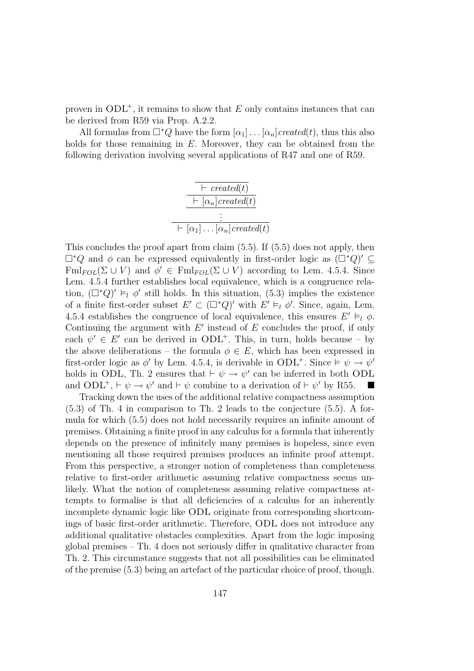proven in  $ODL^+$ , it remains to show that E only contains instances that can be derived from R59 via Prop. A.2.2.

All formulas from  $\Box^*Q$  have the form  $[\alpha_1] \dots [\alpha_n]$  created(t), thus this also holds for those remaining in  $E$ . Moreover, they can be obtained from the following derivation involving several applications of R47 and one of R59.

$$
\begin{array}{r}\n \overline{\qquad \qquad \vdash \textit{created}(t)} \\
 \hline\n \qquad \qquad \vdash [\alpha_n] \textit{created}(t)} \\
 \qquad \qquad \vdots \\
 \qquad \qquad \vdash [\alpha_1] \dots [\alpha_n] \textit{created}(t)\n \end{array}
$$

This concludes the proof apart from claim (5.5). If (5.5) does not apply, then  $\Box^*Q$  and  $\phi$  can be expressed equivalently in first-order logic as  $(\Box^*Q)' \subseteq$  $\text{Fml}_{FOL}(\Sigma \cup V)$  and  $\phi' \in \text{Fml}_{FOL}(\Sigma \cup V)$  according to Lem. 4.5.4. Since Lem. 4.5.4 further establishes local equivalence, which is a congruence relation,  $(\Box^* Q)' \vDash_l \phi'$  still holds. In this situation, (5.3) implies the existence of a finite first-order subset  $E' \subset (\Box^* Q)'$  with  $E' \vDash_l \phi'$ . Since, again, Lem. 4.5.4 establishes the congruence of local equivalence, this ensures  $E' \vDash_l \phi$ . Continuing the argument with  $E'$  instead of  $E$  concludes the proof, if only each  $\psi' \in E'$  can be derived in ODL<sup>+</sup>. This, in turn, holds because - by the above deliberations – the formula  $\phi \in E$ , which has been expressed in first-order logic as  $\phi'$  by Lem. 4.5.4, is derivable in ODL<sup>+</sup>. Since  $\models \psi \rightarrow \psi'$ holds in ODL, Th. 2 ensures that  $\vdash \psi \rightarrow \psi'$  can be inferred in both ODL and  $ODL^+, \vdash \psi \rightarrow \psi'$  and  $\vdash \psi$  combine to a derivation of  $\vdash \psi'$  by R55.  $\blacksquare$ 

Tracking down the uses of the additional relative compactness assumption (5.3) of Th. 4 in comparison to Th. 2 leads to the conjecture (5.5). A formula for which (5.5) does not hold necessarily requires an infinite amount of premises. Obtaining a finite proof in any calculus for a formula that inherently depends on the presence of infinitely many premises is hopeless, since even mentioning all those required premises produces an infinite proof attempt. From this perspective, a stronger notion of completeness than completeness relative to first-order arithmetic assuming relative compactness seems unlikely. What the notion of completeness assuming relative compactness attempts to formalise is that all deficiencies of a calculus for an inherently incomplete dynamic logic like ODL originate from corresponding shortcomings of basic first-order arithmetic. Therefore, ODL does not introduce any additional qualitative obstacles complexities. Apart from the logic imposing global premises – Th. 4 does not seriously differ in qualitative character from Th. 2. This circumstance suggests that not all possibilities can be eliminated of the premise (5.3) being an artefact of the particular choice of proof, though.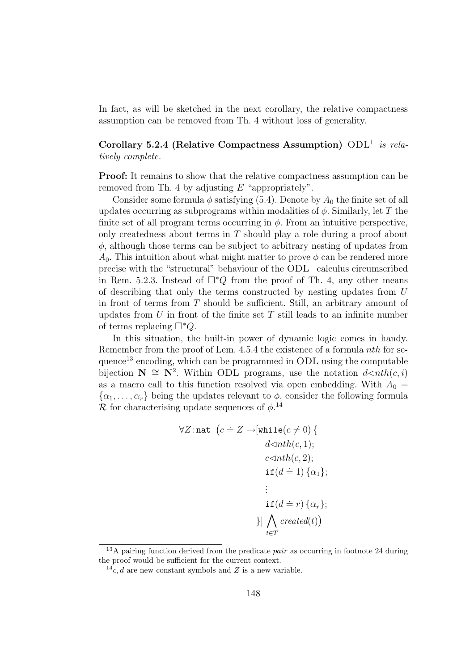In fact, as will be sketched in the next corollary, the relative compactness assumption can be removed from Th. 4 without loss of generality.

#### Corollary 5.2.4 (Relative Compactness Assumption)  $ODL^+$  is relatively complete.

Proof: It remains to show that the relative compactness assumption can be removed from Th. 4 by adjusting  $E$  "appropriately".

Consider some formula  $\phi$  satisfying (5.4). Denote by  $A_0$  the finite set of all updates occurring as subprograms within modalities of  $\phi$ . Similarly, let T the finite set of all program terms occurring in  $\phi$ . From an intuitive perspective, only createdness about terms in  $T$  should play a role during a proof about  $\phi$ , although those terms can be subject to arbitrary nesting of updates from  $A_0$ . This intuition about what might matter to prove  $\phi$  can be rendered more precise with the "structural" behaviour of the  $ODL^+$  calculus circumscribed in Rem. 5.2.3. Instead of  $\Box^*Q$  from the proof of Th. 4, any other means of describing that only the terms constructed by nesting updates from U in front of terms from T should be sufficient. Still, an arbitrary amount of updates from  $U$  in front of the finite set  $T$  still leads to an infinite number of terms replacing  $\Box^*Q$ .

In this situation, the built-in power of dynamic logic comes in handy. Remember from the proof of Lem. 4.5.4 the existence of a formula nth for sequence<sup>13</sup> encoding, which can be programmed in ODL using the computable bijection  $\mathbf{N} \cong \mathbf{N}^2$ . Within ODL programs, use the notation  $d \triangleleft nth(c, i)$ as a macro call to this function resolved via open embedding. With  $A_0 =$  $\{\alpha_1, \ldots, \alpha_r\}$  being the updates relevant to  $\phi$ , consider the following formula R for characterising update sequences of  $\phi$ .<sup>14</sup>

∀Z :nat c .<sup>=</sup> <sup>Z</sup> <sup>→</sup>[while(<sup>c</sup> <sup>6</sup><sup>=</sup> 0) { dCnth(c, 1); cCnth(c, 2); if(d .<sup>=</sup> 1) {α1}; . . . if(d .<sup>=</sup> <sup>r</sup>) {αr}; }] ^ t∈T created(t) 

 $13A$  pairing function derived from the predicate *pair* as occurring in footnote 24 during the proof would be sufficient for the current context.

 $14c$ , d are new constant symbols and Z is a new variable.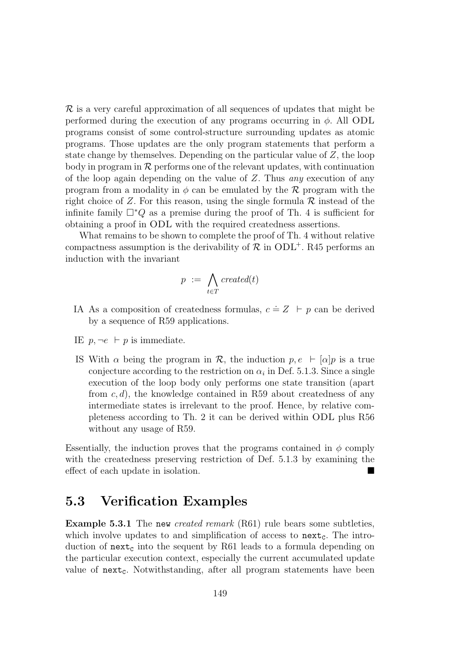R is a very careful approximation of all sequences of updates that might be performed during the execution of any programs occurring in  $\phi$ . All ODL programs consist of some control-structure surrounding updates as atomic programs. Those updates are the only program statements that perform a state change by themselves. Depending on the particular value of Z, the loop body in program in  $R$  performs one of the relevant updates, with continuation of the loop again depending on the value of  $Z$ . Thus *any* execution of any program from a modality in  $\phi$  can be emulated by the R program with the right choice of Z. For this reason, using the single formula  $\mathcal R$  instead of the infinite family  $\Box^*Q$  as a premise during the proof of Th. 4 is sufficient for obtaining a proof in ODL with the required createdness assertions.

What remains to be shown to complete the proof of Th. 4 without relative compactness assumption is the derivability of  $\mathcal{R}$  in ODL<sup>+</sup>. R45 performs an induction with the invariant

$$
p := \bigwedge_{t \in T} \mathit{created}(t)
$$

- IA As a composition of createdness formulas,  $c \doteq Z + p$  can be derived by a sequence of R59 applications.
- IE  $p, \neg e \vdash p$  is immediate.
- IS With  $\alpha$  being the program in  $\mathcal{R}$ , the induction  $p, e \vdash [\alpha]p$  is a true conjecture according to the restriction on  $\alpha_i$  in Def. 5.1.3. Since a single execution of the loop body only performs one state transition (apart from  $c, d$ , the knowledge contained in R59 about createdness of any intermediate states is irrelevant to the proof. Hence, by relative completeness according to Th. 2 it can be derived within ODL plus R56 without any usage of R59.

Essentially, the induction proves that the programs contained in  $\phi$  comply with the createdness preserving restriction of Def. 5.1.3 by examining the effect of each update in isolation.

#### 5.3 Verification Examples

Example 5.3.1 The new *created remark* (R61) rule bears some subtleties, which involve updates to and simplification of access to  $next<sub>c</sub>$ . The introduction of  $next_c$  into the sequent by R61 leads to a formula depending on the particular execution context, especially the current accumulated update value of  $next_c$ . Notwithstanding, after all program statements have been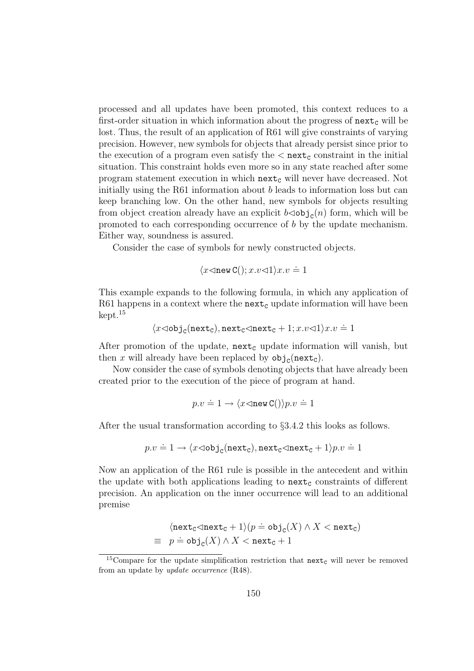processed and all updates have been promoted, this context reduces to a first-order situation in which information about the progress of  $next<sub>C</sub>$  will be lost. Thus, the result of an application of R61 will give constraints of varying precision. However, new symbols for objects that already persist since prior to the execution of a program even satisfy the  $\langle$  next<sub>c</sub> constraint in the initial situation. This constraint holds even more so in any state reached after some program statement execution in which  $next<sub>c</sub>$  will never have decreased. Not initially using the R61 information about b leads to information loss but can keep branching low. On the other hand, new symbols for objects resulting from object creation already have an explicit  $b \triangleleft \text{obj}_{\text{C}}(n)$  form, which will be promoted to each corresponding occurrence of b by the update mechanism. Either way, soundness is assured.

Consider the case of symbols for newly constructed objects.

$$
\langle x \triangleleft \text{new } C(); x.v \triangleleft 1 \rangle x.v \doteq 1
$$

This example expands to the following formula, in which any application of R61 happens in a context where the  $next<sub>c</sub>$  update information will have been  $k$ ept.<sup>15</sup>

$$
\langle x \triangleleft \texttt{obj}_\texttt{C}(\texttt{next}_\texttt{C}), \texttt{next}_\texttt{C} \triangleleft \texttt{next}_\texttt{C} + 1; x.v \triangleleft 1 \rangle x.v \doteq 1
$$

After promotion of the update,  $next<sub>c</sub>$  update information will vanish, but then x will already have been replaced by  $obj_c(next_c)$ .

Now consider the case of symbols denoting objects that have already been created prior to the execution of the piece of program at hand.

$$
p.v \doteq 1 \to \langle x \triangleleft \text{new } C() \rangle p.v \doteq 1
$$

After the usual transformation according to §3.4.2 this looks as follows.

$$
p.v \doteq 1 \rightarrow \langle x \triangleleft \texttt{obj}_\texttt{C}(\texttt{next}_\texttt{C}), \texttt{next}_\texttt{C} \triangleleft \texttt{next}_\texttt{C} + 1 \rangle p.v \doteq 1
$$

Now an application of the R61 rule is possible in the antecedent and within the update with both applications leading to  $next<sub>c</sub>$  constraints of different precision. An application on the inner occurrence will lead to an additional premise

$$
\langle \texttt{next}_{\texttt{c}} \triangleleft \texttt{next}_{\texttt{c}} + 1 \rangle (p \doteq \texttt{obj}_{\texttt{c}}(X) \land X < \texttt{next}_{\texttt{c}})
$$
\n
$$
\equiv p \doteq \texttt{obj}_{\texttt{c}}(X) \land X < \texttt{next}_{\texttt{c}} + 1
$$

<sup>&</sup>lt;sup>15</sup>Compare for the update simplification restriction that  $next<sub>c</sub>$  will never be removed from an update by *update occurrence* (R48).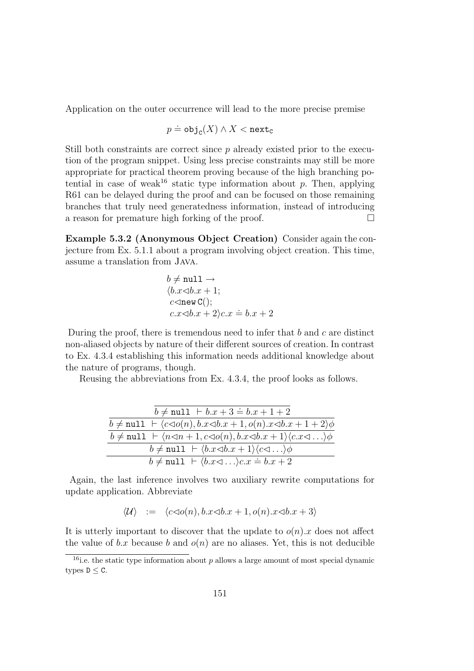Application on the outer occurrence will lead to the more precise premise

$$
p \doteq \mathsf{obj}_{\mathsf{C}}(X) \land X < \mathtt{next}_{\mathsf{C}}
$$

Still both constraints are correct since p already existed prior to the execution of the program snippet. Using less precise constraints may still be more appropriate for practical theorem proving because of the high branching potential in case of weak<sup>16</sup> static type information about p. Then, applying R61 can be delayed during the proof and can be focused on those remaining branches that truly need generatedness information, instead of introducing a reason for premature high forking of the proof.

Example 5.3.2 (Anonymous Object Creation) Consider again the conjecture from Ex. 5.1.1 about a program involving object creation. This time, assume a translation from Java.

$$
b \neq \texttt{null} \rightarrow \langle b.x \triangleleft b.x + 1; \\ c \triangleleft \texttt{new C}(\cdot); \\ c.x \triangleleft b.x + 2 \rangle c.x \doteq b.x + 2
$$

During the proof, there is tremendous need to infer that  $b$  and  $c$  are distinct non-aliased objects by nature of their different sources of creation. In contrast to Ex. 4.3.4 establishing this information needs additional knowledge about the nature of programs, though.

Reusing the abbreviations from Ex. 4.3.4, the proof looks as follows.

| $b \neq \text{null}$ $\vdash b.x + 3 = b.x + 1 + 2$                                                                                                                    |
|------------------------------------------------------------------------------------------------------------------------------------------------------------------------|
| $b \neq \text{null}$ $\vdash \langle c \triangleleft o(n), b.x \triangleleft b.x + 1, o(n).x \triangleleft b.x + 1 + 2 \rangle \phi$                                   |
| $b \neq \text{null}$ $\vdash \langle n \triangleleft n+1, c \triangleleft o(n), b.x \triangleleft b.x+1 \rangle \langle c.x \triangleleft \ldots \rangle \phi \rangle$ |
| $b \neq \text{null} \vdash \langle b.x \triangleleft b.x + 1 \rangle \langle c \triangleleft \ldots \rangle \phi$                                                      |
| $b \neq \texttt{null} \vdash \langle b.x \lhd \ldots \rangle c.x = b.x + 2$                                                                                            |

Again, the last inference involves two auxiliary rewrite computations for update application. Abbreviate

$$
\langle \mathcal{U} \rangle \quad := \quad \langle c \triangleleft o(n), b.x \triangleleft b.x + 1, o(n).x \triangleleft b.x + 3 \rangle
$$

It is utterly important to discover that the update to  $o(n)x$  does not affect the value of b.x because b and  $o(n)$  are no aliases. Yet, this is not deducible

<sup>&</sup>lt;sup>16</sup>i.e. the static type information about  $p$  allows a large amount of most special dynamic types  $D \leq C$ .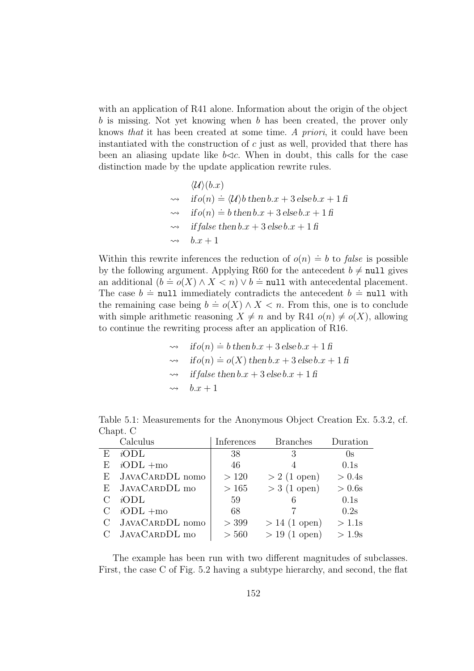with an application of R41 alone. Information about the origin of the object b is missing. Not yet knowing when b has been created, the prover only knows that it has been created at some time. A priori, it could have been instantiated with the construction of  $c$  just as well, provided that there has been an aliasing update like  $b \triangleleft c$ . When in doubt, this calls for the case distinction made by the update application rewrite rules.

$$
\langle U \rangle (b.x)
$$
  
\n
$$
\sim
$$
 if  $o(n) \doteq \langle U \rangle b$  then  $b.x + 3$  else  $b.x + 1$  fi  
\n
$$
\sim
$$
 if  $o(n) \doteq b$  then  $b.x + 3$  else  $b.x + 1$  fi  
\n
$$
\sim
$$
 if false then  $b.x + 3$  else  $b.x + 1$  fi  
\n
$$
\sim
$$
  $b.x + 1$ 

Within this rewrite inferences the reduction of  $o(n) \doteq b$  to *false* is possible by the following argument. Applying R60 for the antecedent  $b \neq \texttt{null}$  gives an additional  $(b = o(X) \land X < n) \lor b = \texttt{null}$  with antecedental placement. The case  $b = \text{null}$  immediately contradicts the antecedent  $b = \text{null}$  with the remaining case being  $b = o(X) \wedge X < n$ . From this, one is to conclude with simple arithmetic reasoning  $X \neq n$  and by R41  $o(n) \neq o(X)$ , allowing to continue the rewriting process after an application of R16.

$$
\Rightarrow
$$
 if  $o(n) \doteq b$  then  $b.x + 3$  else  $b.x + 1$  f  
\n
$$
\Rightarrow
$$
 if  $o(n) \doteq o(X)$  then  $b.x + 3$  else  $b.x + 1$  f  
\n
$$
\Rightarrow
$$
 if false then  $b.x + 3$  else  $b.x + 1$  f  
\n
$$
\Rightarrow
$$
  $b.x + 1$ 

|    | Calculus           | Inferences | <b>Branches</b> | Duration  |
|----|--------------------|------------|-----------------|-----------|
| F. | iODL               | 38         | 3               | $\alpha$  |
| E  | $iODL + \text{mo}$ | 46         |                 | 0.1s      |
|    | E JAVACARDDL nomo  | >120       | $> 2$ (1 open)  | $> 0.4$ s |
|    | E JAVACARDDL mo    | >165       | $>$ 3 (1 open)  | > 0.6s    |
|    | iODL               | 59         |                 | 0.1s      |
|    | $iODL + \text{mo}$ | 68         |                 | 0.2s      |
|    | C JAVACARDDL nomo  | > 399      | $> 14$ (1 open) | >1.1s     |
|    | C JAVACARDDL mo    | > 560      | $> 19(1$ open)  | >1.9s     |

Table 5.1: Measurements for the Anonymous Object Creation Ex. 5.3.2, cf. Chapt. C

The example has been run with two different magnitudes of subclasses. First, the case C of Fig. 5.2 having a subtype hierarchy, and second, the flat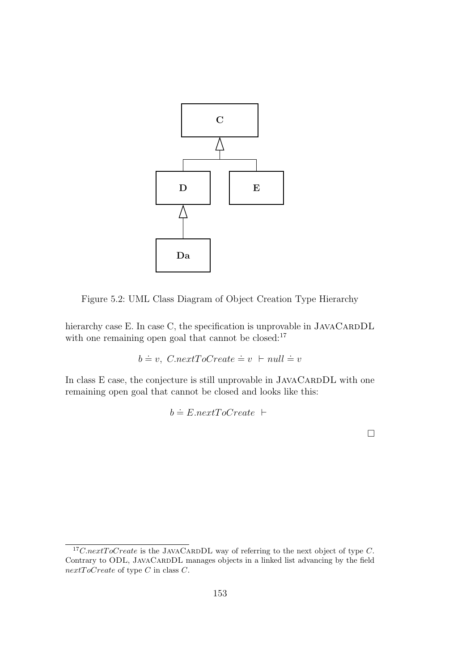

Figure 5.2: UML Class Diagram of Object Creation Type Hierarchy

hierarchy case E. In case C, the specification is unprovable in  $JAVACARDDL$ with one remaining open goal that cannot be closed:<sup>17</sup>

$$
b = v
$$
, C.nextToCreate  $\doteq v + null \doteq v$ 

In class E case, the conjecture is still unprovable in JAVACARDDL with one remaining open goal that cannot be closed and looks like this:

 $b \doteq E.nextToCreate \vdash$ 

 $\Box$ 

 $17$ C.nextToCreate is the JAVACARDDL way of referring to the next object of type C. Contrary to ODL, JAVACARDDL manages objects in a linked list advancing by the field nextToCreate of type C in class C.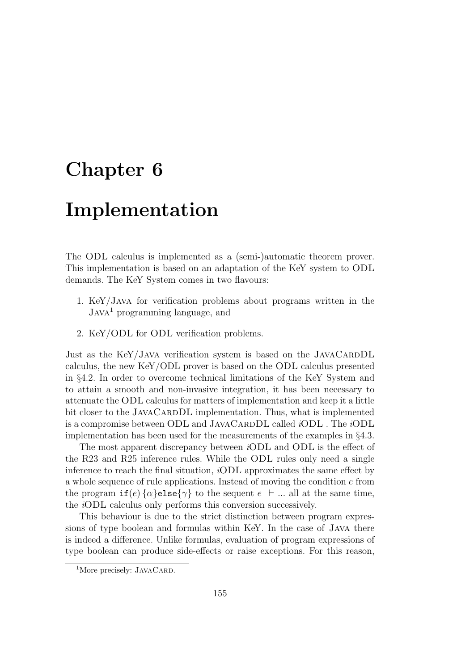### Chapter 6

## Implementation

The ODL calculus is implemented as a (semi-)automatic theorem prover. This implementation is based on an adaptation of the KeY system to ODL demands. The KeY System comes in two flavours:

- 1. KeY/Java for verification problems about programs written in the Java <sup>1</sup> programming language, and
- 2. KeY/ODL for ODL verification problems.

Just as the  $Ker/ JAVA$  verification system is based on the JAVACARDDL calculus, the new KeY/ODL prover is based on the ODL calculus presented in §4.2. In order to overcome technical limitations of the KeY System and to attain a smooth and non-invasive integration, it has been necessary to attenuate the ODL calculus for matters of implementation and keep it a little bit closer to the JAVACARDDL implementation. Thus, what is implemented is a compromise between ODL and JAVACARDDL called *iODL*. The *iODL* implementation has been used for the measurements of the examples in §4.3.

The most apparent discrepancy between iODL and ODL is the effect of the R23 and R25 inference rules. While the ODL rules only need a single inference to reach the final situation, iODL approximates the same effect by a whole sequence of rule applications. Instead of moving the condition e from the program  $if(e)$  { $\alpha$ }else{ $\gamma$ } to the sequent  $e \vdash ...$  all at the same time, the iODL calculus only performs this conversion successively.

This behaviour is due to the strict distinction between program expressions of type boolean and formulas within KeY. In the case of Java there is indeed a difference. Unlike formulas, evaluation of program expressions of type boolean can produce side-effects or raise exceptions. For this reason,

<sup>&</sup>lt;sup>1</sup>More precisely: JAVACARD.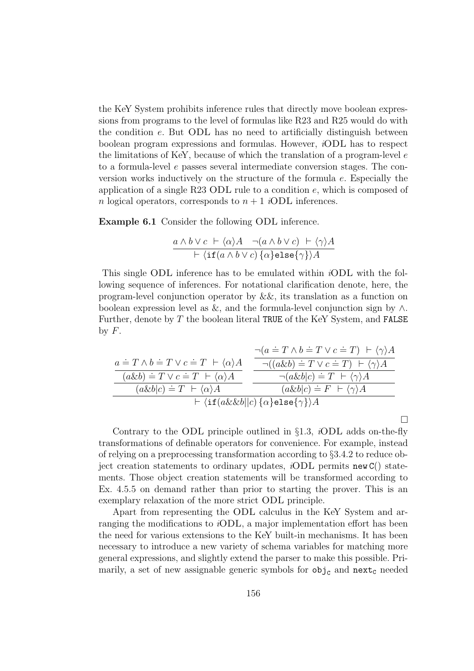the KeY System prohibits inference rules that directly move boolean expressions from programs to the level of formulas like R23 and R25 would do with the condition  $e$ . But ODL has no need to artificially distinguish between boolean program expressions and formulas. However, iODL has to respect the limitations of KeY, because of which the translation of a program-level  $e$ to a formula-level e passes several intermediate conversion stages. The conversion works inductively on the structure of the formula e. Especially the application of a single R23 ODL rule to a condition  $e$ , which is composed of n logical operators, corresponds to  $n + 1$  *iODL* inferences.

Example 6.1 Consider the following ODL inference.

$$
\frac{a \wedge b \vee c + \langle \alpha \rangle A \quad \neg(a \wedge b \vee c) + \langle \gamma \rangle A}{\vdash \langle \text{if}(a \wedge b \vee c) \{ \alpha \} \text{else} \{ \gamma \} \rangle A}
$$

This single ODL inference has to be emulated within iODL with the following sequence of inferences. For notational clarification denote, here, the program-level conjunction operator by &&, its translation as a function on boolean expression level as  $\&$ , and the formula-level conjunction sign by  $\wedge$ . Further, denote by  $T$  the boolean literal TRUE of the KeY System, and FALSE by  $F$ .

$$
\frac{a = T \wedge b = T \vee c = T \vdash \langle \alpha \rangle A}{(a \& b) = T \vee c = T \vdash \langle \alpha \rangle A} \quad \frac{\neg (a = T \wedge b = T \vee c = T) \vdash \langle \gamma \rangle A}{\neg ((a \& b) = T \vee c = T) \vdash \langle \gamma \rangle A} \\\frac{(a \& b) = T \vee c = T \vdash \langle \alpha \rangle A}{\neg (a \& b|c) = T \vdash \langle \gamma \rangle A} \\\frac{(a \& b|c) = F \vdash \langle \gamma \rangle A}{\neg (a \& b|c) = F \vdash \langle \gamma \rangle A} \\\frac{\neg (a \& b|c) = T \vdash \langle \gamma \rangle A}{\neg (a \& b|c) = F \vdash \langle \gamma \rangle A}
$$

 $\Box$ 

Contrary to the ODL principle outlined in §1.3, iODL adds on-the-fly transformations of definable operators for convenience. For example, instead of relying on a preprocessing transformation according to §3.4.2 to reduce object creation statements to ordinary updates,  $iODL$  permits new C() statements. Those object creation statements will be transformed according to Ex. 4.5.5 on demand rather than prior to starting the prover. This is an exemplary relaxation of the more strict ODL principle.

Apart from representing the ODL calculus in the KeY System and arranging the modifications to iODL, a major implementation effort has been the need for various extensions to the KeY built-in mechanisms. It has been necessary to introduce a new variety of schema variables for matching more general expressions, and slightly extend the parser to make this possible. Primarily, a set of new assignable generic symbols for  $\mathsf{obj}_\mathsf{C}$  and  $\mathsf{next}_\mathsf{C}$  needed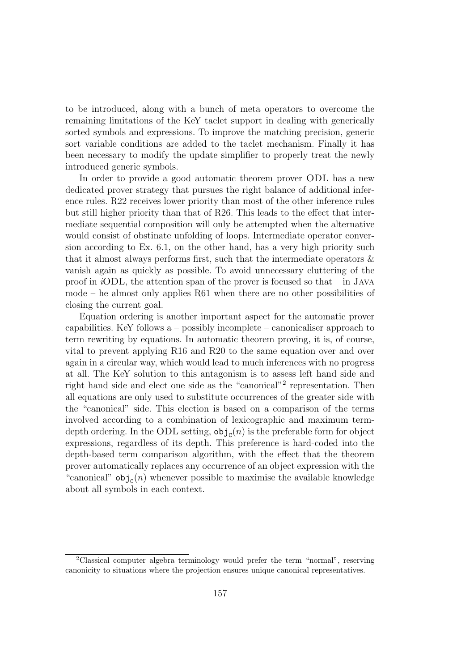to be introduced, along with a bunch of meta operators to overcome the remaining limitations of the KeY taclet support in dealing with generically sorted symbols and expressions. To improve the matching precision, generic sort variable conditions are added to the taclet mechanism. Finally it has been necessary to modify the update simplifier to properly treat the newly introduced generic symbols.

In order to provide a good automatic theorem prover ODL has a new dedicated prover strategy that pursues the right balance of additional inference rules. R22 receives lower priority than most of the other inference rules but still higher priority than that of R26. This leads to the effect that intermediate sequential composition will only be attempted when the alternative would consist of obstinate unfolding of loops. Intermediate operator conversion according to Ex. 6.1, on the other hand, has a very high priority such that it almost always performs first, such that the intermediate operators & vanish again as quickly as possible. To avoid unnecessary cluttering of the proof in  $i$ ODL, the attention span of the prover is focused so that – in JAVA mode – he almost only applies R61 when there are no other possibilities of closing the current goal.

Equation ordering is another important aspect for the automatic prover capabilities. KeY follows a – possibly incomplete – canonicaliser approach to term rewriting by equations. In automatic theorem proving, it is, of course, vital to prevent applying R16 and R20 to the same equation over and over again in a circular way, which would lead to much inferences with no progress at all. The KeY solution to this antagonism is to assess left hand side and right hand side and elect one side as the "canonical"<sup>2</sup> representation. Then all equations are only used to substitute occurrences of the greater side with the "canonical" side. This election is based on a comparison of the terms involved according to a combination of lexicographic and maximum termdepth ordering. In the ODL setting,  $obj_c(n)$  is the preferable form for object expressions, regardless of its depth. This preference is hard-coded into the depth-based term comparison algorithm, with the effect that the theorem prover automatically replaces any occurrence of an object expression with the "canonical"  $obj_c(n)$  whenever possible to maximise the available knowledge about all symbols in each context.

<sup>2</sup>Classical computer algebra terminology would prefer the term "normal", reserving canonicity to situations where the projection ensures unique canonical representatives.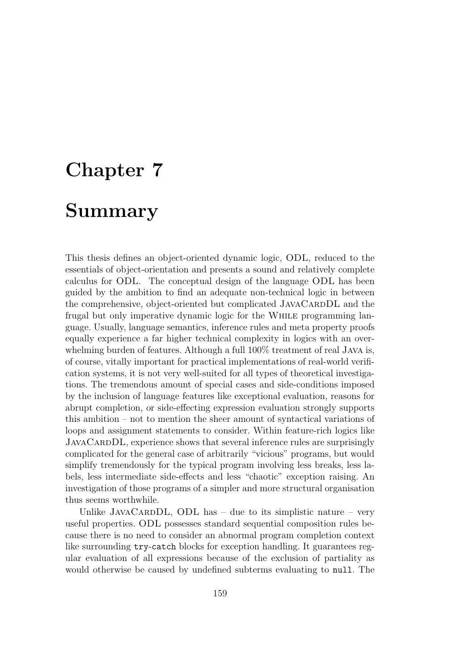# Chapter 7

### Summary

This thesis defines an object-oriented dynamic logic, ODL, reduced to the essentials of object-orientation and presents a sound and relatively complete calculus for ODL. The conceptual design of the language ODL has been guided by the ambition to find an adequate non-technical logic in between the comprehensive, object-oriented but complicated JAVACARDDL and the frugal but only imperative dynamic logic for the While programming language. Usually, language semantics, inference rules and meta property proofs equally experience a far higher technical complexity in logics with an overwhelming burden of features. Although a full  $100\%$  treatment of real JAVA is, of course, vitally important for practical implementations of real-world verification systems, it is not very well-suited for all types of theoretical investigations. The tremendous amount of special cases and side-conditions imposed by the inclusion of language features like exceptional evaluation, reasons for abrupt completion, or side-effecting expression evaluation strongly supports this ambition – not to mention the sheer amount of syntactical variations of loops and assignment statements to consider. Within feature-rich logics like JAVACARDDL, experience shows that several inference rules are surprisingly complicated for the general case of arbitrarily "vicious" programs, but would simplify tremendously for the typical program involving less breaks, less labels, less intermediate side-effects and less "chaotic" exception raising. An investigation of those programs of a simpler and more structural organisation thus seems worthwhile.

Unlike JAVACARDDL, ODL has  $-$  due to its simplistic nature  $-$  very useful properties. ODL possesses standard sequential composition rules because there is no need to consider an abnormal program completion context like surrounding try-catch blocks for exception handling. It guarantees regular evaluation of all expressions because of the exclusion of partiality as would otherwise be caused by undefined subterms evaluating to null. The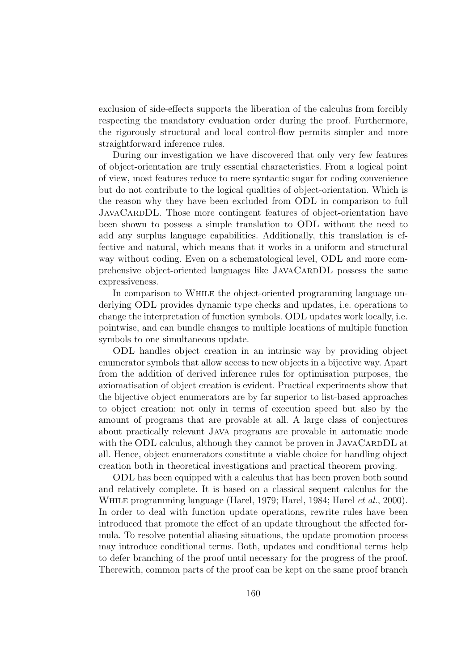exclusion of side-effects supports the liberation of the calculus from forcibly respecting the mandatory evaluation order during the proof. Furthermore, the rigorously structural and local control-flow permits simpler and more straightforward inference rules.

During our investigation we have discovered that only very few features of object-orientation are truly essential characteristics. From a logical point of view, most features reduce to mere syntactic sugar for coding convenience but do not contribute to the logical qualities of object-orientation. Which is the reason why they have been excluded from ODL in comparison to full JAVACARDDL. Those more contingent features of object-orientation have been shown to possess a simple translation to ODL without the need to add any surplus language capabilities. Additionally, this translation is effective and natural, which means that it works in a uniform and structural way without coding. Even on a schematological level, ODL and more comprehensive object-oriented languages like JAVACARDDL possess the same expressiveness.

In comparison to WHILE the object-oriented programming language underlying ODL provides dynamic type checks and updates, i.e. operations to change the interpretation of function symbols. ODL updates work locally, i.e. pointwise, and can bundle changes to multiple locations of multiple function symbols to one simultaneous update.

ODL handles object creation in an intrinsic way by providing object enumerator symbols that allow access to new objects in a bijective way. Apart from the addition of derived inference rules for optimisation purposes, the axiomatisation of object creation is evident. Practical experiments show that the bijective object enumerators are by far superior to list-based approaches to object creation; not only in terms of execution speed but also by the amount of programs that are provable at all. A large class of conjectures about practically relevant Java programs are provable in automatic mode with the ODL calculus, although they cannot be proven in JAVACARDDL at all. Hence, object enumerators constitute a viable choice for handling object creation both in theoretical investigations and practical theorem proving.

ODL has been equipped with a calculus that has been proven both sound and relatively complete. It is based on a classical sequent calculus for the WHILE programming language (Harel, 1979; Harel, 1984; Harel *et al.*, 2000). In order to deal with function update operations, rewrite rules have been introduced that promote the effect of an update throughout the affected formula. To resolve potential aliasing situations, the update promotion process may introduce conditional terms. Both, updates and conditional terms help to defer branching of the proof until necessary for the progress of the proof. Therewith, common parts of the proof can be kept on the same proof branch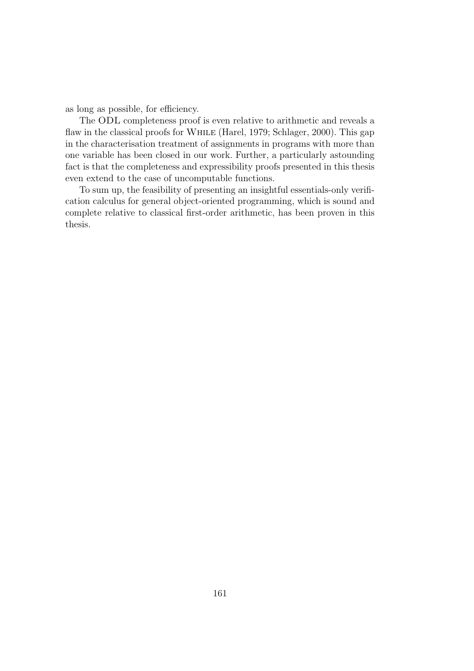as long as possible, for efficiency.

The ODL completeness proof is even relative to arithmetic and reveals a flaw in the classical proofs for While (Harel, 1979; Schlager, 2000). This gap in the characterisation treatment of assignments in programs with more than one variable has been closed in our work. Further, a particularly astounding fact is that the completeness and expressibility proofs presented in this thesis even extend to the case of uncomputable functions.

To sum up, the feasibility of presenting an insightful essentials-only verification calculus for general object-oriented programming, which is sound and complete relative to classical first-order arithmetic, has been proven in this thesis.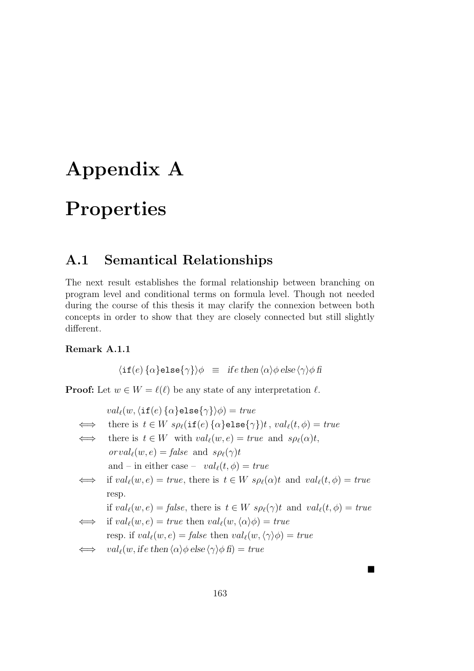## Appendix A

## Properties

### A.1 Semantical Relationships

The next result establishes the formal relationship between branching on program level and conditional terms on formula level. Though not needed during the course of this thesis it may clarify the connexion between both concepts in order to show that they are closely connected but still slightly different.

#### Remark A.1.1

$$
\langle \text{if}(e) \{ \alpha \} \text{else} \{ \gamma \} \rangle \phi \equiv \text{if } e \text{ then } \langle \alpha \rangle \phi \text{ else } \langle \gamma \rangle \phi \text{ fi}
$$

**Proof:** Let  $w \in W = \ell(\ell)$  be any state of any interpretation  $\ell$ .

|        | $val_{\ell}(w, \langle \text{if}(e) \{ \alpha \} \text{else} \{ \gamma \} \rangle \phi) = true$                   |
|--------|-------------------------------------------------------------------------------------------------------------------|
| $\iff$ | there is $t \in W$ $s\rho_{\ell}(\text{if}(e) \{\alpha\} \text{else} \{\gamma\})t$ , $val_{\ell}(t, \phi) = true$ |
| $\iff$ | there is $t \in W$ with $val_{\ell}(w, e) = true$ and $s\rho_{\ell}(\alpha)t$ ,                                   |
|        | $or val_{\ell}(w, e) = false$ and $s\rho_{\ell}(\gamma)t$                                                         |
|        | and – in either case – $val_{\ell}(t, \phi) = true$                                                               |
| $\iff$ | if $val_{\ell}(w, e) = true$ , there is $t \in W$ $s\rho_{\ell}(\alpha)t$ and $val_{\ell}(t, \phi) = true$        |
|        | resp.                                                                                                             |
|        | if $val_{\ell}(w,e) = false$ , there is $t \in W$ $s\rho_{\ell}(\gamma)t$ and $val_{\ell}(t,\phi) = true$         |
| $\iff$ | if $val_{\ell}(w,e) = true$ then $val_{\ell}(w, \langle \alpha \rangle \phi) = true$                              |
|        |                                                                                                                   |

resp. if 
$$
val_{\ell}(w, e) = \text{false}
$$
 then  $val_{\ell}(w, \langle \gamma \rangle \phi) = \text{true}$ 

$$
\iff \text{ } val_{\ell}(w, \text{if } e \text{ then } \langle \alpha \rangle \phi \text{ else } \langle \gamma \rangle \phi \text{ f} ) = \text{ } true
$$

 $\blacksquare$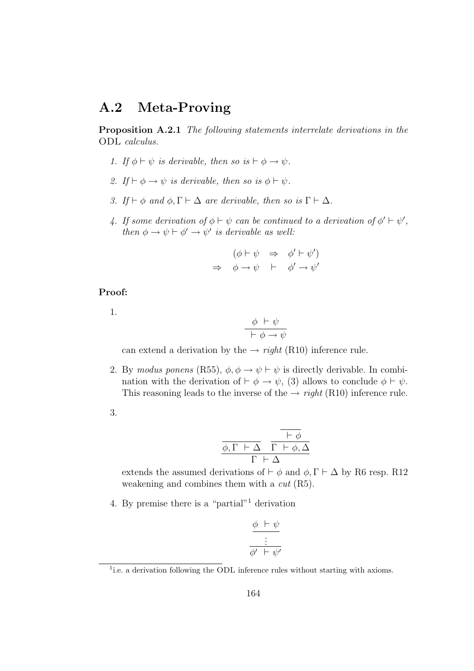### A.2 Meta-Proving

Proposition A.2.1 The following statements interrelate derivations in the ODL calculus.

- 1. If  $\phi \vdash \psi$  is derivable, then so is  $\vdash \phi \rightarrow \psi$ .
- 2. If  $\vdash \phi \rightarrow \psi$  is derivable, then so is  $\phi \vdash \psi$ .
- 3. If  $\vdash \phi$  and  $\phi, \Gamma \vdash \Delta$  are derivable, then so is  $\Gamma \vdash \Delta$ .
- 4. If some derivation of  $\phi \vdash \psi$  can be continued to a derivation of  $\phi' \vdash \psi'$ , then  $\phi \to \psi \vdash \phi' \to \psi'$  is derivable as well:

$$
(\phi \vdash \psi \Rightarrow \phi' \vdash \psi')
$$
  
\n
$$
\Rightarrow \phi \rightarrow \psi \vdash \phi' \rightarrow \psi'
$$

#### Proof:

1.

$$
\frac{\phi + \psi}{\vdash \phi \rightarrow \psi}
$$

can extend a derivation by the  $\rightarrow$  right (R10) inference rule.

- 2. By modus ponens (R55),  $\phi, \phi \rightarrow \psi \vdash \psi$  is directly derivable. In combination with the derivation of  $\vdash \phi \rightarrow \psi$ , (3) allows to conclude  $\phi \vdash \psi$ . This reasoning leads to the inverse of the  $\rightarrow$  right (R10) inference rule.
- 3.

$$
\frac{\overline{\phi,\Gamma\ \vdash\Delta}}{\frac{\phi,\Gamma\ \vdash\Delta}{\Gamma\ \vdash\phi,\Delta}}
$$

extends the assumed derivations of  $\vdash \phi$  and  $\phi, \Gamma \vdash \Delta$  by R6 resp. R12 weakening and combines them with a cut (R5).

4. By premise there is a "partial"<sup>1</sup> derivation

$$
\frac{\phi + \psi}{\vdots}
$$

$$
\phi' + \psi'
$$

<sup>&</sup>lt;sup>1</sup> i.e. a derivation following the ODL inference rules without starting with axioms.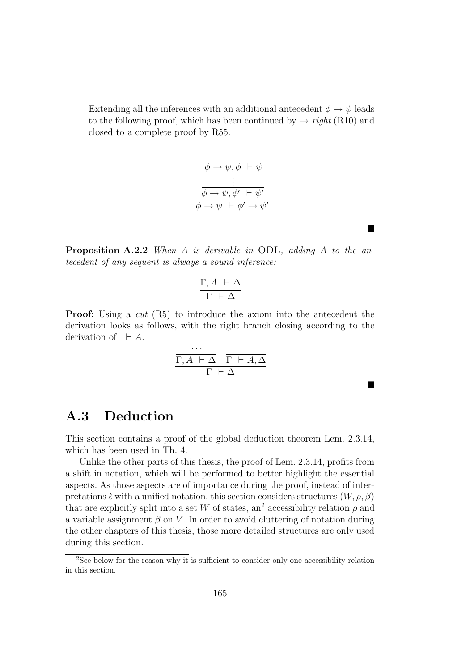Extending all the inferences with an additional antecedent  $\phi \rightarrow \psi$  leads to the following proof, which has been continued by  $\rightarrow$  right (R10) and closed to a complete proof by R55.

$$
\frac{\phi \to \psi, \phi + \psi}{\vdots}
$$
\n
$$
\frac{\vdots}{\phi \to \psi, \phi' + \psi'}
$$
\n
$$
\phi \to \psi + \phi' \to \psi'
$$

Proposition A.2.2 When A is derivable in ODL, adding A to the antecedent of any sequent is always a sound inference:

$$
\dfrac{\Gamma, A~\vdash\Delta}{\Gamma~\vdash\Delta}
$$

**Proof:** Using a *cut* (R5) to introduce the axiom into the antecedent the derivation looks as follows, with the right branch closing according to the derivation of  $\vdash A$ .

. . .

$$
\frac{\Gamma, A \vdash \Delta}{\Gamma \vdash \Delta} \frac{\Gamma \vdash A, \Delta}{\Gamma \vdash \Delta}
$$

A.3 Deduction

This section contains a proof of the global deduction theorem Lem. 2.3.14, which has been used in Th. 4.

Unlike the other parts of this thesis, the proof of Lem. 2.3.14, profits from a shift in notation, which will be performed to better highlight the essential aspects. As those aspects are of importance during the proof, instead of interpretations  $\ell$  with a unified notation, this section considers structures  $(W, \rho, \beta)$ that are explicitly split into a set W of states, an<sup>2</sup> accessibility relation  $\rho$  and a variable assignment  $\beta$  on V. In order to avoid cluttering of notation during the other chapters of this thesis, those more detailed structures are only used during this section.

■

П

<sup>&</sup>lt;sup>2</sup>See below for the reason why it is sufficient to consider only one accessibility relation in this section.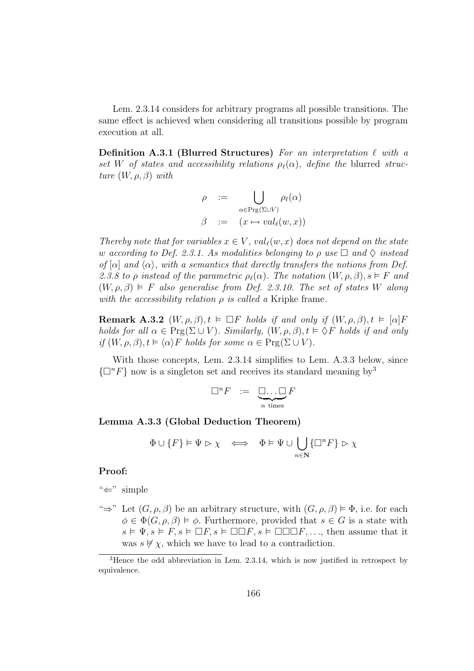Lem. 2.3.14 considers for arbitrary programs all possible transitions. The same effect is achieved when considering all transitions possible by program execution at all.

Definition A.3.1 (Blurred Structures) For an interpretation  $\ell$  with a set W of states and accessibility relations  $\rho_{\ell}(\alpha)$ , define the blurred structure  $(W, \rho, \beta)$  with

$$
\rho := \bigcup_{\alpha \in \text{Prg}(\Sigma \cup V)} \rho_{\ell}(\alpha)
$$
  

$$
\beta := (x \mapsto val_{\ell}(w, x))
$$

Thereby note that for variables  $x \in V$ ,  $val_{\ell}(w, x)$  does not depend on the state w according to Def. 2.3.1. As modalities belonging to  $\rho$  use  $\Box$  and  $\Diamond$  instead of  $\alpha$  and  $\langle \alpha \rangle$ , with a semantics that directly transfers the notions from Def. 2.3.8 to ρ instead of the parametric  $\rho_\ell(\alpha)$ . The notation  $(W, \rho, \beta)$ ,  $s \models F$  and  $(W, \rho, \beta) \models F$  also generalise from Def. 2.3.10. The set of states W along with the accessibility relation  $\rho$  is called a Kripke frame.

**Remark A.3.2**  $(W, \rho, \beta), t \models \Box F$  holds if and only if  $(W, \rho, \beta), t \models [\alpha]F$ holds for all  $\alpha \in Prg(\Sigma \cup V)$ . Similarly,  $(W, \rho, \beta), t \models \Diamond F$  holds if and only if  $(W, \rho, \beta), t \vDash \langle \alpha \rangle F$  holds for some  $\alpha \in \text{Prg}(\Sigma \cup V)$ .

With those concepts, Lem. 2.3.14 simplifies to Lem. A.3.3 below, since  $\{\Box^n F\}$  now is a singleton set and receives its standard meaning by<sup>3</sup>

$$
\Box^n F \quad := \quad \underbrace{\Box \dots \Box}_{n \text{ times}} F
$$

Lemma A.3.3 (Global Deduction Theorem)

$$
\Phi \cup \{F\} \vDash \Psi \vartriangleright \chi \iff \Phi \vDash \Psi \cup \bigcup_{n \in \mathbb{N}} \{\Box^n F\} \vartriangleright \chi
$$

#### Proof:

" $\Leftarrow$ " simple

" $\Rightarrow$ " Let  $(G, \rho, \beta)$  be an arbitrary structure, with  $(G, \rho, \beta) \models \Phi$ , i.e. for each  $\phi \in \Phi(G, \rho, \beta) \models \phi$ . Furthermore, provided that  $s \in G$  is a state with  $s \models \Psi, s \models F, s \models \Box F, s \models \Box \Box F, s \models \Box \Box \Box F, \ldots$ , then assume that it was  $s \not\vdash \chi$ , which we have to lead to a contradiction.

<sup>3</sup>Hence the odd abbreviation in Lem. 2.3.14, which is now justified in retrospect by equivalence.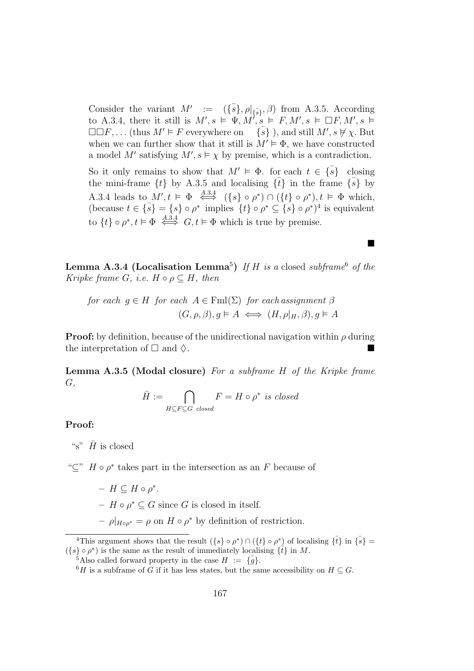Consider the variant  $M' := (\{\overline{s}\}, \rho|_{\{\overline{s}\}}, \beta)$  from A.3.5. According to A.3.4, there it still is  $M', s \models \Psi, M', s \models F, M', s \models \Box F, M', s \models$  $\square \square F, \ldots$  (thus  $M' \vDash F$  everywhere on  $\{\overline{s}\}\)$ , and still  $M', s \not\models \chi$ . But when we can further show that it still is  $M' \vDash \Phi$ , we have constructed a model M' satisfying  $M, s \models \chi$  by premise, which is a contradiction.

So it only remains to show that  $M' \vDash \Phi$ . for each  $t \in \{s\}$  closing the mini-frame  $\{t\}$  by A.3.5 and localising  $\{\bar{t}\}\$ in the frame  $\{\bar{s}\}$  by A.3.4 leads to  $M', t \models \Phi \iff (\{s\} \circ \rho^*) \cap (\{t\} \circ \rho^*), t \models \Phi$  which, (because  $t \in {\bar{s}} = {s} \circ \rho^*$  implies  $\{t\} \circ \rho^* \subseteq {\bar{s}} \circ \rho^*$ )<sup>4</sup> is equivalent to  $\{t\} \circ \rho^*, t \models \Phi \iff G, t \models \Phi$  which is true by premise.

Lemma A.3.4 (Localisation Lemma<sup>5</sup>) If H is a closed subframe<sup>6</sup> of the Kripke frame G, i.e.  $H \circ \rho \subset H$ , then

for each 
$$
g \in H
$$
 for each  $A \in \text{Fml}(\Sigma)$  for each assignment  $\beta$   
 $(G, \rho, \beta), g \models A \iff (H, \rho|_H, \beta), g \models A$ 

**Proof:** by definition, because of the unidirectional navigation within  $\rho$  during the interpretation of  $\square$  and  $\diamondsuit$ .

Lemma A.3.5 (Modal closure) For a subframe H of the Kripke frame  $G$ ,

$$
\bar{H} := \bigcap_{H \subseteq F \subseteq G \text{ closed}} F = H \circ \rho^* \text{ is closed}
$$

#### Proof:

"s"  $\bar{H}$  is closed

" $\subseteq$ "  $H \circ \rho^*$  takes part in the intersection as an F because of

 $- H \subseteq H \circ \rho^*$ .

 $- H \circ \rho^* \subseteq G$  since G is closed in itself.

 $-\rho|_{H\circ\rho^*} = \rho$  on  $H \circ \rho^*$  by definition of restriction.

#### 

<sup>&</sup>lt;sup>4</sup>This argument shows that the result  $({s} \circ \rho^*) \cap ({t} \circ \rho^*)$  of localising  ${\bar{t}}$  in  ${\bar{s}}$  =  $({s} \circ \rho^*)$  is the same as the result of immediately localising  $\{\tilde{t}\}\$ in M.

<sup>&</sup>lt;sup>5</sup>Also called forward property in the case  $H := \{g\}.$ 

 ${}^{6}H$  is a subframe of G if it has less states, but the same accessibility on  $H \subseteq G$ .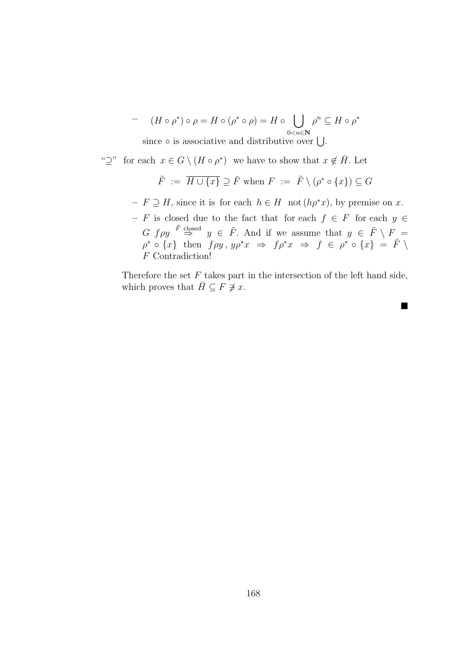$$
- (H \circ \rho^*) \circ \rho = H \circ (\rho^* \circ \rho) = H \circ \bigcup_{0 < n \in \mathbb{N}} \rho^n \subseteq H \circ \rho^*
$$
  
since  $\circ$  is associative and distributive over  $\bigcup$ .

" $\supseteq$ " for each  $x \in G \setminus (H \circ \rho^*)$  we have to show that  $x \notin \overline{H}$ . Let

$$
\tilde{F} := \overline{H \cup \{x\}} \supseteq \overline{F}
$$
 when  $F := \tilde{F} \setminus (\rho^* \circ \{x\}) \subseteq G$ 

- $-F \supseteq H$ , since it is for each  $h \in H$  not  $(h\rho^*x)$ , by premise on x.
- F is closed due to the fact that for each  $f \in F$  for each  $y \in$ G fpy  $\tilde{F}$  closed  $y \in \tilde{F}$ . And if we assume that  $y \in \tilde{F} \setminus F =$  $\rho^* \circ \{x\}$  then  $f \rho y$ ,  $y \rho^* x \Rightarrow f \rho^* x \Rightarrow f \in \rho^* \circ \{x\} = \tilde{F} \setminus \{x\}$ F Contradiction!

Therefore the set  $F$  takes part in the intersection of the left hand side, which proves that  $\bar{H} \subseteq F \not\ni x$ .

 $\blacksquare$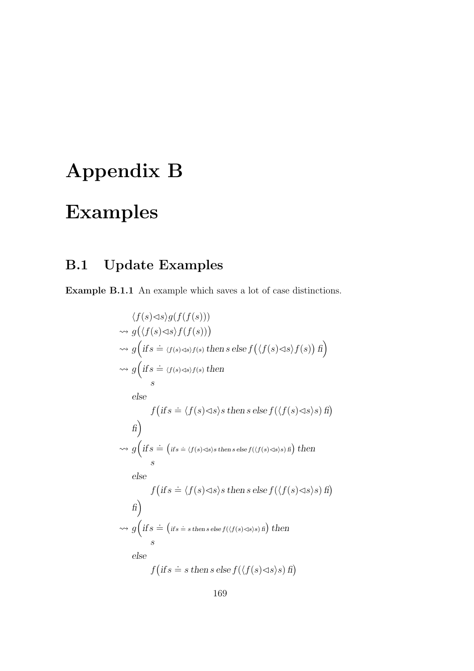## Appendix B

## Examples

### B.1 Update Examples

Example B.1.1 An example which saves a lot of case distinctions.

$$
\langle f(s) \triangleleft s \rangle g(f(f(s)))
$$
  
\n
$$
\sim g((f(s) \triangleleft s) f(f(s)))
$$
  
\n
$$
\sim g(fis = \langle f(s) \triangleleft s \rangle f(s) \text{ then } s \text{ else } f((f(s) \triangleleft s) f(s)) f(s) \rangle f(s))
$$
  
\n
$$
\sim g(fis = \langle f(s) \triangleleft s \rangle s \text{ then } s \text{ else } f(\langle f(s) \triangleleft s \rangle s \rangle f(s)) f(s) \rangle f(s) \rangle f(s) \rangle f(s)
$$
  
\n
$$
f(fis = \langle f(s) \triangleleft s \rangle s \text{ then } s \text{ else } f(\langle f(s) \triangleleft s \rangle s \rangle f(s) \rangle f(s) \rangle f(s) \rangle f(s) \rangle f(s)
$$
  
\n
$$
f(fis = \langle f(s) \triangleleft s \rangle s \text{ then } s \text{ else } f(\langle f(s) \triangleleft s \rangle s \rangle f(s) \rangle f(s) \rangle f(s) \rangle f(s)
$$
  
\n
$$
f(fis = (is = s \text{ then } s \text{ else } f(\langle f(s) \triangleleft s \rangle s \rangle f(s) \rangle f(s) \rangle f(s)) \rangle f(s)
$$
  
\n
$$
f(fis = s \text{ then } s \text{ else } f(\langle f(s) \triangleleft s \rangle s \rangle f(s) \rangle f(s) \rangle f(s) \rangle f(s)
$$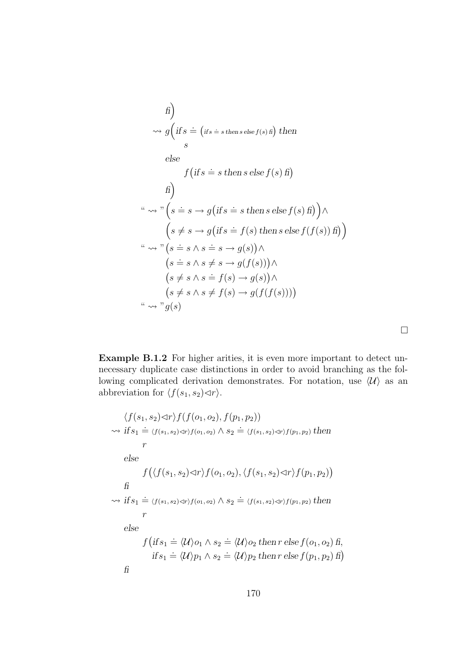$$
f) \rightarrow g \left( if s = (ifs = sthens else f(s) f) then
$$
  
\n
$$
else
$$
  
\n
$$
f (if s = s then s else f(s) f) \right)
$$
  
\n
$$
f)
$$
  
\n
$$
f
$$
  
\n
$$
f
$$
  
\n
$$
f
$$
  
\n
$$
f
$$
  
\n
$$
f
$$
  
\n
$$
f
$$
  
\n
$$
f
$$
  
\n
$$
f
$$
  
\n
$$
f
$$
  
\n
$$
f
$$
  
\n
$$
f
$$
  
\n
$$
f
$$
  
\n
$$
f
$$
  
\n
$$
f
$$
  
\n
$$
f
$$
  
\n
$$
f
$$
  
\n
$$
f
$$
  
\n
$$
f
$$
  
\n
$$
f
$$
  
\n
$$
f
$$
  
\n
$$
f
$$
  
\n
$$
f
$$
  
\n
$$
f
$$
  
\n
$$
f
$$
  
\n
$$
f
$$
  
\n
$$
f
$$
  
\n
$$
f
$$
  
\n
$$
f
$$
  
\n
$$
f
$$
  
\n
$$
f
$$
  
\n
$$
f
$$
  
\n
$$
f
$$
  
\n
$$
f
$$
  
\n
$$
f
$$
  
\n
$$
f
$$
  
\n
$$
f
$$
  
\n
$$
f
$$
  
\n
$$
f
$$
  
\n
$$
f
$$
  
\n
$$
f
$$
  
\n
$$
f
$$
  
\n
$$
f
$$
  
\n
$$
f
$$
  
\n
$$
f
$$
  
\n
$$
f
$$
  
\n
$$
f
$$
  
\n
$$
f
$$
  
\n
$$
f
$$
  
\n
$$
f
$$
  
\n
$$
f
$$
  
\n
$$
f
$$
  
\n
$$
f
$$

Example B.1.2 For higher arities, it is even more important to detect unnecessary duplicate case distinctions in order to avoid branching as the following complicated derivation demonstrates. For notation, use  $\langle U \rangle$  as an abbreviation for  $\langle f(s_1, s_2)\langle r \rangle$ .

 $\Box$ 

$$
\langle f(s_1, s_2) \langle r \rangle f(f(o_1, o_2), f(p_1, p_2))
$$
  
\n
$$
\sim if s_1 \doteq \langle f(s_1, s_2) \langle r \rangle f(o_1, o_2) \land s_2 \doteq \langle f(s_1, s_2) \langle r \rangle f(p_1, p_2) \text{ then}
$$
  
\n
$$
r
$$
  
\nelse  
\n
$$
f(\langle f(s_1, s_2) \langle r \rangle f(o_1, o_2), \langle f(s_1, s_2) \langle r \rangle f(p_1, p_2))
$$
  
\nfi  
\n
$$
\sim if s_1 \doteq \langle f(s_1, s_2) \langle r \rangle f(o_1, o_2) \land s_2 \doteq \langle f(s_1, s_2) \langle r \rangle f(p_1, p_2) \text{ then}
$$
  
\n
$$
r
$$
  
\nelse  
\n
$$
f(if s_1 \doteq \langle U \rangle o_1 \land s_2 \doteq \langle U \rangle o_2 \text{ then } r \text{ else } f(o_1, o_2) \text{ f},
$$
  
\n
$$
if s_1 \doteq \langle U \rangle p_1 \land s_2 \doteq \langle U \rangle p_2 \text{ then } r \text{ else } f(p_1, p_2) \text{ f} \rangle
$$
  
\nfi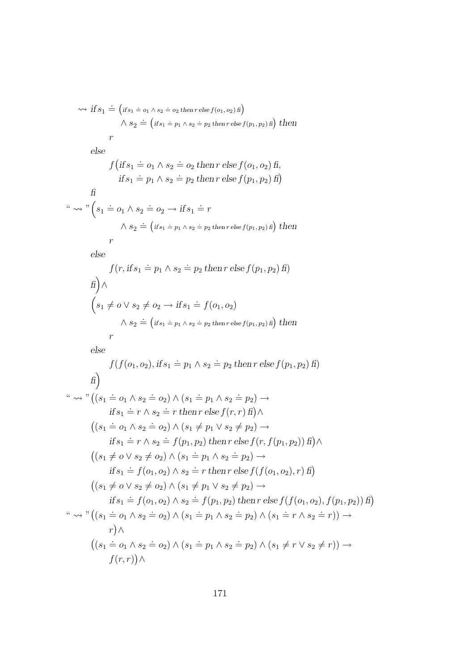$$
\begin{aligned}\n&\sim if s_1 \doteq (s_1 \doteq o_1 \wedge s_2 \doteq o_2 \text{ then } \text{r} \text{ else } f(o_1, o_2) \text{ f}) \\
&\wedge s_2 \doteq (is s_1 \doteq p_1 \wedge s_2 \doteq p_2 \text{ then } \text{r} \text{ else } f(p_1, p_2) \text{ f}) \text{ then} \\
&r \\
\text{else} \\
f \left( \text{if } s_1 \doteq o_1 \wedge s_2 \doteq o_2 \text{ then } \text{r} \text{ else } f(o_1, o_2) \text{ f} \right) \\
&\text{if } s_1 \doteq p_1 \wedge s_2 \doteq p_2 \text{ then } \text{r} \text{ else } f(p_1, p_2) \text{ f})\n\end{aligned}
$$
\n
$$
\begin{aligned}\n&\text{if } s_1 \doteq o_1 \wedge s_2 \doteq o_2 \rightarrow \text{if } s_1 \doteq r \\
&\wedge s_2 \doteq (is s_1 \doteq p_1 \wedge s_2 \doteq p_2 \text{ then } \text{r} \text{ else } f(p_1, p_2) \text{ f}) \text{ then} \\
&\text{r} \\
\text{else} \\
f(r, \text{if } s_1 \doteq p_1 \wedge s_2 \doteq p_2 \text{ then } \text{r} \text{ else } f(p_1, p_2) \text{ f}) \\
&\text{f}) \\
\wedge \\
&\left(s_1 \neq o \vee s_2 \neq o_2 \rightarrow \text{if } s_1 \doteq f(o_1, o_2)\right) \\
&\wedge s_2 \doteq (is s_1 \doteq p_1 \wedge s_2 \doteq p_2 \text{ then } \text{r} \text{ else } f(p_1, p_2) \text{ f}) \text{ then} \\
&\text{r} \\
\text{else} \\
&\qquad f(f(o_1, o_2), \text{if } s_1 \doteq p_1 \wedge s_2 \doteq p_2 \text{ then } \text{r} \text{ else } f(p_1, p_2) \text{ f})\n\end{aligned}
$$
\n
$$
\begin{aligned}\n&\text{if } s_1 \doteq p_1 \wedge s_2 \doteq o_2 \wedge (s_1 \dote
$$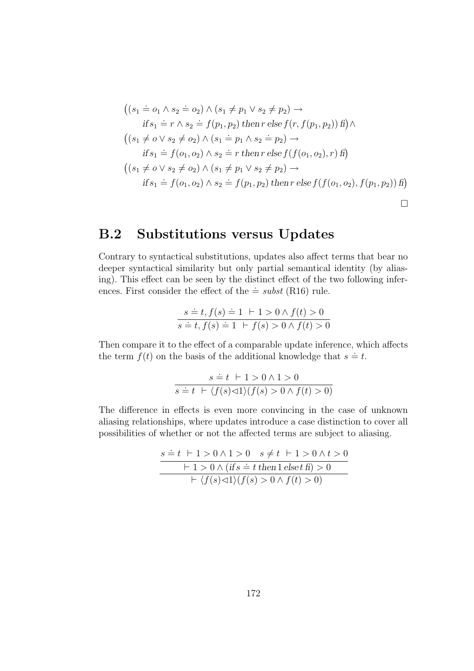$$
((s_1 \doteq o_1 \land s_2 \doteq o_2) \land (s_1 \neq p_1 \lor s_2 \neq p_2) \rightarrow
$$
  
\nif  $s_1 \doteq r \land s_2 \doteq f(p_1, p_2)$  then  $r \text{ else } f(r, f(p_1, p_2))$  f  $)$   
\n
$$
((s_1 \neq o \lor s_2 \neq o_2) \land (s_1 \neq p_1 \land s_2 \neq p_2) \rightarrow
$$
  
\nif  $s_1 \doteq f(o_1, o_2) \land s_2 \doteq r$  then  $r \text{ else } f(f(o_1, o_2), r)$  f  $)$   
\n
$$
((s_1 \neq o \lor s_2 \neq o_2) \land (s_1 \neq p_1 \lor s_2 \neq p_2) \rightarrow
$$
  
\nif  $s_1 \doteq f(o_1, o_2) \land s_2 \doteq f(p_1, p_2)$  then  $r \text{ else } f(f(o_1, o_2), f(p_1, p_2))$  f  $)$ 

#### B.2 Substitutions versus Updates

Contrary to syntactical substitutions, updates also affect terms that bear no deeper syntactical similarity but only partial semantical identity (by aliasing). This effect can be seen by the distinct effect of the two following inferences. First consider the effect of the  $\dot{=}$  subst (R16) rule.

$$
s = t, f(s) = 1 + 1 > 0 \land f(t) > 0
$$
  

$$
s = t, f(s) = 1 + f(s) > 0 \land f(t) > 0
$$

Then compare it to the effect of a comparable update inference, which affects the term  $f(t)$  on the basis of the additional knowledge that  $s = t$ .

$$
s \stackrel{\cdot}{=} t \mid +1 > 0 \land 1 > 0
$$
\n
$$
s \stackrel{\cdot}{=} t \mid + \langle f(s) \triangleleft 1 \rangle (f(s) > 0 \land f(t) > 0)
$$

The difference in effects is even more convincing in the case of unknown aliasing relationships, where updates introduce a case distinction to cover all possibilities of whether or not the affected terms are subject to aliasing.

$$
s \doteq t + 1 > 0 \land 1 > 0 \quad s \neq t + 1 > 0 \land t > 0
$$
\n
$$
+ 1 > 0 \land (\text{if } s \doteq t \text{ then } 1 \text{ else } t \text{ f}) > 0
$$
\n
$$
+ \langle f(s) \triangleleft 1 \rangle \langle f(s) > 0 \land f(t) > 0 \rangle
$$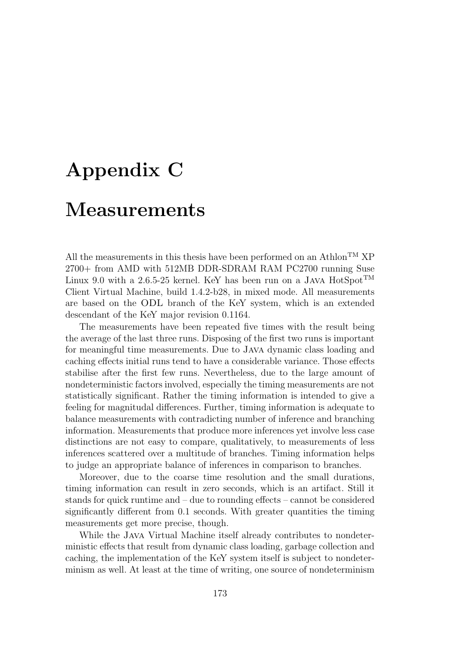# Appendix C

## Measurements

All the measurements in this thesis have been performed on an AthlonTM XP 2700+ from AMD with 512MB DDR-SDRAM RAM PC2700 running Suse Linux 9.0 with a 2.6.5-25 kernel. KeY has been run on a JAVA  $HotSpot^{TM}$ Client Virtual Machine, build 1.4.2-b28, in mixed mode. All measurements are based on the ODL branch of the KeY system, which is an extended descendant of the KeY major revision 0.1164.

The measurements have been repeated five times with the result being the average of the last three runs. Disposing of the first two runs is important for meaningful time measurements. Due to Java dynamic class loading and caching effects initial runs tend to have a considerable variance. Those effects stabilise after the first few runs. Nevertheless, due to the large amount of nondeterministic factors involved, especially the timing measurements are not statistically significant. Rather the timing information is intended to give a feeling for magnitudal differences. Further, timing information is adequate to balance measurements with contradicting number of inference and branching information. Measurements that produce more inferences yet involve less case distinctions are not easy to compare, qualitatively, to measurements of less inferences scattered over a multitude of branches. Timing information helps to judge an appropriate balance of inferences in comparison to branches.

Moreover, due to the coarse time resolution and the small durations, timing information can result in zero seconds, which is an artifact. Still it stands for quick runtime and – due to rounding effects – cannot be considered significantly different from 0.1 seconds. With greater quantities the timing measurements get more precise, though.

While the Java Virtual Machine itself already contributes to nondeterministic effects that result from dynamic class loading, garbage collection and caching, the implementation of the KeY system itself is subject to nondeterminism as well. At least at the time of writing, one source of nondeterminism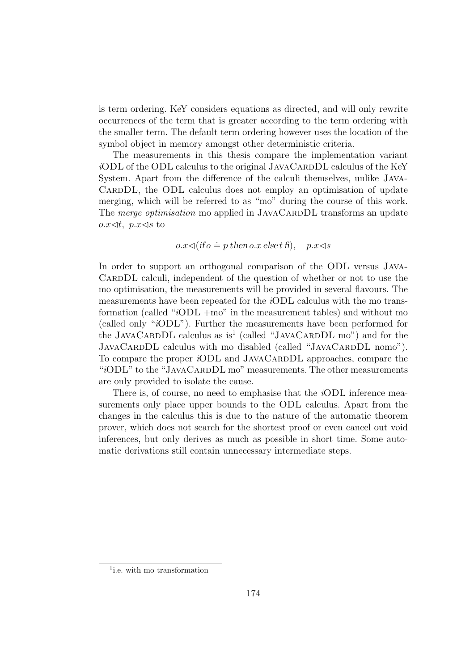is term ordering. KeY considers equations as directed, and will only rewrite occurrences of the term that is greater according to the term ordering with the smaller term. The default term ordering however uses the location of the symbol object in memory amongst other deterministic criteria.

The measurements in this thesis compare the implementation variant  $iODL$  of the ODL calculus to the original JAVACARDDL calculus of the KeY System. Apart from the difference of the calculi themselves, unlike Java-CARDDL, the ODL calculus does not employ an optimisation of update merging, which will be referred to as "mo" during the course of this work. The *merge optimisation* mo applied in JAVACARDDL transforms an update o.x $\lhd t$ , p.x $\lhd s$  to

$$
o.x \triangleleft (if o \doteq p then o.x else t f), \quad p.x \triangleleft s
$$

In order to support an orthogonal comparison of the ODL versus Java-CARDDL calculi, independent of the question of whether or not to use the mo optimisation, the measurements will be provided in several flavours. The measurements have been repeated for the iODL calculus with the mo transformation (called " $iODL + mo$ " in the measurement tables) and without mo (called only "iODL"). Further the measurements have been performed for the JAVACARDDL calculus as is<sup>1</sup> (called "JAVACARDDL mo") and for the JAVACARDDL calculus with mo disabled (called "JAVACARDDL nomo"). To compare the proper *iODL* and JAVACARDDL approaches, compare the "iODL" to the "JAVACARDDL mo" measurements. The other measurements are only provided to isolate the cause.

There is, of course, no need to emphasise that the *i*ODL inference measurements only place upper bounds to the ODL calculus. Apart from the changes in the calculus this is due to the nature of the automatic theorem prover, which does not search for the shortest proof or even cancel out void inferences, but only derives as much as possible in short time. Some automatic derivations still contain unnecessary intermediate steps.

<sup>&</sup>lt;sup>1</sup>i.e. with mo transformation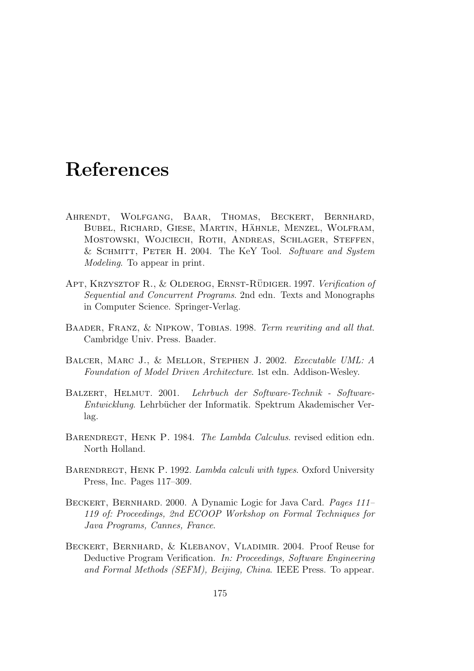#### References

- Ahrendt, Wolfgang, Baar, Thomas, Beckert, Bernhard, BUBEL, RICHARD, GIESE, MARTIN, HÄHNLE, MENZEL, WOLFRAM, Mostowski, Wojciech, Roth, Andreas, Schlager, Steffen, & Schmitt, Peter H. 2004. The KeY Tool. Software and System Modeling. To appear in print.
- APT, KRZYSZTOF R., & OLDEROG, ERNST-RÜDIGER. 1997. Verification of Sequential and Concurrent Programs. 2nd edn. Texts and Monographs in Computer Science. Springer-Verlag.
- BAADER, FRANZ, & NIPKOW, TOBIAS. 1998. Term rewriting and all that. Cambridge Univ. Press. Baader.
- Balcer, Marc J., & Mellor, Stephen J. 2002. Executable UML: A Foundation of Model Driven Architecture. 1st edn. Addison-Wesley.
- Balzert, Helmut. 2001. Lehrbuch der Software-Technik Software-Entwicklung. Lehrbücher der Informatik. Spektrum Akademischer Verlag.
- BARENDREGT, HENK P. 1984. The Lambda Calculus. revised edition edn. North Holland.
- BARENDREGT, HENK P. 1992. Lambda calculi with types. Oxford University Press, Inc. Pages 117–309.
- BECKERT, BERNHARD. 2000. A Dynamic Logic for Java Card. *Pages 111*-119 of: Proceedings, 2nd ECOOP Workshop on Formal Techniques for Java Programs, Cannes, France.
- Beckert, Bernhard, & Klebanov, Vladimir. 2004. Proof Reuse for Deductive Program Verification. In: Proceedings, Software Engineering and Formal Methods (SEFM), Beijing, China. IEEE Press. To appear.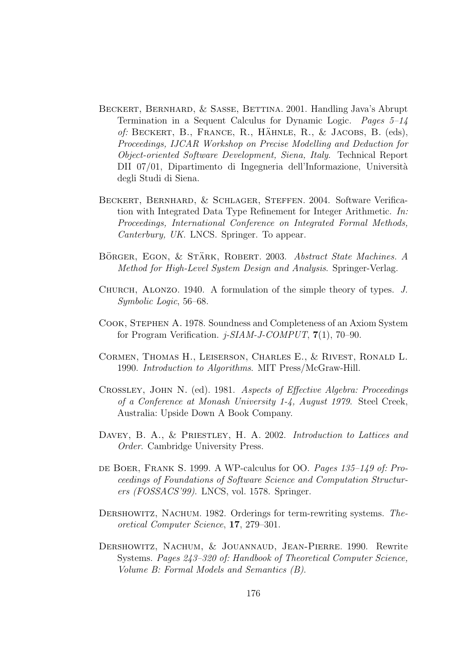- Beckert, Bernhard, & Sasse, Bettina. 2001. Handling Java's Abrupt Termination in a Sequent Calculus for Dynamic Logic. Pages 5–14 of: BECKERT, B., FRANCE, R., HÄHNLE, R., & JACOBS, B. (eds), Proceedings, IJCAR Workshop on Precise Modelling and Deduction for Object-oriented Software Development, Siena, Italy. Technical Report DII 07/01, Dipartimento di Ingegneria dell'Informazione, Università degli Studi di Siena.
- BECKERT, BERNHARD, & SCHLAGER, STEFFEN. 2004. Software Verification with Integrated Data Type Refinement for Integer Arithmetic. In: Proceedings, International Conference on Integrated Formal Methods, Canterbury, UK. LNCS. Springer. To appear.
- BÖRGER, EGON, & STÄRK, ROBERT. 2003. Abstract State Machines. A Method for High-Level System Design and Analysis. Springer-Verlag.
- Church, Alonzo. 1940. A formulation of the simple theory of types. J. Symbolic Logic, 56–68.
- Cook, Stephen A. 1978. Soundness and Completeness of an Axiom System for Program Verification.  $i$ -SIAM-J-COMPUT, 7(1), 70–90.
- Cormen, Thomas H., Leiserson, Charles E., & Rivest, Ronald L. 1990. Introduction to Algorithms. MIT Press/McGraw-Hill.
- Crossley, John N. (ed). 1981. Aspects of Effective Algebra: Proceedings of a Conference at Monash University 1-4, August 1979. Steel Creek, Australia: Upside Down A Book Company.
- DAVEY, B. A., & PRIESTLEY, H. A. 2002. Introduction to Lattices and Order. Cambridge University Press.
- DE BOER, FRANK S. 1999. A WP-calculus for OO. Pages 135-149 of: Proceedings of Foundations of Software Science and Computation Structurers (FOSSACS'99). LNCS, vol. 1578. Springer.
- DERSHOWITZ, NACHUM. 1982. Orderings for term-rewriting systems. Theoretical Computer Science, 17, 279–301.
- Dershowitz, Nachum, & Jouannaud, Jean-Pierre. 1990. Rewrite Systems. Pages 243–320 of: Handbook of Theoretical Computer Science, Volume B: Formal Models and Semantics (B).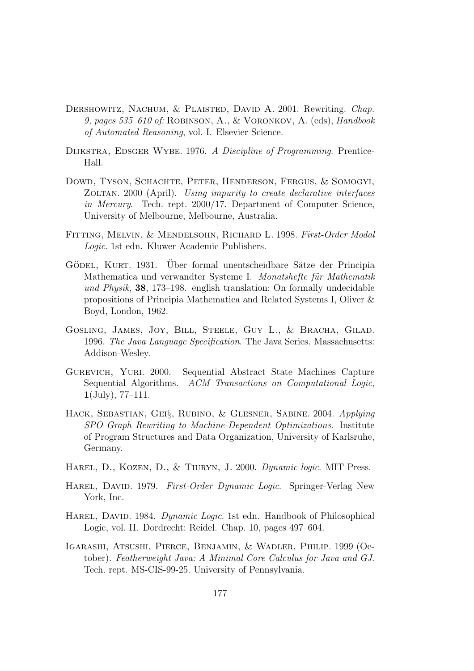- DERSHOWITZ, NACHUM, & PLAISTED, DAVID A. 2001. Rewriting. Chap. 9, pages 535–610 of: Robinson, A., & Voronkov, A. (eds), Handbook of Automated Reasoning, vol. I. Elsevier Science.
- DIJKSTRA, EDSGER WYBE. 1976. A Discipline of Programming. Prentice-Hall.
- Dowd, Tyson, Schachte, Peter, Henderson, Fergus, & Somogyi, ZOLTAN. 2000 (April). Using impurity to create declarative interfaces in Mercury. Tech. rept. 2000/17. Department of Computer Science, University of Melbourne, Melbourne, Australia.
- Fitting, Melvin, & Mendelsohn, Richard L. 1998. First-Order Modal Logic. 1st edn. Kluwer Academic Publishers.
- GÖDEL, KURT. 1931. Uber formal unentscheidbare Sätze der Principia Mathematica und verwandter Systeme I. Monatshefte für Mathematik und Physik, 38, 173–198. english translation: On formally undecidable propositions of Principia Mathematica and Related Systems I, Oliver & Boyd, London, 1962.
- Gosling, James, Joy, Bill, Steele, Guy L., & Bracha, Gilad. 1996. The Java Language Specification. The Java Series. Massachusetts: Addison-Wesley.
- Gurevich, Yuri. 2000. Sequential Abstract State Machines Capture Sequential Algorithms. ACM Transactions on Computational Logic,  $1$ (July), 77–111.
- Hack, Sebastian, Gei§, Rubino, & Glesner, Sabine. 2004. Applying SPO Graph Rewriting to Machine-Dependent Optimizations. Institute of Program Structures and Data Organization, University of Karlsruhe, Germany.
- Harel, D., Kozen, D., & Tiuryn, J. 2000. Dynamic logic. MIT Press.
- HAREL, DAVID. 1979. First-Order Dynamic Logic. Springer-Verlag New York, Inc.
- HAREL, DAVID. 1984. Dynamic Logic. 1st edn. Handbook of Philosophical Logic, vol. II. Dordrecht: Reidel. Chap. 10, pages 497–604.
- Igarashi, Atsushi, Pierce, Benjamin, & Wadler, Philip. 1999 (October). Featherweight Java: A Minimal Core Calculus for Java and GJ. Tech. rept. MS-CIS-99-25. University of Pennsylvania.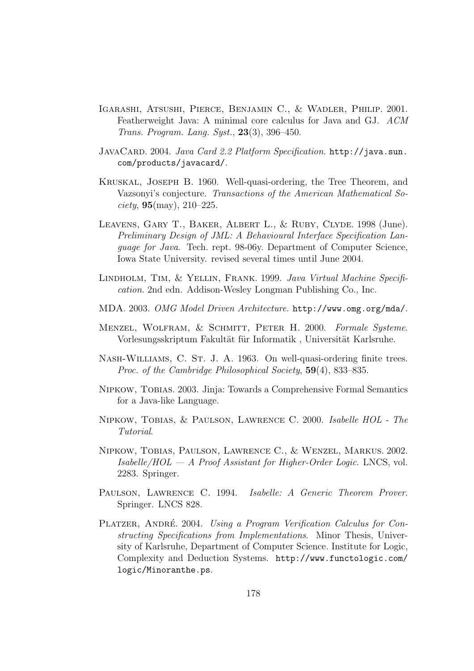- Igarashi, Atsushi, Pierce, Benjamin C., & Wadler, Philip. 2001. Featherweight Java: A minimal core calculus for Java and GJ. ACM Trans. Program. Lang. Syst., 23(3), 396–450.
- JAVACARD. 2004. Java Card 2.2 Platform Specification. http://java.sun. com/products/javacard/.
- Kruskal, Joseph B. 1960. Well-quasi-ordering, the Tree Theorem, and Vazsonyi's conjecture. Transactions of the American Mathematical So $ciety, 95(may), 210–225.$
- Leavens, Gary T., Baker, Albert L., & Ruby, Clyde. 1998 (June). Preliminary Design of JML: A Behavioural Interface Specification Language for Java. Tech. rept. 98-06y. Department of Computer Science, Iowa State University. revised several times until June 2004.
- Lindholm, Tim, & Yellin, Frank. 1999. Java Virtual Machine Specification. 2nd edn. Addison-Wesley Longman Publishing Co., Inc.
- MDA. 2003. OMG Model Driven Architecture. http://www.omg.org/mda/.
- Menzel, Wolfram, & Schmitt, Peter H. 2000. Formale Systeme. Vorlesungsskriptum Fakultät für Informatik, Universität Karlsruhe.
- NASH-WILLIAMS, C. ST. J. A. 1963. On well-quasi-ordering finite trees. Proc. of the Cambridge Philosophical Society, 59(4), 833–835.
- Nipkow, Tobias. 2003. Jinja: Towards a Comprehensive Formal Semantics for a Java-like Language.
- Nipkow, Tobias, & Paulson, Lawrence C. 2000. Isabelle HOL The Tutorial.
- Nipkow, Tobias, Paulson, Lawrence C., & Wenzel, Markus. 2002.  $Isable | HOL - A Proof Assistant for Higher-Order Logic. LNCS, vol.$ 2283. Springer.
- PAULSON, LAWRENCE C. 1994. Isabelle: A Generic Theorem Prover. Springer. LNCS 828.
- PLATZER, ANDRÉ. 2004. Using a Program Verification Calculus for Constructing Specifications from Implementations. Minor Thesis, University of Karlsruhe, Department of Computer Science. Institute for Logic, Complexity and Deduction Systems. http://www.functologic.com/ logic/Minoranthe.ps.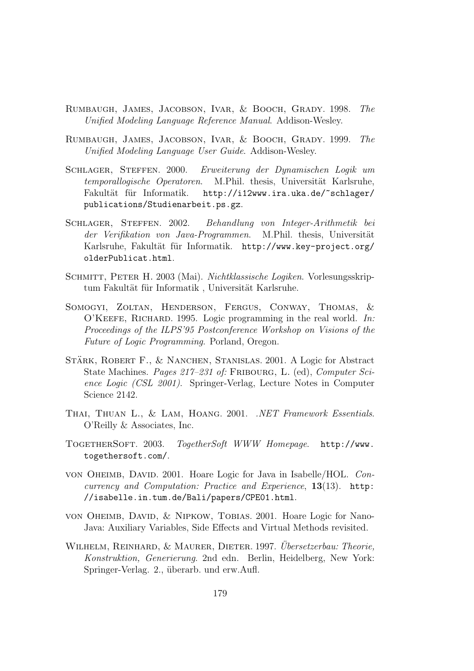- Rumbaugh, James, Jacobson, Ivar, & Booch, Grady. 1998. The Unified Modeling Language Reference Manual. Addison-Wesley.
- Rumbaugh, James, Jacobson, Ivar, & Booch, Grady. 1999. The Unified Modeling Language User Guide. Addison-Wesley.
- Schlager, Steffen. 2000. Erweiterung der Dynamischen Logik um temporallogische Operatoren. M.Phil. thesis, Universität Karlsruhe, Fakultät für Informatik. http://i12www.ira.uka.de/~schlager/ publications/Studienarbeit.ps.gz.
- Schlager, Steffen. 2002. Behandlung von Integer-Arithmetik bei der Verifikation von Java-Programmen. M.Phil. thesis, Universität Karlsruhe, Fakultät für Informatik. http://www.key-project.org/ olderPublicat.html.
- Schmitt, Peter H. 2003 (Mai). Nichtklassische Logiken. Vorlesungsskriptum Fakultät für Informatik, Universität Karlsruhe.
- Somogyi, Zoltan, Henderson, Fergus, Conway, Thomas, & O'KEEFE, RICHARD. 1995. Logic programming in the real world. In: Proceedings of the ILPS'95 Postconference Workshop on Visions of the Future of Logic Programming. Porland, Oregon.
- STÄRK, ROBERT F., & NANCHEN, STANISLAS. 2001. A Logic for Abstract State Machines. *Pages 217–231 of:* FRIBOURG, L. (ed), *Computer Sci*ence Logic (CSL 2001). Springer-Verlag, Lecture Notes in Computer Science 2142.
- THAI, THUAN L., & LAM, HOANG. 2001. .NET Framework Essentials. O'Reilly & Associates, Inc.
- TogetherSoft. 2003. TogetherSoft WWW Homepage. http://www. togethersoft.com/.
- von Oheimb, David. 2001. Hoare Logic for Java in Isabelle/HOL. Concurrency and Computation: Practice and Experience, 13(13). http: //isabelle.in.tum.de/Bali/papers/CPE01.html.
- von Oheimb, David, & Nipkow, Tobias. 2001. Hoare Logic for Nano-Java: Auxiliary Variables, Side Effects and Virtual Methods revisited.
- WILHELM, REINHARD, & MAURER, DIETER. 1997. Übersetzerbau: Theorie, Konstruktion, Generierung. 2nd edn. Berlin, Heidelberg, New York: Springer-Verlag. 2., überarb. und erw.Aufl.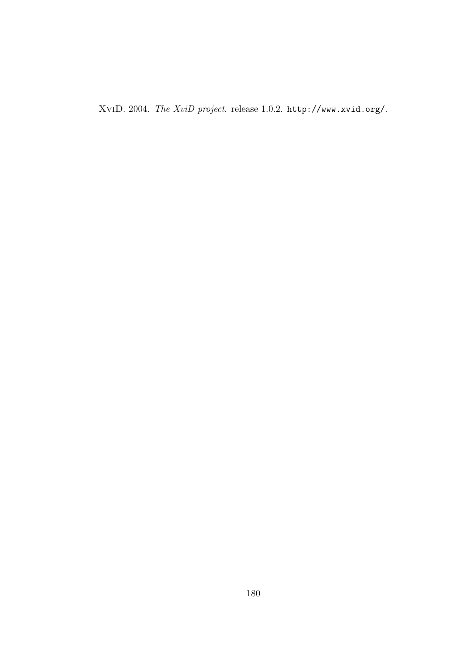XviD. 2004. The XviD project. release 1.0.2. http://www.xvid.org/.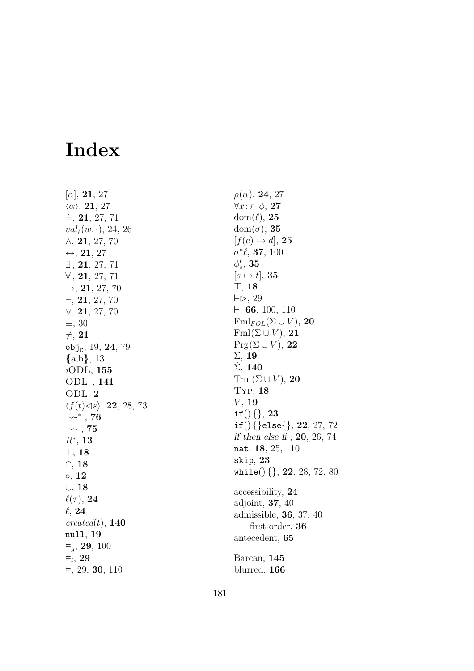## Index

 $[\alpha]$ , **21**, 27  $\langle \alpha \rangle$ , **21**, 27<br>  $\dot{=}$ , **21**, 27, 71  $val_{\ell}(w, \cdot), 24, 26$ ∧, 21, 27, 70  $\leftrightarrow$ , 21, 27  $\exists$ , 21, 27, 71 ∀ , 21, 27, 71  $\rightarrow$ , **21**, 27, 70 ¬, 21, 27, 70 ∨, 21, 27, 70 ≡, 30  $\neq$ , 21 obj $_{\rm c},\,19,\,$   ${\bf 24},\,79$ {a,b } , 13 iODL , 155  $ODL<sup>+</sup>, 141$ ODL , 2  $\langle f(t) \triangleleft s \rangle$ , 22, 28, 73  $\rightsquigarrow^*$  , 76  $\rightsquigarrow$  , 75  $R^*$ , 13  $\perp$ , 18  $\cap$ , 18  $\circ$ ,  $12$ ∪, 18  $\ell(\tau),$  24  $\ell$ , 24  $\mathit{created}(t), \, {\bf 140}$ null , 19  $\vDash_g, 29, 100$  $\vDash_l, 29$  $\models$ , 29, 30, 110

 $\rho(\alpha),\, {\bf 24},\, 27$  $\forall x\!:\!\tau \; \phi$ , 27  $\text{dom}(\ell), \, \textbf{25}$  ${\rm dom}(\sigma),\, {\bf 35}$  $[f(e) \mapsto d], 25$  $\sigma^* \ell$ , 37, 100  $\phi_s^t,\, {\bf 35}$  $[s \mapsto t], \, {\bf 35}$  $\top$ , 18  $\models \rhd, 29$  $\vdash,$   $\bf{66},$   $100,$   $110$  $\text{Fml}_{FOL}(\Sigma \cup V),$   ${\bf 20}$  $\mathrm{Fml}(\Sigma \cup V),$  21  $\mathrm{Prg}(\Sigma \cup V),$  22 Σ, 19  $\tilde{\Sigma}$ , 140  $\mathrm{Trm}(\Sigma \cup V),$   ${\bf 20}$ Typ , 18  $V, \, {\bf 19}$  $\mathrm{if}() \left\lbrace \right\rbrace, 23$  $\mathrm{if}() \, \{\} \mathrm{else} \{ \}, \, \textbf{22}, \, 27, \, 72$ if then else  $f_1$ , 20, 26, 74 nat,  $\boldsymbol{18},\, 25,\, 110$ skip , 23 while()  $\{\},$   ${\bf 22},$   $28,$   $72,$   $80$ accessibilit y , 24 adjoint, 37 , 40 admissible, 36 , 37, 40 first-order, 36 antecedent, 65 Barcan, 145 blurred, 166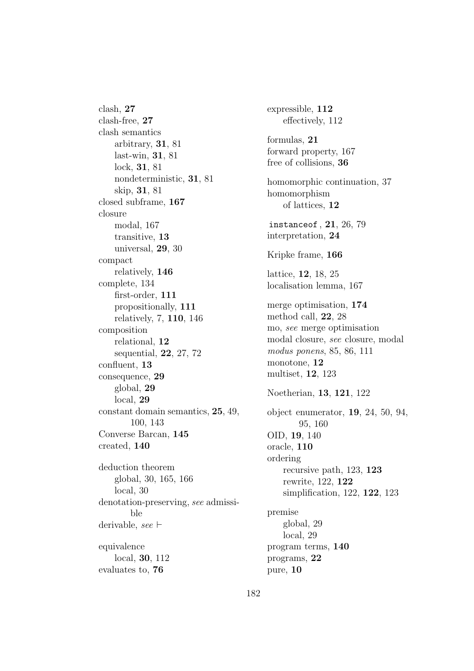clash, 27 clash-free, 27 clash semantics arbitrary, 31, 81 last-win, 31, 81 lock, 31, 81 nondeterministic, 31, 81 skip, 31, 81 closed subframe, 167 closure modal, 167 transitive, 13 universal, 29, 30 compact relatively, 146 complete, 134 first-order, 111 propositionally, 111 relatively, 7, 110, 146 composition relational, 12 sequential, 22, 27, 72 confluent, 13 consequence, 29 global, 29 local, 29 constant domain semantics, 25, 49, 100, 143 Converse Barcan, 145 created, 140 deduction theorem global, 30, 165, 166 local, 30 denotation-preserving, see admissible derivable, see  $\vdash$ equivalence

local, 30, 112

evaluates to, 76

expressible, 112 effectively, 112 formulas, 21 forward property, 167 free of collisions, 36 homomorphic continuation, 37 homomorphism of lattices, 12 instanceof , 21, 26, 79 interpretation, 24 Kripke frame, 166 lattice, 12, 18, 25 localisation lemma, 167 merge optimisation, 174 method call, 22, 28 mo, see merge optimisation modal closure, see closure, modal modus ponens, 85, 86, 111 monotone, 12 multiset, 12, 123 Noetherian, 13, 121, 122 object enumerator, 19, 24, 50, 94, 95, 160 OID, 19, 140 oracle, 110 ordering recursive path, 123, 123 rewrite, 122, 122 simplification, 122, 122, 123 premise global, 29 local, 29 program terms, 140 programs, 22 pure, 10